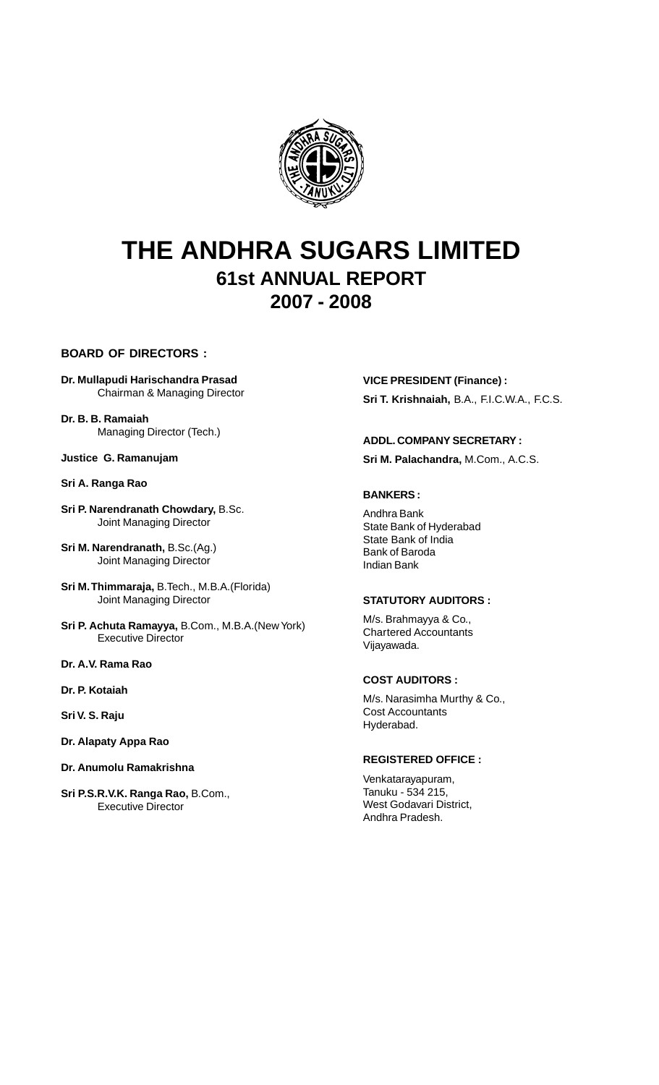

# **THE ANDHRA SUGARS LIMITED 61st ANNUAL REPORT 2007 - 2008**

**BOARD OF DIRECTORS :**

- **Dr. Mullapudi Harischandra Prasad** Chairman & Managing Director
- **Dr. B. B. Ramaiah** Managing Director (Tech.)

**Justice G. Ramanujam**

#### **Sri A. Ranga Rao**

**Sri P. Narendranath Chowdary,** B.Sc. Joint Managing Director

**Sri M. Narendranath,** B.Sc.(Ag.) Joint Managing Director

- **Sri M. Thimmaraja,** B.Tech., M.B.A.(Florida) Joint Managing Director
- **Sri P. Achuta Ramayya,** B.Com., M.B.A.(New York) Executive Director

**Dr. A.V. Rama Rao**

**Dr. P. Kotaiah**

**Sri V. S. Raju**

- **Dr. Alapaty Appa Rao**
- **Dr. Anumolu Ramakrishna**
- **Sri P.S.R.V.K. Ranga Rao,** B.Com., Executive Director

**VICE PRESIDENT (Finance) : Sri T. Krishnaiah,** B.A., F.I.C.W.A., F.C.S.

#### **ADDL. COMPANY SECRETARY :**

**Sri M. Palachandra,** M.Com., A.C.S.

# **BANKERS :**

Andhra Bank State Bank of Hyderabad State Bank of India Bank of Baroda Indian Bank

#### **STATUTORY AUDITORS :**

M/s. Brahmayya & Co., Chartered Accountants Vijayawada.

#### **COST AUDITORS :**

M/s. Narasimha Murthy & Co., Cost Accountants Hyderabad.

## **REGISTERED OFFICE :**

Venkatarayapuram, Tanuku - 534 215, West Godavari District, Andhra Pradesh.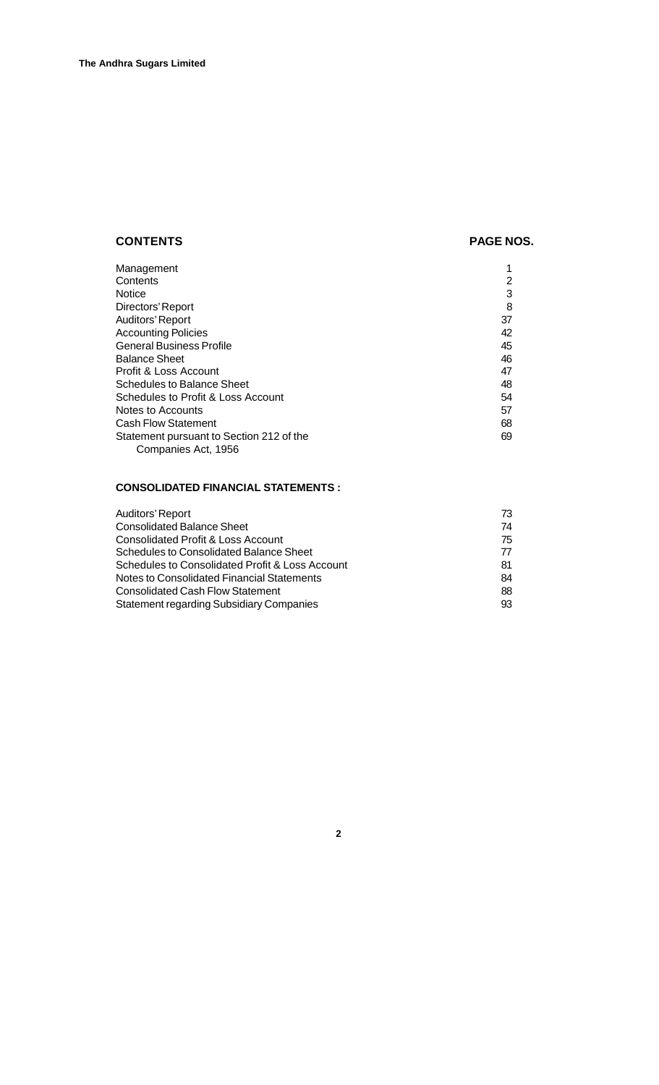# **CONTENTS** PAGE NOS.

| Management                               |    |
|------------------------------------------|----|
| Contents                                 | າ  |
| Notice                                   | 3  |
| Directors' Report                        | 8  |
| Auditors' Report                         | 37 |
| <b>Accounting Policies</b>               | 42 |
| <b>General Business Profile</b>          | 45 |
| <b>Balance Sheet</b>                     | 46 |
| Profit & Loss Account                    | 47 |
| <b>Schedules to Balance Sheet</b>        | 48 |
| Schedules to Profit & Loss Account       | 54 |
| Notes to Accounts                        | 57 |
| <b>Cash Flow Statement</b>               | 68 |
| Statement pursuant to Section 212 of the | 69 |
| Companies Act, 1956                      |    |

# **CONSOLIDATED FINANCIAL STATEMENTS :**

| Auditors' Report                                | 73 |
|-------------------------------------------------|----|
| <b>Consolidated Balance Sheet</b>               | 74 |
| Consolidated Profit & Loss Account              | 75 |
| Schedules to Consolidated Balance Sheet         | 77 |
| Schedules to Consolidated Profit & Loss Account | 81 |
| Notes to Consolidated Financial Statements      | 84 |
| <b>Consolidated Cash Flow Statement</b>         | 88 |
| <b>Statement regarding Subsidiary Companies</b> | 93 |
|                                                 |    |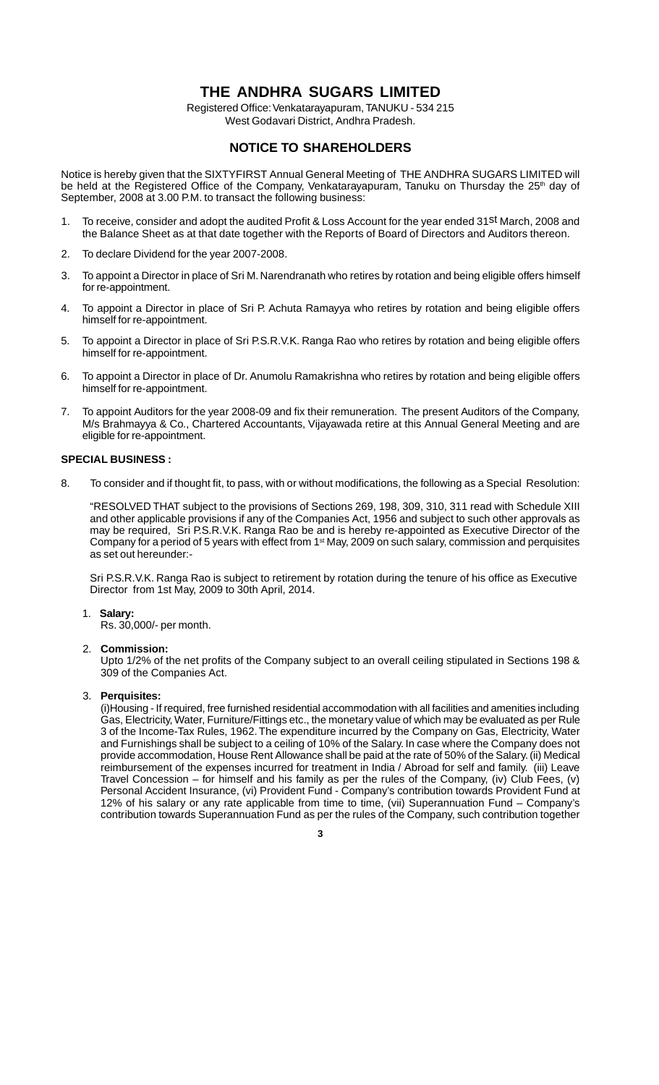# **THE ANDHRA SUGARS LIMITED**

Registered Office: Venkatarayapuram, TANUKU - 534 215 West Godavari District, Andhra Pradesh.

# **NOTICE TO SHAREHOLDERS**

Notice is hereby given that the SIXTYFIRST Annual General Meeting of THE ANDHRA SUGARS LIMITED will be held at the Registered Office of the Company, Venkatarayapuram, Tanuku on Thursday the 25<sup>th</sup> day of September, 2008 at 3.00 P.M. to transact the following business:

- 1. To receive, consider and adopt the audited Profit & Loss Account for the year ended 31st March, 2008 and the Balance Sheet as at that date together with the Reports of Board of Directors and Auditors thereon.
- 2. To declare Dividend for the year 2007-2008.
- 3. To appoint a Director in place of Sri M. Narendranath who retires by rotation and being eligible offers himself for re-appointment.
- 4. To appoint a Director in place of Sri P. Achuta Ramayya who retires by rotation and being eligible offers himself for re-appointment.
- 5. To appoint a Director in place of Sri P.S.R.V.K. Ranga Rao who retires by rotation and being eligible offers himself for re-appointment.
- 6. To appoint a Director in place of Dr. Anumolu Ramakrishna who retires by rotation and being eligible offers himself for re-appointment.
- 7. To appoint Auditors for the year 2008-09 and fix their remuneration. The present Auditors of the Company, M/s Brahmayya & Co., Chartered Accountants, Vijayawada retire at this Annual General Meeting and are eligible for re-appointment.

#### **SPECIAL BUSINESS :**

8. To consider and if thought fit, to pass, with or without modifications, the following as a Special Resolution:

"RESOLVED THAT subject to the provisions of Sections 269, 198, 309, 310, 311 read with Schedule XIII and other applicable provisions if any of the Companies Act, 1956 and subject to such other approvals as may be required, Sri P.S.R.V.K. Ranga Rao be and is hereby re-appointed as Executive Director of the Company for a period of 5 years with effect from  $1<sup>st</sup>$  May, 2009 on such salary, commission and perquisites as set out hereunder:-

Sri P.S.R.V.K. Ranga Rao is subject to retirement by rotation during the tenure of his office as Executive Director from 1st May, 2009 to 30th April, 2014.

1. **Salary:**

Rs. 30,000/- per month.

2. **Commission:**

Upto 1/2% of the net profits of the Company subject to an overall ceiling stipulated in Sections 198 & 309 of the Companies Act.

3. **Perquisites:**

(i)Housing - If required, free furnished residential accommodation with all facilities and amenities including Gas, Electricity, Water, Furniture/Fittings etc., the monetary value of which may be evaluated as per Rule 3 of the Income-Tax Rules, 1962. The expenditure incurred by the Company on Gas, Electricity, Water and Furnishings shall be subject to a ceiling of 10% of the Salary. In case where the Company does not provide accommodation, House Rent Allowance shall be paid at the rate of 50% of the Salary. (ii) Medical reimbursement of the expenses incurred for treatment in India / Abroad for self and family. (iii) Leave Travel Concession – for himself and his family as per the rules of the Company, (iv) Club Fees, (v) Personal Accident Insurance, (vi) Provident Fund - Company's contribution towards Provident Fund at 12% of his salary or any rate applicable from time to time, (vii) Superannuation Fund – Company's contribution towards Superannuation Fund as per the rules of the Company, such contribution together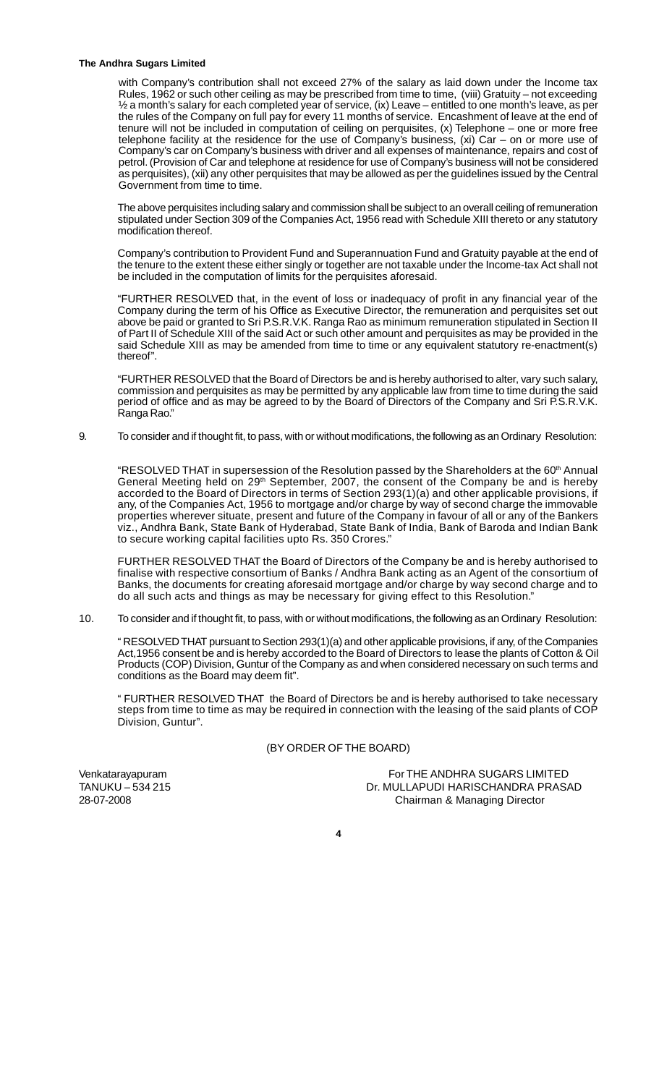#### **The Andhra Sugars Limited**

with Company's contribution shall not exceed 27% of the salary as laid down under the Income tax Rules, 1962 or such other ceiling as may be prescribed from time to time, (viii) Gratuity – not exceeding ½ a month's salary for each completed year of service, (ix) Leave – entitled to one month's leave, as per the rules of the Company on full pay for every 11 months of service. Encashment of leave at the end of tenure will not be included in computation of ceiling on perquisites, (x) Telephone – one or more free telephone facility at the residence for the use of Company's business, (xi) Car – on or more use of Company's car on Company's business with driver and all expenses of maintenance, repairs and cost of petrol. (Provision of Car and telephone at residence for use of Company's business will not be considered as perquisites), (xii) any other perquisites that may be allowed as per the guidelines issued by the Central Government from time to time.

The above perquisites including salary and commission shall be subject to an overall ceiling of remuneration stipulated under Section 309 of the Companies Act, 1956 read with Schedule XIII thereto or any statutory modification thereof.

Company's contribution to Provident Fund and Superannuation Fund and Gratuity payable at the end of the tenure to the extent these either singly or together are not taxable under the Income-tax Act shall not be included in the computation of limits for the perquisites aforesaid.

"FURTHER RESOLVED that, in the event of loss or inadequacy of profit in any financial year of the Company during the term of his Office as Executive Director, the remuneration and perquisites set out above be paid or granted to Sri P.S.R.V.K. Ranga Rao as minimum remuneration stipulated in Section II of Part II of Schedule XIII of the said Act or such other amount and perquisites as may be provided in the said Schedule XIII as may be amended from time to time or any equivalent statutory re-enactment(s) thereof".

"FURTHER RESOLVED that the Board of Directors be and is hereby authorised to alter, vary such salary, commission and perquisites as may be permitted by any applicable law from time to time during the said period of office and as may be agreed to by the Board of Directors of the Company and Sri P.S.R.V.K. Ranga Rao."

9. To consider and if thought fit, to pass, with or without modifications, the following as an Ordinary Resolution:

"RESOLVED THAT in supersession of the Resolution passed by the Shareholders at the 60<sup>th</sup> Annual General Meeting held on 29<sup>th</sup> September, 2007, the consent of the Company be and is hereby accorded to the Board of Directors in terms of Section 293(1)(a) and other applicable provisions, if any, of the Companies Act, 1956 to mortgage and/or charge by way of second charge the immovable properties wherever situate, present and future of the Company in favour of all or any of the Bankers viz., Andhra Bank, State Bank of Hyderabad, State Bank of India, Bank of Baroda and Indian Bank to secure working capital facilities upto Rs. 350 Crores."

FURTHER RESOLVED THAT the Board of Directors of the Company be and is hereby authorised to finalise with respective consortium of Banks / Andhra Bank acting as an Agent of the consortium of Banks, the documents for creating aforesaid mortgage and/or charge by way second charge and to do all such acts and things as may be necessary for giving effect to this Resolution."

10. To consider and if thought fit, to pass, with or without modifications, the following as an Ordinary Resolution:

" RESOLVED THAT pursuant to Section 293(1)(a) and other applicable provisions, if any, of the Companies Act,1956 consent be and is hereby accorded to the Board of Directors to lease the plants of Cotton & Oil Products (COP) Division, Guntur of the Company as and when considered necessary on such terms and conditions as the Board may deem fit".

" FURTHER RESOLVED THAT the Board of Directors be and is hereby authorised to take necessary steps from time to time as may be required in connection with the leasing of the said plants of COP Division, Guntur".

#### (BY ORDER OF THE BOARD)

Venkatarayapuram For THE ANDHRA SUGARS LIMITED TANUKU – 534 215 Dr. MULLAPUDI HARISCHANDRA PRASAD 28-07-2008 Chairman & Managing Director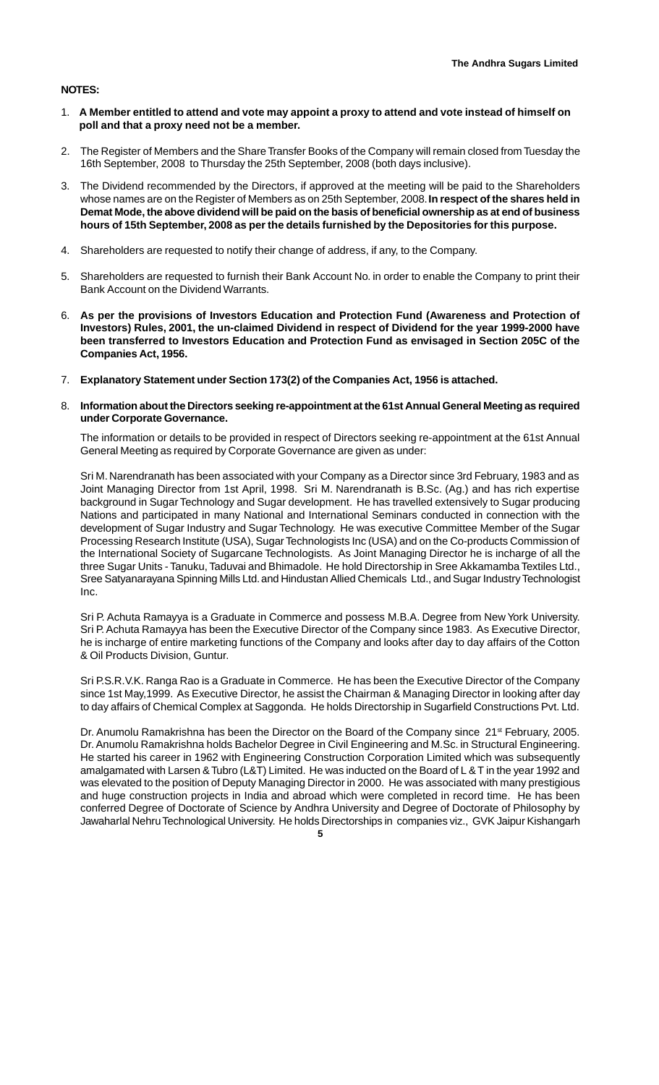#### **NOTES:**

- 1. **A Member entitled to attend and vote may appoint a proxy to attend and vote instead of himself on poll and that a proxy need not be a member.**
- 2. The Register of Members and the Share Transfer Books of the Company will remain closed from Tuesday the 16th September, 2008 to Thursday the 25th September, 2008 (both days inclusive).
- 3. The Dividend recommended by the Directors, if approved at the meeting will be paid to the Shareholders whose names are on the Register of Members as on 25th September, 2008. **In respect of the shares held in Demat Mode, the above dividend will be paid on the basis of beneficial ownership as at end of business hours of 15th September, 2008 as per the details furnished by the Depositories for this purpose.**
- 4. Shareholders are requested to notify their change of address, if any, to the Company.
- 5. Shareholders are requested to furnish their Bank Account No. in order to enable the Company to print their Bank Account on the Dividend Warrants.
- 6. **As per the provisions of Investors Education and Protection Fund (Awareness and Protection of Investors) Rules, 2001, the un-claimed Dividend in respect of Dividend for the year 1999-2000 have been transferred to Investors Education and Protection Fund as envisaged in Section 205C of the Companies Act, 1956.**
- 7. **Explanatory Statement under Section 173(2) of the Companies Act, 1956 is attached.**
- 8. **Information about the Directors seeking re-appointment at the 61st Annual General Meeting as required under Corporate Governance.**

The information or details to be provided in respect of Directors seeking re-appointment at the 61st Annual General Meeting as required by Corporate Governance are given as under:

Sri M. Narendranath has been associated with your Company as a Director since 3rd February, 1983 and as Joint Managing Director from 1st April, 1998. Sri M. Narendranath is B.Sc. (Ag.) and has rich expertise background in Sugar Technology and Sugar development. He has travelled extensively to Sugar producing Nations and participated in many National and International Seminars conducted in connection with the development of Sugar Industry and Sugar Technology. He was executive Committee Member of the Sugar Processing Research Institute (USA), Sugar Technologists Inc (USA) and on the Co-products Commission of the International Society of Sugarcane Technologists. As Joint Managing Director he is incharge of all the three Sugar Units - Tanuku, Taduvai and Bhimadole. He hold Directorship in Sree Akkamamba Textiles Ltd., Sree Satyanarayana Spinning Mills Ltd. and Hindustan Allied Chemicals Ltd., and Sugar Industry Technologist Inc.

Sri P. Achuta Ramayya is a Graduate in Commerce and possess M.B.A. Degree from New York University. Sri P. Achuta Ramayya has been the Executive Director of the Company since 1983. As Executive Director, he is incharge of entire marketing functions of the Company and looks after day to day affairs of the Cotton & Oil Products Division, Guntur.

Sri P.S.R.V.K. Ranga Rao is a Graduate in Commerce. He has been the Executive Director of the Company since 1st May,1999. As Executive Director, he assist the Chairman & Managing Director in looking after day to day affairs of Chemical Complex at Saggonda. He holds Directorship in Sugarfield Constructions Pvt. Ltd.

**5** Dr. Anumolu Ramakrishna has been the Director on the Board of the Company since 21<sup>st</sup> February, 2005. Dr. Anumolu Ramakrishna holds Bachelor Degree in Civil Engineering and M.Sc. in Structural Engineering. He started his career in 1962 with Engineering Construction Corporation Limited which was subsequently amalgamated with Larsen & Tubro (L&T) Limited. He was inducted on the Board of L & T in the year 1992 and was elevated to the position of Deputy Managing Director in 2000. He was associated with many prestigious and huge construction projects in India and abroad which were completed in record time. He has been conferred Degree of Doctorate of Science by Andhra University and Degree of Doctorate of Philosophy by Jawaharlal Nehru Technological University. He holds Directorships in companies viz., GVK Jaipur Kishangarh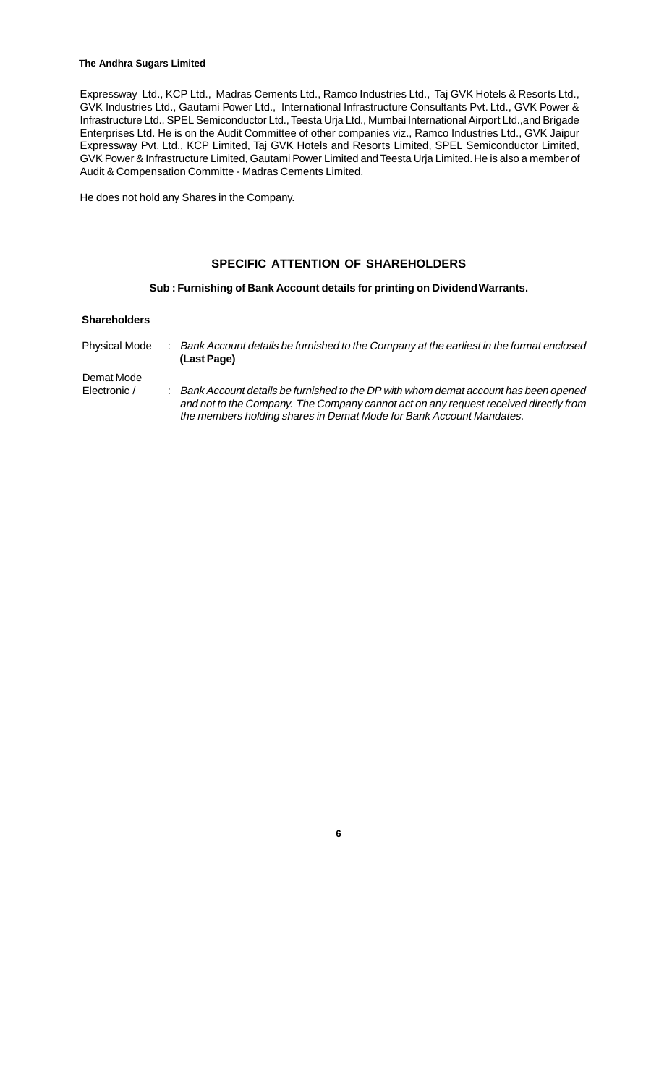#### **The Andhra Sugars Limited**

Expressway Ltd., KCP Ltd., Madras Cements Ltd., Ramco Industries Ltd., Taj GVK Hotels & Resorts Ltd., GVK Industries Ltd., Gautami Power Ltd., International Infrastructure Consultants Pvt. Ltd., GVK Power & Infrastructure Ltd., SPEL Semiconductor Ltd., Teesta Urja Ltd., Mumbai International Airport Ltd.,and Brigade Enterprises Ltd. He is on the Audit Committee of other companies viz., Ramco Industries Ltd., GVK Jaipur Expressway Pvt. Ltd., KCP Limited, Taj GVK Hotels and Resorts Limited, SPEL Semiconductor Limited, GVK Power & Infrastructure Limited, Gautami Power Limited and Teesta Urja Limited. He is also a member of Audit & Compensation Committe - Madras Cements Limited.

He does not hold any Shares in the Company.

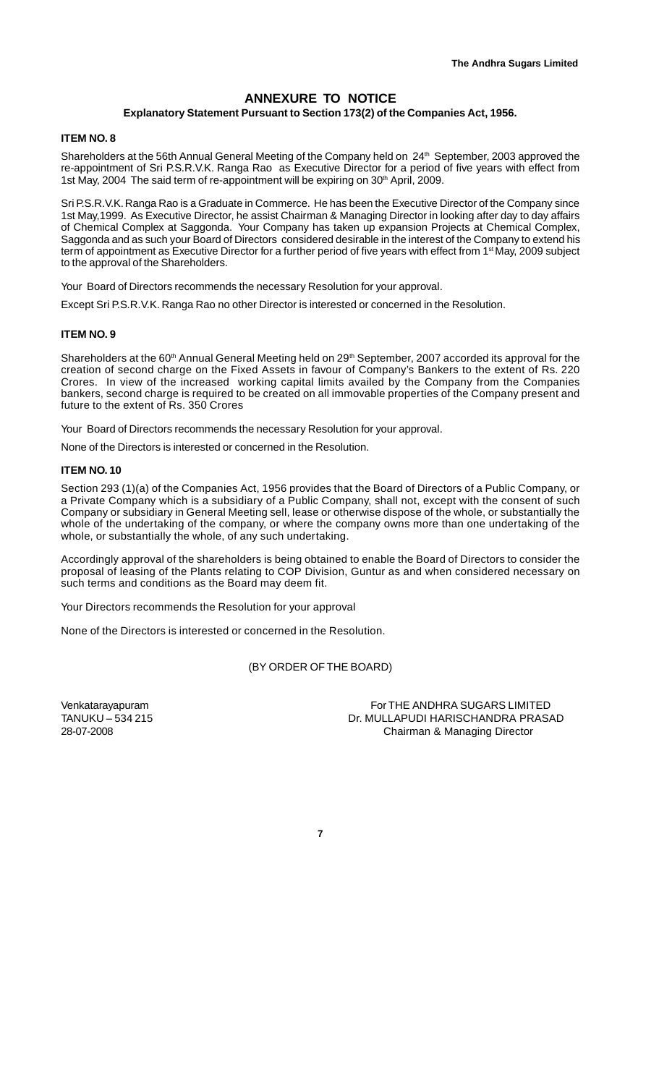# **ANNEXURE TO NOTICE**

## **Explanatory Statement Pursuant to Section 173(2) of the Companies Act, 1956.**

#### **ITEM NO. 8**

Shareholders at the 56th Annual General Meeting of the Company held on 24<sup>th</sup> September, 2003 approved the re-appointment of Sri P.S.R.V.K. Ranga Rao as Executive Director for a period of five years with effect from 1st May, 2004 The said term of re-appointment will be expiring on 30<sup>th</sup> April, 2009.

Sri P.S.R.V.K. Ranga Rao is a Graduate in Commerce. He has been the Executive Director of the Company since 1st May,1999. As Executive Director, he assist Chairman & Managing Director in looking after day to day affairs of Chemical Complex at Saggonda. Your Company has taken up expansion Projects at Chemical Complex, Saggonda and as such your Board of Directors considered desirable in the interest of the Company to extend his term of appointment as Executive Director for a further period of five years with effect from 1<sup>st</sup> May, 2009 subject to the approval of the Shareholders.

Your Board of Directors recommends the necessary Resolution for your approval.

Except Sri P.S.R.V.K. Ranga Rao no other Director is interested or concerned in the Resolution.

#### **ITEM NO. 9**

Shareholders at the 60<sup>th</sup> Annual General Meeting held on 29<sup>th</sup> September, 2007 accorded its approval for the creation of second charge on the Fixed Assets in favour of Company's Bankers to the extent of Rs. 220 Crores. In view of the increased working capital limits availed by the Company from the Companies bankers, second charge is required to be created on all immovable properties of the Company present and future to the extent of Rs. 350 Crores

Your Board of Directors recommends the necessary Resolution for your approval.

None of the Directors is interested or concerned in the Resolution.

#### **ITEM NO. 10**

Section 293 (1)(a) of the Companies Act, 1956 provides that the Board of Directors of a Public Company, or a Private Company which is a subsidiary of a Public Company, shall not, except with the consent of such Company or subsidiary in General Meeting sell, lease or otherwise dispose of the whole, or substantially the whole of the undertaking of the company, or where the company owns more than one undertaking of the whole, or substantially the whole, of any such undertaking.

Accordingly approval of the shareholders is being obtained to enable the Board of Directors to consider the proposal of leasing of the Plants relating to COP Division, Guntur as and when considered necessary on such terms and conditions as the Board may deem fit.

Your Directors recommends the Resolution for your approval

None of the Directors is interested or concerned in the Resolution.

(BY ORDER OF THE BOARD)

Venkatarayapuram For THE ANDHRA SUGARS LIMITED TANUKU – 534 215 Dr. MULLAPUDI HARISCHANDRA PRASAD 28-07-2008 Chairman & Managing Director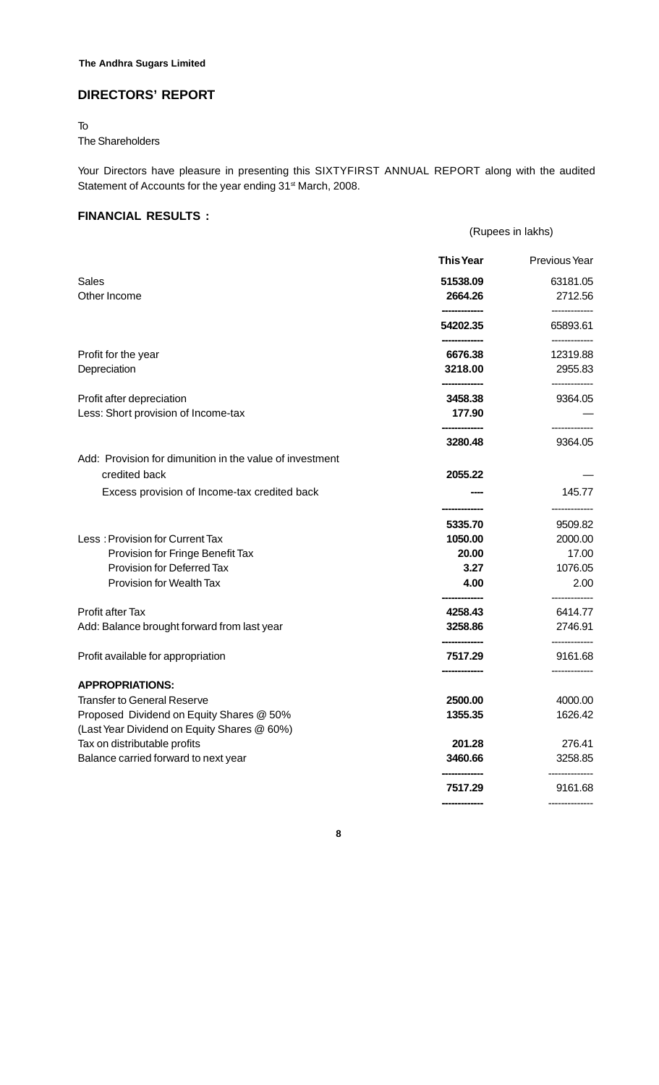# **The Andhra Sugars Limited**

# **DIRECTORS' REPORT**

# To The Shareholders

Your Directors have pleasure in presenting this SIXTYFIRST ANNUAL REPORT along with the audited Statement of Accounts for the year ending 31<sup>st</sup> March, 2008.

# **FINANCIAL RESULTS :**

|                                                                                         | (Rupees in lakhs) |               |  |  |  |
|-----------------------------------------------------------------------------------------|-------------------|---------------|--|--|--|
|                                                                                         | <b>This Year</b>  | Previous Year |  |  |  |
| Sales                                                                                   | 51538.09          | 63181.05      |  |  |  |
| Other Income                                                                            | 2664.26           | 2712.56       |  |  |  |
|                                                                                         | 54202.35          | 65893.61      |  |  |  |
| Profit for the year                                                                     | 6676.38           | 12319.88      |  |  |  |
| Depreciation                                                                            | 3218.00           | 2955.83       |  |  |  |
| Profit after depreciation                                                               | 3458.38           | 9364.05       |  |  |  |
| Less: Short provision of Income-tax                                                     | 177.90            |               |  |  |  |
|                                                                                         | 3280.48           | 9364.05       |  |  |  |
| Add: Provision for dimunition in the value of investment                                |                   |               |  |  |  |
| credited back                                                                           | 2055.22           |               |  |  |  |
| Excess provision of Income-tax credited back                                            |                   | 145.77        |  |  |  |
|                                                                                         | 5335.70           | 9509.82       |  |  |  |
| Less: Provision for Current Tax                                                         | 1050.00           | 2000.00       |  |  |  |
| Provision for Fringe Benefit Tax                                                        | 20.00             | 17.00         |  |  |  |
| Provision for Deferred Tax                                                              | 3.27              | 1076.05       |  |  |  |
| <b>Provision for Wealth Tax</b>                                                         | 4.00              | 2.00          |  |  |  |
| Profit after Tax                                                                        | 4258.43           | 6414.77       |  |  |  |
| Add: Balance brought forward from last year                                             | 3258.86           | 2746.91       |  |  |  |
| Profit available for appropriation                                                      | 7517.29           | 9161.68       |  |  |  |
| <b>APPROPRIATIONS:</b>                                                                  |                   |               |  |  |  |
| <b>Transfer to General Reserve</b>                                                      | 2500.00           | 4000.00       |  |  |  |
| Proposed Dividend on Equity Shares @ 50%<br>(Last Year Dividend on Equity Shares @ 60%) | 1355.35           | 1626.42       |  |  |  |
| Tax on distributable profits                                                            | 201.28            | 276.41        |  |  |  |
| Balance carried forward to next year                                                    | 3460.66           | 3258.85       |  |  |  |
|                                                                                         | 7517.29           | 9161.68       |  |  |  |
|                                                                                         |                   |               |  |  |  |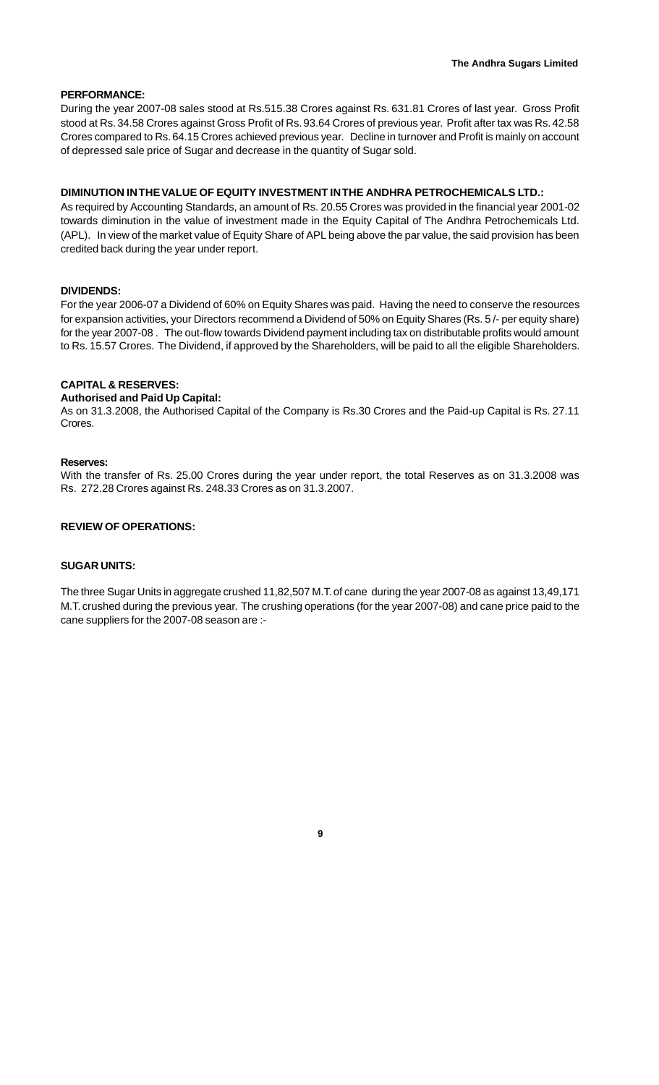#### **PERFORMANCE:**

During the year 2007-08 sales stood at Rs.515.38 Crores against Rs. 631.81 Crores of last year. Gross Profit stood at Rs. 34.58 Crores against Gross Profit of Rs. 93.64 Crores of previous year. Profit after tax was Rs. 42.58 Crores compared to Rs. 64.15 Crores achieved previous year. Decline in turnover and Profit is mainly on account of depressed sale price of Sugar and decrease in the quantity of Sugar sold.

#### **DIMINUTION IN THE VALUE OF EQUITY INVESTMENT IN THE ANDHRA PETROCHEMICALS LTD.:**

As required by Accounting Standards, an amount of Rs. 20.55 Crores was provided in the financial year 2001-02 towards diminution in the value of investment made in the Equity Capital of The Andhra Petrochemicals Ltd. (APL). In view of the market value of Equity Share of APL being above the par value, the said provision has been credited back during the year under report.

#### **DIVIDENDS:**

For the year 2006-07 a Dividend of 60% on Equity Shares was paid. Having the need to conserve the resources for expansion activities, your Directors recommend a Dividend of 50% on Equity Shares (Rs. 5 /- per equity share) for the year 2007-08 . The out-flow towards Dividend payment including tax on distributable profits would amount to Rs. 15.57 Crores. The Dividend, if approved by the Shareholders, will be paid to all the eligible Shareholders.

#### **CAPITAL & RESERVES:**

#### **Authorised and Paid Up Capital:**

As on 31.3.2008, the Authorised Capital of the Company is Rs.30 Crores and the Paid-up Capital is Rs. 27.11 Crores.

#### **Reserves:**

With the transfer of Rs. 25.00 Crores during the year under report, the total Reserves as on 31.3.2008 was Rs. 272.28 Crores against Rs. 248.33 Crores as on 31.3.2007.

#### **REVIEW OF OPERATIONS:**

#### **SUGAR UNITS:**

The three Sugar Units in aggregate crushed 11,82,507 M.T. of cane during the year 2007-08 as against 13,49,171 M.T. crushed during the previous year. The crushing operations (for the year 2007-08) and cane price paid to the cane suppliers for the 2007-08 season are :-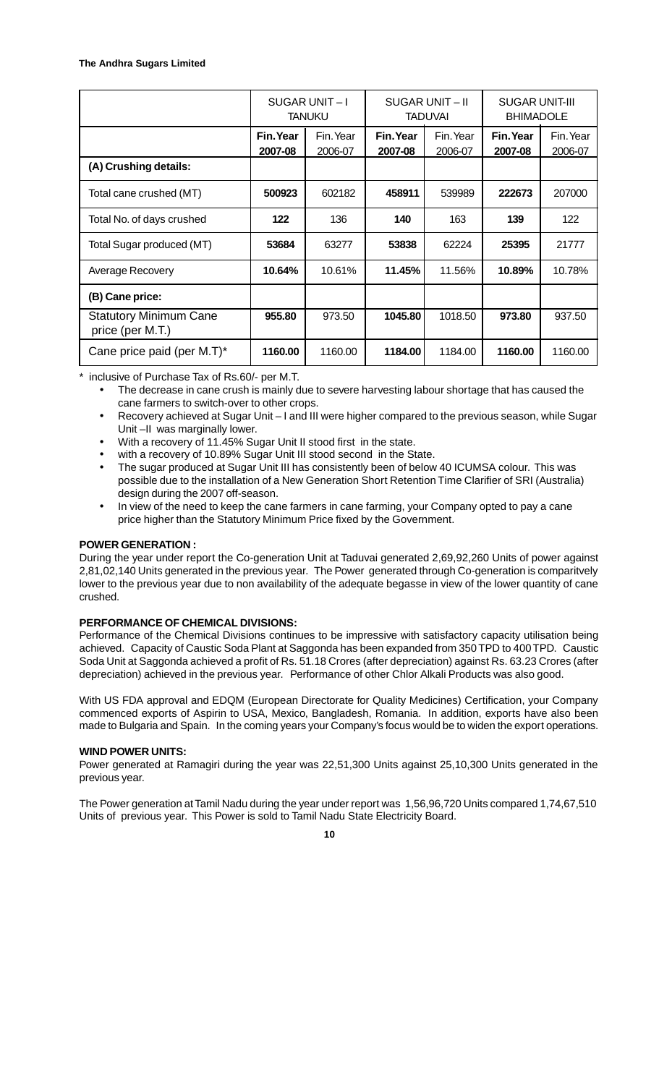|                                                   |                      | SUGAR UNIT-I<br><b>TANUKU</b> | SUGAR UNIT-II<br><b>TADUVAI</b> |                      | <b>SUGAR UNIT-III</b><br><b>BHIMADOLE</b> |                      |
|---------------------------------------------------|----------------------|-------------------------------|---------------------------------|----------------------|-------------------------------------------|----------------------|
|                                                   | Fin. Year<br>2007-08 | Fin. Year<br>2006-07          | Fin. Year<br>2007-08            | Fin. Year<br>2006-07 | Fin. Year<br>2007-08                      | Fin. Year<br>2006-07 |
| (A) Crushing details:                             |                      |                               |                                 |                      |                                           |                      |
| Total cane crushed (MT)                           | 500923               | 602182                        | 458911                          | 539989               | 222673                                    | 207000               |
| Total No. of days crushed                         | 122                  | 136                           | 140                             | 163                  | 139                                       | 122                  |
| Total Sugar produced (MT)                         | 53684                | 63277                         | 53838                           | 62224                | 25395                                     | 21777                |
| Average Recovery                                  | 10.64%               | 10.61%                        | 11.45%                          | 11.56%               | 10.89%                                    | 10.78%               |
| (B) Cane price:                                   |                      |                               |                                 |                      |                                           |                      |
| <b>Statutory Minimum Cane</b><br>price (per M.T.) | 955.80               | 973.50                        | 1045.80                         | 1018.50              | 973.80                                    | 937.50               |
| Cane price paid (per M.T)*                        | 1160.00              | 1160.00                       | 1184.00                         | 1184.00              | 1160.00                                   | 1160.00              |

inclusive of Purchase Tax of Rs.60/- per M.T.

- The decrease in cane crush is mainly due to severe harvesting labour shortage that has caused the cane farmers to switch-over to other crops.
- Recovery achieved at Sugar Unit I and III were higher compared to the previous season, while Sugar Unit –II was marginally lower.
- With a recovery of 11.45% Sugar Unit II stood first in the state.
- with a recovery of 10.89% Sugar Unit III stood second in the State.
- The sugar produced at Sugar Unit III has consistently been of below 40 ICUMSA colour. This was possible due to the installation of a New Generation Short Retention Time Clarifier of SRI (Australia) design during the 2007 off-season.
- In view of the need to keep the cane farmers in cane farming, your Company opted to pay a cane price higher than the Statutory Minimum Price fixed by the Government.

#### **POWER GENERATION :**

During the year under report the Co-generation Unit at Taduvai generated 2,69,92,260 Units of power against 2,81,02,140 Units generated in the previous year. The Power generated through Co-generation is comparitvely lower to the previous year due to non availability of the adequate begasse in view of the lower quantity of cane crushed.

#### **PERFORMANCE OF CHEMICAL DIVISIONS:**

Performance of the Chemical Divisions continues to be impressive with satisfactory capacity utilisation being achieved. Capacity of Caustic Soda Plant at Saggonda has been expanded from 350 TPD to 400 TPD. Caustic Soda Unit at Saggonda achieved a profit of Rs. 51.18 Crores (after depreciation) against Rs. 63.23 Crores (after depreciation) achieved in the previous year. Performance of other Chlor Alkali Products was also good.

With US FDA approval and EDQM (European Directorate for Quality Medicines) Certification, your Company commenced exports of Aspirin to USA, Mexico, Bangladesh, Romania. In addition, exports have also been made to Bulgaria and Spain. In the coming years your Company's focus would be to widen the export operations.

#### **WIND POWER UNITS:**

Power generated at Ramagiri during the year was 22,51,300 Units against 25,10,300 Units generated in the previous year.

The Power generation at Tamil Nadu during the year under report was 1,56,96,720 Units compared 1,74,67,510 Units of previous year. This Power is sold to Tamil Nadu State Electricity Board.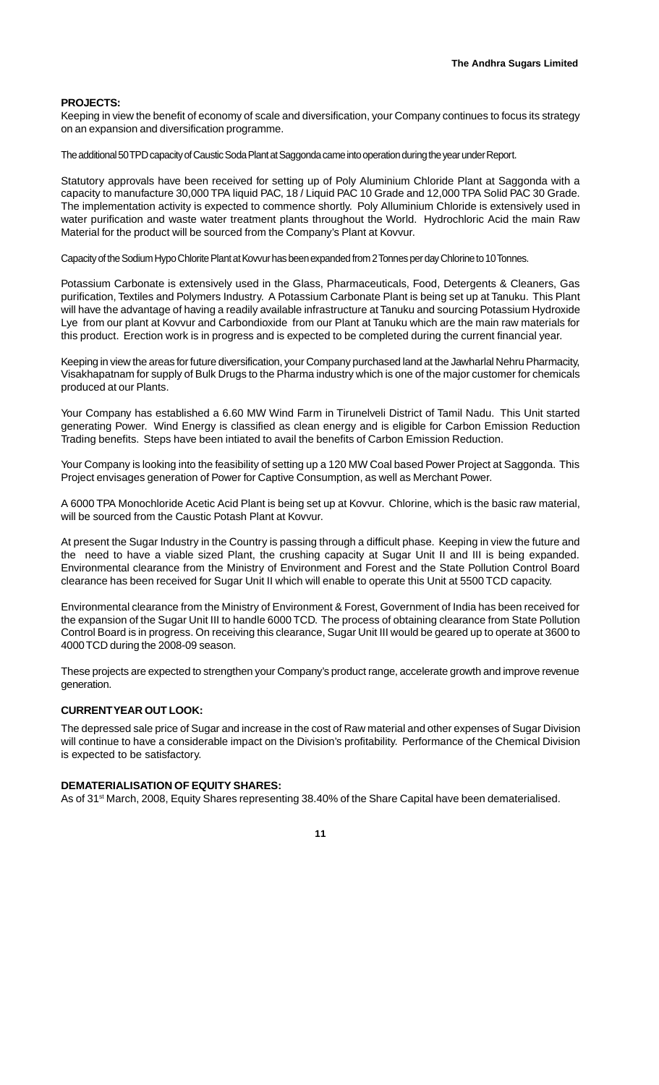#### **PROJECTS:**

Keeping in view the benefit of economy of scale and diversification, your Company continues to focus its strategy on an expansion and diversification programme.

The additional 50 TPD capacity of Caustic Soda Plant at Saggonda came into operation during the year under Report.

Statutory approvals have been received for setting up of Poly Aluminium Chloride Plant at Saggonda with a capacity to manufacture 30,000 TPA liquid PAC, 18 / Liquid PAC 10 Grade and 12,000 TPA Solid PAC 30 Grade. The implementation activity is expected to commence shortly. Poly Alluminium Chloride is extensively used in water purification and waste water treatment plants throughout the World. Hydrochloric Acid the main Raw Material for the product will be sourced from the Company's Plant at Kovvur.

Capacity of the Sodium Hypo Chlorite Plant at Kovvur has been expanded from 2 Tonnes per day Chlorine to 10 Tonnes.

Potassium Carbonate is extensively used in the Glass, Pharmaceuticals, Food, Detergents & Cleaners, Gas purification, Textiles and Polymers Industry. A Potassium Carbonate Plant is being set up at Tanuku. This Plant will have the advantage of having a readily available infrastructure at Tanuku and sourcing Potassium Hydroxide Lye from our plant at Kovvur and Carbondioxide from our Plant at Tanuku which are the main raw materials for this product. Erection work is in progress and is expected to be completed during the current financial year.

Keeping in view the areas for future diversification, your Company purchased land at the Jawharlal Nehru Pharmacity, Visakhapatnam for supply of Bulk Drugs to the Pharma industry which is one of the major customer for chemicals produced at our Plants.

Your Company has established a 6.60 MW Wind Farm in Tirunelveli District of Tamil Nadu. This Unit started generating Power. Wind Energy is classified as clean energy and is eligible for Carbon Emission Reduction Trading benefits. Steps have been intiated to avail the benefits of Carbon Emission Reduction.

Your Company is looking into the feasibility of setting up a 120 MW Coal based Power Project at Saggonda. This Project envisages generation of Power for Captive Consumption, as well as Merchant Power.

A 6000 TPA Monochloride Acetic Acid Plant is being set up at Kovvur. Chlorine, which is the basic raw material, will be sourced from the Caustic Potash Plant at Kovvur.

At present the Sugar Industry in the Country is passing through a difficult phase. Keeping in view the future and the need to have a viable sized Plant, the crushing capacity at Sugar Unit II and III is being expanded. Environmental clearance from the Ministry of Environment and Forest and the State Pollution Control Board clearance has been received for Sugar Unit II which will enable to operate this Unit at 5500 TCD capacity.

Environmental clearance from the Ministry of Environment & Forest, Government of India has been received for the expansion of the Sugar Unit III to handle 6000 TCD. The process of obtaining clearance from State Pollution Control Board is in progress. On receiving this clearance, Sugar Unit III would be geared up to operate at 3600 to 4000 TCD during the 2008-09 season.

These projects are expected to strengthen your Company's product range, accelerate growth and improve revenue generation.

#### **CURRENT YEAR OUT LOOK:**

The depressed sale price of Sugar and increase in the cost of Raw material and other expenses of Sugar Division will continue to have a considerable impact on the Division's profitability. Performance of the Chemical Division is expected to be satisfactory.

#### **DEMATERIALISATION OF EQUITY SHARES:**

As of 31<sup>st</sup> March, 2008, Equity Shares representing 38.40% of the Share Capital have been dematerialised.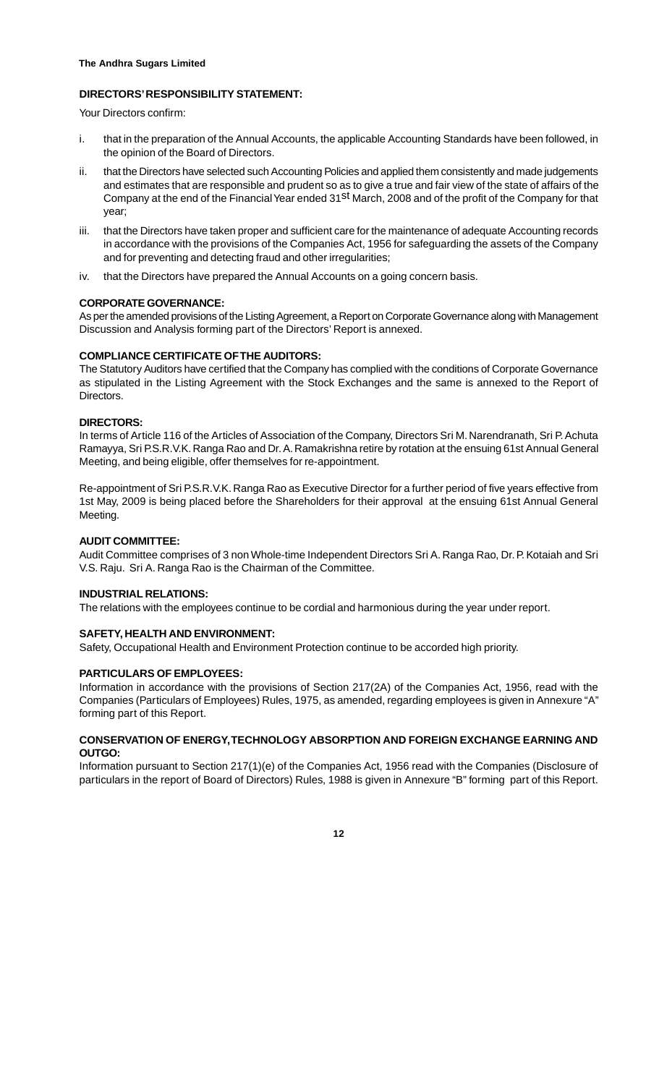#### **DIRECTORS' RESPONSIBILITY STATEMENT:**

Your Directors confirm:

- i. that in the preparation of the Annual Accounts, the applicable Accounting Standards have been followed, in the opinion of the Board of Directors.
- ii. that the Directors have selected such Accounting Policies and applied them consistently and made judgements and estimates that are responsible and prudent so as to give a true and fair view of the state of affairs of the Company at the end of the Financial Year ended 31<sup>st</sup> March, 2008 and of the profit of the Company for that year;
- iii. that the Directors have taken proper and sufficient care for the maintenance of adequate Accounting records in accordance with the provisions of the Companies Act, 1956 for safeguarding the assets of the Company and for preventing and detecting fraud and other irregularities;
- iv. that the Directors have prepared the Annual Accounts on a going concern basis.

#### **CORPORATE GOVERNANCE:**

As per the amended provisions of the Listing Agreement, a Report on Corporate Governance along with Management Discussion and Analysis forming part of the Directors' Report is annexed.

#### **COMPLIANCE CERTIFICATE OF THE AUDITORS:**

The Statutory Auditors have certified that the Company has complied with the conditions of Corporate Governance as stipulated in the Listing Agreement with the Stock Exchanges and the same is annexed to the Report of **Directors** 

#### **DIRECTORS:**

In terms of Article 116 of the Articles of Association of the Company, Directors Sri M. Narendranath, Sri P. Achuta Ramayya, Sri P.S.R.V.K. Ranga Rao and Dr. A. Ramakrishna retire by rotation at the ensuing 61st Annual General Meeting, and being eligible, offer themselves for re-appointment.

Re-appointment of Sri P.S.R.V.K. Ranga Rao as Executive Director for a further period of five years effective from 1st May, 2009 is being placed before the Shareholders for their approval at the ensuing 61st Annual General Meeting.

#### **AUDIT COMMITTEE:**

Audit Committee comprises of 3 non Whole-time Independent Directors Sri A. Ranga Rao, Dr. P. Kotaiah and Sri V.S. Raju. Sri A. Ranga Rao is the Chairman of the Committee.

#### **INDUSTRIAL RELATIONS:**

The relations with the employees continue to be cordial and harmonious during the year under report.

#### **SAFETY, HEALTH AND ENVIRONMENT:**

Safety, Occupational Health and Environment Protection continue to be accorded high priority.

#### **PARTICULARS OF EMPLOYEES:**

Information in accordance with the provisions of Section 217(2A) of the Companies Act, 1956, read with the Companies (Particulars of Employees) Rules, 1975, as amended, regarding employees is given in Annexure "A" forming part of this Report.

#### **CONSERVATION OF ENERGY, TECHNOLOGY ABSORPTION AND FOREIGN EXCHANGE EARNING AND OUTGO:**

Information pursuant to Section 217(1)(e) of the Companies Act, 1956 read with the Companies (Disclosure of particulars in the report of Board of Directors) Rules, 1988 is given in Annexure "B" forming part of this Report.

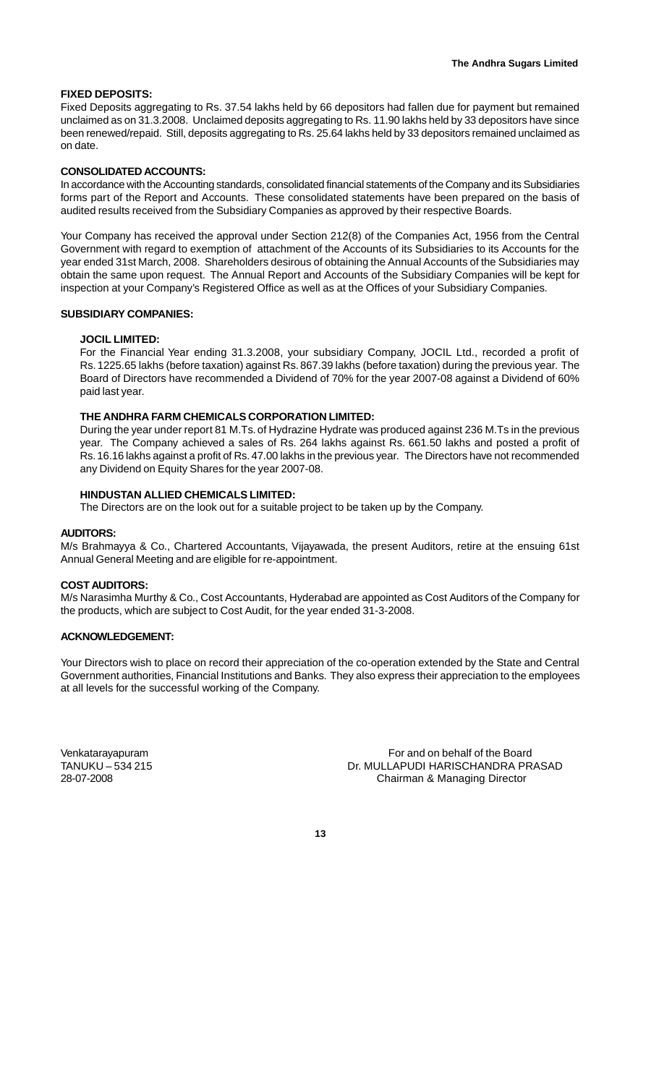#### **FIXED DEPOSITS:**

Fixed Deposits aggregating to Rs. 37.54 lakhs held by 66 depositors had fallen due for payment but remained unclaimed as on 31.3.2008. Unclaimed deposits aggregating to Rs. 11.90 lakhs held by 33 depositors have since been renewed/repaid. Still, deposits aggregating to Rs. 25.64 lakhs held by 33 depositors remained unclaimed as on date.

#### **CONSOLIDATED ACCOUNTS:**

In accordance with the Accounting standards, consolidated financial statements of the Company and its Subsidiaries forms part of the Report and Accounts. These consolidated statements have been prepared on the basis of audited results received from the Subsidiary Companies as approved by their respective Boards.

Your Company has received the approval under Section 212(8) of the Companies Act, 1956 from the Central Government with regard to exemption of attachment of the Accounts of its Subsidiaries to its Accounts for the year ended 31st March, 2008. Shareholders desirous of obtaining the Annual Accounts of the Subsidiaries may obtain the same upon request. The Annual Report and Accounts of the Subsidiary Companies will be kept for inspection at your Company's Registered Office as well as at the Offices of your Subsidiary Companies.

#### **SUBSIDIARY COMPANIES:**

#### **JOCIL LIMITED:**

For the Financial Year ending 31.3.2008, your subsidiary Company, JOCIL Ltd., recorded a profit of Rs. 1225.65 lakhs (before taxation) against Rs. 867.39 lakhs (before taxation) during the previous year. The Board of Directors have recommended a Dividend of 70% for the year 2007-08 against a Dividend of 60% paid last year.

#### **THE ANDHRA FARM CHEMICALS CORPORATION LIMITED:**

During the year under report 81 M.Ts. of Hydrazine Hydrate was produced against 236 M.Ts in the previous year. The Company achieved a sales of Rs. 264 lakhs against Rs. 661.50 lakhs and posted a profit of Rs. 16.16 lakhs against a profit of Rs. 47.00 lakhs in the previous year. The Directors have not recommended any Dividend on Equity Shares for the year 2007-08.

#### **HINDUSTAN ALLIED CHEMICALS LIMITED:**

The Directors are on the look out for a suitable project to be taken up by the Company.

#### **AUDITORS:**

M/s Brahmayya & Co., Chartered Accountants, Vijayawada, the present Auditors, retire at the ensuing 61st Annual General Meeting and are eligible for re-appointment.

#### **COST AUDITORS:**

M/s Narasimha Murthy & Co., Cost Accountants, Hyderabad are appointed as Cost Auditors of the Company for the products, which are subject to Cost Audit, for the year ended 31-3-2008.

#### **ACKNOWLEDGEMENT:**

Your Directors wish to place on record their appreciation of the co-operation extended by the State and Central Government authorities, Financial Institutions and Banks. They also express their appreciation to the employees at all levels for the successful working of the Company.

Venkatarayapuram For and on behalf of the Board Dr. MULLAPUDI HARISCHANDRA PRASAD 28-07-2008 Chairman & Managing Director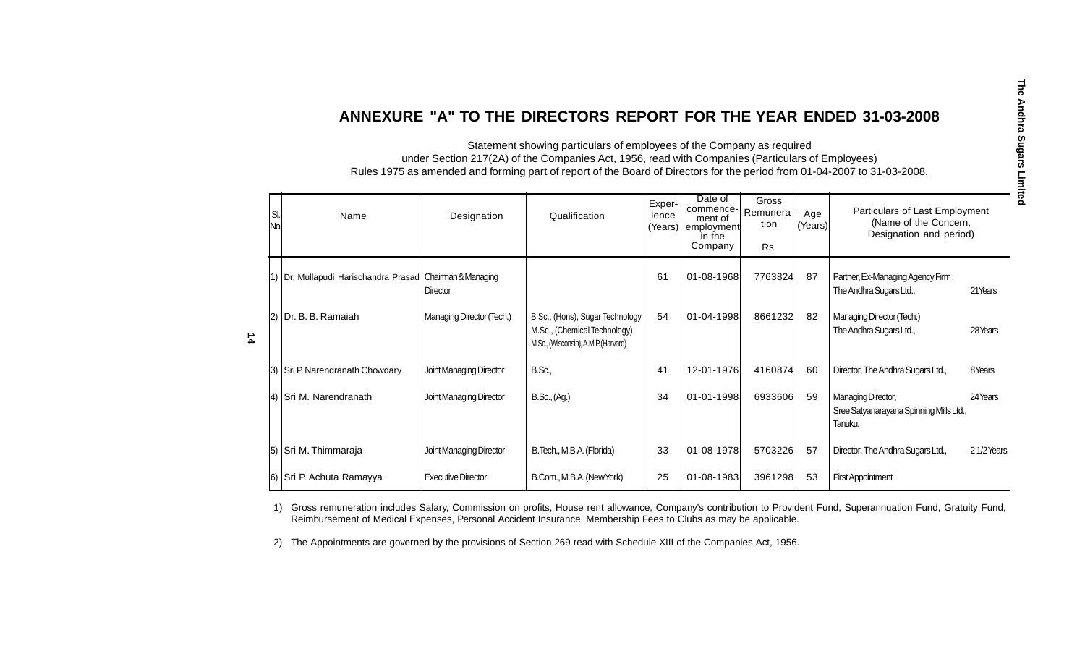# **ANNEXURE "A" TO THE DIRECTORS REPORT FOR THE YEAR ENDED 31-03-2008**

Statement showing particulars of employees of the Company as required under Section 217(2A) of the Companies Act, 1956, read with Companies (Particulars of Employees) Rules 1975 as amended and forming part of report of the Board of Directors for the period from 01-04-2007 to 31-03-2008.

| SI.<br>No. | Name                                                  | Designation               | Qualification                                                                                           | Exper-<br>ience<br>(Years) | Date of<br>commence-<br>ment of<br>employment<br>in the<br>Company | Gross<br>Remunera-<br>tion<br>Rs. | Age<br>(Years) | Particulars of Last Employment<br>(Name of the Concern,<br>Designation and period) |           |
|------------|-------------------------------------------------------|---------------------------|---------------------------------------------------------------------------------------------------------|----------------------------|--------------------------------------------------------------------|-----------------------------------|----------------|------------------------------------------------------------------------------------|-----------|
|            | 1) Dr. Mullapudi Harischandra Prasad Chaiman&Managing | Director                  |                                                                                                         | 61                         | 01-08-1968                                                         | 7763824                           | 87             | Partner, Ex-Managing Agency Firm<br>The Andhra Sugars Ltd.,                        | 21Years   |
|            | [2] Dr. B. B. Ramaiah                                 | Managing Director (Tech.) | B.Sc., (Hons), Sugar Technology<br>M.Sc., (Chemical Technology)<br>M.Sc., (Wisconsin), A.M.P. (Harvard) | 54                         | 01-04-1998                                                         | 8661232                           | 82             | Managing Director (Tech.)<br>The Andhra Sugars Ltd.,                               | 28 Years  |
|            | 3) Sri P. Narendranath Chowdary                       | Joint Managing Director   | B.Sc.,                                                                                                  | 41                         | 12-01-1976                                                         | 4160874                           | 60             | Director, The Andhra Sugars Ltd.,                                                  | 8Years    |
|            | 4) Sri M. Narendranath                                | Joint Managing Director   | B.Sc., (Ag.)                                                                                            | 34                         | 01-01-1998                                                         | 6933606                           | 59             | Managing Director,<br>Sree Satyanarayana Spinning Mills Ltd.,<br>Tanuku.           | 24 Years  |
|            | 5) Sri M. Thimmaraja                                  | Joint Managing Director   | B. Tech., M.B.A. (Florida)                                                                              | 33                         | 01-08-1978                                                         | 5703226                           | 57             | Director, The Andhra Sugars Ltd.,                                                  | 21/2Years |
|            | 6) Sri P. Achuta Ramayya                              | <b>Executive Director</b> | B.Com., M.B.A. (New York)                                                                               | 25                         | 01-08-1983                                                         | 3961298                           | 53             | <b>First Appointment</b>                                                           |           |

1) Gross remuneration includes Salary, Commission on profits, House rent allowance, Company's contribution to Provident Fund, Superannuation Fund, Gratuity Fund, Reimbursement of Medical Expenses, Personal Accident Insurance, Membership Fees to Clubs as may be applicable.

2) The Appointments are governed by the provisions of Section 269 read with Schedule XIII of the Companies Act, 1956.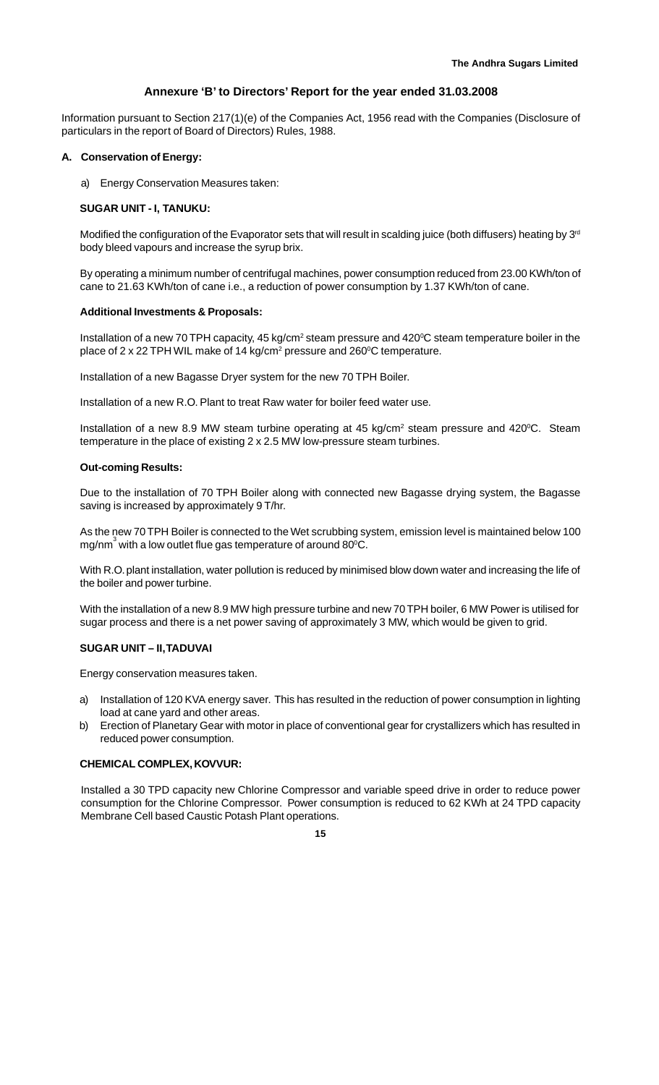#### **Annexure 'B' to Directors' Report for the year ended 31.03.2008**

Information pursuant to Section 217(1)(e) of the Companies Act, 1956 read with the Companies (Disclosure of particulars in the report of Board of Directors) Rules, 1988.

#### **A. Conservation of Energy:**

a) Energy Conservation Measures taken:

#### **SUGAR UNIT - I, TANUKU:**

Modified the configuration of the Evaporator sets that will result in scalding juice (both diffusers) heating by  $3<sup>rd</sup>$ body bleed vapours and increase the syrup brix.

By operating a minimum number of centrifugal machines, power consumption reduced from 23.00 KWh/ton of cane to 21.63 KWh/ton of cane i.e., a reduction of power consumption by 1.37 KWh/ton of cane.

#### **Additional Investments & Proposals:**

Installation of a new 70 TPH capacity, 45 kg/cm<sup>2</sup> steam pressure and 420 $\degree$ C steam temperature boiler in the place of 2 x 22 TPH WIL make of 14 kg/cm<sup>2</sup> pressure and 260<sup>o</sup>C temperature.

Installation of a new Bagasse Dryer system for the new 70 TPH Boiler.

Installation of a new R.O. Plant to treat Raw water for boiler feed water use.

Installation of a new 8.9 MW steam turbine operating at 45 kg/cm<sup>2</sup> steam pressure and 420 $^{\circ}$ C. Steam temperature in the place of existing 2 x 2.5 MW low-pressure steam turbines.

#### **Out-coming Results:**

Due to the installation of 70 TPH Boiler along with connected new Bagasse drying system, the Bagasse saving is increased by approximately 9 T/hr.

As the new 70 TPH Boiler is connected to the Wet scrubbing system, emission level is maintained below 100 mg/nm $^3$  with a low outlet flue gas temperature of around 80 $^{\circ}$ C.

With R.O. plant installation, water pollution is reduced by minimised blow down water and increasing the life of the boiler and power turbine.

With the installation of a new 8.9 MW high pressure turbine and new 70 TPH boiler, 6 MW Power is utilised for sugar process and there is a net power saving of approximately 3 MW, which would be given to grid.

#### **SUGAR UNIT – II, TADUVAI**

Energy conservation measures taken.

- a) Installation of 120 KVA energy saver. This has resulted in the reduction of power consumption in lighting load at cane yard and other areas.
- b) Erection of Planetary Gear with motor in place of conventional gear for crystallizers which has resulted in reduced power consumption.

#### **CHEMICAL COMPLEX, KOVVUR:**

Installed a 30 TPD capacity new Chlorine Compressor and variable speed drive in order to reduce power consumption for the Chlorine Compressor. Power consumption is reduced to 62 KWh at 24 TPD capacity Membrane Cell based Caustic Potash Plant operations.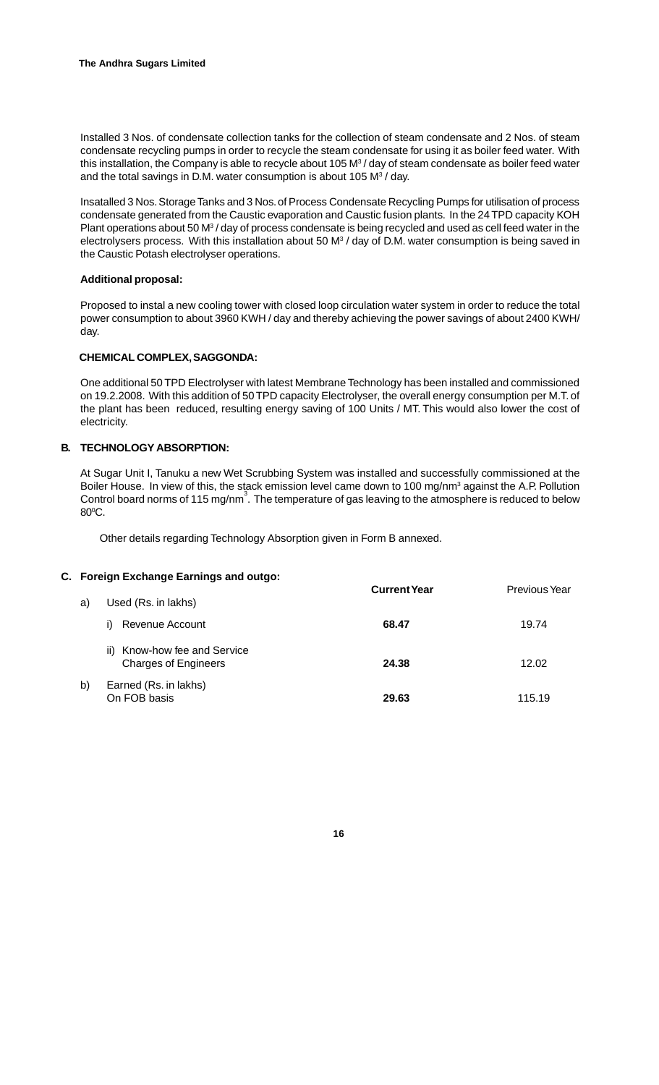Installed 3 Nos. of condensate collection tanks for the collection of steam condensate and 2 Nos. of steam condensate recycling pumps in order to recycle the steam condensate for using it as boiler feed water. With this installation, the Company is able to recycle about 105 M $^3\prime$  day of steam condensate as boiler feed water and the total savings in D.M. water consumption is about 105  $M<sup>3</sup>$  / day.

Insatalled 3 Nos. Storage Tanks and 3 Nos. of Process Condensate Recycling Pumps for utilisation of process condensate generated from the Caustic evaporation and Caustic fusion plants. In the 24 TPD capacity KOH Plant operations about 50 M<sup>3</sup> / day of process condensate is being recycled and used as cell feed water in the electrolysers process. With this installation about 50 M<sup>3</sup> / day of D.M. water consumption is being saved in the Caustic Potash electrolyser operations.

# **Additional proposal:**

Proposed to instal a new cooling tower with closed loop circulation water system in order to reduce the total power consumption to about 3960 KWH / day and thereby achieving the power savings of about 2400 KWH/ day.

#### **CHEMICAL COMPLEX, SAGGONDA:**

One additional 50 TPD Electrolyser with latest Membrane Technology has been installed and commissioned on 19.2.2008. With this addition of 50 TPD capacity Electrolyser, the overall energy consumption per M.T. of the plant has been reduced, resulting energy saving of 100 Units / MT. This would also lower the cost of electricity.

#### **B. TECHNOLOGY ABSORPTION:**

At Sugar Unit I, Tanuku a new Wet Scrubbing System was installed and successfully commissioned at the Boiler House. In view of this, the stack emission level came down to 100 mg/nm<sup>3</sup> against the A.P. Pollution Control board norms of 115 mg/nm<sup>3</sup>. The temperature of gas leaving to the atmosphere is reduced to below 80ºC.

Other details regarding Technology Absorption given in Form B annexed.

#### **C. Foreign Exchange Earnings and outgo:**

| a) | Used (Rs. in lakhs)                                            | <b>Current Year</b> | <b>Previous Year</b> |
|----|----------------------------------------------------------------|---------------------|----------------------|
|    | Revenue Account<br>i)                                          | 68.47               | 19.74                |
|    | Know-how fee and Service<br>ii)<br><b>Charges of Engineers</b> | 24.38               | 12.02                |
| b) | Earned (Rs. in lakhs)<br>On FOB basis                          | 29.63               | 115.19               |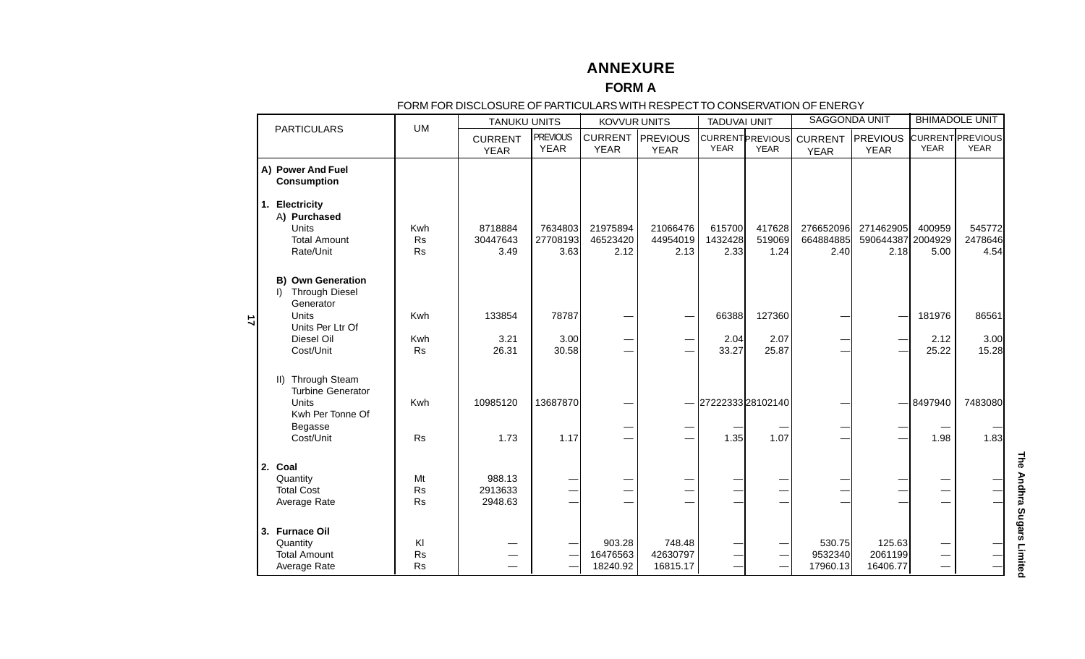# **ANNEXURE**

#### **FORM A**

#### FORM FOR DISCLOSURE OF PARTICULARS WITH RESPECT TO CONSERVATION OF ENERGY

|           | ו טומאד טולטטנטטטוב טר האמוטטבאוס אוווואבטרבטרוס טטוסבולאזוטולטר בוובולט ו<br><b>KOVVUR UNITS</b><br><b>TANUKU UNITS</b> |                              |                               | <b>TADUVAI UNIT</b>            |                                | <b>SAGGONDA UNIT</b>           |                           | <b>BHIMADOLE UNIT</b>                  |                                |                                        |                               |                                 |
|-----------|--------------------------------------------------------------------------------------------------------------------------|------------------------------|-------------------------------|--------------------------------|--------------------------------|--------------------------------|---------------------------|----------------------------------------|--------------------------------|----------------------------------------|-------------------------------|---------------------------------|
|           | <b>PARTICULARS</b>                                                                                                       | <b>UM</b>                    |                               |                                |                                |                                |                           |                                        |                                |                                        |                               |                                 |
|           |                                                                                                                          |                              | <b>CURRENT</b><br><b>YEAR</b> | <b>PREVIOUS</b><br><b>YEAR</b> | <b>CURRENT</b><br><b>YEAR</b>  | <b>PREVIOUS</b><br><b>YEAR</b> | <b>YEAR</b>               | <b>CURRENT PREVIOUS</b><br><b>YEAR</b> | <b>CURRENT</b><br><b>YEAR</b>  | <b>PREVIOUS</b><br><b>YEAR</b>         | <b>YEAR</b>                   | CURRENT PREVIOUS<br><b>YEAR</b> |
|           | A) Power And Fuel<br><b>Consumption</b>                                                                                  |                              |                               |                                |                                |                                |                           |                                        |                                |                                        |                               |                                 |
|           | 1. Electricity<br>A) Purchased<br><b>Units</b><br><b>Total Amount</b><br>Rate/Unit                                       | Kwh<br>Rs<br><b>Rs</b>       | 8718884<br>30447643<br>3.49   | 7634803<br>27708193<br>3.63    | 21975894<br>46523420<br>2.12   | 21066476<br>44954019<br>2.13   | 615700<br>1432428<br>2.33 | 417628<br>519069<br>1.24               | 276652096<br>664884885<br>2.40 | 271462905<br>590644387 2004929<br>2.18 | 400959<br>5.00                | 545772<br>2478646<br>4.54       |
| $\vec{u}$ | <b>B) Own Generation</b><br><b>Through Diesel</b><br>$\mathsf{D}$<br>Generator<br>Units                                  | Kwh                          | 133854                        | 78787                          |                                |                                | 66388                     | 127360                                 |                                |                                        | 181976                        | 86561                           |
|           | Units Per Ltr Of<br>Diesel Oil<br>Cost/Unit                                                                              | Kwh<br><b>Rs</b>             | 3.21<br>26.31                 | 3.00<br>30.58                  |                                |                                | 2.04<br>33.27             | 2.07<br>25.87                          |                                |                                        | 2.12<br>25.22                 | 3.00<br>15.28                   |
|           | <b>Through Steam</b><br>$\parallel$ )<br><b>Turbine Generator</b><br>Units<br>Kwh Per Tonne Of<br>Begasse<br>Cost/Unit   | Kwh<br><b>Rs</b>             | 10985120<br>1.73              | 13687870<br>1.17               |                                |                                | 2722233328102140<br>1.35  | 1.07                                   |                                |                                        | 8497940<br>1.98               | 7483080<br>1.83                 |
|           | 2. Coal<br>Quantity<br><b>Total Cost</b><br>Average Rate                                                                 | Mt<br><b>Rs</b><br><b>Rs</b> | 988.13<br>2913633<br>2948.63  | —                              |                                |                                |                           | —<br>—                                 |                                | —                                      |                               |                                 |
|           | 3. Furnace Oil<br>Quantity<br><b>Total Amount</b><br>Average Rate                                                        | KI<br><b>Rs</b><br><b>Rs</b> |                               |                                | 903.28<br>16476563<br>18240.92 | 748.48<br>42630797<br>16815.17 |                           | —<br>—                                 | 530.75<br>9532340<br>17960.13  | 125.63<br>2061199<br>16406.77          | $\overbrace{\phantom{13333}}$ |                                 |

The Andhra Sugars Limited **The Andhra Sugars Limited**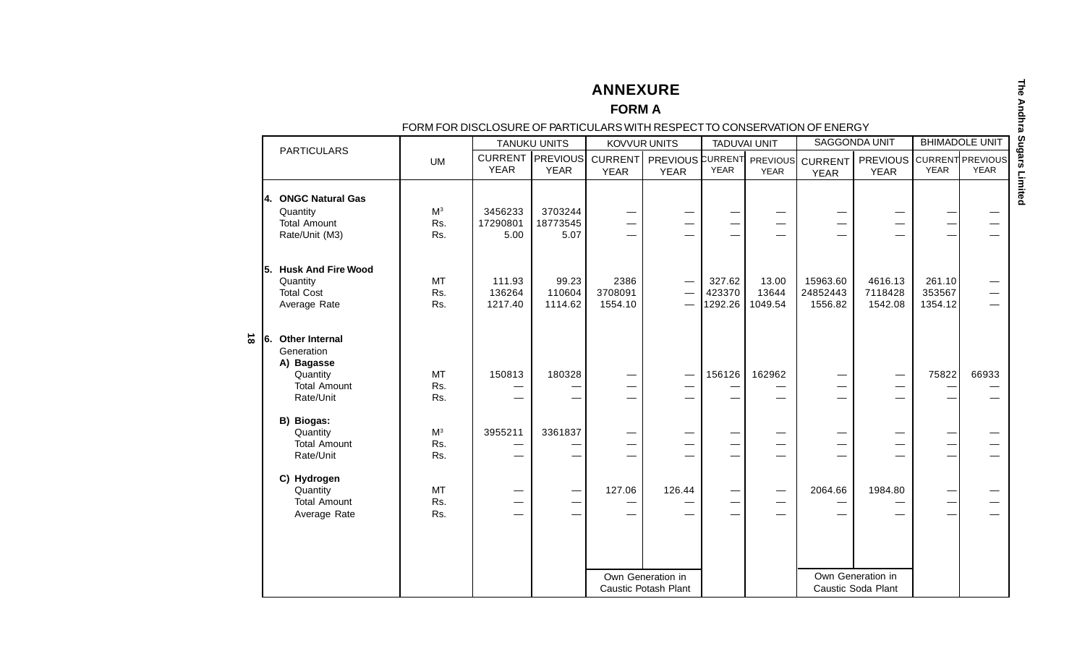**ANNEXURE**

#### **FORM A**

#### FORM FOR DISCLOSURE OF PARTICULARS WITH RESPECT TO CONSERVATION OF ENERGY

|           |     | <b>PARTICULARS</b>                                                                                |                              |                             | <b>TANUKU UNITS</b>                                  |                               | <b>KOVVUR UNITS</b>                             |                                                           | <b>TADUVAI UNIT</b>                                  |                                    | <b>SAGGONDA UNIT</b>                    |                             | <b>BHIMADOLE UNIT</b>           |
|-----------|-----|---------------------------------------------------------------------------------------------------|------------------------------|-----------------------------|------------------------------------------------------|-------------------------------|-------------------------------------------------|-----------------------------------------------------------|------------------------------------------------------|------------------------------------|-----------------------------------------|-----------------------------|---------------------------------|
|           |     |                                                                                                   | <b>UM</b>                    | <b>YEAR</b>                 | <b>CURRENT   PREVIOUS</b><br><b>YEAR</b>             | CURRENT<br><b>YEAR</b>        | <b>PREVIOUS CURRENT PREVIOUS</b><br><b>YEAR</b> | <b>YEAR</b>                                               | <b>YEAR</b>                                          | <b>CURRENT</b><br><b>YEAR</b>      | <b>PREVIOUS</b><br><b>YEAR</b>          | <b>YEAR</b>                 | CURRENT PREVIOUS<br><b>YEAR</b> |
|           | 14. | <b>ONGC Natural Gas</b><br>Quantity<br><b>Total Amount</b><br>Rate/Unit (M3)                      | M <sup>3</sup><br>Rs.<br>Rs. | 3456233<br>17290801<br>5.00 | 3703244<br>18773545<br>5.07                          | $\overline{\phantom{0}}$      |                                                 | $\overline{\phantom{0}}$                                  |                                                      | —<br>—<br>$\overline{\phantom{0}}$ |                                         |                             |                                 |
|           | 15. | <b>Husk And Fire Wood</b><br>Quantity<br><b>Total Cost</b><br>Average Rate                        | <b>MT</b><br>Rs.<br>Rs.      | 111.93<br>136264<br>1217.40 | 99.23<br>110604<br>1114.62                           | 2386<br>3708091<br>1554.10    | $\overbrace{\phantom{123221111}}$               | 327.62<br>423370<br>1292.26                               | 13.00<br>13644<br>1049.54                            | 15963.60<br>24852443<br>1556.82    | 4616.13<br>7118428<br>1542.08           | 261.10<br>353567<br>1354.12 |                                 |
| $\vec{0}$ | 16. | <b>Other Internal</b><br>Generation<br>A) Bagasse<br>Quantity<br><b>Total Amount</b><br>Rate/Unit | <b>MT</b><br>Rs.<br>Rs.      | 150813                      | 180328                                               |                               |                                                 | 156126                                                    | 162962                                               | —<br>—                             | $\overline{\phantom{0}}$                | 75822                       | 66933                           |
|           |     | B) Biogas:<br>Quantity<br><b>Total Amount</b><br>Rate/Unit                                        | M <sup>3</sup><br>Rs.<br>Rs. | 3955211                     | 3361837                                              | —<br>$\overline{\phantom{0}}$ | —<br>$\overline{\phantom{0}}$                   | —<br>$\overline{\phantom{0}}$<br>$\overline{\phantom{0}}$ | —<br>$\overline{\phantom{0}}$                        | —<br>—<br>$\overline{\phantom{0}}$ |                                         |                             |                                 |
|           |     | C) Hydrogen<br>Quantity<br><b>Total Amount</b><br>Average Rate                                    | <b>MT</b><br>Rs.<br>Rs.      |                             | $\overline{\phantom{0}}$<br>$\overline{\phantom{0}}$ | 127.06                        | 126.44                                          | $\overline{\phantom{0}}$<br>$\overline{\phantom{0}}$      | $\overline{\phantom{0}}$<br>$\overline{\phantom{0}}$ | 2064.66                            | 1984.80<br>—                            |                             |                                 |
|           |     |                                                                                                   |                              |                             |                                                      |                               | Own Generation in<br>Caustic Potash Plant       |                                                           |                                                      |                                    | Own Generation in<br>Caustic Soda Plant |                             |                                 |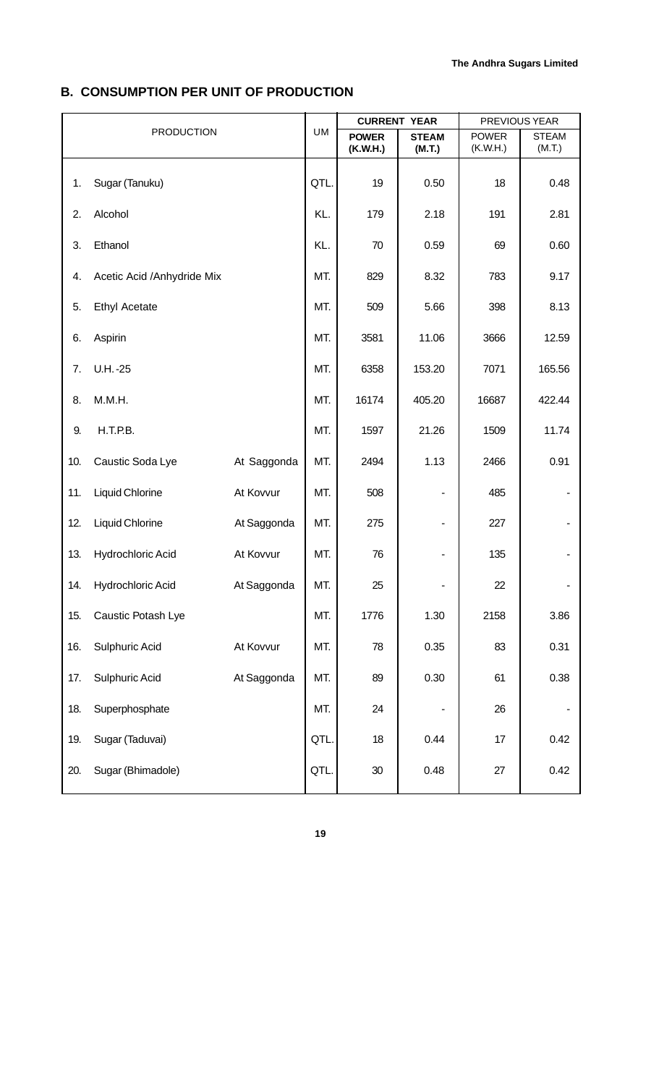# **B. CONSUMPTION PER UNIT OF PRODUCTION**

|     |                            |             |           | <b>CURRENT YEAR</b>      |                        |                          | PREVIOUS YEAR          |
|-----|----------------------------|-------------|-----------|--------------------------|------------------------|--------------------------|------------------------|
|     | <b>PRODUCTION</b>          |             | <b>UM</b> | <b>POWER</b><br>(K.W.H.) | <b>STEAM</b><br>(M.T.) | <b>POWER</b><br>(K.W.H.) | <b>STEAM</b><br>(M.T.) |
|     |                            |             |           |                          |                        |                          |                        |
| 1.  | Sugar (Tanuku)             |             | QTL.      | 19                       | 0.50                   | 18                       | 0.48                   |
| 2.  | Alcohol                    |             | KL.       | 179                      | 2.18                   | 191                      | 2.81                   |
| 3.  | Ethanol                    |             | KL.       | 70                       | 0.59                   | 69                       | 0.60                   |
| 4.  | Acetic Acid /Anhydride Mix |             | MT.       | 829                      | 8.32                   | 783                      | 9.17                   |
| 5.  | <b>Ethyl Acetate</b>       |             | MT.       | 509                      | 5.66                   | 398                      | 8.13                   |
| 6.  | Aspirin                    |             | MT.       | 3581                     | 11.06                  | 3666                     | 12.59                  |
| 7.  | $U.H. -25$                 |             | MT.       | 6358                     | 153.20                 | 7071                     | 165.56                 |
| 8.  | M.M.H.                     |             | MT.       | 16174                    | 405.20                 | 16687                    | 422.44                 |
| 9.  | H.T.P.B.                   |             | MT.       | 1597                     | 21.26                  | 1509                     | 11.74                  |
| 10. | Caustic Soda Lye           | At Saggonda | MT.       | 2494                     | 1.13                   | 2466                     | 0.91                   |
| 11. | Liquid Chlorine            | At Kovvur   | MT.       | 508                      |                        | 485                      |                        |
| 12. | Liquid Chlorine            | At Saggonda | MT.       | 275                      | -                      | 227                      |                        |
| 13. | Hydrochloric Acid          | At Kovvur   | MT.       | 76                       |                        | 135                      |                        |
| 14. | Hydrochloric Acid          | At Saggonda | MT.       | 25                       |                        | 22                       |                        |
| 15. | Caustic Potash Lye         |             | MT.       | 1776                     | 1.30                   | 2158                     | 3.86                   |
| 16. | Sulphuric Acid             | At Kovvur   | MT.       | 78                       | 0.35                   | 83                       | 0.31                   |
| 17. | Sulphuric Acid             | At Saggonda | MT.       | 89                       | 0.30                   | 61                       | 0.38                   |
| 18. | Superphosphate             |             | MT.       | 24                       |                        | 26                       |                        |
| 19. | Sugar (Taduvai)            |             | QTL.      | 18                       | 0.44                   | 17                       | 0.42                   |
| 20. | Sugar (Bhimadole)          |             | QTL.      | $30\,$                   | 0.48                   | 27                       | 0.42                   |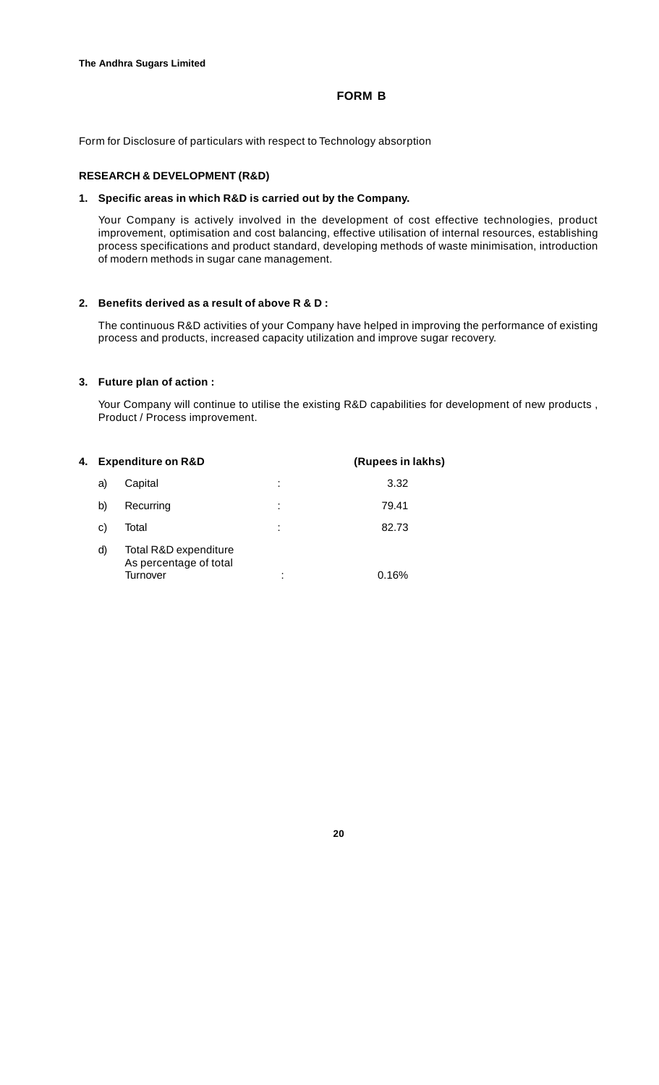# **FORM B**

Form for Disclosure of particulars with respect to Technology absorption

#### **RESEARCH & DEVELOPMENT (R&D)**

#### **1. Specific areas in which R&D is carried out by the Company.**

Your Company is actively involved in the development of cost effective technologies, product improvement, optimisation and cost balancing, effective utilisation of internal resources, establishing process specifications and product standard, developing methods of waste minimisation, introduction of modern methods in sugar cane management.

#### **2. Benefits derived as a result of above R & D :**

The continuous R&D activities of your Company have helped in improving the performance of existing process and products, increased capacity utilization and improve sugar recovery.

#### **3. Future plan of action :**

Your Company will continue to utilise the existing R&D capabilities for development of new products , Product / Process improvement.

| 4. |    | <b>Expenditure on R&amp;D</b>                               | (Rupees in lakhs) |       |
|----|----|-------------------------------------------------------------|-------------------|-------|
|    | a) | Capital                                                     | ٠                 | 3.32  |
|    | b) | Recurring                                                   | ٠<br>٠            | 79.41 |
|    | C) | Total                                                       | ٠                 | 82.73 |
|    | d) | Total R&D expenditure<br>As percentage of total<br>Turnover | ٠                 | 0.16% |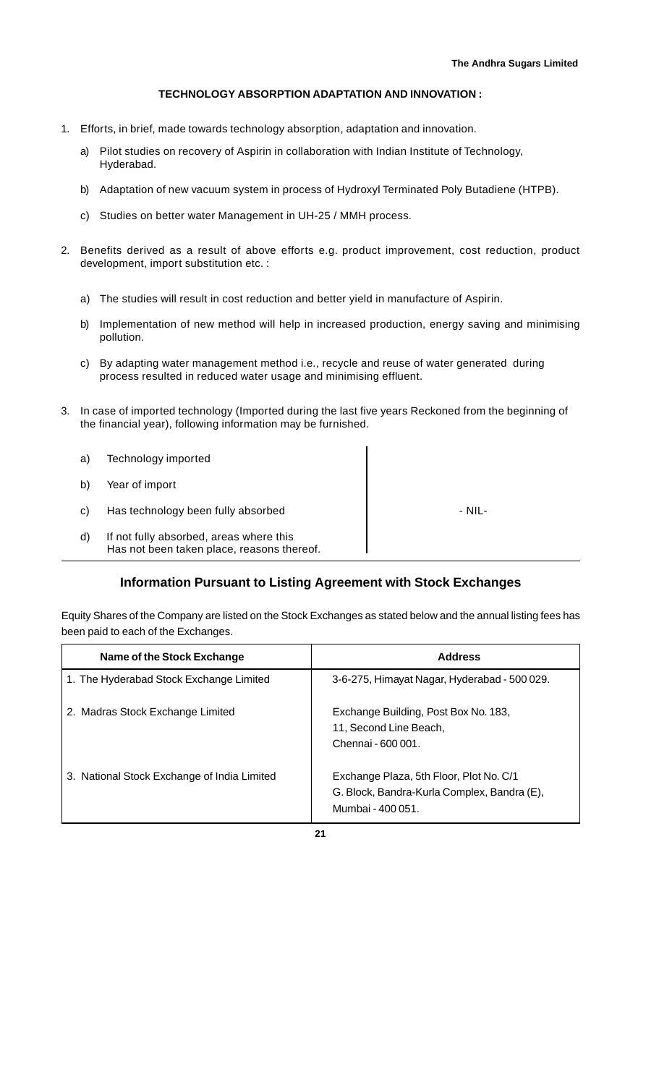#### **TECHNOLOGY ABSORPTION ADAPTATION AND INNOVATION :**

- 1. Efforts, in brief, made towards technology absorption, adaptation and innovation.
	- a) Pilot studies on recovery of Aspirin in collaboration with Indian Institute of Technology, Hyderabad.
	- b) Adaptation of new vacuum system in process of Hydroxyl Terminated Poly Butadiene (HTPB).
	- c) Studies on better water Management in UH-25 / MMH process.
- 2. Benefits derived as a result of above efforts e.g. product improvement, cost reduction, product development, import substitution etc. :
	- a) The studies will result in cost reduction and better yield in manufacture of Aspirin.
	- b) Implementation of new method will help in increased production, energy saving and minimising pollution.
	- c) By adapting water management method i.e., recycle and reuse of water generated during process resulted in reduced water usage and minimising effluent.
- 3. In case of imported technology (Imported during the last five years Reckoned from the beginning of the financial year), following information may be furnished.

| a) | Technology imported                                                                   |        |
|----|---------------------------------------------------------------------------------------|--------|
| b) | Year of import                                                                        |        |
| C) | Has technology been fully absorbed                                                    | - NIL- |
| d) | If not fully absorbed, areas where this<br>Has not been taken place, reasons thereof. |        |

# **Information Pursuant to Listing Agreement with Stock Exchanges**

Equity Shares of the Company are listed on the Stock Exchanges as stated below and the annual listing fees has been paid to each of the Exchanges.

| Name of the Stock Exchange                  | <b>Address</b>                                                                                              |
|---------------------------------------------|-------------------------------------------------------------------------------------------------------------|
| 1. The Hyderabad Stock Exchange Limited     | 3-6-275, Himayat Nagar, Hyderabad - 500 029.                                                                |
| 2. Madras Stock Exchange Limited            | Exchange Building, Post Box No. 183,<br>11, Second Line Beach,<br>Chennai - 600 001.                        |
| 3. National Stock Exchange of India Limited | Exchange Plaza, 5th Floor, Plot No. C/1<br>G. Block, Bandra-Kurla Complex, Bandra (E),<br>Mumbai - 400 051. |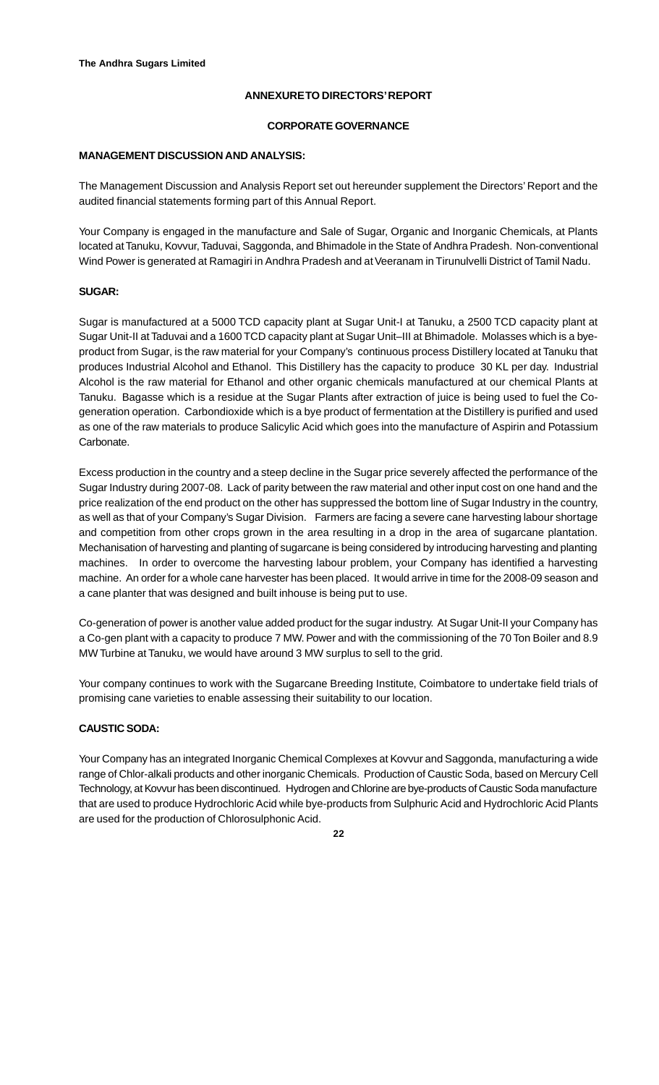# **ANNEXURE TO DIRECTORS' REPORT**

#### **CORPORATE GOVERNANCE**

#### **MANAGEMENT DISCUSSION AND ANALYSIS:**

The Management Discussion and Analysis Report set out hereunder supplement the Directors' Report and the audited financial statements forming part of this Annual Report.

Your Company is engaged in the manufacture and Sale of Sugar, Organic and Inorganic Chemicals, at Plants located at Tanuku, Kovvur, Taduvai, Saggonda, and Bhimadole in the State of Andhra Pradesh. Non-conventional Wind Power is generated at Ramagiri in Andhra Pradesh and at Veeranam in Tirunulvelli District of Tamil Nadu.

#### **SUGAR:**

Sugar is manufactured at a 5000 TCD capacity plant at Sugar Unit-I at Tanuku, a 2500 TCD capacity plant at Sugar Unit-II at Taduvai and a 1600 TCD capacity plant at Sugar Unit–III at Bhimadole. Molasses which is a byeproduct from Sugar, is the raw material for your Company's continuous process Distillery located at Tanuku that produces Industrial Alcohol and Ethanol. This Distillery has the capacity to produce 30 KL per day. Industrial Alcohol is the raw material for Ethanol and other organic chemicals manufactured at our chemical Plants at Tanuku. Bagasse which is a residue at the Sugar Plants after extraction of juice is being used to fuel the Cogeneration operation. Carbondioxide which is a bye product of fermentation at the Distillery is purified and used as one of the raw materials to produce Salicylic Acid which goes into the manufacture of Aspirin and Potassium Carbonate.

Excess production in the country and a steep decline in the Sugar price severely affected the performance of the Sugar Industry during 2007-08. Lack of parity between the raw material and other input cost on one hand and the price realization of the end product on the other has suppressed the bottom line of Sugar Industry in the country, as well as that of your Company's Sugar Division. Farmers are facing a severe cane harvesting labour shortage and competition from other crops grown in the area resulting in a drop in the area of sugarcane plantation. Mechanisation of harvesting and planting of sugarcane is being considered by introducing harvesting and planting machines. In order to overcome the harvesting labour problem, your Company has identified a harvesting machine. An order for a whole cane harvester has been placed. It would arrive in time for the 2008-09 season and a cane planter that was designed and built inhouse is being put to use.

Co-generation of power is another value added product for the sugar industry. At Sugar Unit-II your Company has a Co-gen plant with a capacity to produce 7 MW. Power and with the commissioning of the 70 Ton Boiler and 8.9 MW Turbine at Tanuku, we would have around 3 MW surplus to sell to the grid.

Your company continues to work with the Sugarcane Breeding Institute, Coimbatore to undertake field trials of promising cane varieties to enable assessing their suitability to our location.

# **CAUSTIC SODA:**

Your Company has an integrated Inorganic Chemical Complexes at Kovvur and Saggonda, manufacturing a wide range of Chlor-alkali products and other inorganic Chemicals. Production of Caustic Soda, based on Mercury Cell Technology, at Kovvur has been discontinued. Hydrogen and Chlorine are bye-products of Caustic Soda manufacture that are used to produce Hydrochloric Acid while bye-products from Sulphuric Acid and Hydrochloric Acid Plants are used for the production of Chlorosulphonic Acid.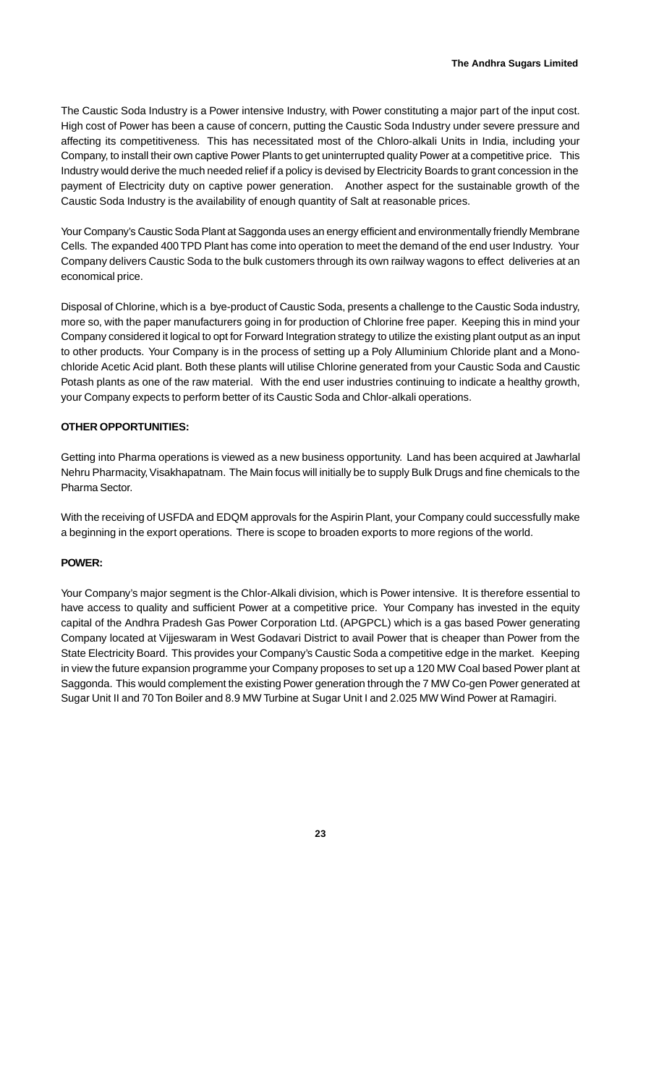The Caustic Soda Industry is a Power intensive Industry, with Power constituting a major part of the input cost. High cost of Power has been a cause of concern, putting the Caustic Soda Industry under severe pressure and affecting its competitiveness. This has necessitated most of the Chloro-alkali Units in India, including your Company, to install their own captive Power Plants to get uninterrupted quality Power at a competitive price. This Industry would derive the much needed relief if a policy is devised by Electricity Boards to grant concession in the payment of Electricity duty on captive power generation. Another aspect for the sustainable growth of the Caustic Soda Industry is the availability of enough quantity of Salt at reasonable prices.

Your Company's Caustic Soda Plant at Saggonda uses an energy efficient and environmentally friendly Membrane Cells. The expanded 400 TPD Plant has come into operation to meet the demand of the end user Industry. Your Company delivers Caustic Soda to the bulk customers through its own railway wagons to effect deliveries at an economical price.

Disposal of Chlorine, which is a bye-product of Caustic Soda, presents a challenge to the Caustic Soda industry, more so, with the paper manufacturers going in for production of Chlorine free paper. Keeping this in mind your Company considered it logical to opt for Forward Integration strategy to utilize the existing plant output as an input to other products. Your Company is in the process of setting up a Poly Alluminium Chloride plant and a Monochloride Acetic Acid plant. Both these plants will utilise Chlorine generated from your Caustic Soda and Caustic Potash plants as one of the raw material. With the end user industries continuing to indicate a healthy growth, your Company expects to perform better of its Caustic Soda and Chlor-alkali operations.

#### **OTHER OPPORTUNITIES:**

Getting into Pharma operations is viewed as a new business opportunity. Land has been acquired at Jawharlal Nehru Pharmacity, Visakhapatnam. The Main focus will initially be to supply Bulk Drugs and fine chemicals to the Pharma Sector.

With the receiving of USFDA and EDQM approvals for the Aspirin Plant, your Company could successfully make a beginning in the export operations. There is scope to broaden exports to more regions of the world.

#### **POWER:**

Your Company's major segment is the Chlor-Alkali division, which is Power intensive. It is therefore essential to have access to quality and sufficient Power at a competitive price. Your Company has invested in the equity capital of the Andhra Pradesh Gas Power Corporation Ltd. (APGPCL) which is a gas based Power generating Company located at Vijjeswaram in West Godavari District to avail Power that is cheaper than Power from the State Electricity Board. This provides your Company's Caustic Soda a competitive edge in the market. Keeping in view the future expansion programme your Company proposes to set up a 120 MW Coal based Power plant at Saggonda. This would complement the existing Power generation through the 7 MW Co-gen Power generated at Sugar Unit II and 70 Ton Boiler and 8.9 MW Turbine at Sugar Unit I and 2.025 MW Wind Power at Ramagiri.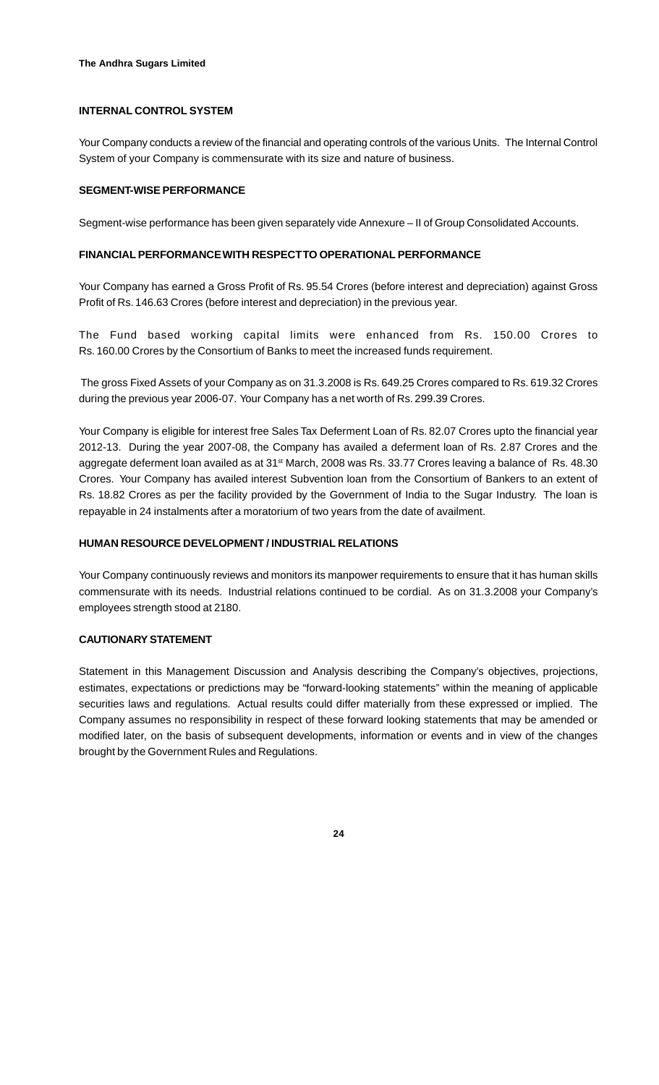#### **INTERNAL CONTROL SYSTEM**

Your Company conducts a review of the financial and operating controls of the various Units. The Internal Control System of your Company is commensurate with its size and nature of business.

#### **SEGMENT-WISE PERFORMANCE**

Segment-wise performance has been given separately vide Annexure – II of Group Consolidated Accounts.

#### **FINANCIAL PERFORMANCE WITH RESPECT TO OPERATIONAL PERFORMANCE**

Your Company has earned a Gross Profit of Rs. 95.54 Crores (before interest and depreciation) against Gross Profit of Rs. 146.63 Crores (before interest and depreciation) in the previous year.

The Fund based working capital limits were enhanced from Rs. 150.00 Crores to Rs. 160.00 Crores by the Consortium of Banks to meet the increased funds requirement.

 The gross Fixed Assets of your Company as on 31.3.2008 is Rs. 649.25 Crores compared to Rs. 619.32 Crores during the previous year 2006-07. Your Company has a net worth of Rs. 299.39 Crores.

Your Company is eligible for interest free Sales Tax Deferment Loan of Rs. 82.07 Crores upto the financial year 2012-13. During the year 2007-08, the Company has availed a deferment loan of Rs. 2.87 Crores and the aggregate deferment loan availed as at 31<sup>st</sup> March, 2008 was Rs. 33.77 Crores leaving a balance of Rs. 48.30 Crores. Your Company has availed interest Subvention loan from the Consortium of Bankers to an extent of Rs. 18.82 Crores as per the facility provided by the Government of India to the Sugar Industry. The loan is repayable in 24 instalments after a moratorium of two years from the date of availment.

#### **HUMAN RESOURCE DEVELOPMENT / INDUSTRIAL RELATIONS**

Your Company continuously reviews and monitors its manpower requirements to ensure that it has human skills commensurate with its needs. Industrial relations continued to be cordial. As on 31.3.2008 your Company's employees strength stood at 2180.

#### **CAUTIONARY STATEMENT**

Statement in this Management Discussion and Analysis describing the Company's objectives, projections, estimates, expectations or predictions may be "forward-looking statements" within the meaning of applicable securities laws and regulations. Actual results could differ materially from these expressed or implied. The Company assumes no responsibility in respect of these forward looking statements that may be amended or modified later, on the basis of subsequent developments, information or events and in view of the changes brought by the Government Rules and Regulations.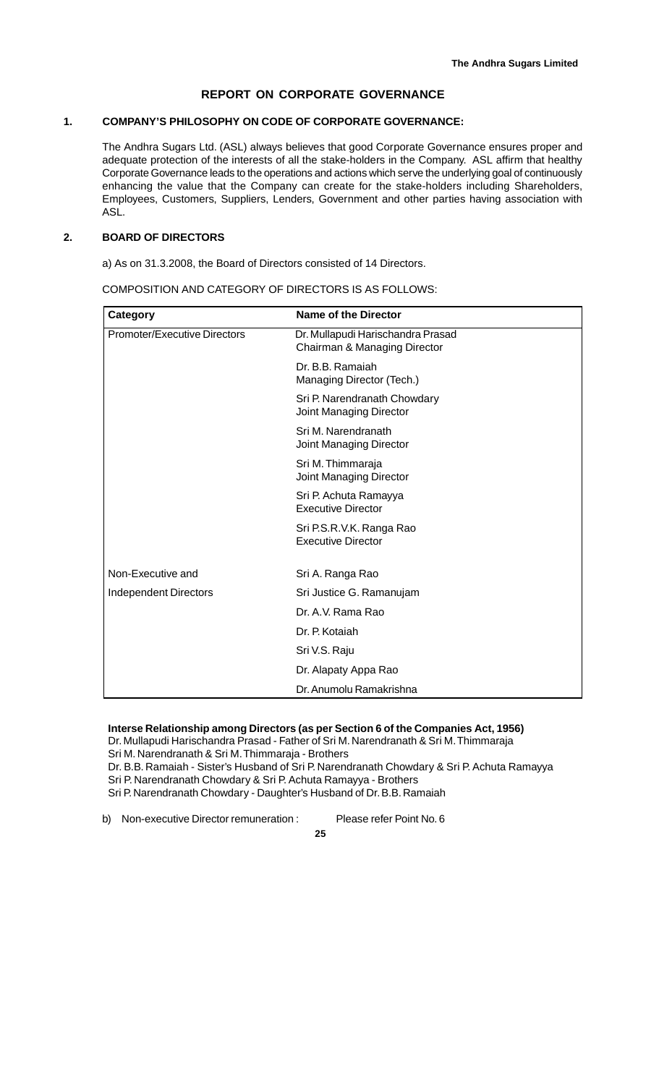# **REPORT ON CORPORATE GOVERNANCE**

#### **1. COMPANY'S PHILOSOPHY ON CODE OF CORPORATE GOVERNANCE:**

The Andhra Sugars Ltd. (ASL) always believes that good Corporate Governance ensures proper and adequate protection of the interests of all the stake-holders in the Company. ASL affirm that healthy Corporate Governance leads to the operations and actions which serve the underlying goal of continuously enhancing the value that the Company can create for the stake-holders including Shareholders, Employees, Customers, Suppliers, Lenders, Government and other parties having association with ASL.

### **2. BOARD OF DIRECTORS**

a) As on 31.3.2008, the Board of Directors consisted of 14 Directors.

COMPOSITION AND CATEGORY OF DIRECTORS IS AS FOLLOWS:

| Category                     | <b>Name of the Director</b>                                       |
|------------------------------|-------------------------------------------------------------------|
| Promoter/Executive Directors | Dr. Mullapudi Harischandra Prasad<br>Chairman & Managing Director |
|                              | Dr. B.B. Ramaiah<br>Managing Director (Tech.)                     |
|                              | Sri P. Narendranath Chowdary<br>Joint Managing Director           |
|                              | Sri M. Narendranath<br>Joint Managing Director                    |
|                              | Sri M. Thimmaraja<br>Joint Managing Director                      |
|                              | Sri P. Achuta Ramayya<br><b>Executive Director</b>                |
|                              | Sri P.S.R.V.K. Ranga Rao<br><b>Executive Director</b>             |
| Non-Executive and            | Sri A. Ranga Rao                                                  |
| <b>Independent Directors</b> | Sri Justice G. Ramanujam                                          |
|                              | Dr. A.V. Rama Rao                                                 |
|                              | Dr. P. Kotaiah                                                    |
|                              | Sri V.S. Raju                                                     |
|                              | Dr. Alapaty Appa Rao                                              |
|                              | Dr. Anumolu Ramakrishna                                           |

# **Interse Relationship among Directors (as per Section 6 of the Companies Act, 1956)**

Dr. Mullapudi Harischandra Prasad - Father of Sri M. Narendranath & Sri M. Thimmaraja

Sri M. Narendranath & Sri M. Thimmaraja - Brothers

Dr. B.B. Ramaiah - Sister's Husband of Sri P. Narendranath Chowdary & Sri P. Achuta Ramayya

Sri P. Narendranath Chowdary & Sri P. Achuta Ramayya - Brothers

Sri P. Narendranath Chowdary - Daughter's Husband of Dr. B.B. Ramaiah

b) Non-executive Director remuneration : Please refer Point No. 6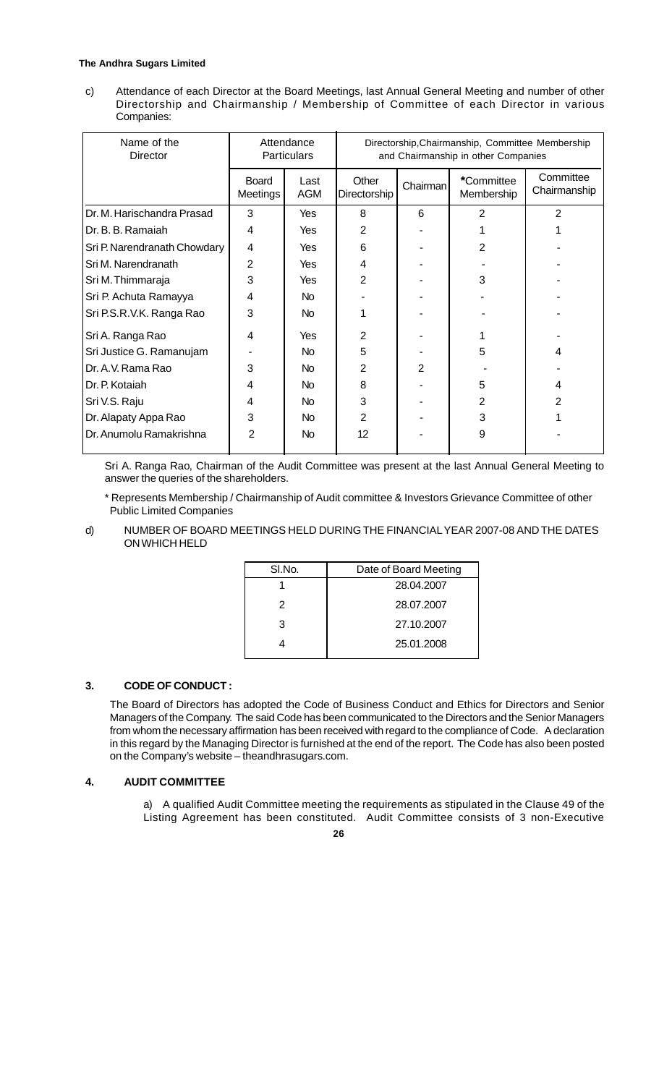#### **The Andhra Sugars Limited**

c) Attendance of each Director at the Board Meetings, last Annual General Meeting and number of other Directorship and Chairmanship / Membership of Committee of each Director in various Companies:

| Name of the<br>Director      | Attendance<br><b>Particulars</b> |                    | Directorship, Chairmanship, Committee Membership<br>and Chairmanship in other Companies |                |                          |                           |
|------------------------------|----------------------------------|--------------------|-----------------------------------------------------------------------------------------|----------------|--------------------------|---------------------------|
|                              | <b>Board</b><br>Meetings         | Last<br><b>AGM</b> | Other<br>Directorship                                                                   | Chairman       | *Committee<br>Membership | Committee<br>Chairmanship |
| Dr. M. Harischandra Prasad   | 3                                | Yes                | 8                                                                                       | 6              | $\overline{2}$           | 2                         |
| Dr. B. B. Ramaiah            | 4                                | Yes                | 2                                                                                       |                |                          |                           |
| Sri P. Narendranath Chowdary | 4                                | Yes                | 6                                                                                       |                | 2                        |                           |
| Sri M. Narendranath          | $\overline{2}$                   | Yes                | 4                                                                                       |                |                          |                           |
| Sri M. Thimmaraja            | 3                                | Yes                | $\overline{2}$                                                                          |                | 3                        |                           |
| Sri P. Achuta Ramayya        | 4                                | No                 |                                                                                         |                |                          |                           |
| Sri P.S.R.V.K. Ranga Rao     | 3                                | No                 |                                                                                         |                |                          |                           |
| Sri A. Ranga Rao             | 4                                | Yes                | $\overline{2}$                                                                          |                |                          |                           |
| Sri Justice G. Ramanujam     |                                  | No.                | 5                                                                                       |                | 5                        | 4                         |
| Dr. A.V. Rama Rao            | 3                                | No.                | $\overline{2}$                                                                          | $\overline{2}$ |                          |                           |
| Dr. P. Kotaiah               | 4                                | No.                | 8                                                                                       |                | 5                        | 4                         |
| Sri V.S. Raju                | 4                                | No.                | 3                                                                                       |                | 2                        | $\overline{2}$            |
| Dr. Alapaty Appa Rao         | 3                                | <b>No</b>          | 2                                                                                       |                | 3                        |                           |
| Dr. Anumolu Ramakrishna      | $\overline{2}$                   | <b>No</b>          | 12                                                                                      |                | 9                        |                           |

Sri A. Ranga Rao, Chairman of the Audit Committee was present at the last Annual General Meeting to answer the queries of the shareholders.

\* Represents Membership / Chairmanship of Audit committee & Investors Grievance Committee of other Public Limited Companies

d) NUMBER OF BOARD MEETINGS HELD DURING THE FINANCIAL YEAR 2007-08 AND THE DATES ON WHICH HELD

| SI.No. | Date of Board Meeting |
|--------|-----------------------|
|        | 28.04.2007            |
| 2      | 28.07.2007            |
| 3      | 27.10.2007            |
|        | 25.01.2008            |
|        |                       |

#### **3. CODE OF CONDUCT :**

The Board of Directors has adopted the Code of Business Conduct and Ethics for Directors and Senior Managers of the Company. The said Code has been communicated to the Directors and the Senior Managers from whom the necessary affirmation has been received with regard to the compliance of Code. A declaration in this regard by the Managing Director is furnished at the end of the report. The Code has also been posted on the Company's website – theandhrasugars.com.

#### **4. AUDIT COMMITTEE**

a) A qualified Audit Committee meeting the requirements as stipulated in the Clause 49 of the Listing Agreement has been constituted. Audit Committee consists of 3 non-Executive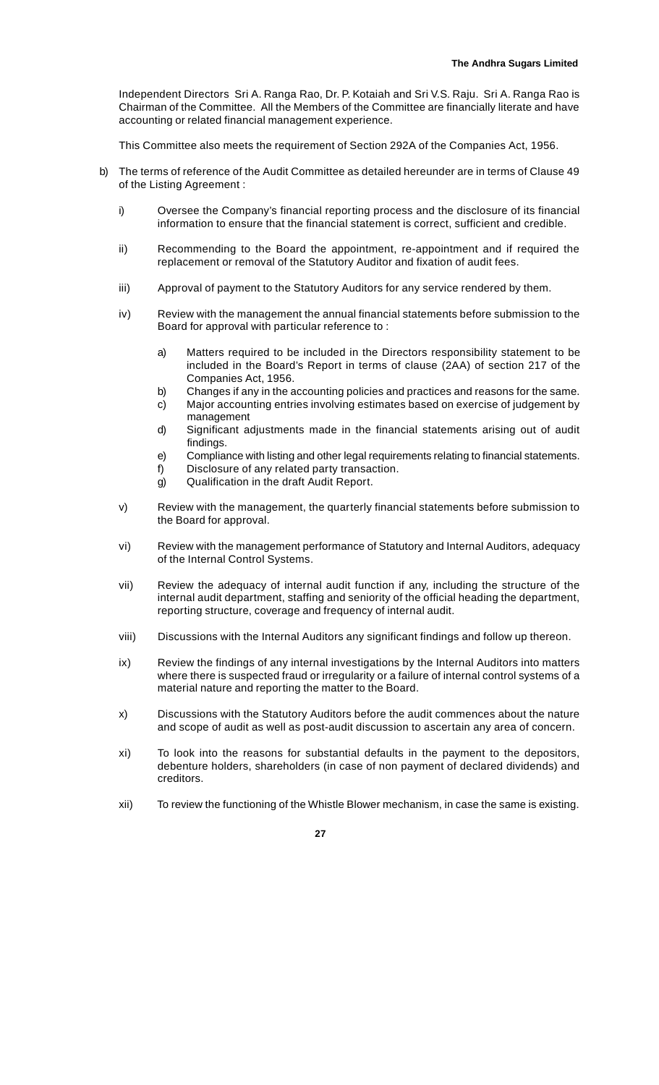Independent Directors Sri A. Ranga Rao, Dr. P. Kotaiah and Sri V.S. Raju. Sri A. Ranga Rao is Chairman of the Committee. All the Members of the Committee are financially literate and have accounting or related financial management experience.

This Committee also meets the requirement of Section 292A of the Companies Act, 1956.

- b) The terms of reference of the Audit Committee as detailed hereunder are in terms of Clause 49 of the Listing Agreement :
	- i) Oversee the Company's financial reporting process and the disclosure of its financial information to ensure that the financial statement is correct, sufficient and credible.
	- ii) Recommending to the Board the appointment, re-appointment and if required the replacement or removal of the Statutory Auditor and fixation of audit fees.
	- iii) Approval of payment to the Statutory Auditors for any service rendered by them.
	- iv) Review with the management the annual financial statements before submission to the Board for approval with particular reference to :
		- a) Matters required to be included in the Directors responsibility statement to be included in the Board's Report in terms of clause (2AA) of section 217 of the Companies Act, 1956.
		- b) Changes if any in the accounting policies and practices and reasons for the same.
		- c) Major accounting entries involving estimates based on exercise of judgement by management
		- d) Significant adjustments made in the financial statements arising out of audit findings.
		- e) Compliance with listing and other legal requirements relating to financial statements.
		- f) Disclosure of any related party transaction.
		- g) Qualification in the draft Audit Report.
	- v) Review with the management, the quarterly financial statements before submission to the Board for approval.
	- vi) Review with the management performance of Statutory and Internal Auditors, adequacy of the Internal Control Systems.
	- vii) Review the adequacy of internal audit function if any, including the structure of the internal audit department, staffing and seniority of the official heading the department, reporting structure, coverage and frequency of internal audit.
	- viii) Discussions with the Internal Auditors any significant findings and follow up thereon.
	- ix) Review the findings of any internal investigations by the Internal Auditors into matters where there is suspected fraud or irregularity or a failure of internal control systems of a material nature and reporting the matter to the Board.
	- x) Discussions with the Statutory Auditors before the audit commences about the nature and scope of audit as well as post-audit discussion to ascertain any area of concern.
	- xi) To look into the reasons for substantial defaults in the payment to the depositors, debenture holders, shareholders (in case of non payment of declared dividends) and creditors.
	- xii) To review the functioning of the Whistle Blower mechanism, in case the same is existing.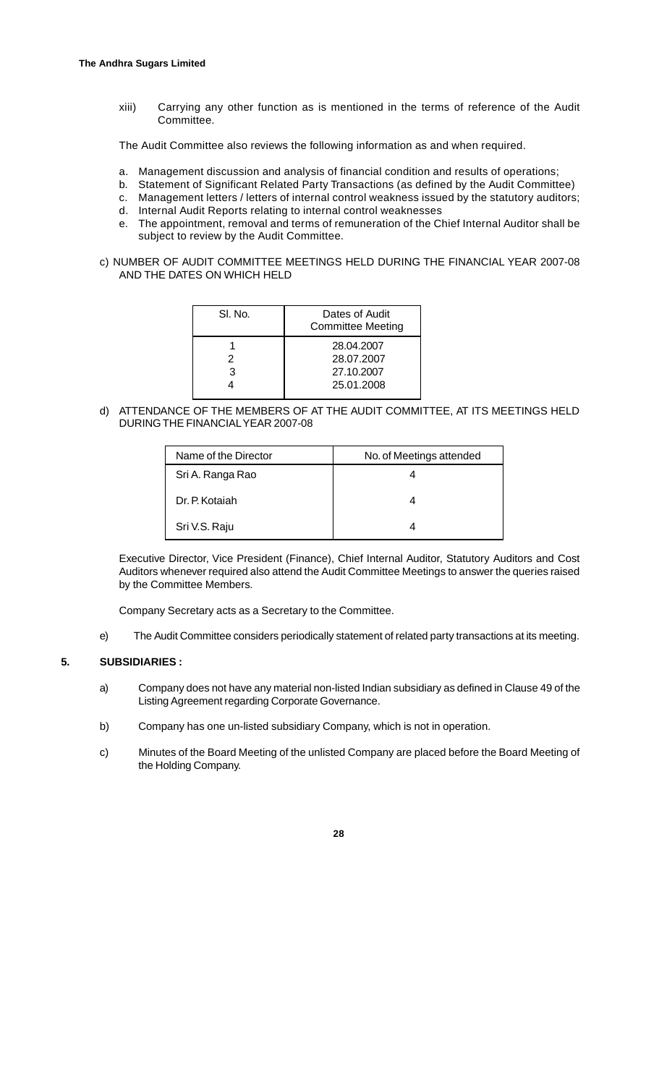xiii) Carrying any other function as is mentioned in the terms of reference of the Audit Committee.

The Audit Committee also reviews the following information as and when required.

- a. Management discussion and analysis of financial condition and results of operations;
- b. Statement of Significant Related Party Transactions (as defined by the Audit Committee)
- c. Management letters / letters of internal control weakness issued by the statutory auditors;
- d. Internal Audit Reports relating to internal control weaknesses
- e. The appointment, removal and terms of remuneration of the Chief Internal Auditor shall be subject to review by the Audit Committee.
- c) NUMBER OF AUDIT COMMITTEE MEETINGS HELD DURING THE FINANCIAL YEAR 2007-08 AND THE DATES ON WHICH HELD

| SI. No. | Dates of Audit<br><b>Committee Meeting</b> |
|---------|--------------------------------------------|
|         | 28.04.2007                                 |
| 2       | 28.07.2007                                 |
| 3       | 27.10.2007                                 |
|         | 25.01.2008                                 |

d) ATTENDANCE OF THE MEMBERS OF AT THE AUDIT COMMITTEE, AT ITS MEETINGS HELD DURING THE FINANCIAL YEAR 2007-08

| Name of the Director | No. of Meetings attended |
|----------------------|--------------------------|
| Sri A. Ranga Rao     |                          |
| Dr. P. Kotaiah       |                          |
| Sri V.S. Raju        |                          |

Executive Director, Vice President (Finance), Chief Internal Auditor, Statutory Auditors and Cost Auditors whenever required also attend the Audit Committee Meetings to answer the queries raised by the Committee Members.

Company Secretary acts as a Secretary to the Committee.

e) The Audit Committee considers periodically statement of related party transactions at its meeting.

#### **5. SUBSIDIARIES :**

- a) Company does not have any material non-listed Indian subsidiary as defined in Clause 49 of the Listing Agreement regarding Corporate Governance.
- b) Company has one un-listed subsidiary Company, which is not in operation.
- c) Minutes of the Board Meeting of the unlisted Company are placed before the Board Meeting of the Holding Company.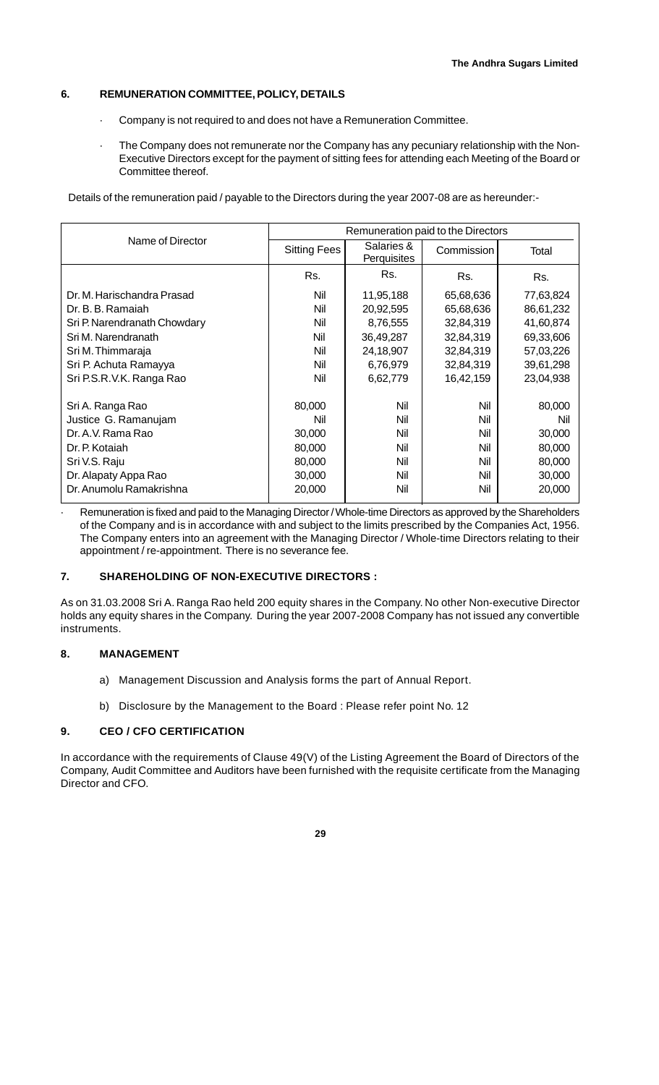#### **6. REMUNERATION COMMITTEE, POLICY, DETAILS**

- · Company is not required to and does not have a Remuneration Committee.
- The Company does not remunerate nor the Company has any pecuniary relationship with the Non-Executive Directors except for the payment of sitting fees for attending each Meeting of the Board or Committee thereof.

Details of the remuneration paid / payable to the Directors during the year 2007-08 are as hereunder:-

|                              | Remuneration paid to the Directors |                           |            |           |  |  |
|------------------------------|------------------------------------|---------------------------|------------|-----------|--|--|
| Name of Director             | <b>Sitting Fees</b>                | Salaries &<br>Perquisites | Commission | Total     |  |  |
|                              | Rs.                                | Rs.                       | Rs.        | Rs.       |  |  |
| Dr. M. Harischandra Prasad   | Nil                                | 11,95,188                 | 65,68,636  | 77,63,824 |  |  |
| Dr. B. B. Ramaiah            | Nil                                | 20,92,595                 | 65,68,636  | 86,61,232 |  |  |
| Sri P. Narendranath Chowdary | Nil                                | 8,76,555                  | 32,84,319  | 41,60,874 |  |  |
| Sri M. Narendranath          | Nil                                | 36,49,287                 | 32,84,319  | 69,33,606 |  |  |
| Sri M. Thimmaraja            | Nil                                | 24,18,907                 | 32,84,319  | 57,03,226 |  |  |
| Sri P. Achuta Ramayya        | Nil                                | 6,76,979                  | 32,84,319  | 39,61,298 |  |  |
| Sri P.S.R.V.K. Ranga Rao     | Nil                                | 6,62,779                  | 16,42,159  | 23,04,938 |  |  |
| Sri A. Ranga Rao             | 80,000                             | Nil                       | Nil        | 80,000    |  |  |
| Justice G. Ramanujam         | Nil                                | Nil                       | Nil        | Nil       |  |  |
| Dr. A.V. Rama Rao            | 30,000                             | Nil                       | Nil        | 30,000    |  |  |
| Dr. P. Kotaiah               | 80,000                             | Nil                       | Nil        | 80,000    |  |  |
| Sri V.S. Raju                | 80,000                             | Nil                       | Nil        | 80,000    |  |  |
| Dr. Alapaty Appa Rao         | 30,000                             | Nil                       | Nil        | 30,000    |  |  |
| Dr. Anumolu Ramakrishna      | 20,000                             | Nil                       | Nil        | 20,000    |  |  |

Remuneration is fixed and paid to the Managing Director / Whole-time Directors as approved by the Shareholders of the Company and is in accordance with and subject to the limits prescribed by the Companies Act, 1956. The Company enters into an agreement with the Managing Director / Whole-time Directors relating to their appointment / re-appointment. There is no severance fee.

#### **7. SHAREHOLDING OF NON-EXECUTIVE DIRECTORS :**

As on 31.03.2008 Sri A. Ranga Rao held 200 equity shares in the Company. No other Non-executive Director holds any equity shares in the Company. During the year 2007-2008 Company has not issued any convertible instruments.

#### **8. MANAGEMENT**

- a) Management Discussion and Analysis forms the part of Annual Report.
- b) Disclosure by the Management to the Board : Please refer point No. 12

#### **9. CEO / CFO CERTIFICATION**

In accordance with the requirements of Clause 49(V) of the Listing Agreement the Board of Directors of the Company, Audit Committee and Auditors have been furnished with the requisite certificate from the Managing Director and CFO.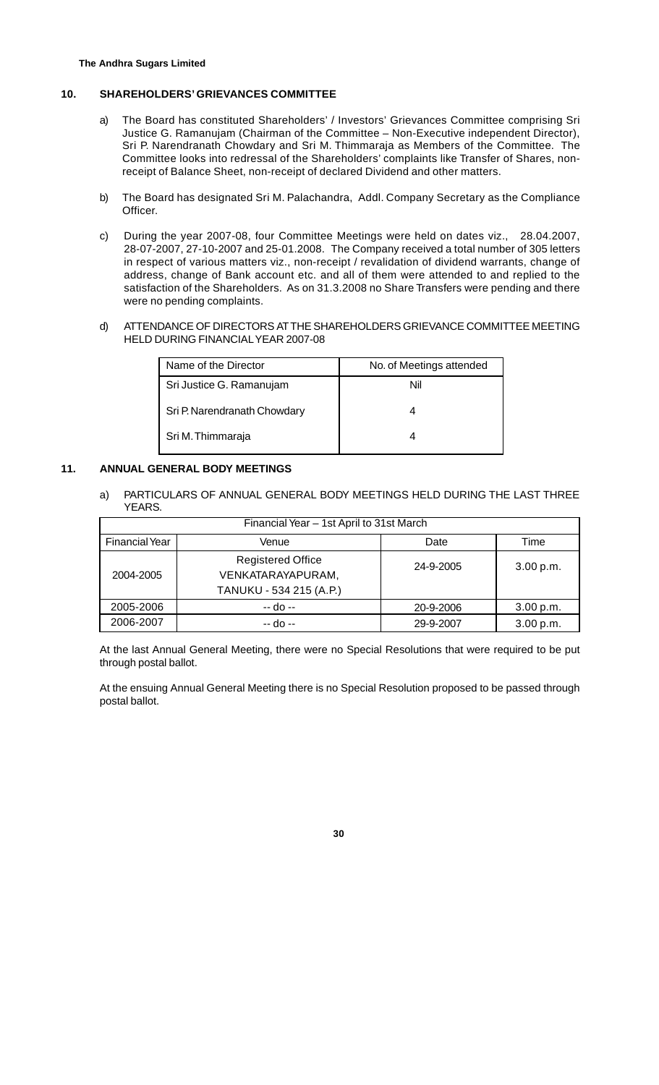#### **10. SHAREHOLDERS' GRIEVANCES COMMITTEE**

- a) The Board has constituted Shareholders' / Investors' Grievances Committee comprising Sri Justice G. Ramanujam (Chairman of the Committee – Non-Executive independent Director), Sri P. Narendranath Chowdary and Sri M. Thimmaraja as Members of the Committee. The Committee looks into redressal of the Shareholders' complaints like Transfer of Shares, nonreceipt of Balance Sheet, non-receipt of declared Dividend and other matters.
- b) The Board has designated Sri M. Palachandra, Addl. Company Secretary as the Compliance Officer.
- c) During the year 2007-08, four Committee Meetings were held on dates viz., 28.04.2007, 28-07-2007, 27-10-2007 and 25-01.2008. The Company received a total number of 305 letters in respect of various matters viz., non-receipt / revalidation of dividend warrants, change of address, change of Bank account etc. and all of them were attended to and replied to the satisfaction of the Shareholders. As on 31.3.2008 no Share Transfers were pending and there were no pending complaints.
- d) ATTENDANCE OF DIRECTORS AT THE SHAREHOLDERS GRIEVANCE COMMITTEE MEETING HELD DURING FINANCIAL YEAR 2007-08

| Name of the Director         | No. of Meetings attended |  |  |
|------------------------------|--------------------------|--|--|
| Sri Justice G. Ramanujam     | Nil                      |  |  |
| Sri P. Narendranath Chowdary |                          |  |  |
| Sri M. Thimmaraja            |                          |  |  |

#### **11. ANNUAL GENERAL BODY MEETINGS**

a) PARTICULARS OF ANNUAL GENERAL BODY MEETINGS HELD DURING THE LAST THREE YEARS.

| Financial Year - 1st April to 31st March |                                                                          |           |           |  |  |
|------------------------------------------|--------------------------------------------------------------------------|-----------|-----------|--|--|
| <b>Financial Year</b>                    | Venue<br>Date<br>Time                                                    |           |           |  |  |
| 2004-2005                                | <b>Registered Office</b><br>VENKATARAYAPURAM,<br>TANUKU - 534 215 (A.P.) | 24-9-2005 | 3.00 p.m. |  |  |
| 2005-2006                                | $-$ do $-$                                                               | 20-9-2006 | 3.00 p.m. |  |  |
| 2006-2007                                | -- do --                                                                 | 29-9-2007 | 3.00 p.m. |  |  |

At the last Annual General Meeting, there were no Special Resolutions that were required to be put through postal ballot.

At the ensuing Annual General Meeting there is no Special Resolution proposed to be passed through postal ballot.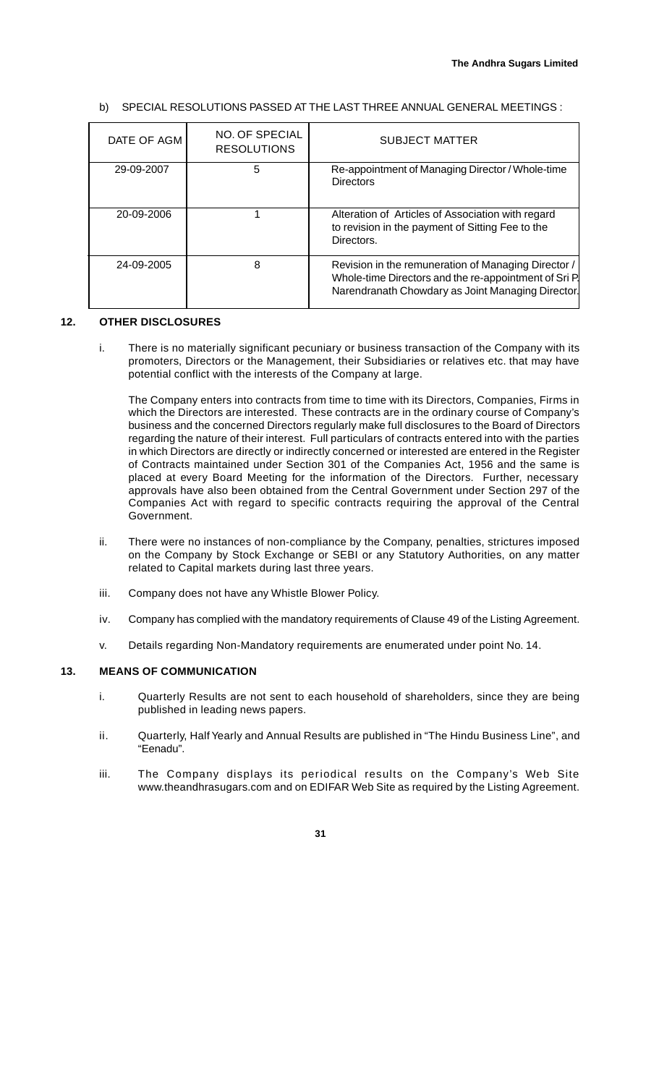#### b) SPECIAL RESOLUTIONS PASSED AT THE LAST THREE ANNUAL GENERAL MEETINGS :

| DATE OF AGM | NO. OF SPECIAL<br><b>RESOLUTIONS</b> | <b>SUBJECT MATTER</b>                                                                                                                                             |
|-------------|--------------------------------------|-------------------------------------------------------------------------------------------------------------------------------------------------------------------|
| 29-09-2007  | 5                                    | Re-appointment of Managing Director / Whole-time<br><b>Directors</b>                                                                                              |
| 20-09-2006  |                                      | Alteration of Articles of Association with regard<br>to revision in the payment of Sitting Fee to the<br>Directors.                                               |
| 24-09-2005  | 8                                    | Revision in the remuneration of Managing Director /<br>Whole-time Directors and the re-appointment of Sri P.<br>Narendranath Chowdary as Joint Managing Director. |

#### **12. OTHER DISCLOSURES**

i. There is no materially significant pecuniary or business transaction of the Company with its promoters, Directors or the Management, their Subsidiaries or relatives etc. that may have potential conflict with the interests of the Company at large.

The Company enters into contracts from time to time with its Directors, Companies, Firms in which the Directors are interested. These contracts are in the ordinary course of Company's business and the concerned Directors regularly make full disclosures to the Board of Directors regarding the nature of their interest. Full particulars of contracts entered into with the parties in which Directors are directly or indirectly concerned or interested are entered in the Register of Contracts maintained under Section 301 of the Companies Act, 1956 and the same is placed at every Board Meeting for the information of the Directors. Further, necessary approvals have also been obtained from the Central Government under Section 297 of the Companies Act with regard to specific contracts requiring the approval of the Central Government.

- ii. There were no instances of non-compliance by the Company, penalties, strictures imposed on the Company by Stock Exchange or SEBI or any Statutory Authorities, on any matter related to Capital markets during last three years.
- iii. Company does not have any Whistle Blower Policy.
- iv. Company has complied with the mandatory requirements of Clause 49 of the Listing Agreement.
- v. Details regarding Non-Mandatory requirements are enumerated under point No. 14.

# **13. MEANS OF COMMUNICATION**

- i. Quarterly Results are not sent to each household of shareholders, since they are being published in leading news papers.
- ii. Quarterly, Half Yearly and Annual Results are published in "The Hindu Business Line", and "Eenadu".
- iii. The Company displays its periodical results on the Company's Web Site www.theandhrasugars.com and on EDIFAR Web Site as required by the Listing Agreement.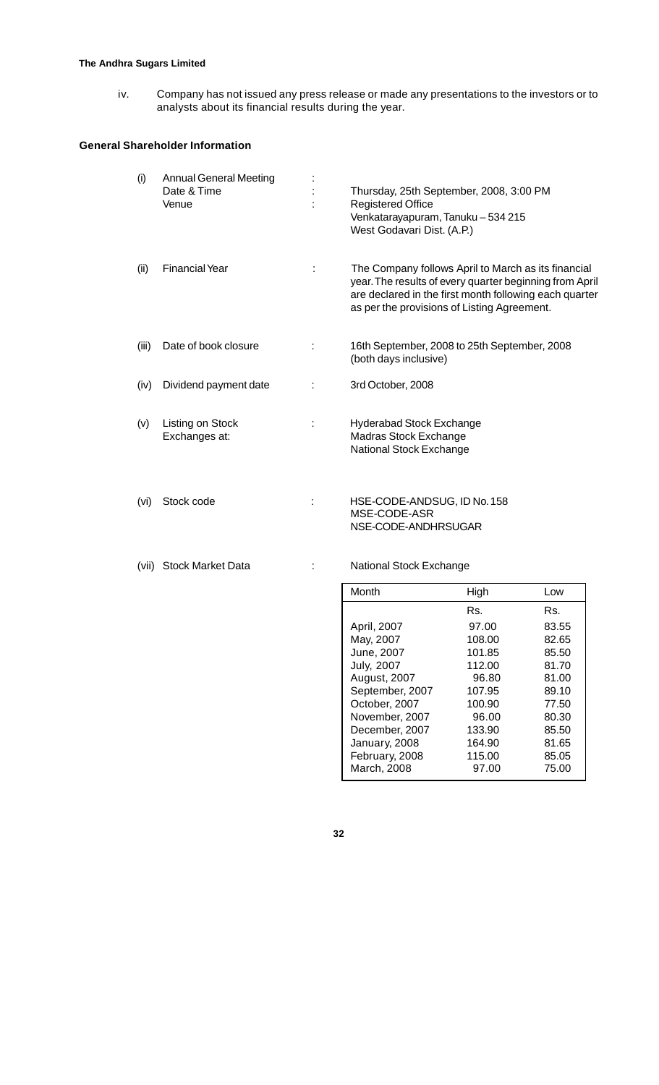# **The Andhra Sugars Limited**

iv. Company has not issued any press release or made any presentations to the investors or to analysts about its financial results during the year.

# **General Shareholder Information**

| (i)   | <b>Annual General Meeting</b><br>Date & Time<br>Venue | Thursday, 25th September, 2008, 3:00 PM<br><b>Registered Office</b><br>Venkatarayapuram, Tanuku - 534 215<br>West Godavari Dist. (A.P.)                                                                                 |
|-------|-------------------------------------------------------|-------------------------------------------------------------------------------------------------------------------------------------------------------------------------------------------------------------------------|
| (ii)  | <b>Financial Year</b>                                 | The Company follows April to March as its financial<br>year. The results of every quarter beginning from April<br>are declared in the first month following each quarter<br>as per the provisions of Listing Agreement. |
| (iii) | Date of book closure                                  | 16th September, 2008 to 25th September, 2008<br>(both days inclusive)                                                                                                                                                   |
| (iv)  | Dividend payment date                                 | 3rd October, 2008                                                                                                                                                                                                       |
| (v)   | Listing on Stock<br>Exchanges at:                     | <b>Hyderabad Stock Exchange</b><br>Madras Stock Exchange<br>National Stock Exchange                                                                                                                                     |
| (vi)  | Stock code                                            | HSE-CODE-ANDSUG, ID No. 158<br>MSE-CODE-ASR<br>NSE-CODE-ANDHRSUGAR                                                                                                                                                      |

(vii) Stock Market Data : National Stock Exchange

| Month             | High   | Low   |
|-------------------|--------|-------|
|                   | Rs.    | Rs.   |
| April, 2007       | 97.00  | 83.55 |
| May, 2007         | 108.00 | 82.65 |
| June, 2007        | 101.85 | 85.50 |
| <b>July, 2007</b> | 112.00 | 81.70 |
| August, 2007      | 96.80  | 81.00 |
| September, 2007   | 107.95 | 89.10 |
| October, 2007     | 100.90 | 77.50 |
| November, 2007    | 96.00  | 80.30 |
| December, 2007    | 133.90 | 85.50 |
| January, 2008     | 164.90 | 81.65 |
| February, 2008    | 115.00 | 85.05 |
| March, 2008       | 97.00  | 75.00 |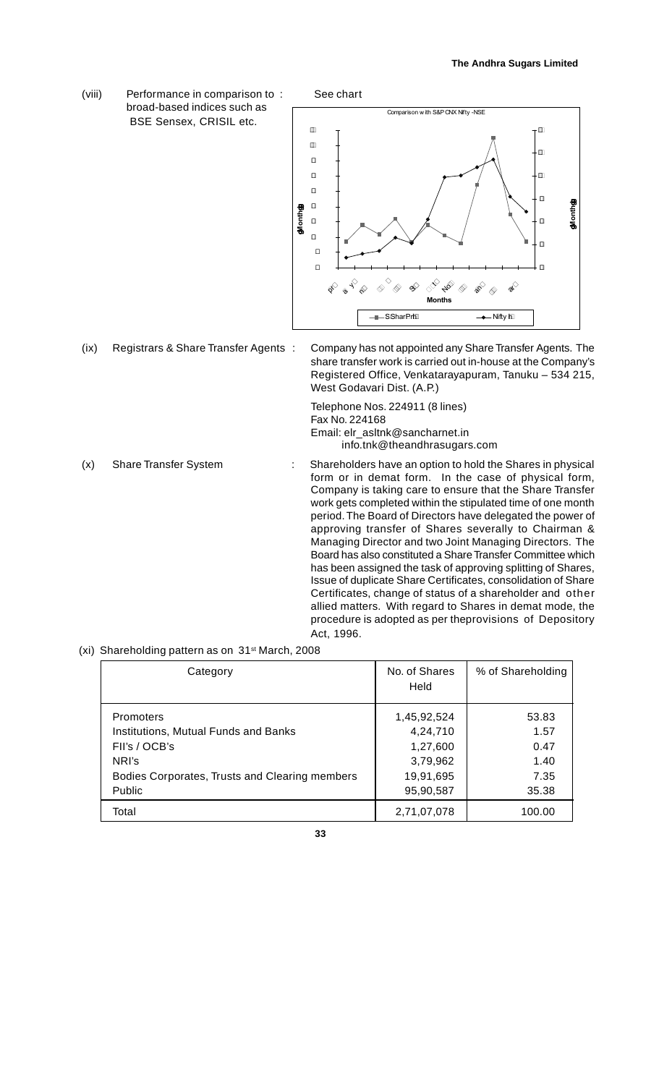(viii) Performance in comparison to : See chart broad-based indices such as BSE Sensex, CRISIL etc.



(ix) Registrars & Share Transfer Agents : Company has not appointed any Share Transfer Agents. The share transfer work is carried out in-house at the Company's Registered Office, Venkatarayapuram, Tanuku – 534 215, West Godavari Dist. (A.P.)

> Telephone Nos. 224911 (8 lines) Fax No. 224168 Email: elr\_asltnk@sancharnet.in info.tnk@theandhrasugars.com

- (x) Share Transfer System : Shareholders have an option to hold the Shares in physical form or in demat form. In the case of physical form, Company is taking care to ensure that the Share Transfer work gets completed within the stipulated time of one month period. The Board of Directors have delegated the power of approving transfer of Shares severally to Chairman & Managing Director and two Joint Managing Directors. The Board has also constituted a Share Transfer Committee which has been assigned the task of approving splitting of Shares, Issue of duplicate Share Certificates, consolidation of Share Certificates, change of status of a shareholder and other allied matters. With regard to Shares in demat mode, the procedure is adopted as per theprovisions of Depository Act, 1996.
- (xi) Shareholding pattern as on 31<sup>st</sup> March, 2008

| Category                                       | No. of Shares<br>Held | % of Shareholding |
|------------------------------------------------|-----------------------|-------------------|
| Promoters                                      | 1,45,92,524           | 53.83             |
| Institutions, Mutual Funds and Banks           | 4,24,710              | 1.57              |
| FII's / OCB's                                  | 1,27,600              | 0.47              |
| NRI's                                          | 3,79,962              | 1.40              |
| Bodies Corporates, Trusts and Clearing members | 19,91,695             | 7.35              |
| Public                                         | 95,90,587             | 35.38             |
| Total                                          | 2,71,07,078           | 100.00            |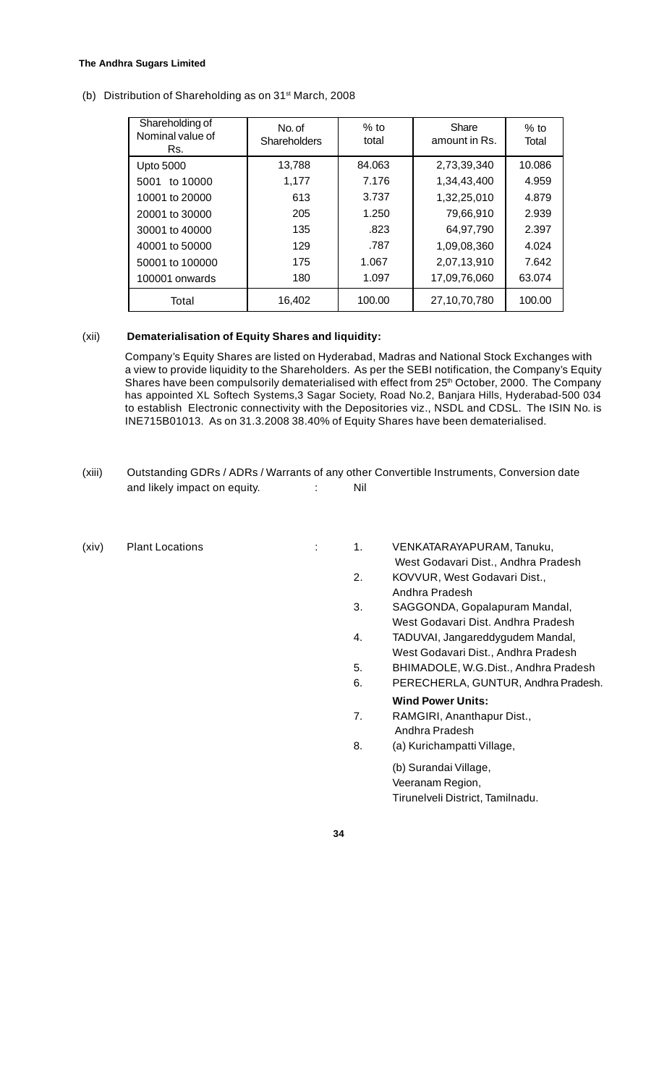#### **The Andhra Sugars Limited**

40001 to 50000 50001 to 100000 100001 onwards

**Total** 

No. of **Shareholders** Shareholding of Nominal value of Rs. Share amount in Rs. % to total Upto 5000 5001 to 10000 10001 to 20000 20001 to 30000 30001 to 40000 13,788 1,177 613 205 135 84.063 7.176 3.737 1.250 .823 2,73,39,340 1,34,43,400 1,32,25,010 79,66,910 64,97,790

> 129 175 180

16,402

(b) Distribution of Shareholding as on 31<sup>st</sup> March, 2008

#### (xii) **Dematerialisation of Equity Shares and liquidity:**

Company's Equity Shares are listed on Hyderabad, Madras and National Stock Exchanges with a view to provide liquidity to the Shareholders. As per the SEBI notification, the Company's Equity Shares have been compulsorily dematerialised with effect from 25th October, 2000. The Company has appointed XL Softech Systems,3 Sagar Society, Road No.2, Banjara Hills, Hyderabad-500 034 to establish Electronic connectivity with the Depositories viz., NSDL and CDSL. The ISIN No. is INE715B01013. As on 31.3.2008 38.40% of Equity Shares have been dematerialised.

.787 1.067 1.097

100.00

- (xiii) Outstanding GDRs / ADRs / Warrants of any other Convertible Instruments, Conversion date and likely impact on equity.  $\cdot$  : Nil
- 

(xiv) Plant Locations : 1. VENKATARAYAPURAM, Tanuku, West Godavari Dist., Andhra Pradesh 2. KOVVUR, West Godavari Dist., Andhra Pradesh

1,09,08,360 2,07,13,910 17,09,76,060

27,10,70,780

 $%$  to Total

10.086 4.959 4.879 2.939 2.397 4.024 7.642 63.074

100.00

3. SAGGONDA, Gopalapuram Mandal, West Godavari Dist. Andhra Pradesh

- 4. TADUVAI, Jangareddygudem Mandal, West Godavari Dist., Andhra Pradesh
- 5. BHIMADOLE, W.G.Dist., Andhra Pradesh
- 6. PERECHERLA, GUNTUR, Andhra Pradesh.
- **Wind Power Units:** 7. RAMGIRI, Ananthapur Dist., Andhra Pradesh
- 8. (a) Kurichampatti Village,

(b) Surandai Village, Veeranam Region, Tirunelveli District, Tamilnadu.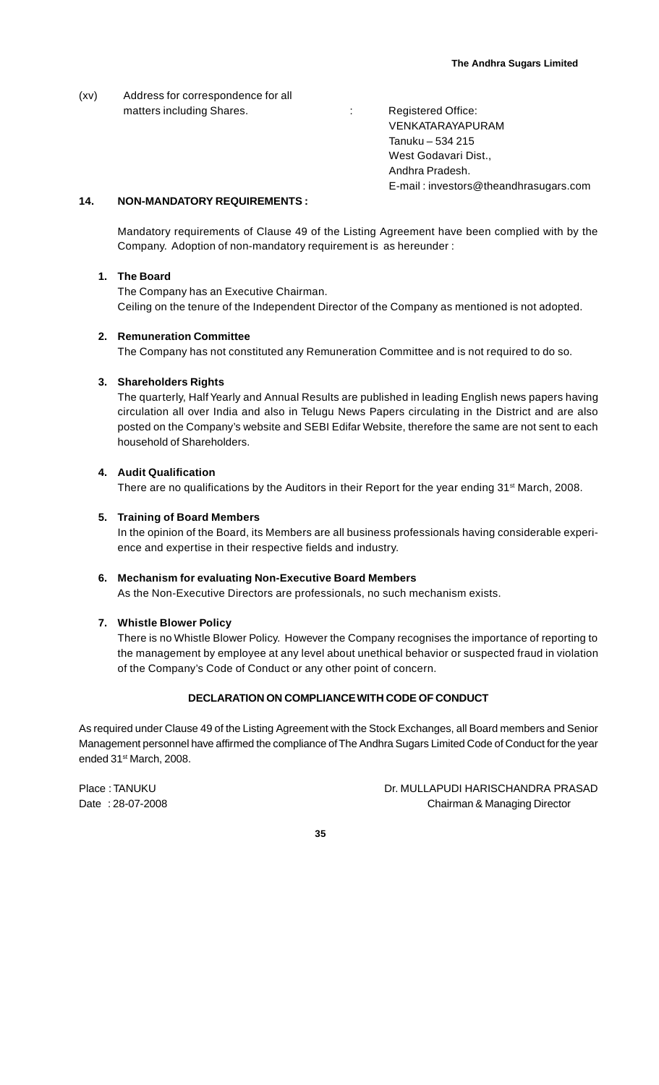(xv) Address for correspondence for all matters including Shares. The Contract of the Registered Office:

VENKATARAYAPURAM Tanuku – 534 215 West Godavari Dist., Andhra Pradesh. E-mail : investors@theandhrasugars.com

# **14. NON-MANDATORY REQUIREMENTS :**

Mandatory requirements of Clause 49 of the Listing Agreement have been complied with by the Company. Adoption of non-mandatory requirement is as hereunder :

# **1. The Board**

The Company has an Executive Chairman. Ceiling on the tenure of the Independent Director of the Company as mentioned is not adopted.

#### **2. Remuneration Committee**

The Company has not constituted any Remuneration Committee and is not required to do so.

#### **3. Shareholders Rights**

The quarterly, Half Yearly and Annual Results are published in leading English news papers having circulation all over India and also in Telugu News Papers circulating in the District and are also posted on the Company's website and SEBI Edifar Website, therefore the same are not sent to each household of Shareholders.

#### **4. Audit Qualification**

There are no qualifications by the Auditors in their Report for the year ending 31<sup>st</sup> March, 2008.

#### **5. Training of Board Members**

In the opinion of the Board, its Members are all business professionals having considerable experience and expertise in their respective fields and industry.

#### **6. Mechanism for evaluating Non-Executive Board Members**

As the Non-Executive Directors are professionals, no such mechanism exists.

#### **7. Whistle Blower Policy**

There is no Whistle Blower Policy. However the Company recognises the importance of reporting to the management by employee at any level about unethical behavior or suspected fraud in violation of the Company's Code of Conduct or any other point of concern.

#### **DECLARATION ON COMPLIANCE WITH CODE OF CONDUCT**

As required under Clause 49 of the Listing Agreement with the Stock Exchanges, all Board members and Senior Management personnel have affirmed the compliance of The Andhra Sugars Limited Code of Conduct for the year ended 31<sup>st</sup> March, 2008.

Place : TANUKU DR. MULLAPUDI HARISCHANDRA PRASAD Date : 28-07-2008 Chairman & Managing Director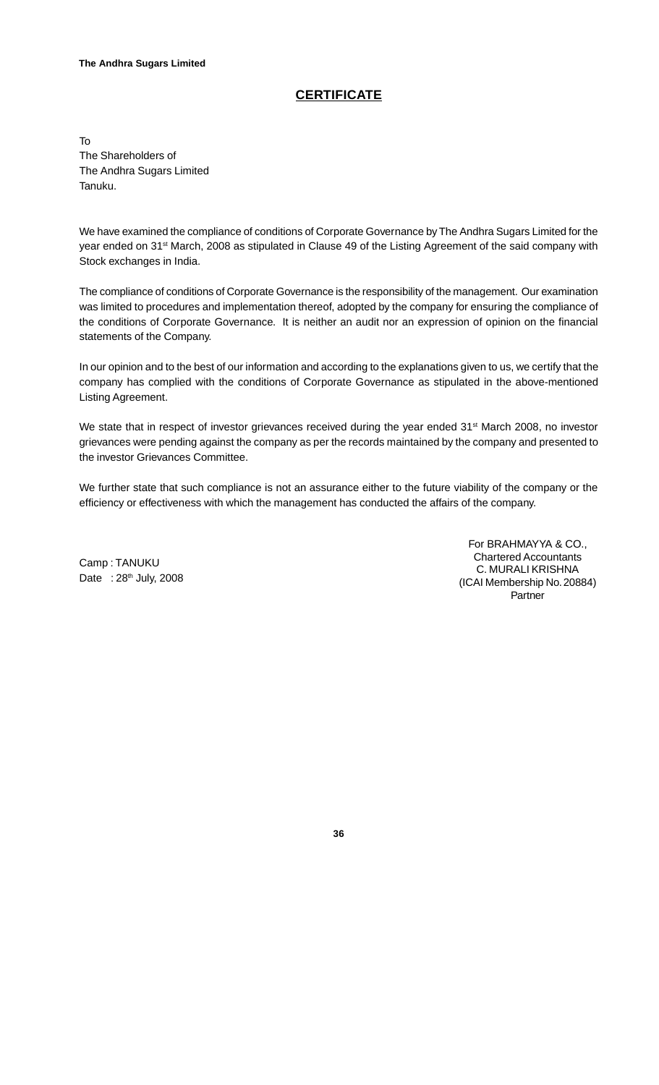# **CERTIFICATE**

To The Shareholders of The Andhra Sugars Limited Tanuku.

We have examined the compliance of conditions of Corporate Governance by The Andhra Sugars Limited for the year ended on 31<sup>st</sup> March, 2008 as stipulated in Clause 49 of the Listing Agreement of the said company with Stock exchanges in India.

The compliance of conditions of Corporate Governance is the responsibility of the management. Our examination was limited to procedures and implementation thereof, adopted by the company for ensuring the compliance of the conditions of Corporate Governance. It is neither an audit nor an expression of opinion on the financial statements of the Company.

In our opinion and to the best of our information and according to the explanations given to us, we certify that the company has complied with the conditions of Corporate Governance as stipulated in the above-mentioned Listing Agreement.

We state that in respect of investor grievances received during the year ended 31<sup>st</sup> March 2008, no investor grievances were pending against the company as per the records maintained by the company and presented to the investor Grievances Committee.

We further state that such compliance is not an assurance either to the future viability of the company or the efficiency or effectiveness with which the management has conducted the affairs of the company.

Camp : TANUKU Date : 28<sup>th</sup> July, 2008

For BRAHMAYYA & CO., Chartered Accountants C. MURALI KRISHNA (ICAI Membership No. 20884) Partner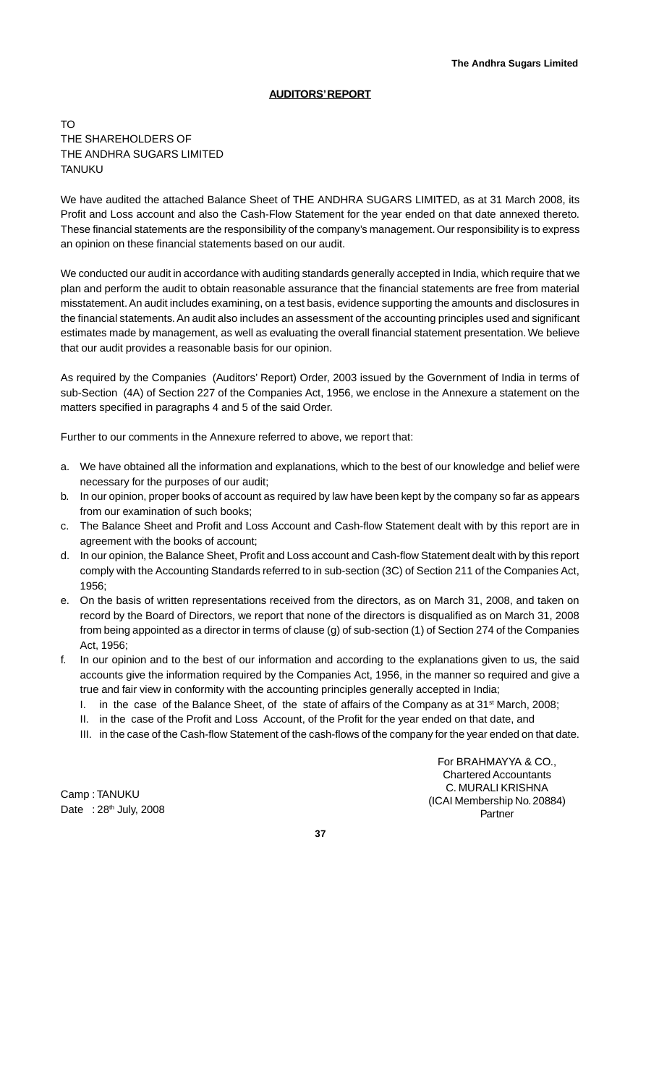## **AUDITORS' REPORT**

TO THE SHAREHOLDERS OF THE ANDHRA SUGARS LIMITED TANUKU

We have audited the attached Balance Sheet of THE ANDHRA SUGARS LIMITED, as at 31 March 2008, its Profit and Loss account and also the Cash-Flow Statement for the year ended on that date annexed thereto. These financial statements are the responsibility of the company's management. Our responsibility is to express an opinion on these financial statements based on our audit.

We conducted our audit in accordance with auditing standards generally accepted in India, which require that we plan and perform the audit to obtain reasonable assurance that the financial statements are free from material misstatement. An audit includes examining, on a test basis, evidence supporting the amounts and disclosures in the financial statements. An audit also includes an assessment of the accounting principles used and significant estimates made by management, as well as evaluating the overall financial statement presentation. We believe that our audit provides a reasonable basis for our opinion.

As required by the Companies (Auditors' Report) Order, 2003 issued by the Government of India in terms of sub-Section (4A) of Section 227 of the Companies Act, 1956, we enclose in the Annexure a statement on the matters specified in paragraphs 4 and 5 of the said Order.

Further to our comments in the Annexure referred to above, we report that:

- a. We have obtained all the information and explanations, which to the best of our knowledge and belief were necessary for the purposes of our audit;
- b. In our opinion, proper books of account as required by law have been kept by the company so far as appears from our examination of such books;
- c. The Balance Sheet and Profit and Loss Account and Cash-flow Statement dealt with by this report are in agreement with the books of account;
- d. In our opinion, the Balance Sheet, Profit and Loss account and Cash-flow Statement dealt with by this report comply with the Accounting Standards referred to in sub-section (3C) of Section 211 of the Companies Act, 1956;
- e. On the basis of written representations received from the directors, as on March 31, 2008, and taken on record by the Board of Directors, we report that none of the directors is disqualified as on March 31, 2008 from being appointed as a director in terms of clause (g) of sub-section (1) of Section 274 of the Companies Act, 1956;
- f. In our opinion and to the best of our information and according to the explanations given to us, the said accounts give the information required by the Companies Act, 1956, in the manner so required and give a true and fair view in conformity with the accounting principles generally accepted in India;
	- I. in the case of the Balance Sheet, of the state of affairs of the Company as at 31<sup>st</sup> March, 2008;
	- II. in the case of the Profit and Loss Account, of the Profit for the year ended on that date, and
	- III. in the case of the Cash-flow Statement of the cash-flows of the company for the year ended on that date.

Camp : TANUKU Date : 28<sup>th</sup> July, 2008

For BRAHMAYYA & CO., Chartered Accountants C. MURALI KRISHNA (ICAI Membership No. 20884) Partner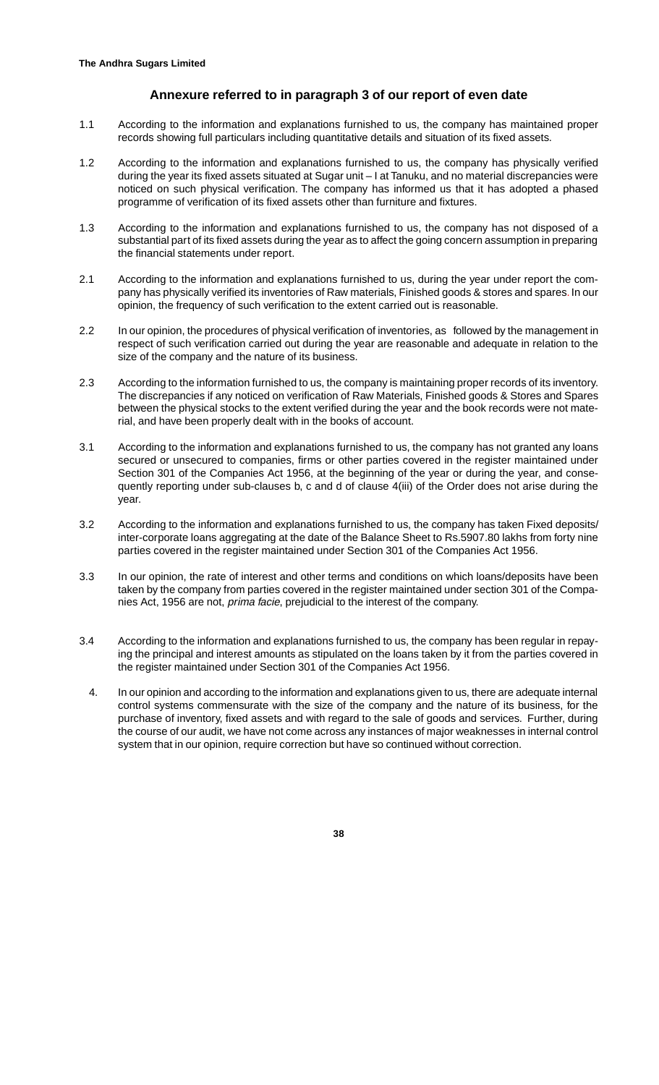## **Annexure referred to in paragraph 3 of our report of even date**

- 1.1 According to the information and explanations furnished to us, the company has maintained proper records showing full particulars including quantitative details and situation of its fixed assets.
- 1.2 According to the information and explanations furnished to us, the company has physically verified during the year its fixed assets situated at Sugar unit – I at Tanuku, and no material discrepancies were noticed on such physical verification. The company has informed us that it has adopted a phased programme of verification of its fixed assets other than furniture and fixtures.
- 1.3 According to the information and explanations furnished to us, the company has not disposed of a substantial part of its fixed assets during the year as to affect the going concern assumption in preparing the financial statements under report.
- 2.1 According to the information and explanations furnished to us, during the year under report the company has physically verified its inventories of Raw materials, Finished goods & stores and spares. In our opinion, the frequency of such verification to the extent carried out is reasonable.
- 2.2 In our opinion, the procedures of physical verification of inventories, as followed by the management in respect of such verification carried out during the year are reasonable and adequate in relation to the size of the company and the nature of its business.
- 2.3 According to the information furnished to us, the company is maintaining proper records of its inventory. The discrepancies if any noticed on verification of Raw Materials, Finished goods & Stores and Spares between the physical stocks to the extent verified during the year and the book records were not material, and have been properly dealt with in the books of account.
- 3.1 According to the information and explanations furnished to us, the company has not granted any loans secured or unsecured to companies, firms or other parties covered in the register maintained under Section 301 of the Companies Act 1956, at the beginning of the year or during the year, and consequently reporting under sub-clauses b, c and d of clause 4(iii) of the Order does not arise during the year.
- 3.2 According to the information and explanations furnished to us, the company has taken Fixed deposits/ inter-corporate loans aggregating at the date of the Balance Sheet to Rs.5907.80 lakhs from forty nine parties covered in the register maintained under Section 301 of the Companies Act 1956.
- 3.3 In our opinion, the rate of interest and other terms and conditions on which loans/deposits have been taken by the company from parties covered in the register maintained under section 301 of the Companies Act, 1956 are not, prima facie, prejudicial to the interest of the company.
- 3.4 According to the information and explanations furnished to us, the company has been regular in repaying the principal and interest amounts as stipulated on the loans taken by it from the parties covered in the register maintained under Section 301 of the Companies Act 1956.
	- 4. In our opinion and according to the information and explanations given to us, there are adequate internal control systems commensurate with the size of the company and the nature of its business, for the purchase of inventory, fixed assets and with regard to the sale of goods and services. Further, during the course of our audit, we have not come across any instances of major weaknesses in internal control system that in our opinion, require correction but have so continued without correction.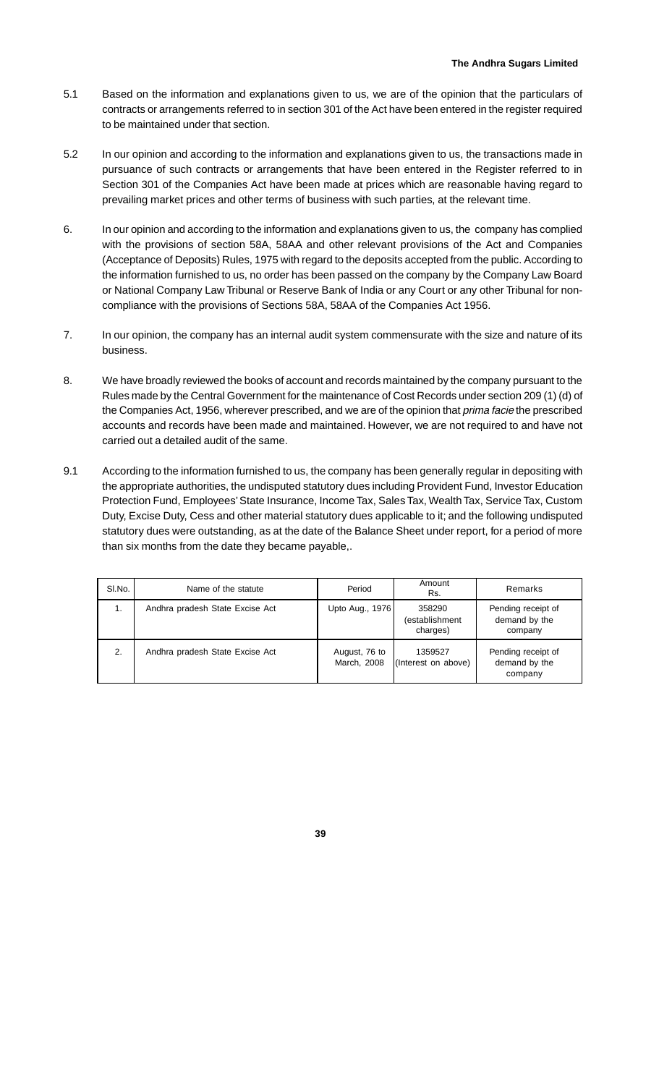- 5.1 Based on the information and explanations given to us, we are of the opinion that the particulars of contracts or arrangements referred to in section 301 of the Act have been entered in the register required to be maintained under that section.
- 5.2 In our opinion and according to the information and explanations given to us, the transactions made in pursuance of such contracts or arrangements that have been entered in the Register referred to in Section 301 of the Companies Act have been made at prices which are reasonable having regard to prevailing market prices and other terms of business with such parties, at the relevant time.
- 6. In our opinion and according to the information and explanations given to us, the company has complied with the provisions of section 58A, 58AA and other relevant provisions of the Act and Companies (Acceptance of Deposits) Rules, 1975 with regard to the deposits accepted from the public. According to the information furnished to us, no order has been passed on the company by the Company Law Board or National Company Law Tribunal or Reserve Bank of India or any Court or any other Tribunal for noncompliance with the provisions of Sections 58A, 58AA of the Companies Act 1956.
- 7. In our opinion, the company has an internal audit system commensurate with the size and nature of its business.
- 8. We have broadly reviewed the books of account and records maintained by the company pursuant to the Rules made by the Central Government for the maintenance of Cost Records under section 209 (1) (d) of the Companies Act, 1956, wherever prescribed, and we are of the opinion that prima facie the prescribed accounts and records have been made and maintained. However, we are not required to and have not carried out a detailed audit of the same.
- 9.1 According to the information furnished to us, the company has been generally regular in depositing with the appropriate authorities, the undisputed statutory dues including Provident Fund, Investor Education Protection Fund, Employees' State Insurance, Income Tax, Sales Tax, Wealth Tax, Service Tax, Custom Duty, Excise Duty, Cess and other material statutory dues applicable to it; and the following undisputed statutory dues were outstanding, as at the date of the Balance Sheet under report, for a period of more than six months from the date they became payable,.

| SI.No. | Period<br>Name of the statute   |                              | Amount<br>Rs.                        | Remarks                                        |  |  |
|--------|---------------------------------|------------------------------|--------------------------------------|------------------------------------------------|--|--|
| 1.     | Andhra pradesh State Excise Act | Upto Aug., 1976              | 358290<br>(establishment<br>charges) | Pending receipt of<br>demand by the<br>company |  |  |
| 2.     | Andhra pradesh State Excise Act | August, 76 to<br>March, 2008 | 1359527<br>(Interest on above)       | Pending receipt of<br>demand by the<br>company |  |  |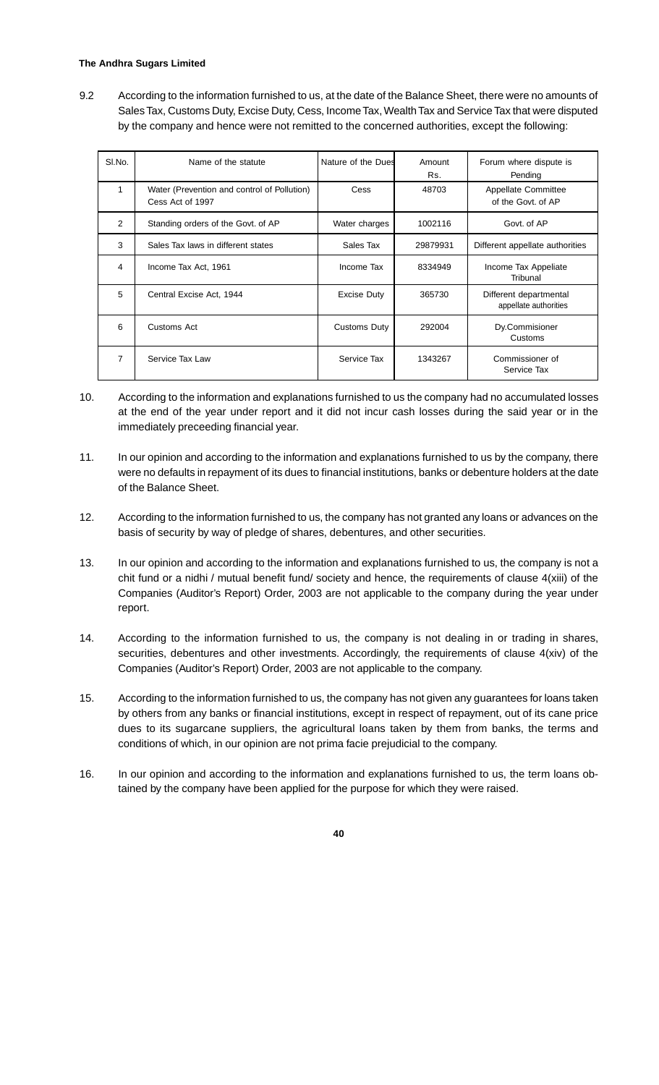## **The Andhra Sugars Limited**

9.2 According to the information furnished to us, at the date of the Balance Sheet, there were no amounts of Sales Tax, Customs Duty, Excise Duty, Cess, Income Tax, Wealth Tax and Service Tax that were disputed by the company and hence were not remitted to the concerned authorities, except the following:

| SI.No. | Name of the statute                                             | Nature of the Dues  | Amount<br>Rs. | Forum where dispute is<br>Pending                |
|--------|-----------------------------------------------------------------|---------------------|---------------|--------------------------------------------------|
| 1      | Water (Prevention and control of Pollution)<br>Cess Act of 1997 | Cess                | 48703         | <b>Appellate Committee</b><br>of the Govt. of AP |
| 2      | Standing orders of the Govt. of AP                              | Water charges       | 1002116       | Govt. of AP                                      |
| 3      | Sales Tax laws in different states                              | Sales Tax           | 29879931      | Different appellate authorities                  |
| 4      | Income Tax Act, 1961                                            | Income Tax          | 8334949       | Income Tax Appeliate<br>Tribunal                 |
| 5      | Central Excise Act, 1944                                        | <b>Excise Duty</b>  | 365730        | Different departmental<br>appellate authorities  |
| 6      | Customs Act                                                     | <b>Customs Duty</b> | 292004        | Dy.Commisioner<br>Customs                        |
| 7      | Service Tax Law                                                 | Service Tax         | 1343267       | Commissioner of<br>Service Tax                   |

- 10. According to the information and explanations furnished to us the company had no accumulated losses at the end of the year under report and it did not incur cash losses during the said year or in the immediately preceeding financial year.
- 11. In our opinion and according to the information and explanations furnished to us by the company, there were no defaults in repayment of its dues to financial institutions, banks or debenture holders at the date of the Balance Sheet.
- 12. According to the information furnished to us, the company has not granted any loans or advances on the basis of security by way of pledge of shares, debentures, and other securities.
- 13. In our opinion and according to the information and explanations furnished to us, the company is not a chit fund or a nidhi / mutual benefit fund/ society and hence, the requirements of clause 4(xiii) of the Companies (Auditor's Report) Order, 2003 are not applicable to the company during the year under report.
- 14. According to the information furnished to us, the company is not dealing in or trading in shares, securities, debentures and other investments. Accordingly, the requirements of clause 4(xiv) of the Companies (Auditor's Report) Order, 2003 are not applicable to the company.
- 15. According to the information furnished to us, the company has not given any guarantees for loans taken by others from any banks or financial institutions, except in respect of repayment, out of its cane price dues to its sugarcane suppliers, the agricultural loans taken by them from banks, the terms and conditions of which, in our opinion are not prima facie prejudicial to the company.
- 16. In our opinion and according to the information and explanations furnished to us, the term loans obtained by the company have been applied for the purpose for which they were raised.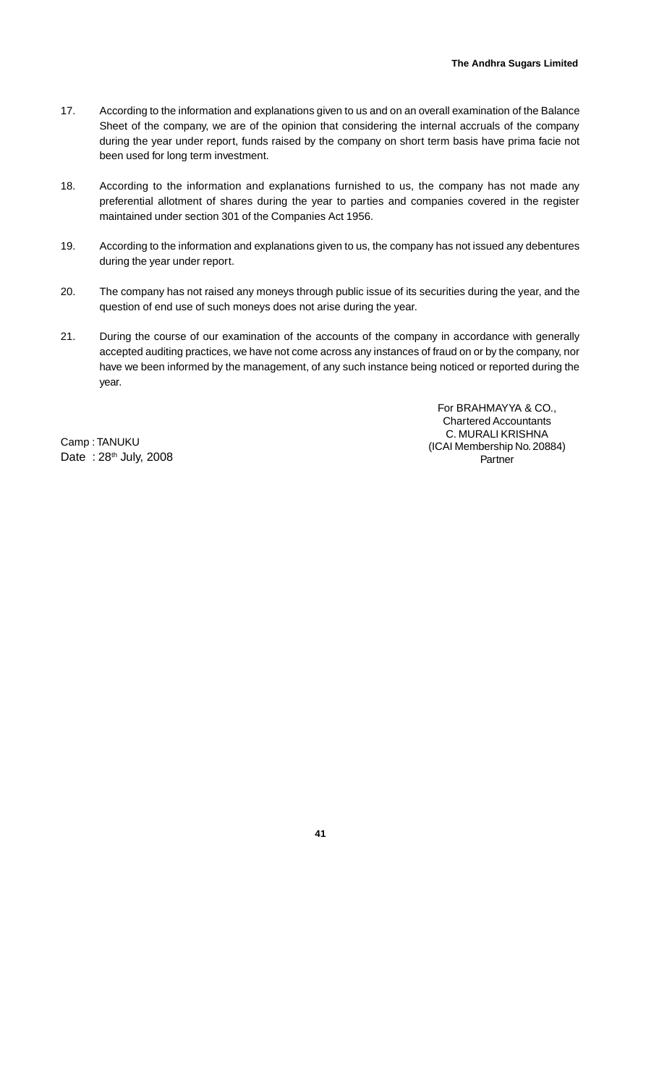- 17. According to the information and explanations given to us and on an overall examination of the Balance Sheet of the company, we are of the opinion that considering the internal accruals of the company during the year under report, funds raised by the company on short term basis have prima facie not been used for long term investment.
- 18. According to the information and explanations furnished to us, the company has not made any preferential allotment of shares during the year to parties and companies covered in the register maintained under section 301 of the Companies Act 1956.
- 19. According to the information and explanations given to us, the company has not issued any debentures during the year under report.
- 20. The company has not raised any moneys through public issue of its securities during the year, and the question of end use of such moneys does not arise during the year.
- 21. During the course of our examination of the accounts of the company in accordance with generally accepted auditing practices, we have not come across any instances of fraud on or by the company, nor have we been informed by the management, of any such instance being noticed or reported during the year.

Camp : TANUKU Date: 28<sup>th</sup> July, 2008

For BRAHMAYYA & CO., Chartered Accountants C. MURALI KRISHNA (ICAI Membership No. 20884) Partner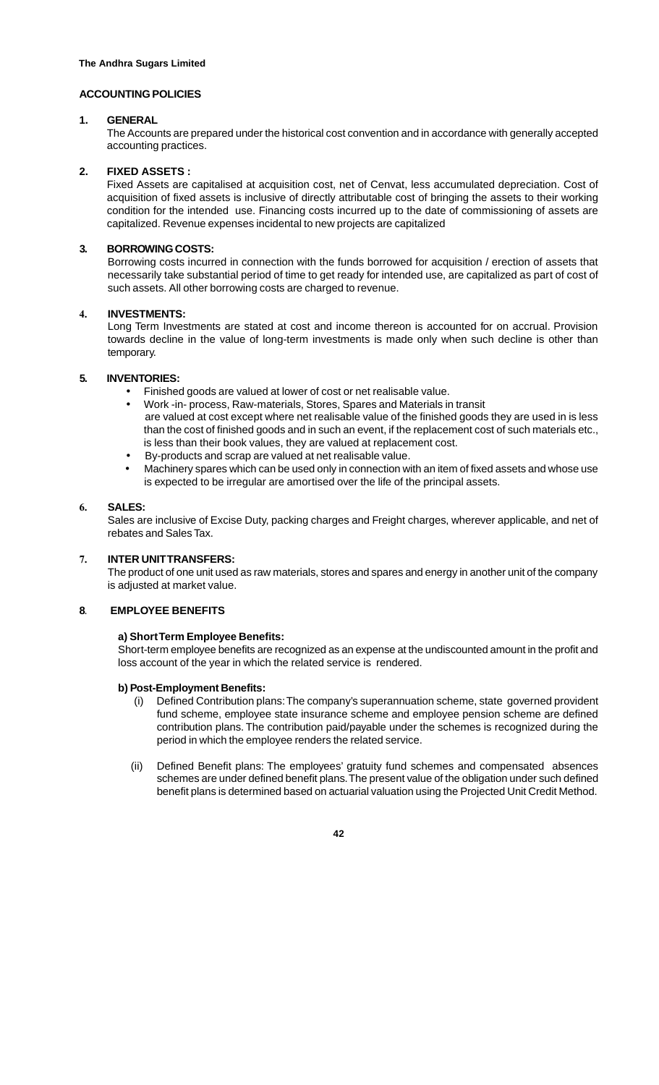## **ACCOUNTING POLICIES**

#### **1. GENERAL**

The Accounts are prepared under the historical cost convention and in accordance with generally accepted accounting practices.

## **2. FIXED ASSETS :**

Fixed Assets are capitalised at acquisition cost, net of Cenvat, less accumulated depreciation. Cost of acquisition of fixed assets is inclusive of directly attributable cost of bringing the assets to their working condition for the intended use. Financing costs incurred up to the date of commissioning of assets are capitalized. Revenue expenses incidental to new projects are capitalized

## **3. BORROWING COSTS:**

Borrowing costs incurred in connection with the funds borrowed for acquisition / erection of assets that necessarily take substantial period of time to get ready for intended use, are capitalized as part of cost of such assets. All other borrowing costs are charged to revenue.

## 4. **INVESTMENTS:**

Long Term Investments are stated at cost and income thereon is accounted for on accrual. Provision towards decline in the value of long-term investments is made only when such decline is other than temporary.

## **5. INVENTORIES:**

- Finished goods are valued at lower of cost or net realisable value.
- Work -in- process, Raw-materials, Stores, Spares and Materials in transit are valued at cost except where net realisable value of the finished goods they are used in is less than the cost of finished goods and in such an event, if the replacement cost of such materials etc., is less than their book values, they are valued at replacement cost.
- By-products and scrap are valued at net realisable value.
- Machinery spares which can be used only in connection with an item of fixed assets and whose use is expected to be irregular are amortised over the life of the principal assets.

## 6. **SALES:**

Sales are inclusive of Excise Duty, packing charges and Freight charges, wherever applicable, and net of rebates and Sales Tax.

#### 7. **INTER UNIT TRANSFERS:**

The product of one unit used as raw materials, stores and spares and energy in another unit of the company is adjusted at market value.

#### **8**. **EMPLOYEE BENEFITS**

## **a) Short Term Employee Benefits:**

Short-term employee benefits are recognized as an expense at the undiscounted amount in the profit and loss account of the year in which the related service is rendered.

#### **b) Post-Employment Benefits:**

- Defined Contribution plans: The company's superannuation scheme, state governed provident fund scheme, employee state insurance scheme and employee pension scheme are defined contribution plans. The contribution paid/payable under the schemes is recognized during the period in which the employee renders the related service.
- (ii) Defined Benefit plans: The employees' gratuity fund schemes and compensated absences schemes are under defined benefit plans. The present value of the obligation under such defined benefit plans is determined based on actuarial valuation using the Projected Unit Credit Method.

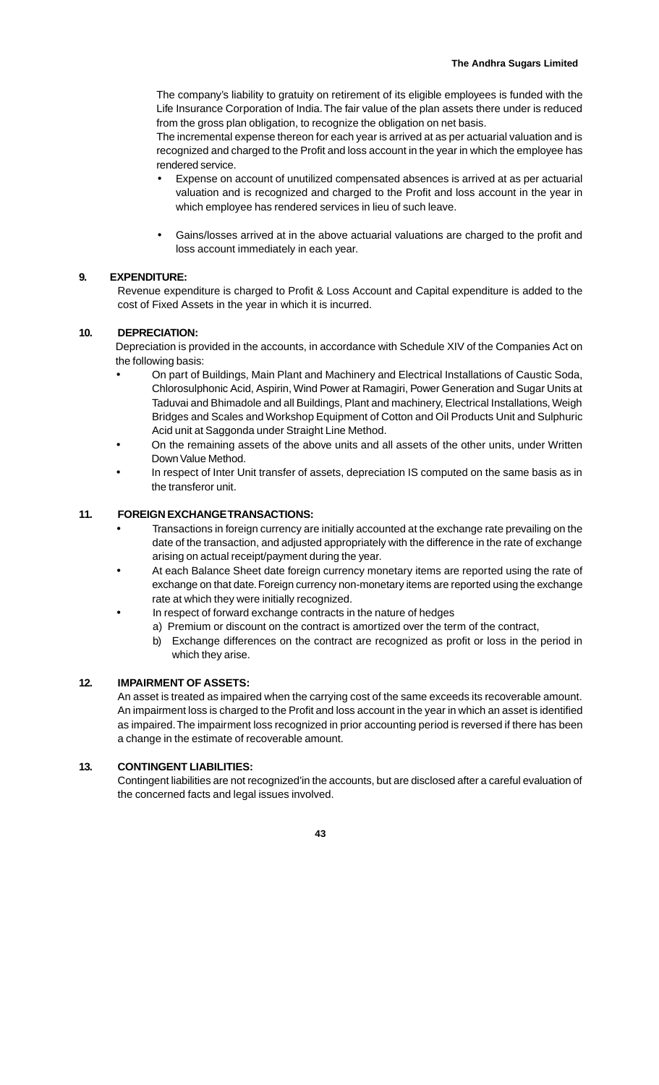The company's liability to gratuity on retirement of its eligible employees is funded with the Life Insurance Corporation of India. The fair value of the plan assets there under is reduced from the gross plan obligation, to recognize the obligation on net basis.

The incremental expense thereon for each year is arrived at as per actuarial valuation and is recognized and charged to the Profit and loss account in the year in which the employee has rendered service.

- Expense on account of unutilized compensated absences is arrived at as per actuarial valuation and is recognized and charged to the Profit and loss account in the year in which employee has rendered services in lieu of such leave.
- Gains/losses arrived at in the above actuarial valuations are charged to the profit and loss account immediately in each year.

## **9. EXPENDITURE:**

Revenue expenditure is charged to Profit & Loss Account and Capital expenditure is added to the cost of Fixed Assets in the year in which it is incurred.

## **10. DEPRECIATION:**

Depreciation is provided in the accounts, in accordance with Schedule XIV of the Companies Act on the following basis:

- On part of Buildings, Main Plant and Machinery and Electrical Installations of Caustic Soda, Chlorosulphonic Acid, Aspirin, Wind Power at Ramagiri, Power Generation and Sugar Units at Taduvai and Bhimadole and all Buildings, Plant and machinery, Electrical Installations, Weigh Bridges and Scales and Workshop Equipment of Cotton and Oil Products Unit and Sulphuric Acid unit at Saggonda under Straight Line Method.
- On the remaining assets of the above units and all assets of the other units, under Written Down Value Method.
- In respect of Inter Unit transfer of assets, depreciation IS computed on the same basis as in the transferor unit.

## **11. FOREIGN EXCHANGE TRANSACTIONS:**

- Transactions in foreign currency are initially accounted at the exchange rate prevailing on the date of the transaction, and adjusted appropriately with the difference in the rate of exchange arising on actual receipt/payment during the year.
- At each Balance Sheet date foreign currency monetary items are reported using the rate of exchange on that date. Foreign currency non-monetary items are reported using the exchange rate at which they were initially recognized.
- In respect of forward exchange contracts in the nature of hedges
	- a) Premium or discount on the contract is amortized over the term of the contract,
		- b) Exchange differences on the contract are recognized as profit or loss in the period in which they arise.

## **12. IMPAIRMENT OF ASSETS:**

An asset is treated as impaired when the carrying cost of the same exceeds its recoverable amount. An impairment loss is charged to the Profit and loss account in the year in which an asset is identified as impaired. The impairment loss recognized in prior accounting period is reversed if there has been a change in the estimate of recoverable amount.

#### **13. CONTINGENT LIABILITIES:**

Contingent liabilities are not recognized'in the accounts, but are disclosed after a careful evaluation of the concerned facts and legal issues involved.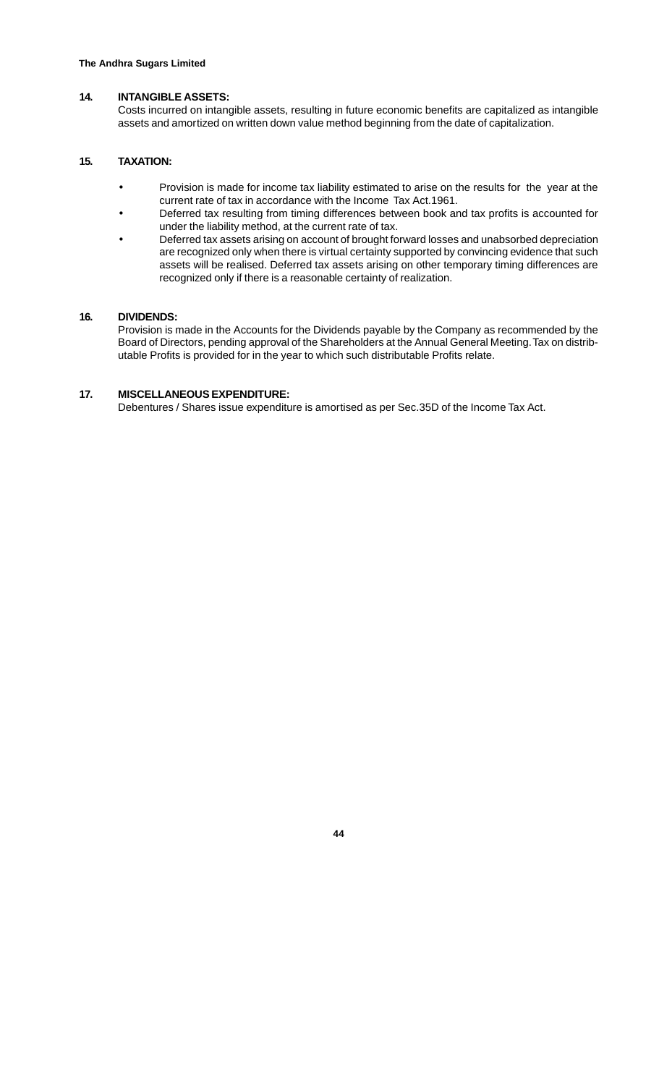## **14. INTANGIBLE ASSETS:**

Costs incurred on intangible assets, resulting in future economic benefits are capitalized as intangible assets and amortized on written down value method beginning from the date of capitalization.

## **15. TAXATION:**

- Provision is made for income tax liability estimated to arise on the results for the year at the current rate of tax in accordance with the Income Tax Act.1961.
- Deferred tax resulting from timing differences between book and tax profits is accounted for under the liability method, at the current rate of tax.
- Deferred tax assets arising on account of brought forward losses and unabsorbed depreciation are recognized only when there is virtual certainty supported by convincing evidence that such assets will be realised. Deferred tax assets arising on other temporary timing differences are recognized only if there is a reasonable certainty of realization.

## **16. DIVIDENDS:**

Provision is made in the Accounts for the Dividends payable by the Company as recommended by the Board of Directors, pending approval of the Shareholders at the Annual General Meeting. Tax on distributable Profits is provided for in the year to which such distributable Profits relate.

## **17. MISCELLANEOUS EXPENDITURE:**

Debentures / Shares issue expenditure is amortised as per Sec.35D of the Income Tax Act.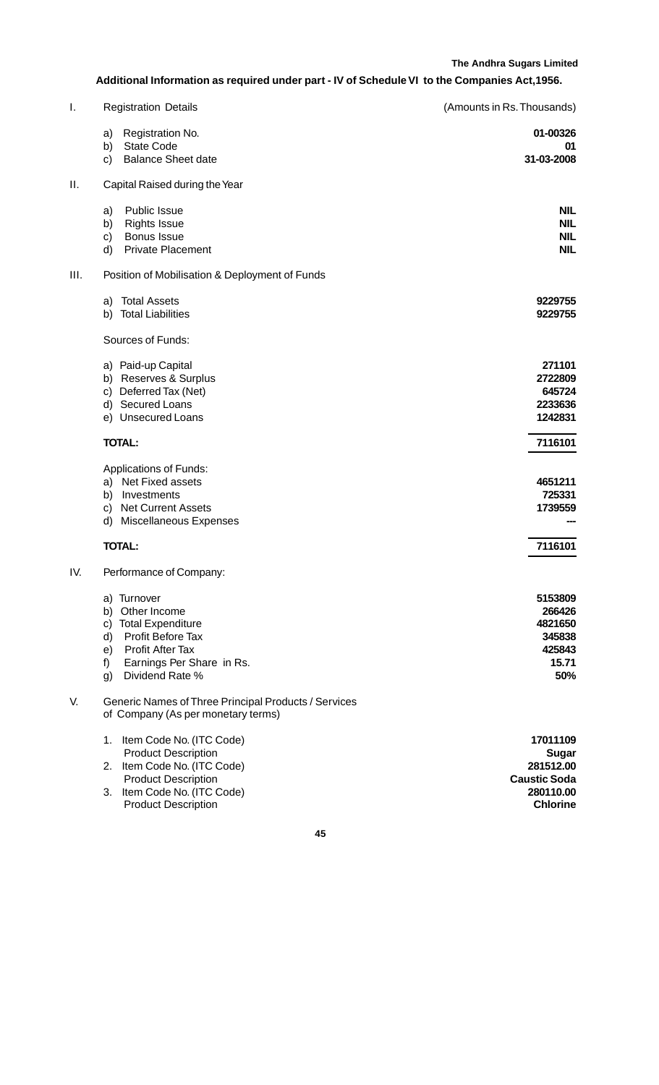## **Additional Information as required under part - IV of Schedule VI to the Companies Act,1956.**

| I.   | <b>Registration Details</b>                                                                                                                                                                  | (Amounts in Rs. Thousands)                                                            |
|------|----------------------------------------------------------------------------------------------------------------------------------------------------------------------------------------------|---------------------------------------------------------------------------------------|
|      | Registration No.<br>a)<br><b>State Code</b><br>b)<br><b>Balance Sheet date</b><br>c)                                                                                                         | 01-00326<br>01<br>31-03-2008                                                          |
| Π.   | Capital Raised during the Year                                                                                                                                                               |                                                                                       |
|      | Public Issue<br>a)<br><b>Rights Issue</b><br>b)<br>Bonus Issue<br>c)<br><b>Private Placement</b><br>d)                                                                                       | <b>NIL</b><br><b>NIL</b><br><b>NIL</b><br><b>NIL</b>                                  |
| III. | Position of Mobilisation & Deployment of Funds                                                                                                                                               |                                                                                       |
|      | <b>Total Assets</b><br>a)<br><b>Total Liabilities</b><br>b)                                                                                                                                  | 9229755<br>9229755                                                                    |
|      | Sources of Funds:                                                                                                                                                                            |                                                                                       |
|      | a) Paid-up Capital<br>Reserves & Surplus<br>b)<br>Deferred Tax (Net)<br>c)<br>d) Secured Loans<br>e) Unsecured Loans                                                                         | 271101<br>2722809<br>645724<br>2233636<br>1242831                                     |
|      | <b>TOTAL:</b>                                                                                                                                                                                | 7116101                                                                               |
|      | <b>Applications of Funds:</b><br>Net Fixed assets<br>a)<br>Investments<br>b)<br><b>Net Current Assets</b><br>c)<br>Miscellaneous Expenses<br>d)                                              | 4651211<br>725331<br>1739559                                                          |
|      | <b>TOTAL:</b>                                                                                                                                                                                | 7116101                                                                               |
| IV.  | Performance of Company:                                                                                                                                                                      |                                                                                       |
|      | a) Turnover<br>b) Other Income<br>c) Total Expenditure<br>Profit Before Tax<br>d)<br><b>Profit After Tax</b><br>e)<br>Earnings Per Share in Rs.<br>f)<br>Dividend Rate %<br>g)               | 5153809<br>266426<br>4821650<br>345838<br>425843<br>15.71<br>50%                      |
| V.   | Generic Names of Three Principal Products / Services<br>of Company (As per monetary terms)                                                                                                   |                                                                                       |
|      | Item Code No. (ITC Code)<br>1.<br><b>Product Description</b><br>Item Code No. (ITC Code)<br>2.<br><b>Product Description</b><br>Item Code No. (ITC Code)<br>3.<br><b>Product Description</b> | 17011109<br>Sugar<br>281512.00<br><b>Caustic Soda</b><br>280110.00<br><b>Chlorine</b> |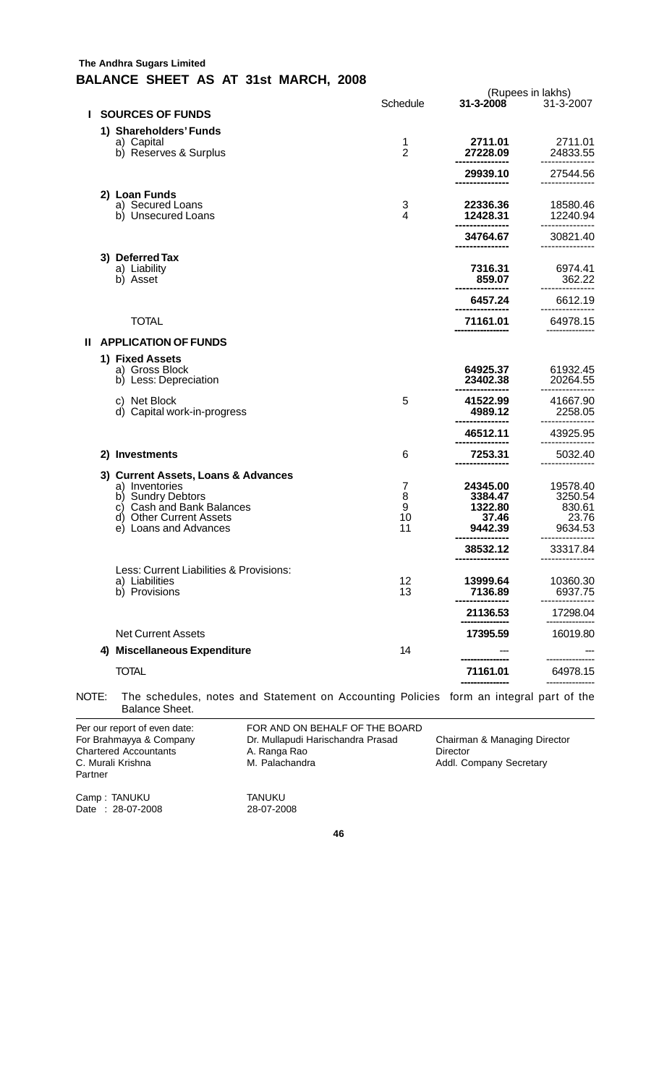## **The Andhra Sugars Limited BALANCE SHEET AS AT 31st MARCH, 2008**

|   |                                                                                                                                                             |                         |                                                    | (Rupees in lakhs)                                 |
|---|-------------------------------------------------------------------------------------------------------------------------------------------------------------|-------------------------|----------------------------------------------------|---------------------------------------------------|
| L | <b>SOURCES OF FUNDS</b>                                                                                                                                     | Schedule                | 31-3-2008                                          | 31-3-2007                                         |
|   | 1) Shareholders' Funds                                                                                                                                      |                         |                                                    |                                                   |
|   | a) Capital<br>b) Reserves & Surplus                                                                                                                         | 1<br>$\overline{2}$     | 2711.01<br>27228.09                                | 2711.01<br>24833.55<br>---------------            |
|   |                                                                                                                                                             |                         | 29939.10                                           | 27544.56                                          |
|   | 2) Loan Funds<br>a) Secured Loans<br>b) Unsecured Loans                                                                                                     | 3<br>4                  | 22336.36<br>12428.31                               | 18580.46<br>12240.94                              |
|   |                                                                                                                                                             |                         | 34764.67                                           | 30821.40                                          |
|   | 3) Deferred Tax<br>a) Liability<br>b) Asset                                                                                                                 |                         | 7316.31<br>859.07                                  | 6974.41<br>362.22                                 |
|   |                                                                                                                                                             |                         | 6457.24                                            | 6612.19                                           |
|   | <b>TOTAL</b>                                                                                                                                                |                         | 71161.01                                           | 64978.15                                          |
|   | <b>II APPLICATION OF FUNDS</b>                                                                                                                              |                         |                                                    |                                                   |
|   | 1) Fixed Assets<br>a) Gross Block<br>b) Less: Depreciation                                                                                                  |                         | 64925.37<br>23402.38                               | 61932.45<br>20264.55                              |
|   | c) Net Block<br>d) Capital work-in-progress                                                                                                                 | 5                       | 41522.99<br>4989.12                                | 41667.90<br>2258.05                               |
|   |                                                                                                                                                             |                         | 46512.11                                           | 43925.95                                          |
|   | 2) Investments                                                                                                                                              | 6                       | 7253.31                                            | 5032.40                                           |
|   | 3) Current Assets, Loans & Advances<br>a) Inventories<br>b) Sundry Debtors<br>c) Cash and Bank Balances<br>d) Other Current Assets<br>e) Loans and Advances | 7<br>8<br>9<br>10<br>11 | 24345.00<br>3384.47<br>1322.80<br>37.46<br>9442.39 | 19578.40<br>3250.54<br>830.61<br>23.76<br>9634.53 |
|   |                                                                                                                                                             |                         | 38532.12                                           | 33317.84                                          |
|   | Less: Current Liabilities & Provisions:<br>a) Liabilities<br>b) Provisions                                                                                  | 12<br>13                | 13999.64<br>7136.89                                | 10360.30<br>6937.75                               |
|   |                                                                                                                                                             |                         | 21136.53                                           | 17298.04                                          |
|   | <b>Net Current Assets</b>                                                                                                                                   |                         | 17395.59                                           | 16019.80                                          |
|   | 4) Miscellaneous Expenditure                                                                                                                                | 14                      |                                                    |                                                   |
|   | <b>TOTAL</b>                                                                                                                                                |                         | 71161.01                                           | 64978.15                                          |
|   | The schedules, notes and Statement on Accounting Policies form an integral part of the<br>OTE:                                                              |                         |                                                    |                                                   |

NOTE: The schedules, notes and Statement on Accounting Policies form an integral part of the Balance Sheet.

Per our report of even date: FOR AND ON BEHALF OF THE BOARD<br>For Brahmayya & Company Dr. Mullapudi Harischandra Prasad Dr. Mullapudi Harischandra Prasad Chairman & Managing Director Chartered Accountants A. Ranga Rao Director C. Murali Krishna (C. Murali Addl. Co Addl. Company Secretary Partner Camp : TANUKU TANUKU Date : 28-07-2008 28-07-2008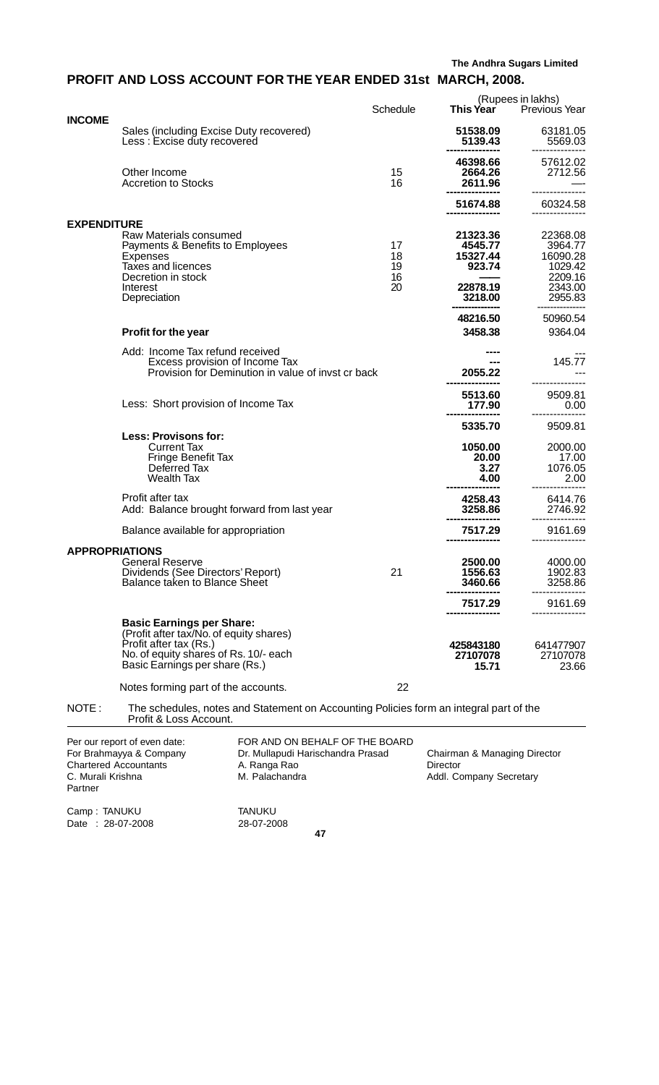# **PROFIT AND LOSS ACCOUNT FOR THE YEAR ENDED 31st MARCH, 2008.**

|                       |                                                                                                                                                                                  |                            |                                                                  | (Rupees in lakhs)                                                           |
|-----------------------|----------------------------------------------------------------------------------------------------------------------------------------------------------------------------------|----------------------------|------------------------------------------------------------------|-----------------------------------------------------------------------------|
|                       |                                                                                                                                                                                  | Schedule                   | <b>This Year</b>                                                 | <b>Previous Year</b>                                                        |
| <b>INCOME</b>         | Sales (including Excise Duty recovered)<br>Less: Excise duty recovered                                                                                                           |                            | 51538.09<br>5139.43                                              | 63181.05<br>5569.03                                                         |
|                       | Other Income<br><b>Accretion to Stocks</b>                                                                                                                                       | 15<br>16                   | 46398.66<br>2664.26<br>2611.96                                   | 57612.02<br>2712.56                                                         |
|                       |                                                                                                                                                                                  |                            | 51674.88                                                         | 60324.58                                                                    |
| <b>EXPENDITURE</b>    |                                                                                                                                                                                  |                            |                                                                  |                                                                             |
|                       | Raw Materials consumed<br>Payments & Benefits to Employees<br>Expenses<br>Taxes and licences<br>Decretion in stock<br>Interest<br>Depreciation                                   | 17<br>18<br>19<br>16<br>20 | 21323.36<br>4545.77<br>15327.44<br>923.74<br>22878.19<br>3218.00 | 22368.08<br>3964.77<br>16090.28<br>1029.42<br>2209.16<br>2343.00<br>2955.83 |
|                       |                                                                                                                                                                                  |                            |                                                                  |                                                                             |
|                       | Profit for the year                                                                                                                                                              |                            | 48216.50<br>3458.38                                              | 50960.54<br>9364.04                                                         |
|                       | Add: Income Tax refund received<br>Excess provision of Income Tax<br>Provision for Deminution in value of invst cr back                                                          |                            | 2055.22                                                          | 145.77                                                                      |
|                       | Less: Short provision of Income Tax                                                                                                                                              |                            | 5513.60<br>177.90                                                | 9509.81<br>0.00                                                             |
|                       |                                                                                                                                                                                  |                            | 5335.70                                                          | 9509.81                                                                     |
|                       | <b>Less: Provisons for:</b><br><b>Current Tax</b><br>Fringe Benefit Tax<br>Deferred Tax<br><b>Wealth Tax</b>                                                                     |                            | 1050.00<br>20.00<br>3.27<br>4.00                                 | 2000.00<br>17.00<br>1076.05<br>2.00                                         |
|                       | Profit after tax<br>Add: Balance brought forward from last year                                                                                                                  |                            | 4258.43<br>3258.86                                               | 6414.76<br>2746.92                                                          |
|                       | Balance available for appropriation                                                                                                                                              |                            | 7517.29                                                          | 9161.69                                                                     |
| <b>APPROPRIATIONS</b> | <b>General Reserve</b><br>Dividends (See Directors' Report)<br>Balance taken to Blance Sheet                                                                                     | 21                         | 2500.00<br>1556.63<br>3460.66                                    | 4000.00<br>1902.83<br>3258.86                                               |
|                       |                                                                                                                                                                                  |                            | 7517.29                                                          | 9161.69                                                                     |
|                       | <b>Basic Earnings per Share:</b><br>(Profit after tax/No. of equity shares)<br>Profit after tax (Rs.)<br>No. of equity shares of Rs. 10/- each<br>Basic Earnings per share (Rs.) |                            | 425843180<br>27107078<br>15.71                                   | 641477907<br>27107078<br>23.66                                              |
|                       | Notes forming part of the accounts.                                                                                                                                              | 22                         |                                                                  |                                                                             |
|                       |                                                                                                                                                                                  |                            |                                                                  |                                                                             |

NOTE : The schedules, notes and Statement on Accounting Policies form an integral part of the Profit & Loss Account.

| Per our report of even date: | FOR AND ON BEHALF OF THE BOARD    |                              |
|------------------------------|-----------------------------------|------------------------------|
| For Brahmayya & Company      | Dr. Mullapudi Harischandra Prasad | Chairman & Managing Director |
| <b>Chartered Accountants</b> | A. Ranga Rao                      | Director                     |
| C. Murali Krishna            | M. Palachandra                    | Addl. Company Secretary      |
| Partner                      |                                   |                              |
| Camp: TANUKU                 | <b>TANUKU</b>                     |                              |
| Date: 28-07-2008             | 28-07-2008                        |                              |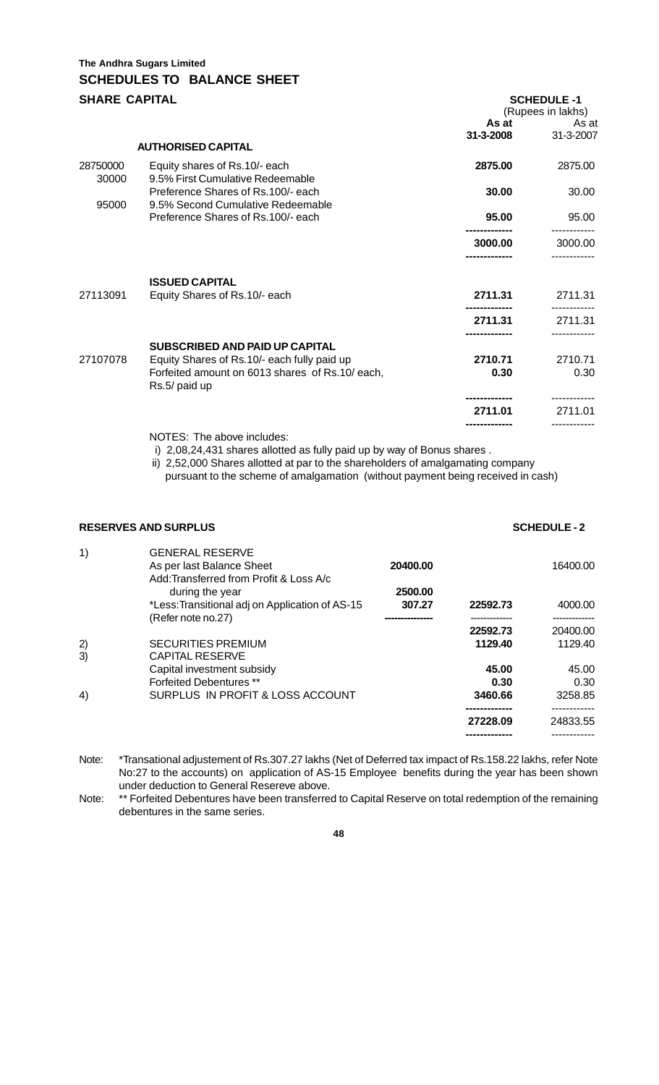# **The Andhra Sugars Limited SCHEDULES TO BALANCE SHEET**

| <b>SHARE CAPITAL</b> |                                                                                                                 |                    | <b>SCHEDULE -1</b><br>(Rupees in lakhs) |  |  |
|----------------------|-----------------------------------------------------------------------------------------------------------------|--------------------|-----------------------------------------|--|--|
|                      | <b>AUTHORISED CAPITAL</b>                                                                                       | As at<br>31-3-2008 | As at<br>31-3-2007                      |  |  |
| 28750000<br>30000    | Equity shares of Rs.10/- each<br>9.5% First Cumulative Redeemable                                               | 2875.00            | 2875.00                                 |  |  |
| 95000                | Preference Shares of Rs.100/- each<br>9.5% Second Cumulative Redeemable                                         | 30.00              | 30.00                                   |  |  |
|                      | Preference Shares of Rs.100/- each                                                                              | 95.00              | 95.00                                   |  |  |
|                      |                                                                                                                 | 3000.00            | 3000.00                                 |  |  |
|                      | <b>ISSUED CAPITAL</b>                                                                                           |                    |                                         |  |  |
| 27113091             | Equity Shares of Rs.10/- each                                                                                   | 2711.31            | 2711.31                                 |  |  |
|                      |                                                                                                                 | 2711.31            | 2711.31                                 |  |  |
|                      | <b>SUBSCRIBED AND PAID UP CAPITAL</b>                                                                           |                    |                                         |  |  |
| 27107078             | Equity Shares of Rs.10/- each fully paid up<br>Forfeited amount on 6013 shares of Rs.10/ each,<br>Rs.5/ paid up | 2710.71<br>0.30    | 2710.71<br>0.30                         |  |  |
|                      |                                                                                                                 | 2711.01            | 2711.01                                 |  |  |
|                      |                                                                                                                 |                    |                                         |  |  |

NOTES: The above includes:

i) 2,08,24,431 shares allotted as fully paid up by way of Bonus shares .

 ii) 2,52,000 Shares allotted at par to the shareholders of amalgamating company pursuant to the scheme of amalgamation (without payment being received in cash)

## **RESERVES AND SURPLUS SCHEDULE - 2**

| 1) | <b>GENERAL RESERVE</b><br>As per last Balance Sheet<br>Add: Transferred from Profit & Loss A/c | 20400.00 | 16400.00 |          |
|----|------------------------------------------------------------------------------------------------|----------|----------|----------|
|    | during the year                                                                                | 2500.00  |          |          |
|    | *Less: Transitional adj on Application of AS-15                                                | 307.27   | 22592.73 | 4000.00  |
|    | (Refer note no.27)                                                                             |          |          |          |
|    |                                                                                                |          | 22592.73 | 20400.00 |
| 2) | <b>SECURITIES PREMIUM</b>                                                                      |          | 1129.40  | 1129.40  |
| 3) | <b>CAPITAL RESERVE</b>                                                                         |          |          |          |
|    | Capital investment subsidy                                                                     |          | 45.00    | 45.00    |
|    | <b>Forfeited Debentures</b> **                                                                 |          | 0.30     | 0.30     |
| 4) | SURPLUS IN PROFIT & LOSS ACCOUNT                                                               |          | 3460.66  | 3258.85  |
|    |                                                                                                |          |          |          |
|    |                                                                                                |          | 27228.09 | 24833.55 |
|    |                                                                                                |          |          |          |

Note: \*Transational adjustement of Rs.307.27 lakhs (Net of Deferred tax impact of Rs.158.22 lakhs, refer Note No:27 to the accounts) on application of AS-15 Employee benefits during the year has been shown under deduction to General Resereve above.

Note: \*\* Forfeited Debentures have been transferred to Capital Reserve on total redemption of the remaining debentures in the same series.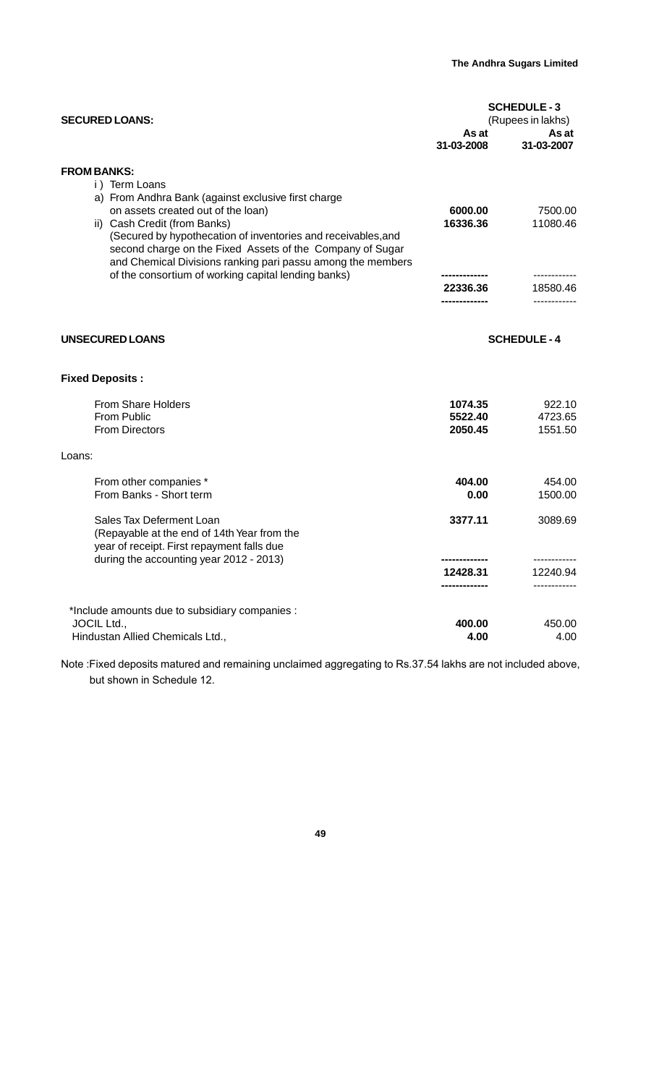| <b>SCHEDULE-3</b><br><b>SECURED LOANS:</b><br>(Rupees in lakhs)                                                                                                                                                                                                                                                                                               |                               |                                          |
|---------------------------------------------------------------------------------------------------------------------------------------------------------------------------------------------------------------------------------------------------------------------------------------------------------------------------------------------------------------|-------------------------------|------------------------------------------|
|                                                                                                                                                                                                                                                                                                                                                               | As at<br>31-03-2008           | As at<br>31-03-2007                      |
| <b>FROM BANKS:</b><br>i) Term Loans<br>a) From Andhra Bank (against exclusive first charge<br>on assets created out of the loan)<br>ii) Cash Credit (from Banks)<br>(Secured by hypothecation of inventories and receivables, and<br>second charge on the Fixed Assets of the Company of Sugar<br>and Chemical Divisions ranking pari passu among the members | 6000.00<br>16336.36           | 7500.00<br>11080.46                      |
| of the consortium of working capital lending banks)                                                                                                                                                                                                                                                                                                           | 22336.36                      | ------------<br>18580.46<br>------------ |
| UNSECURED LOANS                                                                                                                                                                                                                                                                                                                                               |                               | <b>SCHEDULE-4</b>                        |
| <b>Fixed Deposits:</b>                                                                                                                                                                                                                                                                                                                                        |                               |                                          |
| From Share Holders<br>From Public<br><b>From Directors</b>                                                                                                                                                                                                                                                                                                    | 1074.35<br>5522.40<br>2050.45 | 922.10<br>4723.65<br>1551.50             |
| Loans:                                                                                                                                                                                                                                                                                                                                                        |                               |                                          |
| From other companies *<br>From Banks - Short term                                                                                                                                                                                                                                                                                                             | 404.00<br>0.00                | 454.00<br>1500.00                        |
| Sales Tax Deferment Loan<br>(Repayable at the end of 14th Year from the<br>year of receipt. First repayment falls due<br>during the accounting year 2012 - 2013)                                                                                                                                                                                              | 3377.11                       | 3089.69                                  |
|                                                                                                                                                                                                                                                                                                                                                               | 12428.31                      | 12240.94                                 |
| *Include amounts due to subsidiary companies :<br>JOCIL Ltd.,<br>Hindustan Allied Chemicals Ltd.,                                                                                                                                                                                                                                                             | 400.00<br>4.00                | 450.00<br>4.00                           |

Note :Fixed deposits matured and remaining unclaimed aggregating to Rs.37.54 lakhs are not included above, but shown in Schedule 12.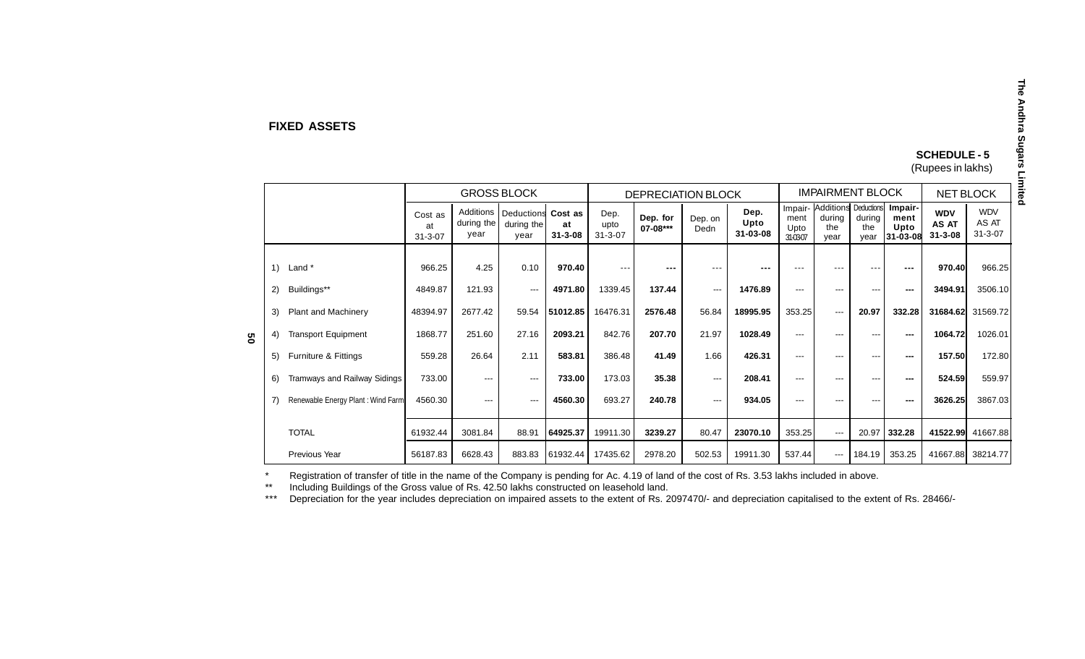#### **FIXED ASSETS**

## **SCHEDULE - 5**

(Rupees in lakhs)

|   |             | <b>GROSS BLOCK</b>                |                                |                                 |                                          | <b>DEPRECIATION BLOCK</b> |                               |                      | <b>IMPAIRMENT BLOCK</b> |                          |                         |                                                       | <b>NET BLOCK</b>      |                                      |                                      |                                      |
|---|-------------|-----------------------------------|--------------------------------|---------------------------------|------------------------------------------|---------------------------|-------------------------------|----------------------|-------------------------|--------------------------|-------------------------|-------------------------------------------------------|-----------------------|--------------------------------------|--------------------------------------|--------------------------------------|
|   |             |                                   | Cost as<br>at<br>$31 - 3 - 07$ | Additions<br>during the<br>year | Deductions Cost as<br>during the<br>year | at<br>$31 - 3 - 08$       | Dep.<br>upto<br>$31 - 3 - 07$ | Dep. for<br>07-08*** | Dep. on<br>Dedn         | Dep.<br>Upto<br>31-03-08 | ment<br>Upto<br>31-0307 | Impair- Additions Deductions<br>during<br>the<br>year | during<br>the<br>vear | Impair-<br>ment<br>Upto<br>131-03-08 | <b>WDV</b><br>AS AT<br>$31 - 3 - 08$ | <b>WDV</b><br>AS AT<br>$31 - 3 - 07$ |
|   | 1) Land $*$ |                                   | 966.25                         | 4.25                            | 0.10                                     | 970.40                    | ---                           | ---                  | $--$                    | $- - -$                  | ---                     | ---                                                   | ---                   | $- - -$                              | 970.40                               | 966.25                               |
|   | 2)          | Buildings**                       | 4849.87                        | 121.93                          | $\qquad \qquad \cdots$                   | 4971.80                   | 1339.45                       | 137.44               | $\cdots$                | 1476.89                  | $---$                   | ---                                                   | $---$                 |                                      | 3494.91                              | 3506.10                              |
| g | 3)          | Plant and Machinery               | 48394.97                       | 2677.42                         | 59.54                                    | 51012.85                  | 16476.31                      | 2576.48              | 56.84                   | 18995.95                 | 353.25                  | $\qquad \qquad -$                                     | 20.97                 | 332.28                               | 31684.62                             | 31569.72                             |
|   | 4)          | <b>Transport Equipment</b>        | 1868.77                        | 251.60                          | 27.16                                    | 2093.21                   | 842.76                        | 207.70               | 21.97                   | 1028.49                  | $---$                   | $---$                                                 | $---$                 | $---$                                | 1064.72                              | 1026.01                              |
|   | 5)          | Furniture & Fittings              | 559.28                         | 26.64                           | 2.11                                     | 583.81                    | 386.48                        | 41.49                | 1.66                    | 426.31                   | $---$                   | ---                                                   | ---                   | ---                                  | 157.50                               | 172.80                               |
|   | 6)          | Tramways and Railway Sidings      | 733.00                         | $\qquad \qquad \cdots$          | $\cdots$                                 | 733.00                    | 173.03                        | 35.38                | $\cdots$                | 208.41                   | $---$                   | ---                                                   | ---                   | ---                                  | 524.59                               | 559.97                               |
|   | 7)          | Renewable Energy Plant: Wind Farm | 4560.30                        | $---$                           | $\cdots$                                 | 4560.30                   | 693.27                        | 240.78               | $\cdots$                | 934.05                   | $---$                   | ---                                                   | ---                   |                                      | 3626.25                              | 3867.03                              |
|   |             | <b>TOTAL</b>                      | 61932.44                       | 3081.84                         | 88.91                                    | 64925.37                  | 19911.30                      | 3239.27              | 80.47                   | 23070.10                 | 353.25                  | $\cdots$                                              | 20.97                 | 332.28                               | 41522.99                             | 41667.88                             |
|   |             | Previous Year                     | 56187.83                       | 6628.43                         | 883.83                                   | 61932.44                  | 17435.62                      | 2978.20              | 502.53                  | 19911.30                 | 537.44                  | $\qquad \qquad \cdots$                                | 184.19                | 353.25                               | 41667.88                             | 38214.77                             |

\*Registration of transfer of title in the name of the Company is pending for Ac. 4.19 of land of the cost of Rs. 3.53 lakhs included in above.

\*\*Including Buildings of the Gross value of Rs. 42.50 lakhs constructed on leasehold land.

\*\*\*Depreciation for the year includes depreciation on impaired assets to the extent of Rs. 2097470/- and depreciation capitalised to the extent of Rs. 28466/-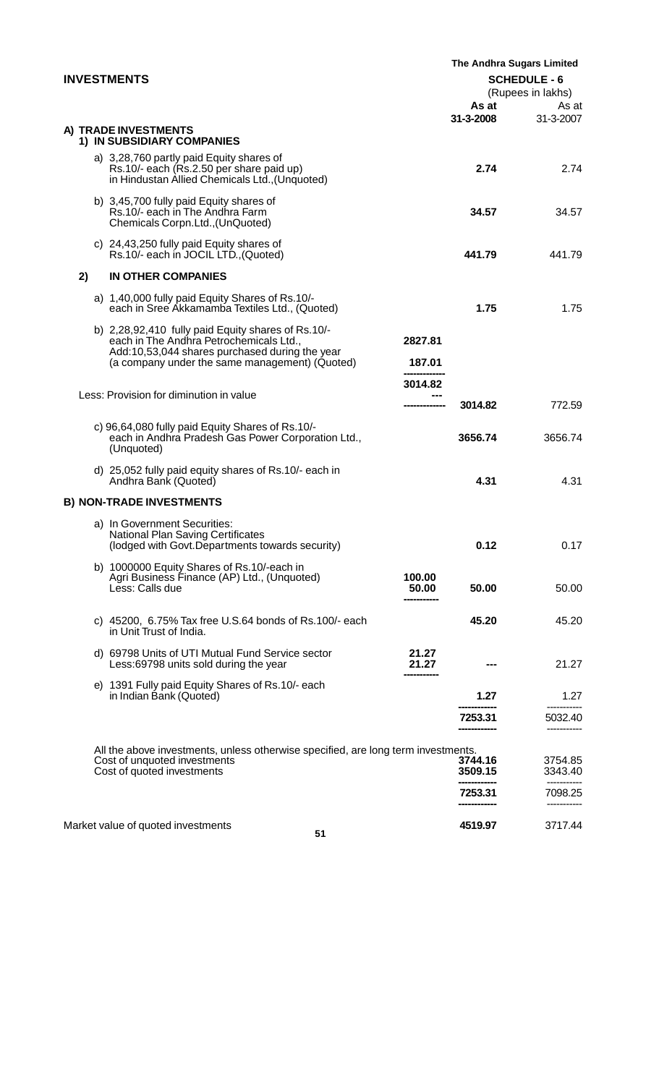| <b>INVESTMENTS</b> |    |  |                                                                                                                                                                                                   |                              | The Andhra Sugars Limited<br><b>SCHEDULE - 6</b><br>(Rupees in lakhs) |                    |  |
|--------------------|----|--|---------------------------------------------------------------------------------------------------------------------------------------------------------------------------------------------------|------------------------------|-----------------------------------------------------------------------|--------------------|--|
|                    |    |  |                                                                                                                                                                                                   |                              | As at<br>31-3-2008                                                    | As at<br>31-3-2007 |  |
|                    |    |  | A) TRADE INVESTMENTS<br>1) IN SUBSIDIARY COMPANIES                                                                                                                                                |                              |                                                                       |                    |  |
|                    |    |  | a) 3,28,760 partly paid Equity shares of<br>Rs.10/- each (Rs.2.50 per share paid up)<br>in Hindustan Allied Chemicals Ltd., (Unquoted)                                                            |                              | 2.74                                                                  | 2.74               |  |
|                    |    |  | b) 3,45,700 fully paid Equity shares of<br>Rs.10/- each in The Andhra Farm<br>Chemicals Corpn.Ltd., (UnQuoted)                                                                                    |                              | 34.57                                                                 | 34.57              |  |
|                    |    |  | c) 24,43,250 fully paid Equity shares of<br>Rs.10/- each in JOCIL LTD., (Quoted)                                                                                                                  |                              | 441.79                                                                | 441.79             |  |
|                    | 2) |  | <b>IN OTHER COMPANIES</b>                                                                                                                                                                         |                              |                                                                       |                    |  |
|                    |    |  | a) 1,40,000 fully paid Equity Shares of Rs.10/-<br>each in Sree Akkamamba Textiles Ltd., (Quoted)                                                                                                 |                              | 1.75                                                                  | 1.75               |  |
|                    |    |  | b) 2,28,92,410 fully paid Equity shares of Rs.10/-<br>each in The Andhra Petrochemicals Ltd.,<br>Add:10,53,044 shares purchased during the year<br>(a company under the same management) (Quoted) | 2827.81<br>187.01<br>3014.82 |                                                                       |                    |  |
|                    |    |  | Less: Provision for diminution in value                                                                                                                                                           |                              | 3014.82                                                               | 772.59             |  |
|                    |    |  | c) 96,64,080 fully paid Equity Shares of Rs.10/-<br>each in Andhra Pradesh Gas Power Corporation Ltd.,<br>(Unquoted)                                                                              |                              | 3656.74                                                               | 3656.74            |  |
|                    |    |  | d) 25,052 fully paid equity shares of Rs.10/- each in<br>Andhra Bank (Quoted)                                                                                                                     |                              | 4.31                                                                  | 4.31               |  |
|                    |    |  | <b>B) NON-TRADE INVESTMENTS</b>                                                                                                                                                                   |                              |                                                                       |                    |  |
|                    |    |  | a) In Government Securities:<br>National Plan Saving Certificates<br>(lodged with Govt.Departments towards security)                                                                              |                              | 0.12                                                                  | 0.17               |  |
|                    |    |  | b) 1000000 Equity Shares of Rs.10/-each in<br>Agri Business Finance (AP) Ltd., (Unquoted)<br>Less: Calls due                                                                                      | 100.00<br>50.00              | 50.00                                                                 | 50.00              |  |
|                    |    |  | c) 45200, 6.75% Tax free U.S.64 bonds of Rs.100/- each<br>in Unit Trust of India.                                                                                                                 |                              | 45.20                                                                 | 45.20              |  |
|                    |    |  | d) 69798 Units of UTI Mutual Fund Service sector<br>Less:69798 units sold during the year                                                                                                         | 21.27<br>21.27               |                                                                       | 21.27              |  |
|                    |    |  | e) 1391 Fully paid Equity Shares of Rs.10/- each<br>in Indian Bank (Quoted)                                                                                                                       |                              | 1.27                                                                  | 1.27               |  |
|                    |    |  |                                                                                                                                                                                                   |                              | 7253.31                                                               | 5032.40            |  |
|                    |    |  | All the above investments, unless otherwise specified, are long term investments.                                                                                                                 |                              |                                                                       |                    |  |
|                    |    |  | Cost of unquoted investments<br>Cost of quoted investments                                                                                                                                        |                              | 3744.16<br>3509.15                                                    | 3754.85<br>3343.40 |  |
|                    |    |  |                                                                                                                                                                                                   |                              | 7253.31                                                               | 7098.25            |  |
|                    |    |  | Market value of quoted investments<br>51                                                                                                                                                          |                              | 4519.97                                                               | 3717.44            |  |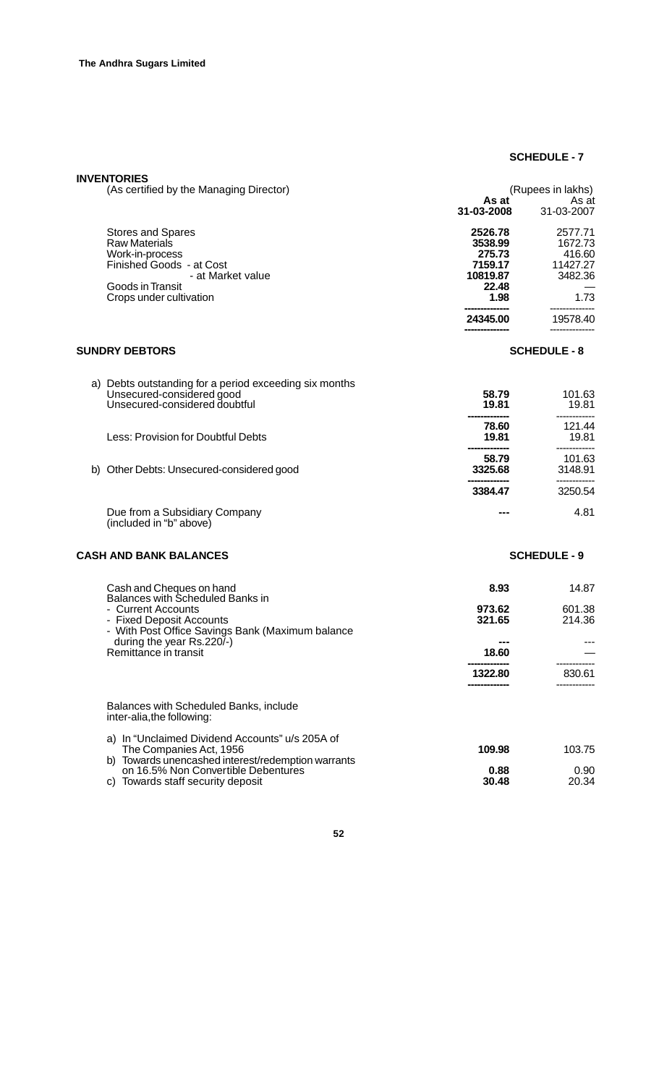## **SCHEDULE - 7**

| <b>INVENTORIES</b><br>(As certified by the Managing Director)                                                                                                                                                            |                                                                                  | (Rupees in lakhs)                                                       |
|--------------------------------------------------------------------------------------------------------------------------------------------------------------------------------------------------------------------------|----------------------------------------------------------------------------------|-------------------------------------------------------------------------|
|                                                                                                                                                                                                                          | As at<br>31-03-2008                                                              | As at<br>31-03-2007                                                     |
| <b>Stores and Spares</b><br><b>Raw Materials</b><br>Work-in-process<br>Finished Goods - at Cost<br>- at Market value<br>Goods in Transit<br>Crops under cultivation                                                      | 2526.78<br>3538.99<br>275.73<br>7159.17<br>10819.87<br>22.48<br>1.98<br>24345.00 | 2577.71<br>1672.73<br>416.60<br>11427.27<br>3482.36<br>1.73<br>19578.40 |
| <b>SUNDRY DEBTORS</b>                                                                                                                                                                                                    |                                                                                  | <b>SCHEDULE - 8</b>                                                     |
|                                                                                                                                                                                                                          |                                                                                  |                                                                         |
| a) Debts outstanding for a period exceeding six months<br>Unsecured-considered good<br>Unsecured-considered doubtful                                                                                                     | 58.79<br>19.81                                                                   | 101.63<br>19.81                                                         |
| Less: Provision for Doubtful Debts                                                                                                                                                                                       | 78.60<br>19.81                                                                   | 121.44<br>19.81                                                         |
| b) Other Debts: Unsecured-considered good                                                                                                                                                                                | 58.79<br>3325.68                                                                 | 101.63<br>3148.91                                                       |
|                                                                                                                                                                                                                          | 3384.47                                                                          | 3250.54                                                                 |
| Due from a Subsidiary Company<br>(included in "b" above)                                                                                                                                                                 | ---                                                                              | 4.81                                                                    |
| <b>CASH AND BANK BALANCES</b>                                                                                                                                                                                            |                                                                                  | <b>SCHEDULE - 9</b>                                                     |
| Cash and Cheques on hand<br>Balances with Scheduled Banks in<br>- Current Accounts<br>- Fixed Deposit Accounts<br>- With Post Office Savings Bank (Maximum balance<br>during the year Rs.220/-)<br>Remittance in transit | 8.93<br>973.62<br>321.65<br>---<br>18.60<br>1322.80                              | 14.87<br>601.38<br>214.36<br>830.61                                     |
| Balances with Scheduled Banks, include<br>inter-alia, the following:                                                                                                                                                     |                                                                                  |                                                                         |
| a) In "Unclaimed Dividend Accounts" u/s 205A of<br>The Companies Act, 1956<br>b) Towards unencashed interest/redemption warrants                                                                                         | 109.98                                                                           | 103.75                                                                  |
| on 16.5% Non Convertible Debentures<br>c) Towards staff security deposit                                                                                                                                                 | 0.88<br>30.48                                                                    | 0.90<br>20.34                                                           |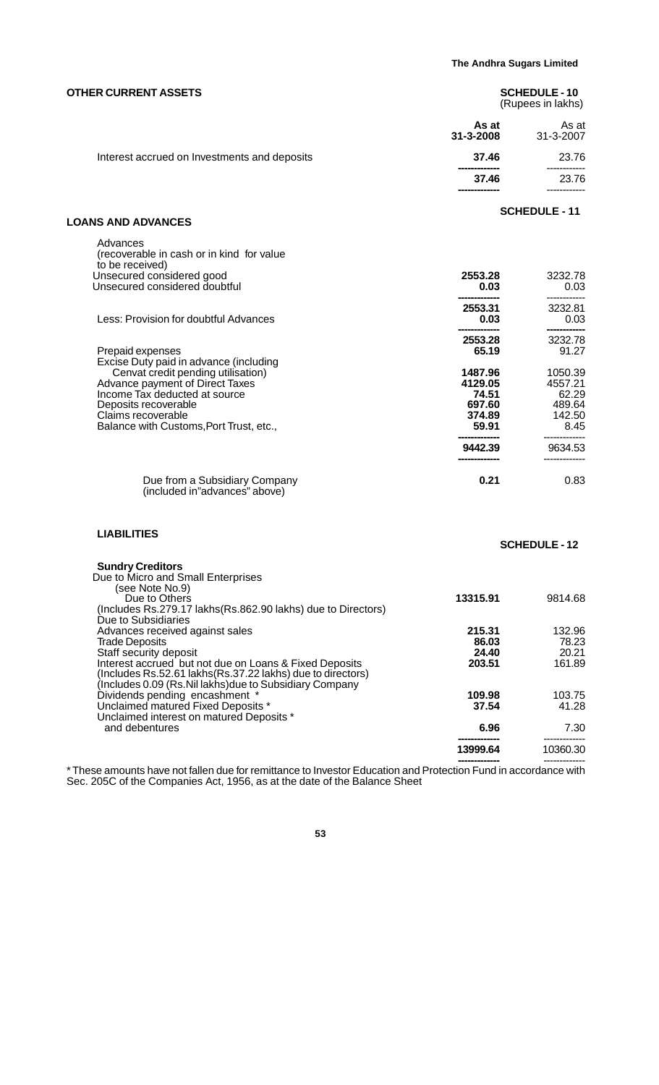| As at<br>As at<br>31-3-2008<br>31-3-2007<br>Interest accrued on Investments and deposits<br>37.46<br>23.76<br>23.76<br>37.46<br><b>SCHEDULE - 11</b><br><b>LOANS AND ADVANCES</b><br>Advances<br>(recoverable in cash or in kind for value<br>to be received)<br>Unsecured considered good<br>2553.28<br>3232.78<br>Unsecured considered doubtful<br>0.03<br>0.03<br>3232.81<br>2553.31<br>Less: Provision for doubtful Advances<br>0.03<br>0.03<br>3232.78<br>2553.28<br>65.19<br>91.27<br>Prepaid expenses<br>Excise Duty paid in advance (including<br>Cenvat credit pending utilisation)<br>1487.96<br>1050.39<br>Advance payment of Direct Taxes<br>4129.05<br>4557.21<br>Income Tax deducted at source<br>74.51<br>62.29<br>697.60<br>489.64<br>Deposits recoverable<br>Claims recoverable<br>374.89<br>142.50<br>Balance with Customs, Port Trust, etc.,<br>59.91<br>8.45<br>9634.53<br>9442.39<br>0.21<br>0.83<br>Due from a Subsidiary Company<br>(included in"advances" above)<br><b>LIABILITIES</b><br><b>SCHEDULE-12</b><br><b>Sundry Creditors</b><br>Due to Micro and Small Enterprises<br>(see Note No.9)<br>13315.91<br>9814.68<br>Due to Others<br>(Includes Rs.279.17 lakhs(Rs.862.90 lakhs) due to Directors)<br>Due to Subsidiaries<br>Advances received against sales<br>215.31<br>132.96<br>86.03<br>78.23<br><b>Trade Deposits</b><br>24.40<br>20.21<br>Staff security deposit<br>203.51<br>Interest accrued but not due on Loans & Fixed Deposits<br>161.89<br>(Includes Rs.52.61 lakhs (Rs.37.22 lakhs) due to directors)<br>(Includes 0.09 (Rs.Nil lakhs) due to Subsidiary Company<br>103.75<br>Dividends pending encashment *<br>109.98<br>Unclaimed matured Fixed Deposits *<br>37.54<br>41.28<br>Unclaimed interest on matured Deposits *<br>7.30<br>and debentures<br>6.96 | <b>OTHER CURRENT ASSETS</b> | <b>SCHEDULE-10</b><br>(Rupees in lakhs) |
|-----------------------------------------------------------------------------------------------------------------------------------------------------------------------------------------------------------------------------------------------------------------------------------------------------------------------------------------------------------------------------------------------------------------------------------------------------------------------------------------------------------------------------------------------------------------------------------------------------------------------------------------------------------------------------------------------------------------------------------------------------------------------------------------------------------------------------------------------------------------------------------------------------------------------------------------------------------------------------------------------------------------------------------------------------------------------------------------------------------------------------------------------------------------------------------------------------------------------------------------------------------------------------------------------------------------------------------------------------------------------------------------------------------------------------------------------------------------------------------------------------------------------------------------------------------------------------------------------------------------------------------------------------------------------------------------------------------------------------------------------------------------------------------------------------------|-----------------------------|-----------------------------------------|
|                                                                                                                                                                                                                                                                                                                                                                                                                                                                                                                                                                                                                                                                                                                                                                                                                                                                                                                                                                                                                                                                                                                                                                                                                                                                                                                                                                                                                                                                                                                                                                                                                                                                                                                                                                                                           |                             |                                         |
|                                                                                                                                                                                                                                                                                                                                                                                                                                                                                                                                                                                                                                                                                                                                                                                                                                                                                                                                                                                                                                                                                                                                                                                                                                                                                                                                                                                                                                                                                                                                                                                                                                                                                                                                                                                                           |                             |                                         |
|                                                                                                                                                                                                                                                                                                                                                                                                                                                                                                                                                                                                                                                                                                                                                                                                                                                                                                                                                                                                                                                                                                                                                                                                                                                                                                                                                                                                                                                                                                                                                                                                                                                                                                                                                                                                           |                             |                                         |
|                                                                                                                                                                                                                                                                                                                                                                                                                                                                                                                                                                                                                                                                                                                                                                                                                                                                                                                                                                                                                                                                                                                                                                                                                                                                                                                                                                                                                                                                                                                                                                                                                                                                                                                                                                                                           |                             |                                         |
|                                                                                                                                                                                                                                                                                                                                                                                                                                                                                                                                                                                                                                                                                                                                                                                                                                                                                                                                                                                                                                                                                                                                                                                                                                                                                                                                                                                                                                                                                                                                                                                                                                                                                                                                                                                                           |                             |                                         |
|                                                                                                                                                                                                                                                                                                                                                                                                                                                                                                                                                                                                                                                                                                                                                                                                                                                                                                                                                                                                                                                                                                                                                                                                                                                                                                                                                                                                                                                                                                                                                                                                                                                                                                                                                                                                           |                             |                                         |
|                                                                                                                                                                                                                                                                                                                                                                                                                                                                                                                                                                                                                                                                                                                                                                                                                                                                                                                                                                                                                                                                                                                                                                                                                                                                                                                                                                                                                                                                                                                                                                                                                                                                                                                                                                                                           |                             |                                         |
|                                                                                                                                                                                                                                                                                                                                                                                                                                                                                                                                                                                                                                                                                                                                                                                                                                                                                                                                                                                                                                                                                                                                                                                                                                                                                                                                                                                                                                                                                                                                                                                                                                                                                                                                                                                                           |                             |                                         |
|                                                                                                                                                                                                                                                                                                                                                                                                                                                                                                                                                                                                                                                                                                                                                                                                                                                                                                                                                                                                                                                                                                                                                                                                                                                                                                                                                                                                                                                                                                                                                                                                                                                                                                                                                                                                           |                             |                                         |
|                                                                                                                                                                                                                                                                                                                                                                                                                                                                                                                                                                                                                                                                                                                                                                                                                                                                                                                                                                                                                                                                                                                                                                                                                                                                                                                                                                                                                                                                                                                                                                                                                                                                                                                                                                                                           |                             |                                         |
|                                                                                                                                                                                                                                                                                                                                                                                                                                                                                                                                                                                                                                                                                                                                                                                                                                                                                                                                                                                                                                                                                                                                                                                                                                                                                                                                                                                                                                                                                                                                                                                                                                                                                                                                                                                                           |                             |                                         |
|                                                                                                                                                                                                                                                                                                                                                                                                                                                                                                                                                                                                                                                                                                                                                                                                                                                                                                                                                                                                                                                                                                                                                                                                                                                                                                                                                                                                                                                                                                                                                                                                                                                                                                                                                                                                           |                             |                                         |
|                                                                                                                                                                                                                                                                                                                                                                                                                                                                                                                                                                                                                                                                                                                                                                                                                                                                                                                                                                                                                                                                                                                                                                                                                                                                                                                                                                                                                                                                                                                                                                                                                                                                                                                                                                                                           |                             |                                         |
|                                                                                                                                                                                                                                                                                                                                                                                                                                                                                                                                                                                                                                                                                                                                                                                                                                                                                                                                                                                                                                                                                                                                                                                                                                                                                                                                                                                                                                                                                                                                                                                                                                                                                                                                                                                                           |                             |                                         |
|                                                                                                                                                                                                                                                                                                                                                                                                                                                                                                                                                                                                                                                                                                                                                                                                                                                                                                                                                                                                                                                                                                                                                                                                                                                                                                                                                                                                                                                                                                                                                                                                                                                                                                                                                                                                           |                             |                                         |
|                                                                                                                                                                                                                                                                                                                                                                                                                                                                                                                                                                                                                                                                                                                                                                                                                                                                                                                                                                                                                                                                                                                                                                                                                                                                                                                                                                                                                                                                                                                                                                                                                                                                                                                                                                                                           |                             |                                         |
|                                                                                                                                                                                                                                                                                                                                                                                                                                                                                                                                                                                                                                                                                                                                                                                                                                                                                                                                                                                                                                                                                                                                                                                                                                                                                                                                                                                                                                                                                                                                                                                                                                                                                                                                                                                                           |                             |                                         |
|                                                                                                                                                                                                                                                                                                                                                                                                                                                                                                                                                                                                                                                                                                                                                                                                                                                                                                                                                                                                                                                                                                                                                                                                                                                                                                                                                                                                                                                                                                                                                                                                                                                                                                                                                                                                           |                             |                                         |

1**3999.64**<br>--------------<br>These amounts have not fallen due for remittance to Investor Education and Protection Fund in accordance with \* Sec. 205C of the Companies Act, 1956, as at the date of the Balance Sheet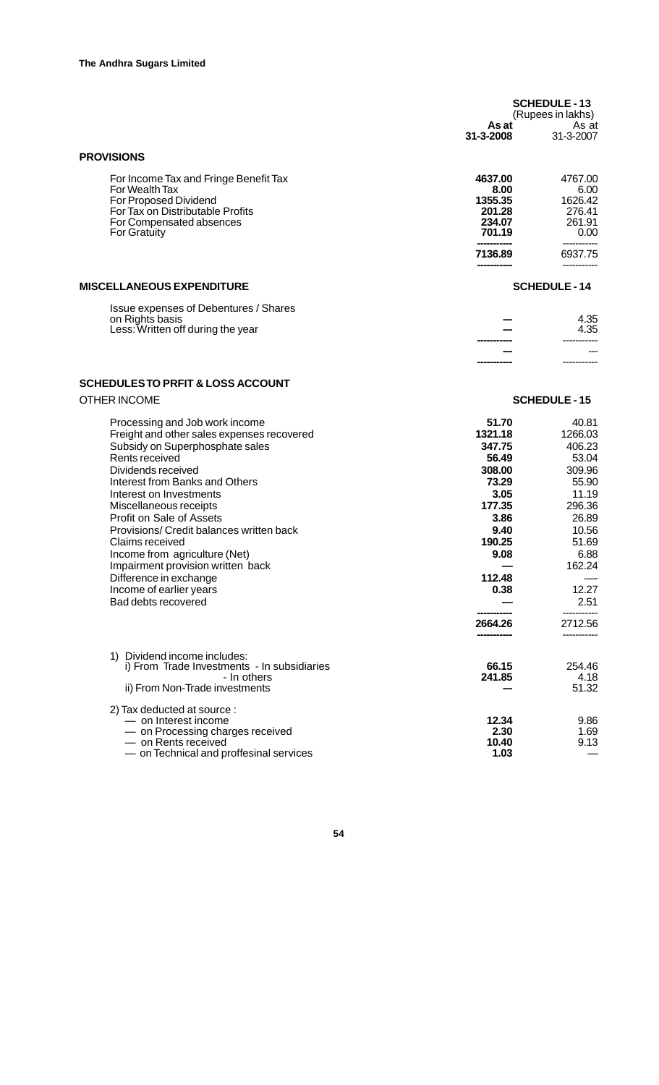|                                                                                                                                                                                                                                                                                                                                                                                                                                                                                                                             | As at<br>31-3-2008                                                                                                                      | <b>SCHEDULE-13</b><br>(Rupees in lakhs)<br>As at<br>31-3-2007                                                                                      |
|-----------------------------------------------------------------------------------------------------------------------------------------------------------------------------------------------------------------------------------------------------------------------------------------------------------------------------------------------------------------------------------------------------------------------------------------------------------------------------------------------------------------------------|-----------------------------------------------------------------------------------------------------------------------------------------|----------------------------------------------------------------------------------------------------------------------------------------------------|
| <b>PROVISIONS</b>                                                                                                                                                                                                                                                                                                                                                                                                                                                                                                           |                                                                                                                                         |                                                                                                                                                    |
| For Income Tax and Fringe Benefit Tax<br>For Wealth Tax<br>For Proposed Dividend<br>For Tax on Distributable Profits<br>For Compensated absences<br><b>For Gratuity</b>                                                                                                                                                                                                                                                                                                                                                     | 4637.00<br>8.00<br>1355.35<br>201.28<br>234.07<br>701.19<br>7136.89                                                                     | 4767.00<br>6.00<br>1626.42<br>276.41<br>261.91<br>0.00<br>6937.75                                                                                  |
|                                                                                                                                                                                                                                                                                                                                                                                                                                                                                                                             |                                                                                                                                         |                                                                                                                                                    |
| <b>MISCELLANEOUS EXPENDITURE</b>                                                                                                                                                                                                                                                                                                                                                                                                                                                                                            |                                                                                                                                         | <b>SCHEDULE-14</b>                                                                                                                                 |
| Issue expenses of Debentures / Shares<br>on Rights basis<br>Less: Written off during the year                                                                                                                                                                                                                                                                                                                                                                                                                               |                                                                                                                                         | 4.35<br>4.35                                                                                                                                       |
| <b>SCHEDULESTO PRFIT &amp; LOSS ACCOUNT</b>                                                                                                                                                                                                                                                                                                                                                                                                                                                                                 |                                                                                                                                         |                                                                                                                                                    |
| <b>OTHER INCOME</b>                                                                                                                                                                                                                                                                                                                                                                                                                                                                                                         |                                                                                                                                         | <b>SCHEDULE - 15</b>                                                                                                                               |
| Processing and Job work income<br>Freight and other sales expenses recovered<br>Subsidy on Superphosphate sales<br>Rents received<br>Dividends received<br>Interest from Banks and Others<br>Interest on Investments<br>Miscellaneous receipts<br>Profit on Sale of Assets<br>Provisions/ Credit balances written back<br>Claims received<br>Income from agriculture (Net)<br>Impairment provision written back<br>Difference in exchange<br>Income of earlier years<br>Bad debts recovered<br>1) Dividend income includes: | 51.70<br>1321.18<br>347.75<br>56.49<br>308.00<br>73.29<br>3.05<br>177.35<br>3.86<br>9.40<br>190.25<br>9.08<br>112.48<br>0.38<br>2664.26 | 40.81<br>1266.03<br>406.23<br>53.04<br>309.96<br>55.90<br>11.19<br>296.36<br>26.89<br>10.56<br>51.69<br>6.88<br>162.24<br>12.27<br>2.51<br>2712.56 |
| i) From Trade Investments - In subsidiaries<br>- In others<br>ii) From Non-Trade investments                                                                                                                                                                                                                                                                                                                                                                                                                                | 66.15<br>241.85                                                                                                                         | 254.46<br>4.18<br>51.32                                                                                                                            |
| 2) Tax deducted at source :<br>- on Interest income<br>- on Processing charges received<br>- on Rents received<br>- on Technical and proffesinal services                                                                                                                                                                                                                                                                                                                                                                   | 12.34<br>2.30<br>10.40<br>1.03                                                                                                          | 9.86<br>1.69<br>9.13                                                                                                                               |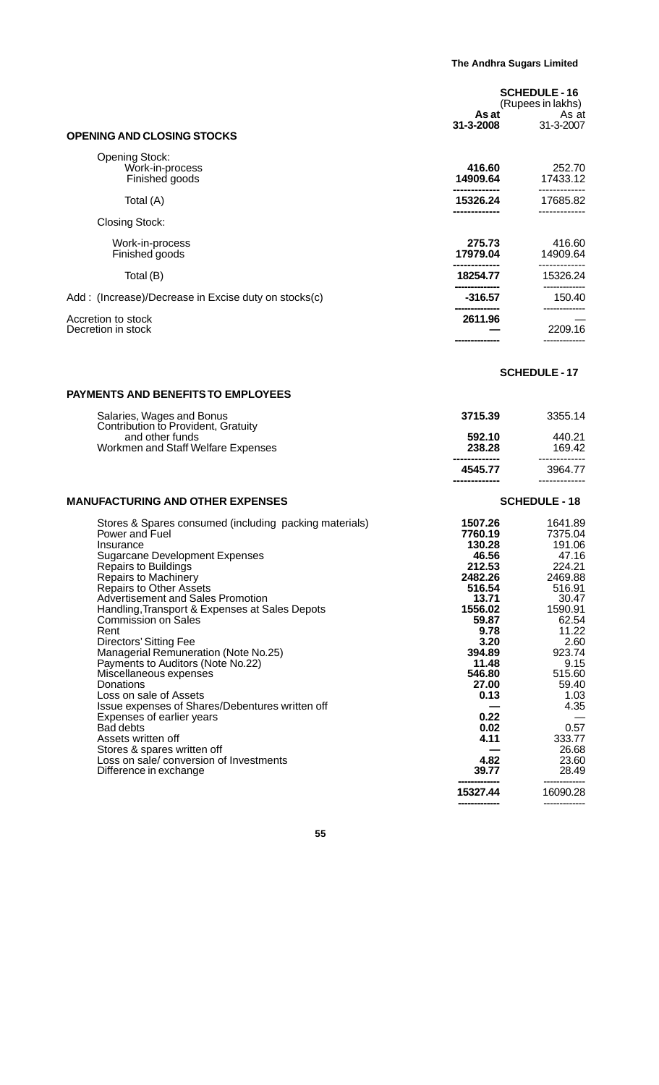|                                                                                                                                                                                                                                                                                                                                                                                                                                                                                                                                                                                                                                                                                                                                                                          | As at<br>31-3-2008                                                                                                                                                                                                   | <b>SCHEDULE-16</b><br>(Rupees in lakhs)<br>As at<br>31-3-2007                                                                                                                                                                    |
|--------------------------------------------------------------------------------------------------------------------------------------------------------------------------------------------------------------------------------------------------------------------------------------------------------------------------------------------------------------------------------------------------------------------------------------------------------------------------------------------------------------------------------------------------------------------------------------------------------------------------------------------------------------------------------------------------------------------------------------------------------------------------|----------------------------------------------------------------------------------------------------------------------------------------------------------------------------------------------------------------------|----------------------------------------------------------------------------------------------------------------------------------------------------------------------------------------------------------------------------------|
| <b>OPENING AND CLOSING STOCKS</b>                                                                                                                                                                                                                                                                                                                                                                                                                                                                                                                                                                                                                                                                                                                                        |                                                                                                                                                                                                                      |                                                                                                                                                                                                                                  |
| <b>Opening Stock:</b><br>Work-in-process<br>Finished goods                                                                                                                                                                                                                                                                                                                                                                                                                                                                                                                                                                                                                                                                                                               | 416.60<br>14909.64<br>-------------                                                                                                                                                                                  | 252.70<br>17433.12<br>-------------                                                                                                                                                                                              |
| Total (A)                                                                                                                                                                                                                                                                                                                                                                                                                                                                                                                                                                                                                                                                                                                                                                | 15326.24                                                                                                                                                                                                             | 17685.82                                                                                                                                                                                                                         |
| Closing Stock:                                                                                                                                                                                                                                                                                                                                                                                                                                                                                                                                                                                                                                                                                                                                                           |                                                                                                                                                                                                                      |                                                                                                                                                                                                                                  |
| Work-in-process<br>Finished goods                                                                                                                                                                                                                                                                                                                                                                                                                                                                                                                                                                                                                                                                                                                                        | 275.73<br>17979.04                                                                                                                                                                                                   | 416.60<br>14909.64                                                                                                                                                                                                               |
| Total (B)                                                                                                                                                                                                                                                                                                                                                                                                                                                                                                                                                                                                                                                                                                                                                                | 18254.77                                                                                                                                                                                                             | 15326.24<br>------------                                                                                                                                                                                                         |
| Add: (Increase)/Decrease in Excise duty on stocks(c)                                                                                                                                                                                                                                                                                                                                                                                                                                                                                                                                                                                                                                                                                                                     | $-316.57$                                                                                                                                                                                                            | 150.40<br>-------------                                                                                                                                                                                                          |
| Accretion to stock<br>Decretion in stock                                                                                                                                                                                                                                                                                                                                                                                                                                                                                                                                                                                                                                                                                                                                 | 2611.96                                                                                                                                                                                                              | 2209.16                                                                                                                                                                                                                          |
|                                                                                                                                                                                                                                                                                                                                                                                                                                                                                                                                                                                                                                                                                                                                                                          |                                                                                                                                                                                                                      |                                                                                                                                                                                                                                  |
|                                                                                                                                                                                                                                                                                                                                                                                                                                                                                                                                                                                                                                                                                                                                                                          |                                                                                                                                                                                                                      | <b>SCHEDULE - 17</b>                                                                                                                                                                                                             |
| <b>PAYMENTS AND BENEFITS TO EMPLOYEES</b>                                                                                                                                                                                                                                                                                                                                                                                                                                                                                                                                                                                                                                                                                                                                |                                                                                                                                                                                                                      |                                                                                                                                                                                                                                  |
| Salaries, Wages and Bonus<br>Contribution to Provident, Gratuity                                                                                                                                                                                                                                                                                                                                                                                                                                                                                                                                                                                                                                                                                                         | 3715.39                                                                                                                                                                                                              | 3355.14                                                                                                                                                                                                                          |
| and other funds<br>Workmen and Staff Welfare Expenses                                                                                                                                                                                                                                                                                                                                                                                                                                                                                                                                                                                                                                                                                                                    | 592.10<br>238.28                                                                                                                                                                                                     | 440.21<br>169.42                                                                                                                                                                                                                 |
|                                                                                                                                                                                                                                                                                                                                                                                                                                                                                                                                                                                                                                                                                                                                                                          | 4545.77                                                                                                                                                                                                              | 3964.77                                                                                                                                                                                                                          |
| <b>MANUFACTURING AND OTHER EXPENSES</b>                                                                                                                                                                                                                                                                                                                                                                                                                                                                                                                                                                                                                                                                                                                                  |                                                                                                                                                                                                                      | <b>SCHEDULE - 18</b>                                                                                                                                                                                                             |
| Stores & Spares consumed (including packing materials)<br>Power and Fuel<br>Insurance<br><b>Sugarcane Development Expenses</b><br><b>Repairs to Buildings</b><br><b>Repairs to Machinery</b><br><b>Repairs to Other Assets</b><br><b>Advertisement and Sales Promotion</b><br>Handling, Transport & Expenses at Sales Depots<br><b>Commission on Sales</b><br>Rent<br>Directors' Sitting Fee<br>Managerial Remuneration (Note No.25)<br>Payments to Auditors (Note No.22)<br>Miscellaneous expenses<br>Donations<br>Loss on sale of Assets<br>Issue expenses of Shares/Debentures written off<br>Expenses of earlier years<br><b>Bad debts</b><br>Assets written off<br>Stores & spares written off<br>Loss on sale/ conversion of Investments<br>Difference in exchange | 1507.26<br>7760.19<br>130.28<br>46.56<br>212.53<br>2482.26<br>516.54<br>13.71<br>1556.02<br>59.87<br>9.78<br>3.20<br>394.89<br>11.48<br>546.80<br>27.00<br>0.13<br>0.22<br>0.02<br>4.11<br>4.82<br>39.77<br>15327.44 | 1641.89<br>7375.04<br>191.06<br>47.16<br>224.21<br>2469.88<br>516.91<br>30.47<br>1590.91<br>62.54<br>11.22<br>2.60<br>923.74<br>9.15<br>515.60<br>59.40<br>1.03<br>4.35<br>0.57<br>333.77<br>26.68<br>23.60<br>28.49<br>16090.28 |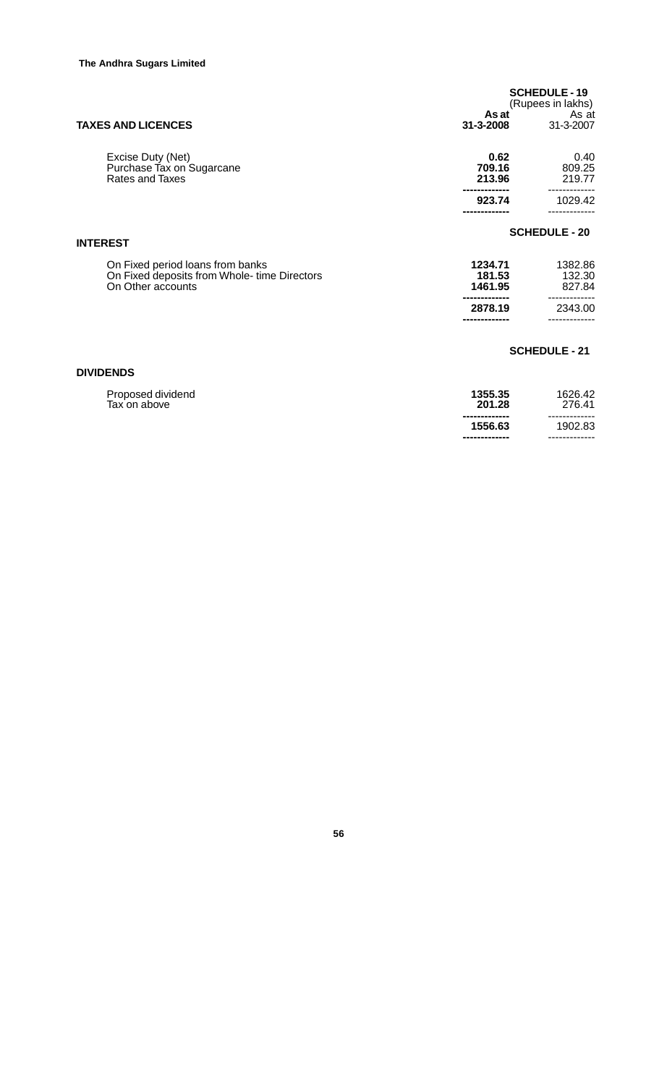|                                                                                                       | As at                        | <b>SCHEDULE-19</b><br>(Rupees in lakhs)<br>As at |
|-------------------------------------------------------------------------------------------------------|------------------------------|--------------------------------------------------|
| <b>TAXES AND LICENCES</b>                                                                             | 31-3-2008                    | 31-3-2007                                        |
| Excise Duty (Net)<br>Purchase Tax on Sugarcane<br><b>Rates and Taxes</b>                              | 0.62<br>709.16<br>213.96     | 0.40<br>809.25<br>219.77                         |
|                                                                                                       | 923.74                       | 1029.42                                          |
| <b>INTEREST</b>                                                                                       |                              | <b>SCHEDULE - 20</b>                             |
| On Fixed period loans from banks<br>On Fixed deposits from Whole- time Directors<br>On Other accounts | 1234.71<br>181.53<br>1461.95 | 1382.86<br>132.30<br>827.84                      |
|                                                                                                       | 2878.19                      | 2343.00                                          |
| <b>DIVIDENDS</b>                                                                                      |                              | <b>SCHEDULE - 21</b>                             |

| Proposed dividend | 1355.35                                   | 1626.42                                   |
|-------------------|-------------------------------------------|-------------------------------------------|
| Tax on above      | 201.28                                    | 276.41                                    |
|                   | -------------<br>1556.63<br>------------- | -------------<br>1902.83<br>------------- |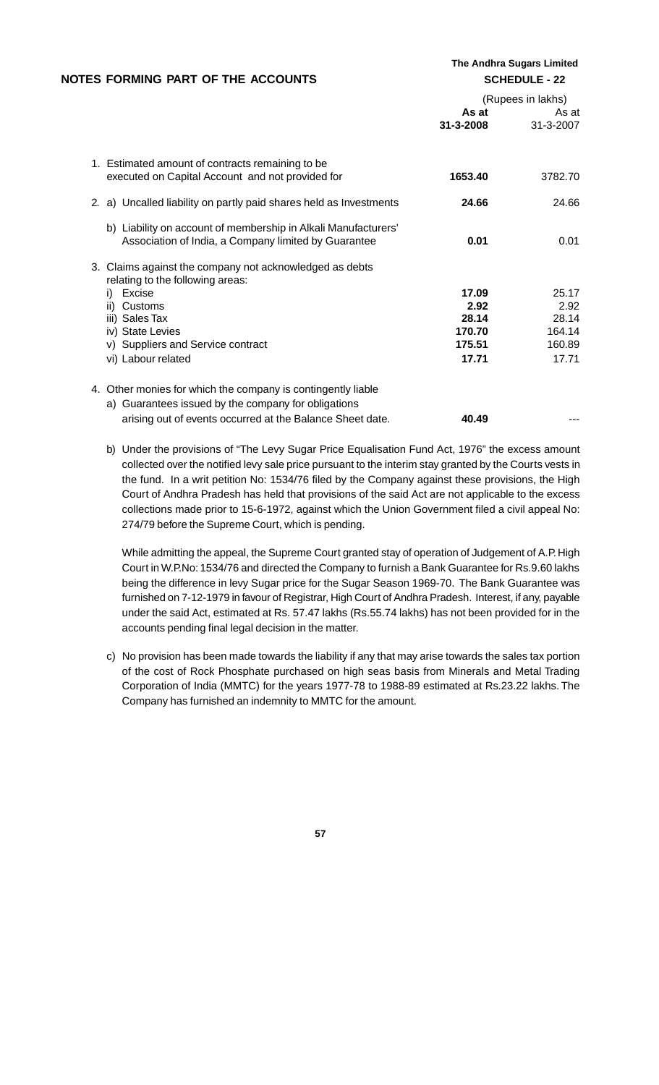| NOTES FORMING PART OF THE ACCOUNTS                                                                                     |                    | The Andhra Sugars Limited<br><b>SCHEDULE - 22</b> |
|------------------------------------------------------------------------------------------------------------------------|--------------------|---------------------------------------------------|
|                                                                                                                        |                    | (Rupees in lakhs)                                 |
|                                                                                                                        | As at<br>31-3-2008 | As at<br>31-3-2007                                |
| 1. Estimated amount of contracts remaining to be<br>executed on Capital Account and not provided for                   | 1653.40            | 3782.70                                           |
| 2. a) Uncalled liability on partly paid shares held as Investments                                                     | 24.66              | 24.66                                             |
| b) Liability on account of membership in Alkali Manufacturers'<br>Association of India, a Company limited by Guarantee | 0.01               | 0.01                                              |
| 3. Claims against the company not acknowledged as debts<br>relating to the following areas:                            |                    |                                                   |
| Excise<br>i)                                                                                                           | 17.09              | 25.17                                             |
| ii) Customs                                                                                                            | 2.92               | 2.92                                              |
| iii) Sales Tax                                                                                                         | 28.14              | 28.14                                             |
| iv) State Levies                                                                                                       | 170.70             | 164.14                                            |
| v) Suppliers and Service contract                                                                                      | 175.51             | 160.89                                            |
| vi) Labour related                                                                                                     | 17.71              | 17.71                                             |
| 4. Other monies for which the company is contingently liable                                                           |                    |                                                   |
| a) Guarantees issued by the company for obligations                                                                    |                    |                                                   |
| arising out of events occurred at the Balance Sheet date.                                                              | 40.49              |                                                   |

b) Under the provisions of "The Levy Sugar Price Equalisation Fund Act, 1976" the excess amount collected over the notified levy sale price pursuant to the interim stay granted by the Courts vests in the fund. In a writ petition No: 1534/76 filed by the Company against these provisions, the High Court of Andhra Pradesh has held that provisions of the said Act are not applicable to the excess collections made prior to 15-6-1972, against which the Union Government filed a civil appeal No: 274/79 before the Supreme Court, which is pending.

While admitting the appeal, the Supreme Court granted stay of operation of Judgement of A.P. High Court in W.P.No: 1534/76 and directed the Company to furnish a Bank Guarantee for Rs.9.60 lakhs being the difference in levy Sugar price for the Sugar Season 1969-70. The Bank Guarantee was furnished on 7-12-1979 in favour of Registrar, High Court of Andhra Pradesh. Interest, if any, payable under the said Act, estimated at Rs. 57.47 lakhs (Rs.55.74 lakhs) has not been provided for in the accounts pending final legal decision in the matter.

c) No provision has been made towards the liability if any that may arise towards the sales tax portion of the cost of Rock Phosphate purchased on high seas basis from Minerals and Metal Trading Corporation of India (MMTC) for the years 1977-78 to 1988-89 estimated at Rs.23.22 lakhs. The Company has furnished an indemnity to MMTC for the amount.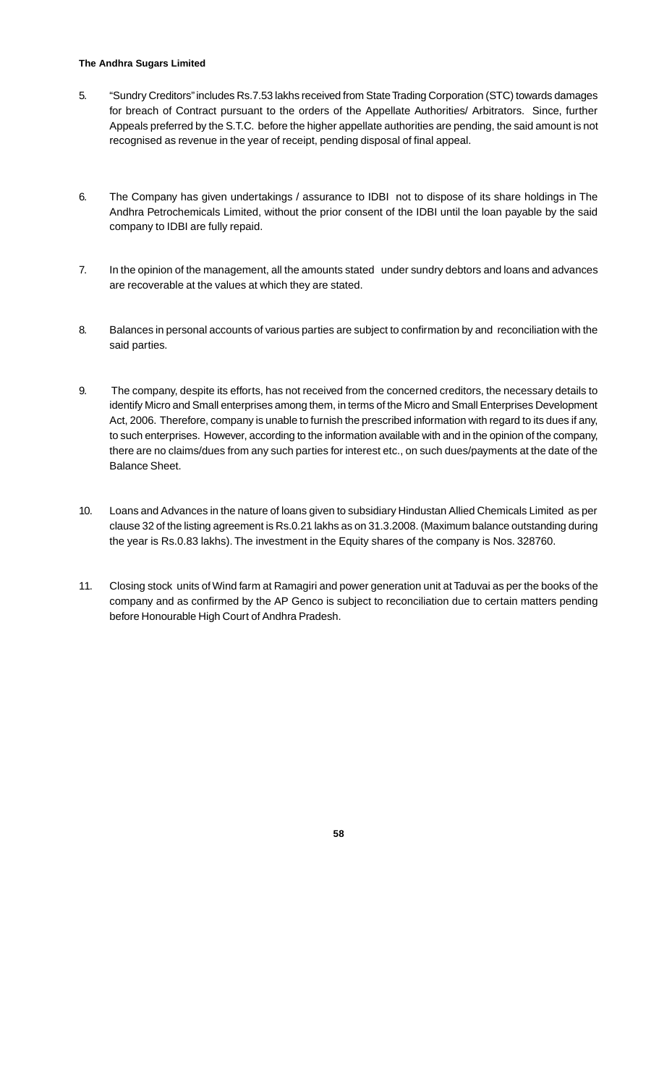#### **The Andhra Sugars Limited**

- 5. "Sundry Creditors" includes Rs.7.53 lakhs received from State Trading Corporation (STC) towards damages for breach of Contract pursuant to the orders of the Appellate Authorities/ Arbitrators. Since, further Appeals preferred by the S.T.C. before the higher appellate authorities are pending, the said amount is not recognised as revenue in the year of receipt, pending disposal of final appeal.
- 6. The Company has given undertakings / assurance to IDBI not to dispose of its share holdings in The Andhra Petrochemicals Limited, without the prior consent of the IDBI until the loan payable by the said company to IDBI are fully repaid.
- 7. In the opinion of the management, all the amounts stated under sundry debtors and loans and advances are recoverable at the values at which they are stated.
- 8. Balances in personal accounts of various parties are subject to confirmation by and reconciliation with the said parties.
- 9. The company, despite its efforts, has not received from the concerned creditors, the necessary details to identify Micro and Small enterprises among them, in terms of the Micro and Small Enterprises Development Act, 2006. Therefore, company is unable to furnish the prescribed information with regard to its dues if any, to such enterprises. However, according to the information available with and in the opinion of the company, there are no claims/dues from any such parties for interest etc., on such dues/payments at the date of the Balance Sheet.
- 10. Loans and Advances in the nature of loans given to subsidiary Hindustan Allied Chemicals Limited as per clause 32 of the listing agreement is Rs.0.21 lakhs as on 31.3.2008. (Maximum balance outstanding during the year is Rs.0.83 lakhs). The investment in the Equity shares of the company is Nos. 328760.
- 11. Closing stock units of Wind farm at Ramagiri and power generation unit at Taduvai as per the books of the company and as confirmed by the AP Genco is subject to reconciliation due to certain matters pending before Honourable High Court of Andhra Pradesh.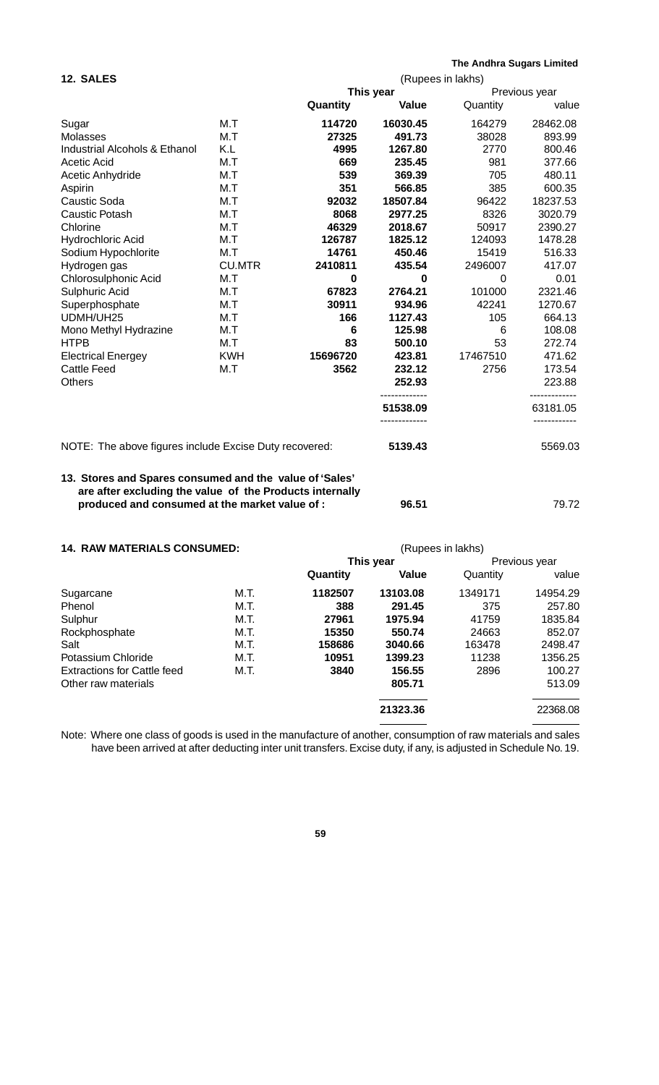|                                                        |                   |                 |              | The Andhra Sugars Limited |                          |  |  |
|--------------------------------------------------------|-------------------|-----------------|--------------|---------------------------|--------------------------|--|--|
| <b>12. SALES</b>                                       | (Rupees in lakhs) |                 |              |                           |                          |  |  |
|                                                        |                   |                 | This year    | Previous year             |                          |  |  |
|                                                        |                   | Quantity        | <b>Value</b> | Quantity                  | value                    |  |  |
| Sugar                                                  | M.T               | 114720          | 16030.45     | 164279                    | 28462.08                 |  |  |
| Molasses                                               | M.T               | 27325           | 491.73       | 38028                     | 893.99                   |  |  |
| <b>Industrial Alcohols &amp; Ethanol</b>               | K.L               | 4995            | 1267.80      | 2770                      | 800.46                   |  |  |
| Acetic Acid                                            | M.T               | 669             | 235.45       | 981                       | 377.66                   |  |  |
| Acetic Anhydride                                       | M.T               | 539             | 369.39       | 705                       | 480.11                   |  |  |
| Aspirin                                                | M.T               | 351             | 566.85       | 385                       | 600.35                   |  |  |
| Caustic Soda                                           | M.T               | 92032           | 18507.84     | 96422                     | 18237.53                 |  |  |
| Caustic Potash                                         | M.T               | 8068            | 2977.25      | 8326                      | 3020.79                  |  |  |
| Chlorine                                               | M.T               | 46329           | 2018.67      | 50917                     | 2390.27                  |  |  |
| Hydrochloric Acid                                      | M.T               | 126787          | 1825.12      | 124093                    | 1478.28                  |  |  |
| Sodium Hypochlorite                                    | M.T               | 14761           | 450.46       | 15419                     | 516.33                   |  |  |
| Hydrogen gas                                           | <b>CU.MTR</b>     | 2410811         | 435.54       | 2496007                   | 417.07                   |  |  |
| Chlorosulphonic Acid                                   | M.T               | 0               | 0            | 0                         | 0.01                     |  |  |
| Sulphuric Acid                                         | M.T               | 67823           | 2764.21      | 101000                    | 2321.46                  |  |  |
| Superphosphate                                         | M.T               | 30911           | 934.96       | 42241                     | 1270.67                  |  |  |
| UDMH/UH25                                              | M.T               | 166             | 1127.43      | 105                       | 664.13                   |  |  |
| Mono Methyl Hydrazine                                  | M.T               | $6\phantom{1}6$ | 125.98       | 6                         | 108.08                   |  |  |
| HTPB                                                   | M.T               | 83              | 500.10       | 53                        | 272.74                   |  |  |
| <b>Electrical Energey</b>                              | <b>KWH</b>        | 15696720        | 423.81       | 17467510                  | 471.62                   |  |  |
| Cattle Feed                                            | M.T               | 3562            | 232.12       | 2756                      | 173.54                   |  |  |
| Others                                                 |                   |                 | 252.93       |                           | 223.88                   |  |  |
|                                                        |                   |                 | 51538.09     |                           | ------------<br>63181.05 |  |  |
| NOTE: The above figures include Excise Duty recovered: |                   |                 | 5139.43      |                           | 5569.03                  |  |  |

## **13. Stores and Spares consumed and the value of 'Sales' are after excluding the value of the Products internally produced and consumed at the market value of : 96.51** 96.51 79.72

| <b>14. RAW MATERIALS CONSUMED:</b> | (Rupees in lakhs) |         |           |         |               |  |  |
|------------------------------------|-------------------|---------|-----------|---------|---------------|--|--|
|                                    |                   |         | This year |         | Previous year |  |  |
|                                    | Quantity          | Value   | Quantity  | value   |               |  |  |
| Sugarcane                          | M.T.              | 1182507 | 13103.08  | 1349171 | 14954.29      |  |  |
| Phenol                             | M.T.              | 388     | 291.45    | 375     | 257.80        |  |  |
| Sulphur                            | M.T.              | 27961   | 1975.94   | 41759   | 1835.84       |  |  |
| Rockphosphate                      | M.T.              | 15350   | 550.74    | 24663   | 852.07        |  |  |
| Salt                               | M.T.              | 158686  | 3040.66   | 163478  | 2498.47       |  |  |
| Potassium Chloride                 | M.T.              | 10951   | 1399.23   | 11238   | 1356.25       |  |  |
| <b>Extractions for Cattle feed</b> | M.T.              | 3840    | 156.55    | 2896    | 100.27        |  |  |
| Other raw materials                |                   |         | 805.71    |         | 513.09        |  |  |
|                                    |                   |         | 21323.36  |         | 22368.08      |  |  |

Note: Where one class of goods is used in the manufacture of another, consumption of raw materials and sales have been arrived at after deducting inter unit transfers. Excise duty, if any, is adjusted in Schedule No. 19.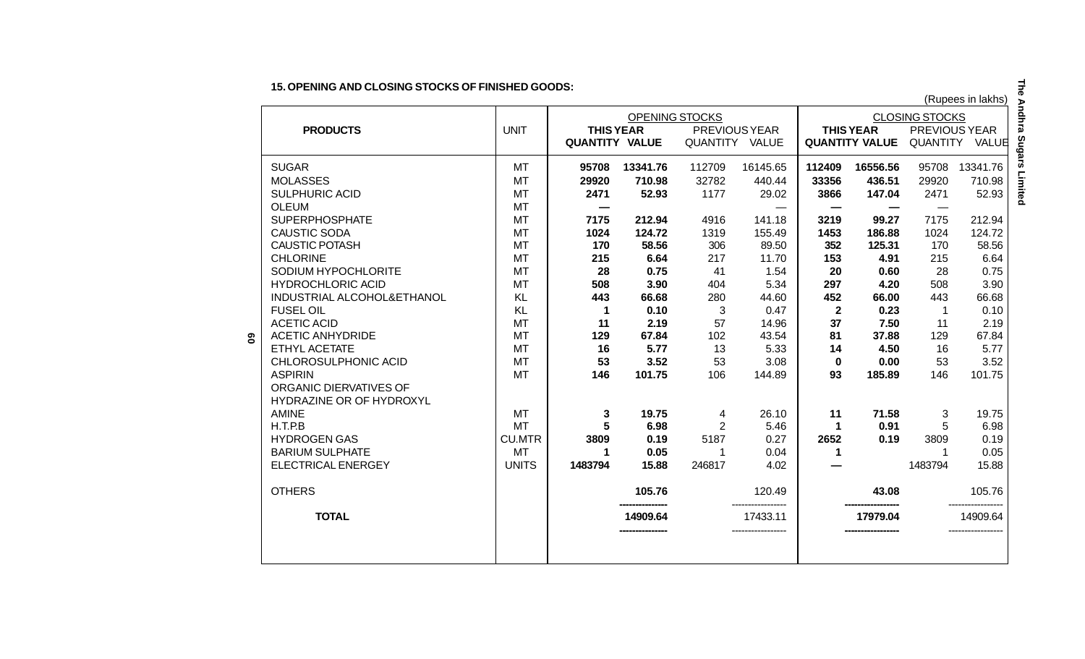**15. OPENING AND CLOSING STOCKS OF FINISHED GOODS:**

|    |                            |               |                       |                |                |               |                       |                       |               | (Rupees in lakhs) |
|----|----------------------------|---------------|-----------------------|----------------|----------------|---------------|-----------------------|-----------------------|---------------|-------------------|
|    |                            |               |                       | OPENING STOCKS |                |               | <b>CLOSING STOCKS</b> |                       |               |                   |
|    | <b>PRODUCTS</b>            | <b>UNIT</b>   | <b>THIS YEAR</b>      |                |                | PREVIOUS YEAR |                       | <b>THIS YEAR</b>      | PREVIOUS YEAR |                   |
|    |                            |               | <b>QUANTITY VALUE</b> |                | QUANTITY VALUE |               |                       | <b>QUANTITY VALUE</b> |               | QUANTITY VALUE    |
|    | <b>SUGAR</b>               | MT            | 95708                 | 13341.76       | 112709         | 16145.65      | 112409                | 16556.56              | 95708         | 13341.76          |
|    | <b>MOLASSES</b>            | MT            | 29920                 | 710.98         | 32782          | 440.44        | 33356                 | 436.51                | 29920         | 710.98            |
|    | <b>SULPHURIC ACID</b>      | <b>MT</b>     | 2471                  | 52.93          | 1177           | 29.02         | 3866                  | 147.04                | 2471          | 52.93             |
|    | <b>OLEUM</b>               | MT            |                       |                |                |               | —                     | $\hspace{0.05cm}$     |               |                   |
|    | <b>SUPERPHOSPHATE</b>      | <b>MT</b>     | 7175                  | 212.94         | 4916           | 141.18        | 3219                  | 99.27                 | 7175          | 212.94            |
|    | <b>CAUSTIC SODA</b>        | <b>MT</b>     | 1024                  | 124.72         | 1319           | 155.49        | 1453                  | 186.88                | 1024          | 124.72            |
|    | <b>CAUSTIC POTASH</b>      | <b>MT</b>     | 170                   | 58.56          | 306            | 89.50         | 352                   | 125.31                | 170           | 58.56             |
|    | <b>CHLORINE</b>            | <b>MT</b>     | 215                   | 6.64           | 217            | 11.70         | 153                   | 4.91                  | 215           | 6.64              |
|    | SODIUM HYPOCHLORITE        | <b>MT</b>     | 28                    | 0.75           | 41             | 1.54          | 20                    | 0.60                  | 28            | 0.75              |
|    | <b>HYDROCHLORIC ACID</b>   | <b>MT</b>     | 508                   | 3.90           | 404            | 5.34          | 297                   | 4.20                  | 508           | 3.90              |
|    | INDUSTRIAL ALCOHOL&ETHANOL | <b>KL</b>     | 443                   | 66.68          | 280            | 44.60         | 452                   | 66.00                 | 443           | 66.68             |
|    | <b>FUSEL OIL</b>           | KL            | 1                     | 0.10           | 3              | 0.47          | $\overline{2}$        | 0.23                  | $\mathbf 1$   | 0.10              |
|    | <b>ACETIC ACID</b>         | MT            | 11                    | 2.19           | 57             | 14.96         | 37                    | 7.50                  | 11            | 2.19              |
| ဇွ | <b>ACETIC ANHYDRIDE</b>    | <b>MT</b>     | 129                   | 67.84          | 102            | 43.54         | 81                    | 37.88                 | 129           | 67.84             |
|    | ETHYL ACETATE              | MT            | 16                    | 5.77           | 13             | 5.33          | 14                    | 4.50                  | 16            | 5.77              |
|    | CHLOROSULPHONIC ACID       | <b>MT</b>     | 53                    | 3.52           | 53             | 3.08          | $\bf{0}$              | 0.00                  | 53            | 3.52              |
|    | <b>ASPIRIN</b>             | <b>MT</b>     | 146                   | 101.75         | 106            | 144.89        | 93                    | 185.89                | 146           | 101.75            |
|    | ORGANIC DIERVATIVES OF     |               |                       |                |                |               |                       |                       |               |                   |
|    | HYDRAZINE OR OF HYDROXYL   |               |                       |                |                |               |                       |                       |               |                   |
|    | <b>AMINE</b>               | <b>MT</b>     | 3                     | 19.75          | 4              | 26.10         | 11                    | 71.58                 | 3             | 19.75             |
|    | H.T.P.B                    | <b>MT</b>     | 5                     | 6.98           | $\overline{2}$ | 5.46          | 1                     | 0.91                  | 5             | 6.98              |
|    | <b>HYDROGEN GAS</b>        | <b>CU.MTR</b> | 3809                  | 0.19           | 5187           | 0.27          | 2652                  | 0.19                  | 3809          | 0.19              |
|    | <b>BARIUM SULPHATE</b>     | MT            |                       | 0.05           | 1              | 0.04          |                       |                       |               | 0.05              |
|    | ELECTRICAL ENERGEY         | <b>UNITS</b>  | 1483794               | 15.88          | 246817         | 4.02          |                       |                       | 1483794       | 15.88             |
|    | <b>OTHERS</b>              |               |                       | 105.76         |                | 120.49        |                       | 43.08                 |               | 105.76            |
|    | <b>TOTAL</b>               |               |                       | 14909.64       |                | 17433.11      |                       | 17979.04              |               | 14909.64          |

The Andhra Sugars Limited **The Andhra Sugars Limited**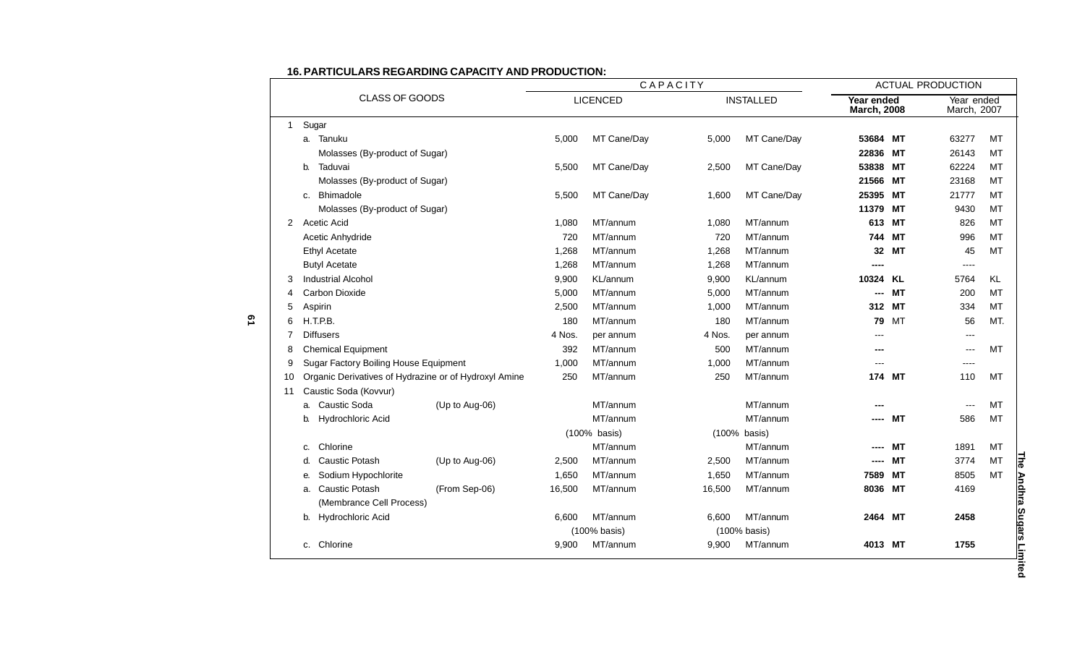| CLASS OF GOODS |       | CAPACITY                                              |                 |        |                  | <b>ACTUAL PRODUCTION</b>         |              |                           |           |       |           |
|----------------|-------|-------------------------------------------------------|-----------------|--------|------------------|----------------------------------|--------------|---------------------------|-----------|-------|-----------|
|                |       |                                                       | <b>LICENCED</b> |        | <b>INSTALLED</b> | Year ended<br><b>March, 2008</b> |              | Year ended<br>March, 2007 |           |       |           |
| 1              | Sugar |                                                       |                 |        |                  |                                  |              |                           |           |       |           |
|                |       | a. Tanuku                                             |                 | 5,000  | MT Cane/Day      | 5,000                            | MT Cane/Day  | 53684 MT                  |           | 63277 | MT        |
|                |       | Molasses (By-product of Sugar)                        |                 |        |                  |                                  |              | 22836                     | МT        | 26143 | MT        |
|                | b.    | Taduvai                                               |                 | 5,500  | MT Cane/Day      | 2,500                            | MT Cane/Day  | 53838 MT                  |           | 62224 | MT        |
|                |       | Molasses (By-product of Sugar)                        |                 |        |                  |                                  |              | 21566 MT                  |           | 23168 | MT        |
|                | C.    | Bhimadole                                             |                 | 5,500  | MT Cane/Day      | 1,600                            | MT Cane/Day  | 25395                     | <b>MT</b> | 21777 | MT        |
|                |       | Molasses (By-product of Sugar)                        |                 |        |                  |                                  |              | 11379                     | <b>MT</b> | 9430  | MT        |
| 2              |       | Acetic Acid                                           |                 | 1,080  | MT/annum         | 1,080                            | MT/annum     | 613                       | <b>MT</b> | 826   | MT        |
|                |       | Acetic Anhydride                                      |                 | 720    | MT/annum         | 720                              | MT/annum     | 744                       | MТ        | 996   | MT        |
|                |       | <b>Ethyl Acetate</b>                                  |                 | 1,268  | MT/annum         | 1,268                            | MT/annum     | 32                        | <b>MT</b> | 45    | <b>MT</b> |
|                |       | <b>Butyl Acetate</b>                                  |                 | 1,268  | MT/annum         | 1,268                            | MT/annum     | ----                      |           | $---$ |           |
|                |       | <b>Industrial Alcohol</b>                             |                 | 9,900  | KL/annum         | 9,900                            | KL/annum     | 10324 KL                  |           | 5764  | KL        |
|                |       | Carbon Dioxide                                        |                 | 5,000  | MT/annum         | 5,000                            | MT/annum     | ---                       | <b>MT</b> | 200   | MT        |
| 5              |       | Aspirin                                               |                 | 2,500  | MT/annum         | 1,000                            | MT/annum     | 312                       | <b>MT</b> | 334   | MT        |
| 6              |       | H.T.P.B.                                              |                 | 180    | MT/annum         | 180                              | MT/annum     | 79                        | МT        | 56    | MT.       |
|                |       | <b>Diffusers</b>                                      |                 | 4 Nos. | per annum        | 4 Nos.                           | per annum    |                           |           | ---   |           |
| 8              |       | <b>Chemical Equipment</b>                             |                 | 392    | MT/annum         | 500                              | MT/annum     |                           |           | $---$ | MT        |
| 9              |       | Sugar Factory Boiling House Equipment                 |                 | 1,000  | MT/annum         | 1,000                            | MT/annum     |                           |           | ----  |           |
| 10             |       | Organic Derivatives of Hydrazine or of Hydroxyl Amine |                 | 250    | MT/annum         | 250                              | MT/annum     |                           | 174 MT    | 110   | MT        |
| 11             |       | Caustic Soda (Kovvur)                                 |                 |        |                  |                                  |              |                           |           |       |           |
|                | a.    | Caustic Soda                                          | (Up to Aug-06)  |        | MT/annum         |                                  | MT/annum     |                           |           |       | MT        |
|                | b.    | Hydrochloric Acid                                     |                 |        | MT/annum         |                                  | MT/annum     |                           | MТ        | 586   | MT        |
|                |       |                                                       |                 |        | (100% basis)     | (100% basis)                     |              |                           |           |       |           |
|                | C.    | Chlorine                                              |                 |        | MT/annum         |                                  | MT/annum     |                           | MТ        | 1891  | MT        |
|                | d.    | <b>Caustic Potash</b>                                 | (Up to Aug-06)  | 2,500  | MT/annum         | 2,500                            | MT/annum     |                           | <b>MT</b> | 3774  | MT        |
|                | е.    | Sodium Hypochlorite                                   |                 | 1,650  | MT/annum         | 1,650                            | MT/annum     | 7589                      | <b>MT</b> | 8505  | MT        |
|                | a.    | <b>Caustic Potash</b>                                 | (From Sep-06)   | 16,500 | MT/annum         | 16,500                           | MT/annum     | 8036                      | МT        | 4169  |           |
|                |       | (Membrance Cell Process)                              |                 |        |                  |                                  |              |                           |           |       |           |
|                | b.    | Hydrochloric Acid                                     |                 | 6,600  | MT/annum         | 6,600                            | MT/annum     | 2464 MT                   |           | 2458  |           |
|                |       |                                                       |                 |        | (100% basis)     |                                  | (100% basis) |                           |           |       |           |
|                | C.    | Chlorine                                              |                 | 9,900  | MT/annum         | 9,900                            | MT/annum     | 4013 MT                   |           | 1755  |           |
|                |       |                                                       |                 |        |                  |                                  |              |                           |           |       |           |

#### **16. PARTICULARS REGARDING CAPACITY AND PRODUCTION:**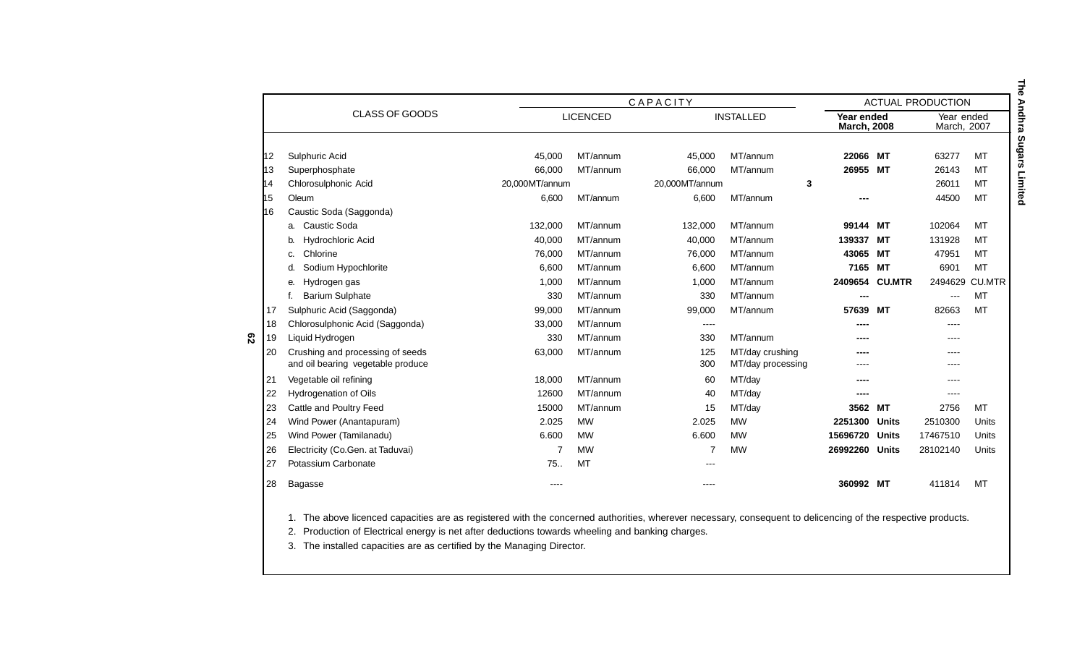|     |                                                                       |                | CAPACITY        |                |                                      | <b>ACTUAL PRODUCTION</b>         |               |                           |               |
|-----|-----------------------------------------------------------------------|----------------|-----------------|----------------|--------------------------------------|----------------------------------|---------------|---------------------------|---------------|
|     | CLASS OF GOODS                                                        |                | <b>LICENCED</b> |                | <b>INSTALLED</b>                     | Year ended<br><b>March, 2008</b> |               | Year ended<br>March, 2007 |               |
| 12  | Sulphuric Acid                                                        | 45,000         | MT/annum        | 45,000         | MT/annum                             | 22066                            | МT            | 63277                     | <b>MT</b>     |
| l13 | Superphosphate                                                        | 66,000         | MT/annum        | 66.000         | MT/annum                             | 26955                            | МT            | 26143                     | <b>MT</b>     |
| 14  | Chlorosulphonic Acid                                                  | 20,000MT/annum |                 | 20,000MT/annum | 3                                    |                                  |               | 26011                     | MT            |
| h5  | Oleum                                                                 | 6.600          | MT/annum        | 6,600          | MT/annum                             |                                  |               | 44500                     | MT            |
| l16 | Caustic Soda (Saggonda)                                               |                |                 |                |                                      |                                  |               |                           |               |
|     | <b>Caustic Soda</b><br>a.                                             | 132,000        | MT/annum        | 132,000        | MT/annum                             | 99144                            | МT            | 102064                    | MT            |
|     | <b>Hydrochloric Acid</b>                                              | 40,000         | MT/annum        | 40,000         | MT/annum                             | 139337                           | МT            | 131928                    | MT            |
|     | Chlorine<br>C.                                                        | 76,000         | MT/annum        | 76,000         | MT/annum                             | 43065                            | МT            | 47951                     | MT            |
|     | Sodium Hypochlorite<br>d.                                             | 6,600          | MT/annum        | 6,600          | MT/annum                             | 7165                             | MТ            | 6901                      | <b>MT</b>     |
|     | Hydrogen gas<br>е.                                                    | 1,000          | MT/annum        | 1,000          | MT/annum                             | 2409654                          | <b>CU.MTR</b> | 2494629                   | <b>CU.MTR</b> |
|     | <b>Barium Sulphate</b>                                                | 330            | MT/annum        | 330            | MT/annum                             | ---                              |               | $---$                     | MT            |
| 17  | Sulphuric Acid (Saggonda)                                             | 99,000         | MT/annum        | 99,000         | MT/annum                             | 57639                            | MТ            | 82663                     | MT            |
| 18  | Chlorosulphonic Acid (Saggonda)                                       | 33,000         | MT/annum        | ----           |                                      |                                  |               | ----                      |               |
| 19  | Liquid Hydrogen                                                       | 330            | MT/annum        | 330            | MT/annum                             | ----                             |               | $---$                     |               |
| 20  | Crushing and processing of seeds<br>and oil bearing vegetable produce | 63,000         | MT/annum        | 125<br>300     | MT/day crushing<br>MT/day processing |                                  |               | ----                      |               |
| 21  | Vegetable oil refining                                                | 18,000         | MT/annum        | 60             | MT/day                               | ----                             |               | $---$                     |               |
| 22  | Hydrogenation of Oils                                                 | 12600          | MT/annum        | 40             | MT/day                               | ----                             |               | ----                      |               |
| 23  | Cattle and Poultry Feed                                               | 15000          | MT/annum        | 15             | MT/day                               | 3562                             | МT            | 2756                      | MT            |
| 24  | Wind Power (Anantapuram)                                              | 2.025          | <b>MW</b>       | 2.025          | <b>MW</b>                            | 2251300                          | <b>Units</b>  | 2510300                   | Units         |
| 25  | Wind Power (Tamilanadu)                                               | 6.600          | <b>MW</b>       | 6.600          | <b>MW</b>                            | 15696720                         | Units         | 17467510                  | Units         |
| 26  | Electricity (Co.Gen. at Taduvai)                                      |                | <b>MW</b>       |                | <b>MW</b>                            | 26992260                         | Units         | 28102140                  | Units         |
| 27  | Potassium Carbonate                                                   | 75.            | MT              |                |                                      |                                  |               |                           |               |
| 28  | Bagasse                                                               | ----           |                 | ----           |                                      | 360992 MT                        |               | 411814                    | MT            |

1. The above licenced capacities are as registered with the concerned authorities, wherever necessary, consequent to delicencing of the respective products.

2. Production of Electrical energy is net after deductions towards wheeling and banking charges.

3. The installed capacities are as certified by the Managing Director.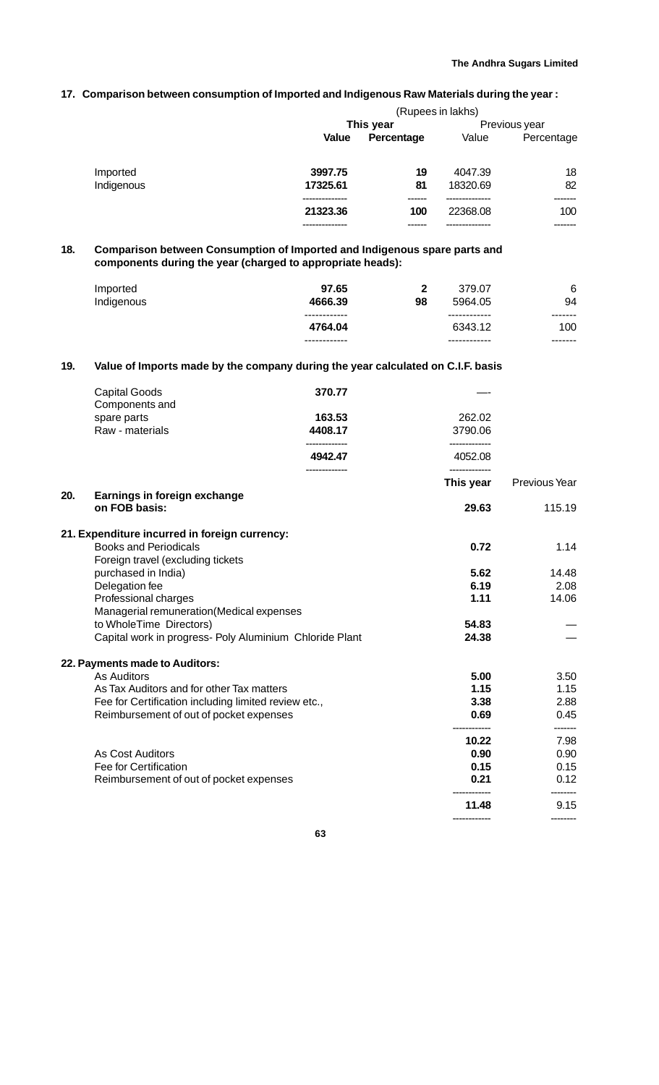## **17. Comparison between consumption of Imported and Indigenous Raw Materials during the year :**

|            |          |            | (Rupees in lakhs) |               |
|------------|----------|------------|-------------------|---------------|
|            |          | This year  |                   | Previous year |
|            | Value    | Percentage | Value             | Percentage    |
| Imported   | 3997.75  | 19         | 4047.39           | 18            |
| Indigenous | 17325.61 | 81         | 18320.69          | 82            |
|            | 21323.36 | 100        | 22368.08          | 100           |
|            |          |            |                   | -------       |

## **18. Comparison between Consumption of Imported and Indigenous spare parts and components during the year (charged to appropriate heads):**

| Imported   | 97.65                                   | 2  | 379.07                                  | 6                         |
|------------|-----------------------------------------|----|-----------------------------------------|---------------------------|
| Indigenous | 4666.39                                 | 98 | 5964.05                                 | 94                        |
|            | ------------<br>4764.04<br>------------ |    | ------------<br>6343.12<br>------------ | -------<br>100<br>------- |

## **19. Value of Imports made by the company during the year calculated on C.I.F. basis**

|     | <b>Capital Goods</b>                                              | 370.77        |                            |                  |
|-----|-------------------------------------------------------------------|---------------|----------------------------|------------------|
|     | Components and<br>spare parts                                     | 163.53        | 262.02                     |                  |
|     | Raw - materials                                                   | 4408.17       | 3790.06                    |                  |
|     |                                                                   | 4942.47       | 4052.08                    |                  |
|     |                                                                   | ------------- | -------------<br>This year | Previous Year    |
| 20. | Earnings in foreign exchange                                      |               |                            |                  |
|     | on FOB basis:                                                     |               | 29.63                      | 115.19           |
|     | 21. Expenditure incurred in foreign currency:                     |               |                            |                  |
|     | <b>Books and Periodicals</b><br>Foreign travel (excluding tickets |               | 0.72                       | 1.14             |
|     | purchased in India)                                               |               | 5.62                       | 14.48            |
|     | Delegation fee                                                    |               | 6.19                       | 2.08             |
|     | Professional charges                                              |               | 1.11                       | 14.06            |
|     | Managerial remuneration(Medical expenses                          |               |                            |                  |
|     | to WholeTime Directors)                                           |               | 54.83                      |                  |
|     | Capital work in progress- Poly Aluminium Chloride Plant           |               | 24.38                      |                  |
|     | 22. Payments made to Auditors:                                    |               |                            |                  |
|     | <b>As Auditors</b>                                                |               | 5.00                       | 3.50             |
|     | As Tax Auditors and for other Tax matters                         |               | 1.15                       | 1.15             |
|     | Fee for Certification including limited review etc.,              |               | 3.38                       | 2.88             |
|     | Reimbursement of out of pocket expenses                           |               | 0.69                       | 0.45             |
|     |                                                                   |               | 10.22                      | 7.98             |
|     | <b>As Cost Auditors</b>                                           |               | 0.90                       | 0.90             |
|     | Fee for Certification                                             |               | 0.15                       | 0.15             |
|     | Reimbursement of out of pocket expenses                           |               | 0.21                       | 0.12<br>-------- |
|     |                                                                   |               | 11.48                      | 9.15             |
|     |                                                                   |               |                            |                  |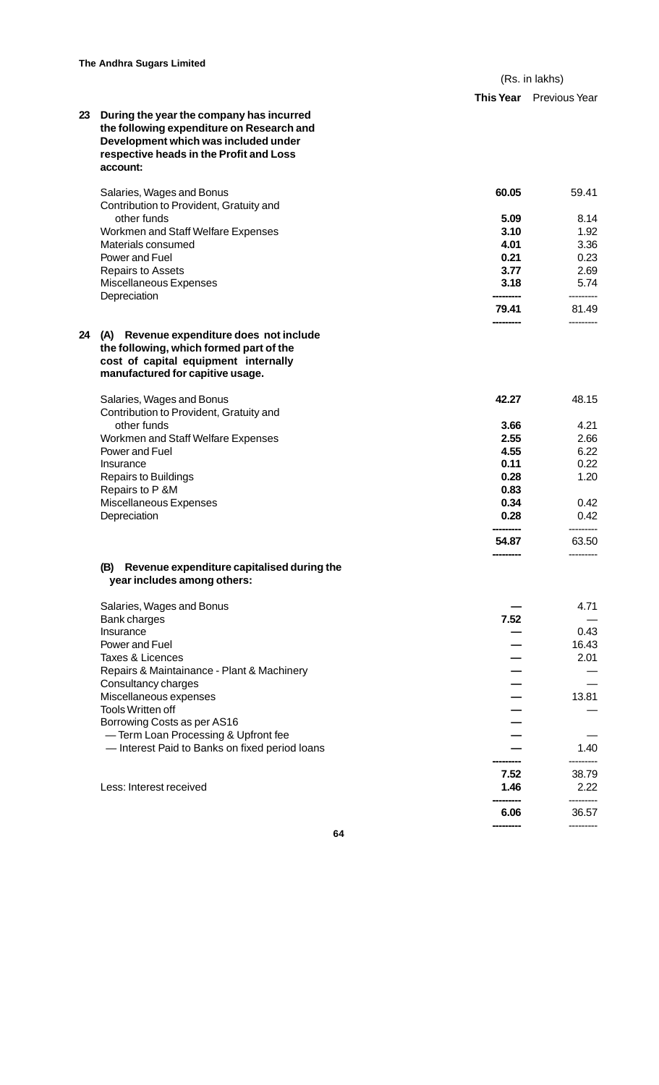|            | (Rs. in lakhs) |
|------------|----------------|
| エレ しょ Vィー・ | $D2 = 1$       |

**---------** --------- **6.06** 36.57 **---------** ---------

|    |                                                                                       | <b>This Year</b> | Previous Year      |
|----|---------------------------------------------------------------------------------------|------------------|--------------------|
| 23 | During the year the company has incurred<br>the following expenditure on Research and |                  |                    |
|    | Development which was included under                                                  |                  |                    |
|    | respective heads in the Profit and Loss                                               |                  |                    |
|    | account:                                                                              |                  |                    |
|    | Salaries, Wages and Bonus                                                             | 60.05            | 59.41              |
|    | Contribution to Provident, Gratuity and                                               |                  |                    |
|    | other funds                                                                           | 5.09             | 8.14               |
|    | Workmen and Staff Welfare Expenses                                                    | 3.10             | 1.92               |
|    | Materials consumed                                                                    | 4.01             | 3.36               |
|    | Power and Fuel                                                                        | 0.21             | 0.23               |
|    | <b>Repairs to Assets</b>                                                              | 3.77             | 2.69               |
|    | Miscellaneous Expenses<br>Depreciation                                                | 3.18             | 5.74<br>---------- |
|    |                                                                                       | 79.41            | 81.49              |
|    |                                                                                       |                  |                    |
| 24 | (A) Revenue expenditure does not include<br>the following, which formed part of the   |                  |                    |
|    | cost of capital equipment internally                                                  |                  |                    |
|    | manufactured for capitive usage.                                                      |                  |                    |
|    |                                                                                       |                  |                    |
|    | Salaries, Wages and Bonus<br>Contribution to Provident, Gratuity and                  | 42.27            | 48.15              |
|    | other funds                                                                           | 3.66             | 4.21               |
|    | Workmen and Staff Welfare Expenses                                                    | 2.55             | 2.66               |
|    | Power and Fuel                                                                        | 4.55             | 6.22               |
|    | Insurance                                                                             | 0.11             | 0.22               |
|    | <b>Repairs to Buildings</b>                                                           | 0.28             | 1.20               |
|    | Repairs to P &M                                                                       | 0.83             |                    |
|    | Miscellaneous Expenses                                                                | 0.34             | 0.42               |
|    | Depreciation                                                                          | 0.28             | 0.42               |
|    |                                                                                       | 54.87            | 63.50              |
|    |                                                                                       |                  |                    |
|    | (B)<br>Revenue expenditure capitalised during the<br>year includes among others:      |                  |                    |
|    |                                                                                       |                  |                    |
|    | Salaries, Wages and Bonus                                                             |                  | 4.71               |
|    | <b>Bank charges</b>                                                                   | 7.52             |                    |
|    | Insurance                                                                             |                  | 0.43               |
|    | Power and Fuel                                                                        |                  | 16.43              |
|    | <b>Taxes &amp; Licences</b><br>Repairs & Maintainance - Plant & Machinery             |                  | 2.01               |
|    | Consultancy charges                                                                   |                  |                    |
|    | Miscellaneous expenses                                                                |                  | 13.81              |
|    | <b>Tools Written off</b>                                                              |                  |                    |
|    | Borrowing Costs as per AS16                                                           |                  |                    |
|    | -Term Loan Processing & Upfront fee                                                   |                  |                    |
|    | - Interest Paid to Banks on fixed period loans                                        |                  | 1.40               |
|    |                                                                                       | 7.52             | 38.79              |
|    | Less: Interest received                                                               | 1.46             | 2.22               |
|    |                                                                                       |                  |                    |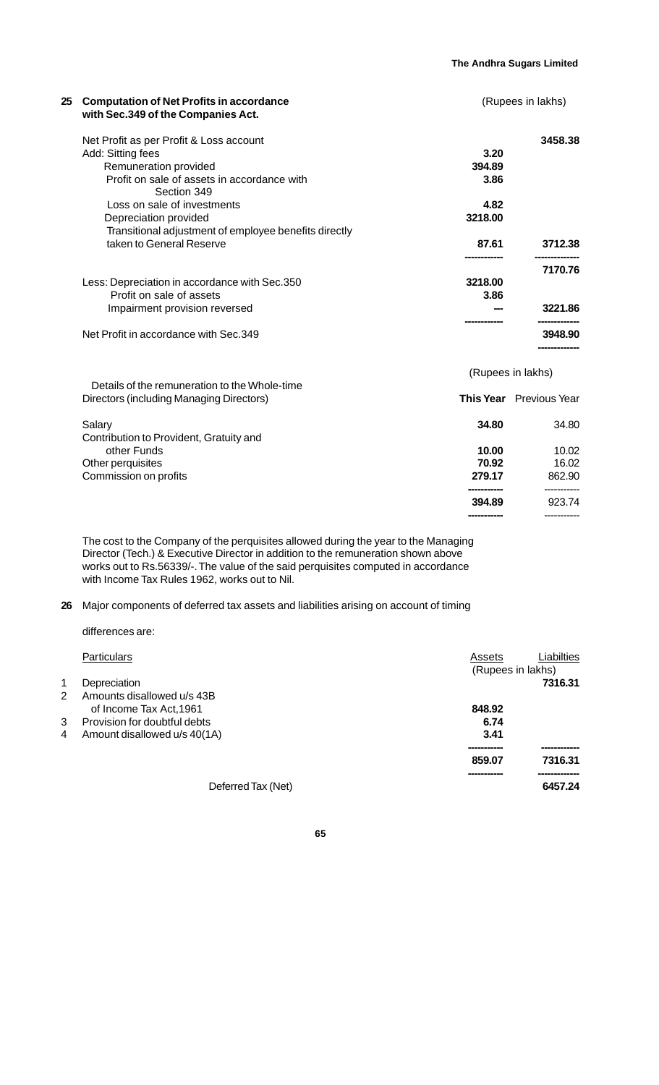**394.89** 923.74

**-----------** -----------

| 25 | <b>Computation of Net Profits in accordance</b><br>with Sec.349 of the Companies Act. |         | (Rupees in lakhs)              |  |
|----|---------------------------------------------------------------------------------------|---------|--------------------------------|--|
|    | Net Profit as per Profit & Loss account                                               |         | 3458.38                        |  |
|    | Add: Sitting fees                                                                     | 3.20    |                                |  |
|    | Remuneration provided                                                                 | 394.89  |                                |  |
|    | Profit on sale of assets in accordance with<br>Section 349                            | 3.86    |                                |  |
|    | Loss on sale of investments                                                           | 4.82    |                                |  |
|    | Depreciation provided                                                                 | 3218.00 |                                |  |
|    | Transitional adjustment of employee benefits directly                                 |         |                                |  |
|    | taken to General Reserve                                                              | 87.61   | 3712.38                        |  |
|    |                                                                                       |         | 7170.76                        |  |
|    | Less: Depreciation in accordance with Sec.350                                         | 3218.00 |                                |  |
|    | Profit on sale of assets                                                              | 3.86    |                                |  |
|    | Impairment provision reversed                                                         |         | 3221.86                        |  |
|    | Net Profit in accordance with Sec.349                                                 |         | 3948.90                        |  |
|    |                                                                                       |         | (Rupees in lakhs)              |  |
|    | Details of the remuneration to the Whole-time                                         |         |                                |  |
|    | Directors (including Managing Directors)                                              |         | <b>This Year</b> Previous Year |  |
|    | Salary                                                                                | 34.80   | 34.80                          |  |
|    | Contribution to Provident, Gratuity and                                               |         |                                |  |
|    | other Funds                                                                           | 10.00   | 10.02                          |  |
|    | Other perquisites                                                                     | 70.92   | 16.02                          |  |
|    | Commission on profits                                                                 | 279.17  | 862.90                         |  |
|    |                                                                                       |         | -----------                    |  |

The cost to the Company of the perquisites allowed during the year to the Managing Director (Tech.) & Executive Director in addition to the remuneration shown above works out to Rs.56339/-. The value of the said perquisites computed in accordance with Income Tax Rules 1962, works out to Nil.

**26** Major components of deferred tax assets and liabilities arising on account of timing

differences are:

|    | <b>Particulars</b>           | Assets            | Liabilties |
|----|------------------------------|-------------------|------------|
|    |                              | (Rupees in lakhs) |            |
| 1  | Depreciation                 |                   | 7316.31    |
| 2  | Amounts disallowed u/s 43B   |                   |            |
|    | of Income Tax Act, 1961      | 848.92            |            |
| 3. | Provision for doubtful debts | 6.74              |            |
| 4  | Amount disallowed u/s 40(1A) | 3.41              |            |
|    |                              |                   |            |
|    |                              | 859.07            | 7316.31    |
|    |                              |                   |            |
|    | Deferred Tax (Net)           |                   | 6457.24    |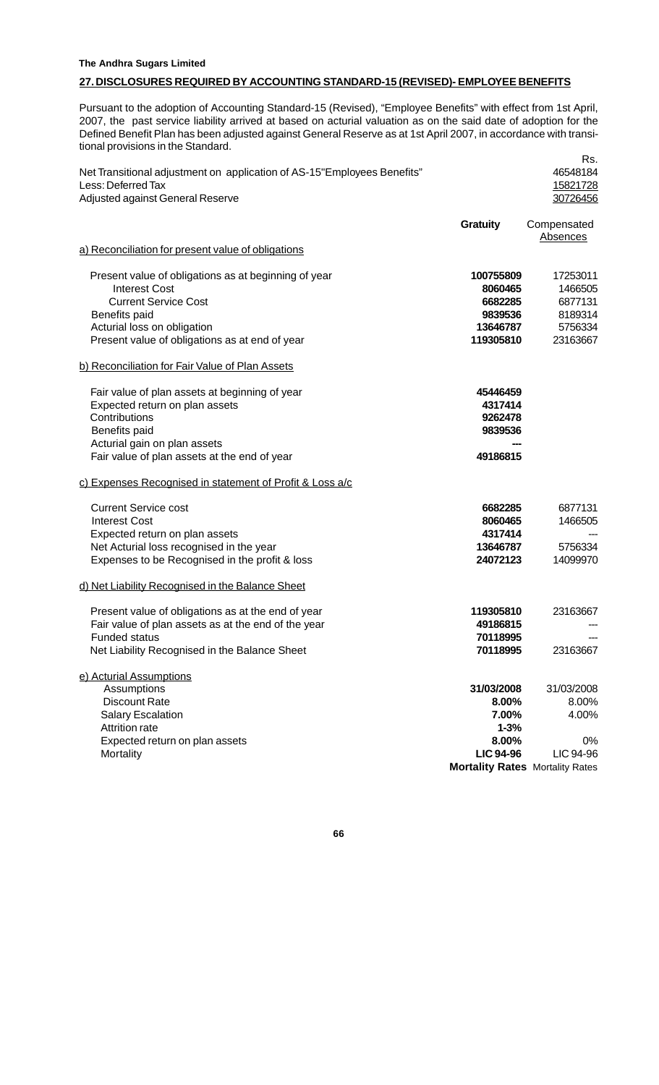## **The Andhra Sugars Limited**

## **27. DISCLOSURES REQUIRED BY ACCOUNTING STANDARD-15 (REVISED)- EMPLOYEE BENEFITS**

Pursuant to the adoption of Accounting Standard-15 (Revised), "Employee Benefits" with effect from 1st April, 2007, the past service liability arrived at based on acturial valuation as on the said date of adoption for the Defined Benefit Plan has been adjusted against General Reserve as at 1st April 2007, in accordance with transitional provisions in the Standard.

Rs.

| Net Transitional adjustment on application of AS-15"Employees Benefits"<br>Less: Deferred Tax<br>Adjusted against General Reserve                                                                             | 46548184<br>15821728<br>30726456                                                                                                                                   |
|---------------------------------------------------------------------------------------------------------------------------------------------------------------------------------------------------------------|--------------------------------------------------------------------------------------------------------------------------------------------------------------------|
| <b>Gratuity</b>                                                                                                                                                                                               | Compensated<br>Absences                                                                                                                                            |
| a) Reconciliation for present value of obligations                                                                                                                                                            |                                                                                                                                                                    |
| Present value of obligations as at beginning of year<br><b>Interest Cost</b><br><b>Current Service Cost</b><br>Benefits paid<br>Acturial loss on obligation<br>Present value of obligations as at end of year | 17253011<br>100755809<br>8060465<br>1466505<br>6682285<br>6877131<br>9839536<br>8189314<br>5756334<br>13646787<br>23163667<br>119305810                            |
| b) Reconciliation for Fair Value of Plan Assets                                                                                                                                                               |                                                                                                                                                                    |
| Fair value of plan assets at beginning of year<br>Expected return on plan assets<br>Contributions<br>Benefits paid<br>Acturial gain on plan assets                                                            | 45446459<br>4317414<br>9262478<br>9839536                                                                                                                          |
| Fair value of plan assets at the end of year                                                                                                                                                                  | 49186815                                                                                                                                                           |
| c) Expenses Recognised in statement of Profit & Loss a/c                                                                                                                                                      |                                                                                                                                                                    |
| <b>Current Service cost</b><br><b>Interest Cost</b><br>Expected return on plan assets<br>Net Acturial loss recognised in the year<br>Expenses to be Recognised in the profit & loss                           | 6682285<br>6877131<br>8060465<br>1466505<br>4317414<br>5756334<br>13646787<br>24072123<br>14099970                                                                 |
| d) Net Liability Recognised in the Balance Sheet                                                                                                                                                              |                                                                                                                                                                    |
| Present value of obligations as at the end of year<br>Fair value of plan assets as at the end of the year<br><b>Funded status</b><br>Net Liability Recognised in the Balance Sheet                            | 119305810<br>23163667<br>49186815<br>70118995<br>70118995<br>23163667                                                                                              |
| e) Acturial Assumptions<br>Assumptions<br><b>Discount Rate</b><br><b>Salary Escalation</b><br><b>Attrition rate</b><br>Expected return on plan assets<br>Mortality                                            | 31/03/2008<br>31/03/2008<br>8.00%<br>8.00%<br>7.00%<br>4.00%<br>$1 - 3%$<br>8.00%<br>0%<br><b>LIC 94-96</b><br>LIC 94-96<br><b>Mortality Rates Mortality Rates</b> |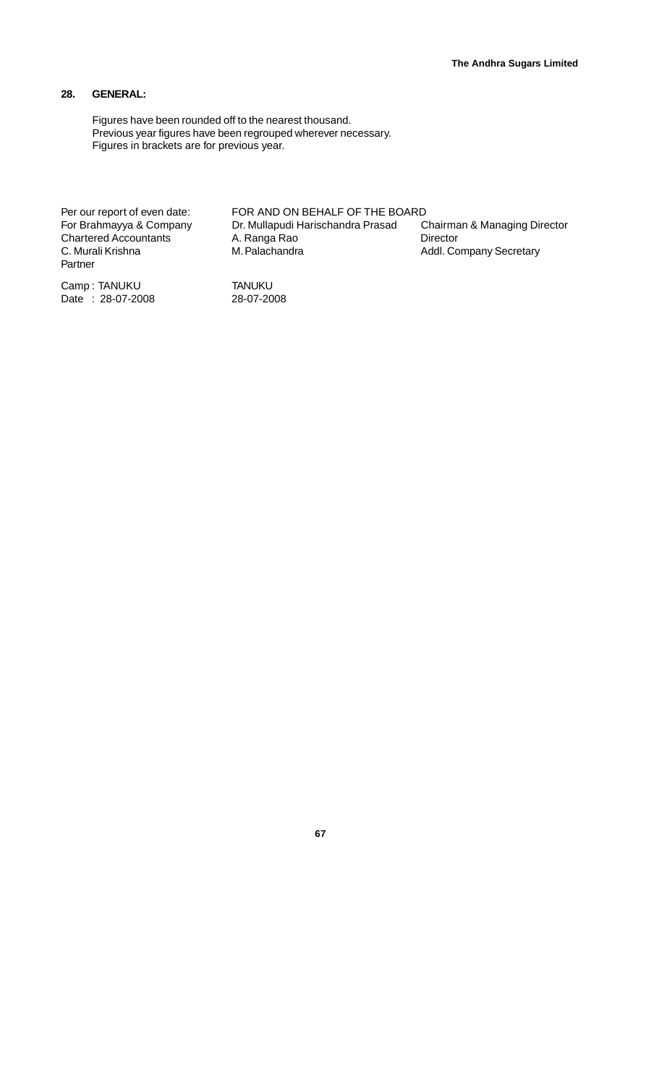## **28. GENERAL:**

Figures have been rounded off to the nearest thousand. Previous year figures have been regrouped wherever necessary. Figures in brackets are for previous year.

Per our report of even date: FOR AND ON BEHALF OF THE BOARD<br>For Brahmayya & Company Dr. Mullapudi Harischandra Prasad C Chartered Accountants A. Ranga Rao Director<br>C. Murali Krishna M. Palachandra Addl. Co Partner

Camp : TANUKU TANUKU  $Date : 28-07-2008$ 

Dr. Mullapudi Harischandra Prasad Chairman & Managing Director<br>A. Ranga Rao Chairman Birector Addl. Company Secretary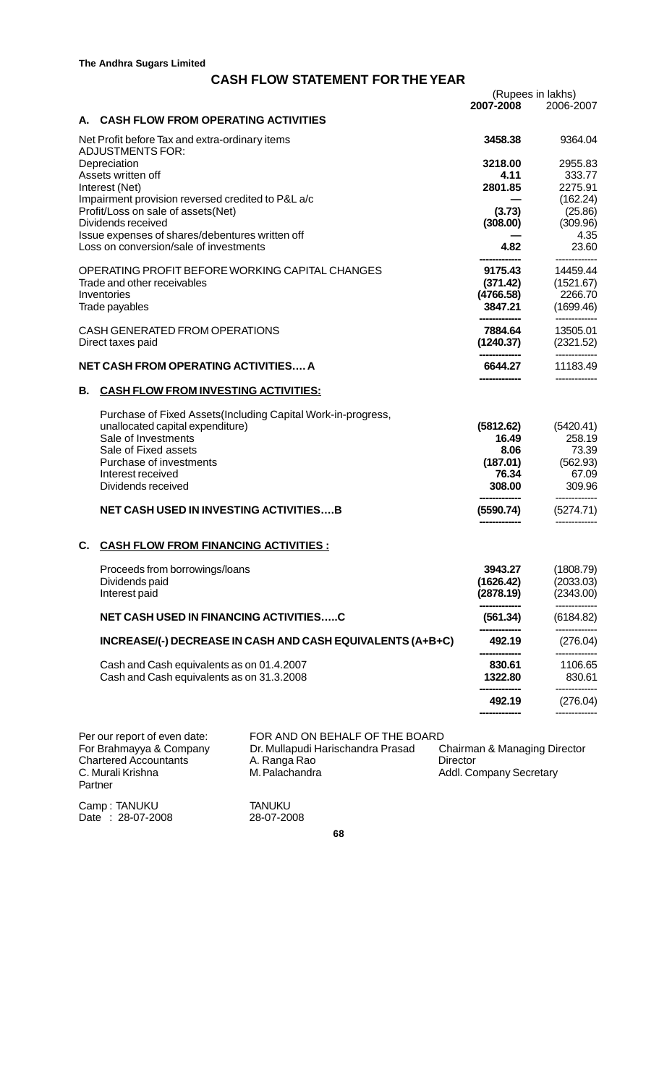## **CASH FLOW STATEMENT FOR THE YEAR**

|    |                                                                                           |                                                               |                                     | (Rupees in lakhs)      |
|----|-------------------------------------------------------------------------------------------|---------------------------------------------------------------|-------------------------------------|------------------------|
|    |                                                                                           |                                                               | 2007-2008                           | 2006-2007              |
|    | A. CASH FLOW FROM OPERATING ACTIVITIES                                                    |                                                               |                                     |                        |
|    | Net Profit before Tax and extra-ordinary items<br><b>ADJUSTMENTS FOR:</b>                 |                                                               | 3458.38                             | 9364.04                |
|    | Depreciation                                                                              |                                                               | 3218.00                             | 2955.83                |
|    | Assets written off                                                                        |                                                               | 4.11                                | 333.77                 |
|    | Interest (Net)<br>Impairment provision reversed credited to P&L a/c                       |                                                               | 2801.85                             | 2275.91<br>(162.24)    |
|    | Profit/Loss on sale of assets(Net)                                                        |                                                               | (3.73)                              | (25.86)                |
|    | Dividends received                                                                        |                                                               | (308.00)                            | (309.96)               |
|    | Issue expenses of shares/debentures written off<br>Loss on conversion/sale of investments |                                                               | 4.82                                | 4.35<br>23.60          |
|    |                                                                                           |                                                               |                                     |                        |
|    |                                                                                           | OPERATING PROFIT BEFORE WORKING CAPITAL CHANGES               | 9175.43                             | 14459.44               |
|    | Trade and other receivables<br>Inventories                                                |                                                               | (371.42)<br>(4766.58)               | (1521.67)<br>2266.70   |
|    | Trade payables                                                                            |                                                               | 3847.21                             | (1699.46)              |
|    | CASH GENERATED FROM OPERATIONS                                                            |                                                               | 7884.64                             | ----------<br>13505.01 |
|    | Direct taxes paid                                                                         |                                                               | (1240.37)                           | (2321.52)              |
|    | <b>NET CASH FROM OPERATING ACTIVITIES A</b>                                               |                                                               | 6644.27                             | ----------<br>11183.49 |
|    |                                                                                           |                                                               |                                     |                        |
| В. | <b>CASH FLOW FROM INVESTING ACTIVITIES:</b>                                               |                                                               |                                     |                        |
|    |                                                                                           | Purchase of Fixed Assets (Including Capital Work-in-progress, |                                     |                        |
|    | unallocated capital expenditure)                                                          |                                                               | (5812.62)                           | (5420.41)              |
|    | Sale of Investments<br>Sale of Fixed assets                                               |                                                               | 16.49<br>8.06                       | 258.19<br>73.39        |
|    | Purchase of investments                                                                   |                                                               | (187.01)                            | (562.93)               |
|    | Interest received                                                                         |                                                               | 76.34                               | 67.09                  |
|    | Dividends received                                                                        |                                                               | 308.00                              | 309.96                 |
|    | <b>NET CASH USED IN INVESTING ACTIVITIESB</b>                                             |                                                               | (5590.74)                           | (5274.71)              |
| C. | <b>CASH FLOW FROM FINANCING ACTIVITIES:</b>                                               |                                                               |                                     |                        |
|    | Proceeds from borrowings/loans                                                            |                                                               | 3943.27                             | (1808.79)              |
|    | Dividends paid                                                                            |                                                               | (1626.42)                           | (2033.03)              |
|    | Interest paid                                                                             |                                                               | (2878.19)                           | (2343.00)              |
|    | NET CASH USED IN FINANCING ACTIVITIESC                                                    |                                                               | (561.34)                            | (6184.82)              |
|    |                                                                                           | INCREASE/(-) DECREASE IN CASH AND CASH EQUIVALENTS (A+B+C)    | 492.19                              | (276.04)               |
|    | Cash and Cash equivalents as on 01.4.2007                                                 |                                                               | 830.61                              | 1106.65                |
|    | Cash and Cash equivalents as on 31.3.2008                                                 |                                                               | 1322.80                             | 830.61                 |
|    |                                                                                           |                                                               | 492.19                              | (276.04)               |
|    |                                                                                           |                                                               |                                     |                        |
|    | Per our report of even date:                                                              | FOR AND ON BEHALF OF THE BOARD                                |                                     |                        |
|    | For Brahmayya & Company                                                                   | Dr. Mullapudi Harischandra Prasad                             | Chairman & Managing Director        |                        |
|    | <b>Chartered Accountants</b><br>C. Murali Krishna                                         | A. Ranga Rao<br>M. Palachandra                                | Director<br>Addl. Company Secretary |                        |
|    |                                                                                           |                                                               |                                     |                        |

Camp : TANUKU TANUKU Date : 28-07-2008 28-07-2008

Partner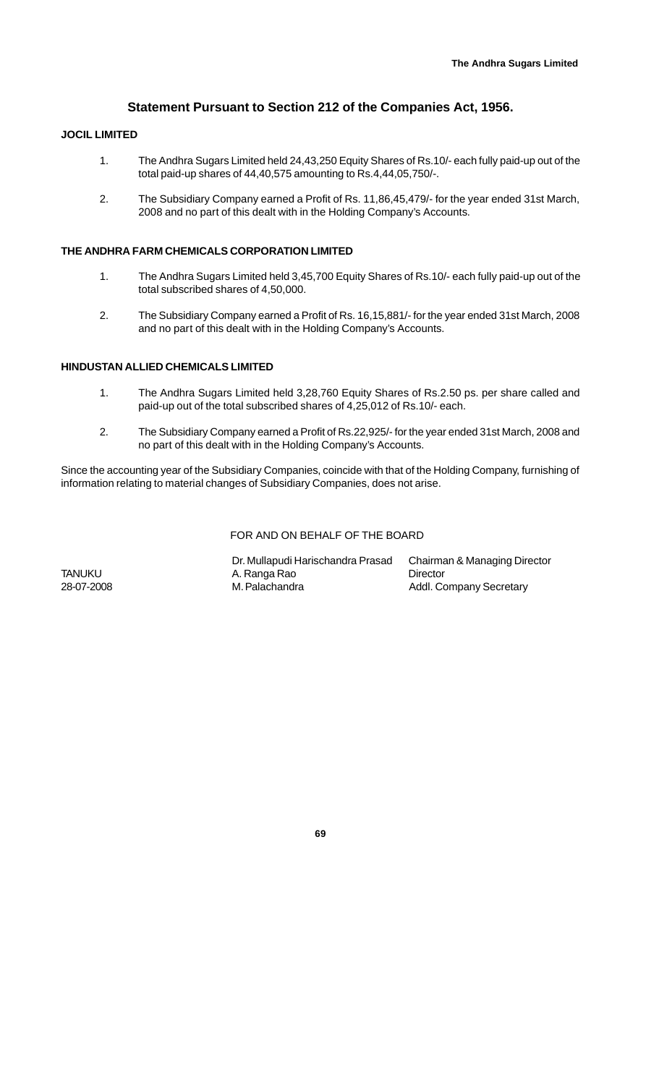## **Statement Pursuant to Section 212 of the Companies Act, 1956.**

## **JOCIL LIMITED**

- 1. The Andhra Sugars Limited held 24,43,250 Equity Shares of Rs.10/- each fully paid-up out of the total paid-up shares of 44,40,575 amounting to Rs.4,44,05,750/-.
- 2. The Subsidiary Company earned a Profit of Rs. 11,86,45,479/- for the year ended 31st March, 2008 and no part of this dealt with in the Holding Company's Accounts.

## **THE ANDHRA FARM CHEMICALS CORPORATION LIMITED**

- 1. The Andhra Sugars Limited held 3,45,700 Equity Shares of Rs.10/- each fully paid-up out of the total subscribed shares of 4,50,000.
- 2. The Subsidiary Company earned a Profit of Rs. 16,15,881/- for the year ended 31st March, 2008 and no part of this dealt with in the Holding Company's Accounts.

## **HINDUSTAN ALLIED CHEMICALS LIMITED**

- 1. The Andhra Sugars Limited held 3,28,760 Equity Shares of Rs.2.50 ps. per share called and paid-up out of the total subscribed shares of 4,25,012 of Rs.10/- each.
- 2. The Subsidiary Company earned a Profit of Rs.22,925/- for the year ended 31st March, 2008 and no part of this dealt with in the Holding Company's Accounts.

Since the accounting year of the Subsidiary Companies, coincide with that of the Holding Company, furnishing of information relating to material changes of Subsidiary Companies, does not arise.

#### FOR AND ON BEHALF OF THE BOARD

Dr. Mullapudi Harischandra Prasad Chairman & Managing Director TANUKU A. Ranga Rao Director Addl. Company Secretary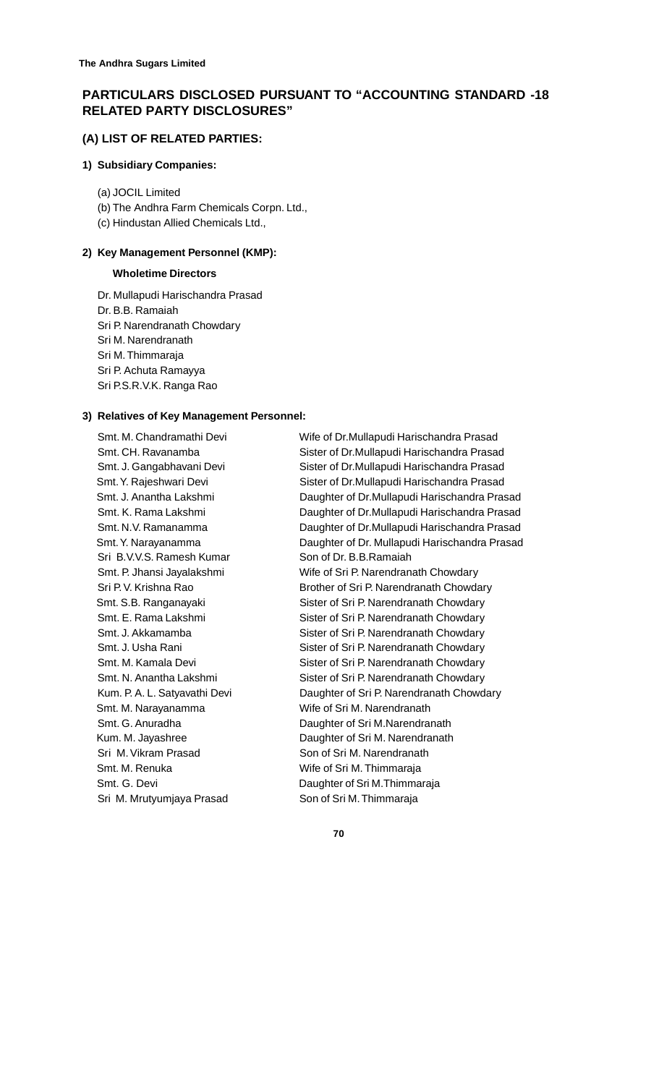## **PARTICULARS DISCLOSED PURSUANT TO "ACCOUNTING STANDARD -18 RELATED PARTY DISCLOSURES"**

## **(A) LIST OF RELATED PARTIES:**

#### **1) Subsidiary Companies:**

- (a) JOCIL Limited
- (b) The Andhra Farm Chemicals Corpn. Ltd.,
- (c) Hindustan Allied Chemicals Ltd.,

## **2) Key Management Personnel (KMP):**

## **Wholetime Directors**

Dr. Mullapudi Harischandra Prasad Dr. B.B. Ramaiah Sri P. Narendranath Chowdary Sri M. Narendranath Sri M. Thimmaraja Sri P. Achuta Ramayya Sri P.S.R.V.K. Ranga Rao

## **3) Relatives of Key Management Personnel:**

Sri B.V.V.S. Ramesh Kumar Son of Dr. B.B.Ramaiah Smt. M. Narayanamma **Wife of Sri M. Narendranath** Sri M. Vikram Prasad Son of Sri M. Narendranath Smt. M. Renuka Wife of Sri M. Thimmaraja Smt. G. Devi **Daughter of Sri M.Thimmaraja** Sri M. Mrutyumjaya Prasad Son of Sri M. Thimmaraja

Smt. M. Chandramathi Devi Wife of Dr.Mullapudi Harischandra Prasad Smt. CH. Ravanamba Sister of Dr.Mullapudi Harischandra Prasad Smt. J. Gangabhavani Devi Sister of Dr.Mullapudi Harischandra Prasad Smt. Y. Rajeshwari Devi **Sister of Dr.Mullapudi Harischandra Prasad**  Smt. J. Anantha Lakshmi Daughter of Dr.Mullapudi Harischandra Prasad Smt. K. Rama Lakshmi Daughter of Dr.Mullapudi Harischandra Prasad Smt. N.V. Ramanamma Daughter of Dr.Mullapudi Harischandra Prasad Smt. Y. Narayanamma Daughter of Dr. Mullapudi Harischandra Prasad Smt. P. Jhansi Jayalakshmi Wife of Sri P. Narendranath Chowdary Sri P. V. Krishna Rao Brother of Sri P. Narendranath Chowdary Smt. S.B. Ranganayaki Sister of Sri P. Narendranath Chowdary Smt. E. Rama Lakshmi Sister of Sri P. Narendranath Chowdary Smt. J. Akkamamba Sister of Sri P. Narendranath Chowdary Smt. J. Usha Rani Sister of Sri P. Narendranath Chowdary Smt. M. Kamala Devi Sister of Sri P. Narendranath Chowdary Smt. N. Anantha Lakshmi Sister of Sri P. Narendranath Chowdary Kum. P. A. L. Satyavathi Devi Daughter of Sri P. Narendranath Chowdary Smt. G. Anuradha **Daughter of Sri M.Narendranath** Kum. M. Jayashree **Daughter of Sri M. Narendranath**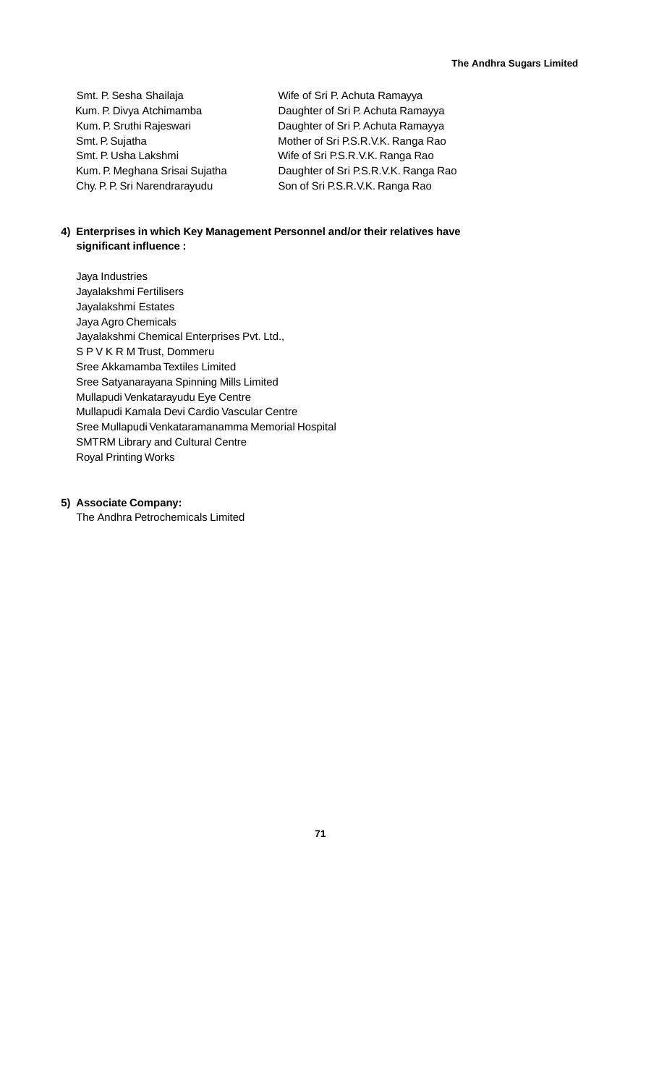Chy. P. P. Sri Narendrarayudu Son of Sri P.S.R.V.K. Ranga Rao

Smt. P. Sesha Shailaja Wife of Sri P. Achuta Ramayya Kum. P. Divya Atchimamba Daughter of Sri P. Achuta Ramayya Kum. P. Sruthi Rajeswari **Namagia Amazukari Caughter of Sri P. Achuta Ramayya** Smt. P. Sujatha Mother of Sri P.S.R.V.K. Ranga Rao Smt. P. Usha Lakshmi Wife of Sri P.S.R.V.K. Ranga Rao Kum. P. Meghana Srisai Sujatha Daughter of Sri P.S.R.V.K. Ranga Rao

## **4) Enterprises in which Key Management Personnel and/or their relatives have significant influence :**

Jaya Industries Jayalakshmi Fertilisers Jayalakshmi Estates Jaya Agro Chemicals Jayalakshmi Chemical Enterprises Pvt. Ltd., S P V K R M Trust, Dommeru Sree Akkamamba Textiles Limited Sree Satyanarayana Spinning Mills Limited Mullapudi Venkatarayudu Eye Centre Mullapudi Kamala Devi Cardio Vascular Centre Sree Mullapudi Venkataramanamma Memorial Hospital SMTRM Library and Cultural Centre Royal Printing Works

## **5) Associate Company:**

The Andhra Petrochemicals Limited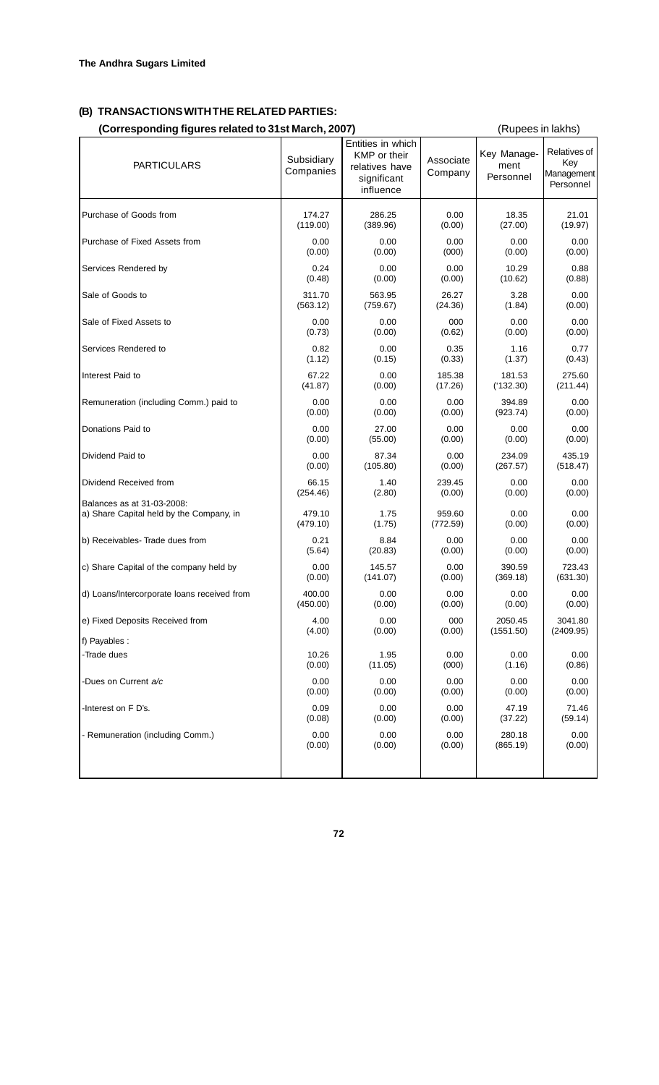# **(B) TRANSACTIONS WITH THE RELATED PARTIES:**

| <b>PARTICULARS</b>                          | Subsidiary<br>Companies | Entities in which<br>KMP or their<br>relatives have<br>significant<br>influence | Associate<br>Company | Key Manage-<br>ment<br>Personnel | Relatives of<br>Key<br>Management<br>Personnel |
|---------------------------------------------|-------------------------|---------------------------------------------------------------------------------|----------------------|----------------------------------|------------------------------------------------|
| Purchase of Goods from                      | 174.27                  | 286.25                                                                          | 0.00                 | 18.35                            | 21.01                                          |
|                                             | (119.00)                | (389.96)                                                                        | (0.00)               | (27.00)                          | (19.97)                                        |
| Purchase of Fixed Assets from               | 0.00                    | 0.00                                                                            | 0.00                 | 0.00                             | 0.00                                           |
|                                             | (0.00)                  | (0.00)                                                                          | (000)                | (0.00)                           | (0.00)                                         |
| Services Rendered by                        | 0.24                    | 0.00                                                                            | 0.00                 | 10.29                            | 0.88                                           |
|                                             | (0.48)                  | (0.00)                                                                          | (0.00)               | (10.62)                          | (0.88)                                         |
| Sale of Goods to                            | 311.70                  | 563.95                                                                          | 26.27                | 3.28                             | 0.00                                           |
|                                             | (563.12)                | (759.67)                                                                        | (24.36)              | (1.84)                           | (0.00)                                         |
| Sale of Fixed Assets to                     | 0.00                    | 0.00                                                                            | 000                  | 0.00                             | 0.00                                           |
|                                             | (0.73)                  | (0.00)                                                                          | (0.62)               | (0.00)                           | (0.00)                                         |
| Services Rendered to                        | 0.82                    | 0.00                                                                            | 0.35                 | 1.16                             | 0.77                                           |
|                                             | (1.12)                  | (0.15)                                                                          | (0.33)               | (1.37)                           | (0.43)                                         |
| Interest Paid to                            | 67.22                   | 0.00                                                                            | 185.38               | 181.53                           | 275.60                                         |
|                                             | (41.87)                 | (0.00)                                                                          | (17.26)              | (132.30)                         | (211.44)                                       |
| Remuneration (including Comm.) paid to      | 0.00                    | 0.00                                                                            | 0.00                 | 394.89                           | 0.00                                           |
|                                             | (0.00)                  | (0.00)                                                                          | (0.00)               | (923.74)                         | (0.00)                                         |
| Donations Paid to                           | 0.00                    | 27.00                                                                           | 0.00                 | 0.00                             | 0.00                                           |
|                                             | (0.00)                  | (55.00)                                                                         | (0.00)               | (0.00)                           | (0.00)                                         |
| Dividend Paid to                            | 0.00                    | 87.34                                                                           | 0.00                 | 234.09                           | 435.19                                         |
|                                             | (0.00)                  | (105.80)                                                                        | (0.00)               | (267.57)                         | (518.47)                                       |
| Dividend Received from                      | 66.15                   | 1.40                                                                            | 239.45               | 0.00                             | 0.00                                           |
|                                             | (254.46)                | (2.80)                                                                          | (0.00)               | (0.00)                           | (0.00)                                         |
| Balances as at 31-03-2008:                  | 479.10                  | 1.75                                                                            | 959.60               | 0.00                             | 0.00                                           |
| a) Share Capital held by the Company, in    | (479.10)                | (1.75)                                                                          | (772.59)             | (0.00)                           | (0.00)                                         |
| b) Receivables-Trade dues from              | 0.21                    | 8.84                                                                            | 0.00                 | 0.00                             | 0.00                                           |
|                                             | (5.64)                  | (20.83)                                                                         | (0.00)               | (0.00)                           | (0.00)                                         |
| c) Share Capital of the company held by     | 0.00                    | 145.57                                                                          | 0.00                 | 390.59                           | 723.43                                         |
|                                             | (0.00)                  | (141.07)                                                                        | (0.00)               | (369.18)                         | (631.30)                                       |
| d) Loans/Intercorporate loans received from | 400.00                  | 0.00                                                                            | 0.00                 | 0.00                             | 0.00                                           |
|                                             | (450.00)                | (0.00)                                                                          | (0.00)               | (0.00)                           | (0.00)                                         |
| e) Fixed Deposits Received from             | 4.00                    | 0.00                                                                            | 000                  | 2050.45                          | 3041.80                                        |
|                                             | (4.00)                  | (0.00)                                                                          | (0.00)               | (1551.50)                        | (2409.95)                                      |
| f) Payables :                               |                         |                                                                                 |                      |                                  |                                                |
| -Trade dues                                 | 10.26                   | 1.95                                                                            | 0.00                 | 0.00                             | 0.00                                           |
|                                             | (0.00)                  | (11.05)                                                                         | (000)                | (1.16)                           | (0.86)                                         |
| -Dues on Current a/c                        | 0.00                    | 0.00                                                                            | 0.00                 | 0.00                             | 0.00                                           |
|                                             | (0.00)                  | (0.00)                                                                          | (0.00)               | (0.00)                           | (0.00)                                         |
| -Interest on F D's.                         | 0.09                    | 0.00                                                                            | 0.00                 | 47.19                            | 71.46                                          |
|                                             | (0.08)                  | (0.00)                                                                          | (0.00)               | (37.22)                          | (59.14)                                        |
| - Remuneration (including Comm.)            | 0.00                    | 0.00                                                                            | 0.00                 | 280.18                           | 0.00                                           |
|                                             | (0.00)                  | (0.00)                                                                          | (0.00)               | (865.19)                         | (0.00)                                         |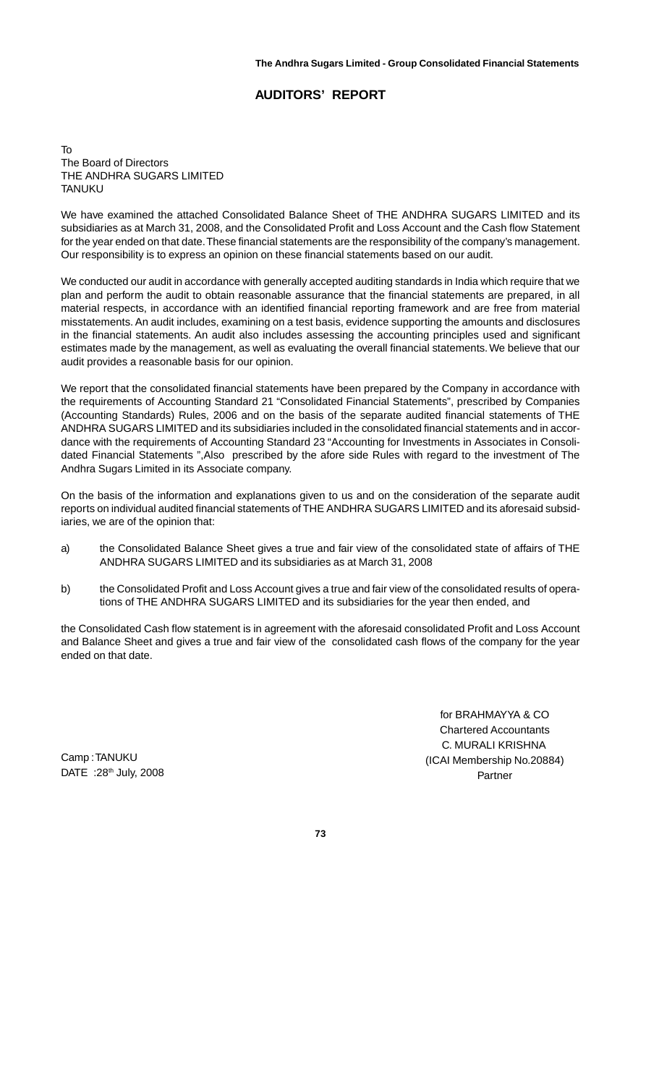## **AUDITORS' REPORT**

To The Board of Directors THE ANDHRA SUGARS LIMITED **TANUKU** 

We have examined the attached Consolidated Balance Sheet of THE ANDHRA SUGARS LIMITED and its subsidiaries as at March 31, 2008, and the Consolidated Profit and Loss Account and the Cash flow Statement for the year ended on that date. These financial statements are the responsibility of the company's management. Our responsibility is to express an opinion on these financial statements based on our audit.

We conducted our audit in accordance with generally accepted auditing standards in India which require that we plan and perform the audit to obtain reasonable assurance that the financial statements are prepared, in all material respects, in accordance with an identified financial reporting framework and are free from material misstatements. An audit includes, examining on a test basis, evidence supporting the amounts and disclosures in the financial statements. An audit also includes assessing the accounting principles used and significant estimates made by the management, as well as evaluating the overall financial statements. We believe that our audit provides a reasonable basis for our opinion.

We report that the consolidated financial statements have been prepared by the Company in accordance with the requirements of Accounting Standard 21 "Consolidated Financial Statements", prescribed by Companies (Accounting Standards) Rules, 2006 and on the basis of the separate audited financial statements of THE ANDHRA SUGARS LIMITED and its subsidiaries included in the consolidated financial statements and in accordance with the requirements of Accounting Standard 23 "Accounting for Investments in Associates in Consolidated Financial Statements ",Also prescribed by the afore side Rules with regard to the investment of The Andhra Sugars Limited in its Associate company.

On the basis of the information and explanations given to us and on the consideration of the separate audit reports on individual audited financial statements of THE ANDHRA SUGARS LIMITED and its aforesaid subsidiaries, we are of the opinion that:

- a) the Consolidated Balance Sheet gives a true and fair view of the consolidated state of affairs of THE ANDHRA SUGARS LIMITED and its subsidiaries as at March 31, 2008
- b) the Consolidated Profit and Loss Account gives a true and fair view of the consolidated results of operations of THE ANDHRA SUGARS LIMITED and its subsidiaries for the year then ended, and

the Consolidated Cash flow statement is in agreement with the aforesaid consolidated Profit and Loss Account and Balance Sheet and gives a true and fair view of the consolidated cash flows of the company for the year ended on that date.

> for BRAHMAYYA & CO Chartered Accountants C. MURALI KRISHNA (ICAI Membership No.20884) Partner

Camp : TANUKU DATE : 28<sup>th</sup> July, 2008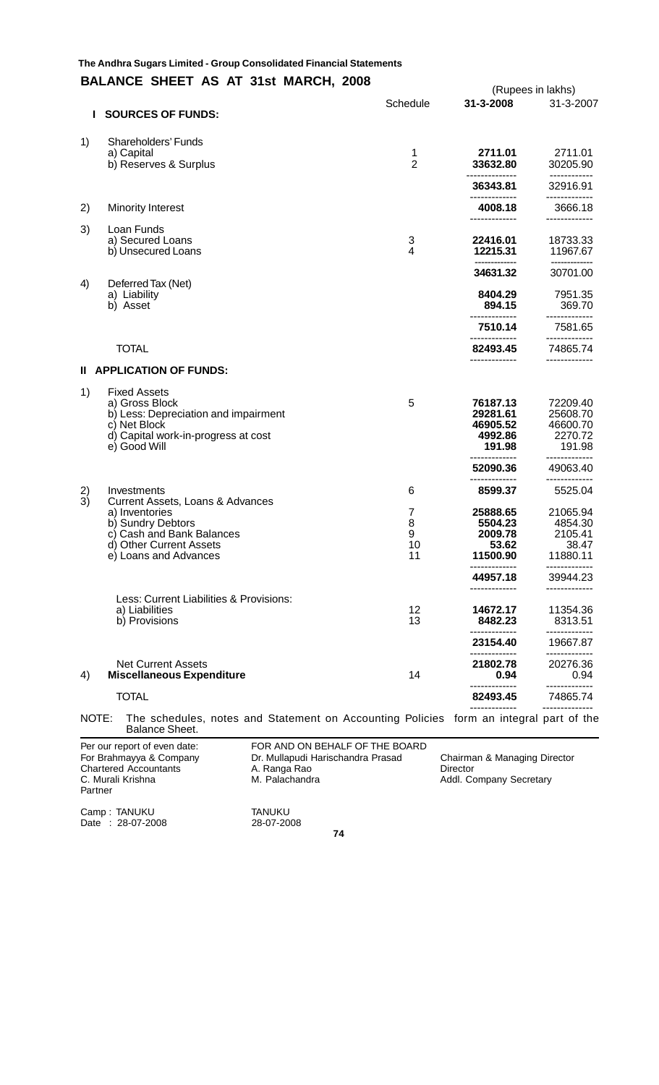## **The Andhra Sugars Limited The Andhra Sugars Limited - Group Consolidated Financial StatementsBALANCE SHEET AS AT 31st MARCH, 2008** (Rupees in lakhs)

| L        | <b>SOURCES OF FUNDS:</b>                                                                                                                             | Schedule                | 31-3-2008                                             | $(1.99000 \text{ m} \cdot \text{cm} \cdot \text{cm})$<br>31-3-2007 |
|----------|------------------------------------------------------------------------------------------------------------------------------------------------------|-------------------------|-------------------------------------------------------|--------------------------------------------------------------------|
| 1)       | Shareholders' Funds<br>a) Capital<br>b) Reserves & Surplus                                                                                           | 1<br>$\overline{2}$     | 2711.01<br>33632.80                                   | 2711.01<br>30205.90                                                |
|          |                                                                                                                                                      |                         | 36343.81                                              | 32916.91                                                           |
| 2)       | <b>Minority Interest</b>                                                                                                                             |                         | 4008.18<br>-------------                              | 3666.18<br>-------------                                           |
| 3)       | Loan Funds<br>a) Secured Loans<br>b) Unsecured Loans                                                                                                 | 3<br>4                  | 22416.01<br>12215.31<br>--------------                | 18733.33<br>11967.67<br>--------------                             |
| 4)       | Deferred Tax (Net)                                                                                                                                   |                         | 34631.32                                              | 30701.00                                                           |
|          | a) Liability<br>b) Asset                                                                                                                             |                         | 8404.29<br>894.15                                     | 7951.35<br>369.70                                                  |
|          |                                                                                                                                                      |                         | 7510.14                                               | 7581.65                                                            |
|          | <b>TOTAL</b>                                                                                                                                         |                         | 82493.45<br>-------------                             | 74865.74<br>-------------                                          |
| Ш.       | <b>APPLICATION OF FUNDS:</b>                                                                                                                         |                         |                                                       |                                                                    |
| 1)       | <b>Fixed Assets</b><br>a) Gross Block<br>b) Less: Depreciation and impairment<br>c) Net Block<br>d) Capital work-in-progress at cost<br>e) Good Will | 5                       | 76187.13<br>29281.61<br>46905.52<br>4992.86<br>191.98 | 72209.40<br>25608.70<br>46600.70<br>2270.72<br>191.98              |
|          |                                                                                                                                                      |                         | 52090.36                                              | ---------<br>49063.40<br>-------------                             |
| 2)<br>3) | Investments<br>Current Assets, Loans & Advances                                                                                                      | 6                       | 8599.37                                               | 5525.04                                                            |
|          | a) Inventories<br>b) Sundry Debtors<br>c) Cash and Bank Balances<br>d) Other Current Assets<br>e) Loans and Advances                                 | 7<br>8<br>9<br>10<br>11 | 25888.65<br>5504.23<br>2009.78<br>53.62<br>11500.90   | 21065.94<br>4854.30<br>2105.41<br>38.47<br>11880.11                |
|          |                                                                                                                                                      |                         | -------------<br>44957.18                             | -------------<br>39944.23<br>                                      |
|          | Less: Current Liabilities & Provisions:<br>a) Liabilities<br>b) Provisions                                                                           | 12<br>13                | 14672.17<br>8482.23                                   | 11354.36<br>8313.51                                                |
|          |                                                                                                                                                      |                         | 23154.40<br>-------------                             | 19667.87<br>------------                                           |
| 4)       | <b>Net Current Assets</b><br><b>Miscellaneous Expenditure</b>                                                                                        | 14                      | 21802.78<br>0.94                                      | 20276.36<br>0.94                                                   |
|          | <b>TOTAL</b>                                                                                                                                         |                         | 82493.45                                              | ---------<br>74865.74                                              |
| NOTE:    | The schedules, notes and Statement on Accounting Policies form an integral part of the<br>Balance Sheet.                                             |                         | -------------                                         | --------------                                                     |

| Per our report of even date:<br>For Brahmayya & Company<br><b>Chartered Accountants</b><br>C. Murali Krishna<br>Partner | FOR AND ON BEHALF OF THE BOARD<br>Dr. Mullapudi Harischandra Prasad<br>A. Ranga Rao<br>M. Palachandra | Chairman & Managing Director<br>Director<br>Addl. Company Secretary |
|-------------------------------------------------------------------------------------------------------------------------|-------------------------------------------------------------------------------------------------------|---------------------------------------------------------------------|
| Camp: TANUKU<br>Date: 28-07-2008                                                                                        | <b>TANUKU</b><br>28-07-2008                                                                           |                                                                     |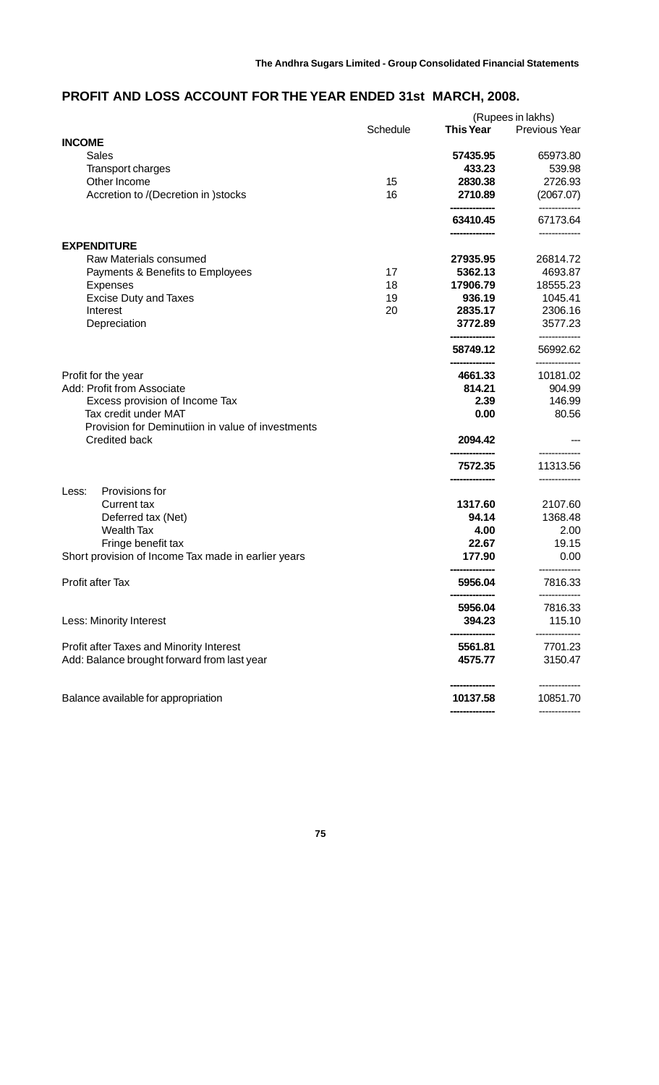## **PROFIT AND LOSS ACCOUNT FOR THE YEAR ENDED 31st MARCH, 2008.**

|                                                     |          |                    | (Rupees in lakhs)          |
|-----------------------------------------------------|----------|--------------------|----------------------------|
|                                                     | Schedule | <b>This Year</b>   | <b>Previous Year</b>       |
| <b>INCOME</b><br><b>Sales</b>                       |          |                    | 65973.80                   |
|                                                     |          | 57435.95<br>433.23 |                            |
| <b>Transport charges</b>                            |          |                    | 539.98                     |
| Other Income                                        | 15       | 2830.38            | 2726.93                    |
| Accretion to /(Decretion in )stocks                 | 16       | 2710.89            | (2067.07)<br>-----------   |
|                                                     |          | 63410.45           | 67173.64                   |
| <b>EXPENDITURE</b>                                  |          |                    |                            |
| Raw Materials consumed                              |          | 27935.95           | 26814.72                   |
| Payments & Benefits to Employees                    | 17       | 5362.13            | 4693.87                    |
| <b>Expenses</b>                                     | 18       | 17906.79           | 18555.23                   |
| <b>Excise Duty and Taxes</b>                        | 19       | 936.19             | 1045.41                    |
| Interest                                            | 20       | 2835.17            | 2306.16                    |
| Depreciation                                        |          | 3772.89            | 3577.23                    |
|                                                     |          | 58749.12           | -------------<br>56992.62  |
| Profit for the year                                 |          | 4661.33            | --------------<br>10181.02 |
| Add: Profit from Associate                          |          | 814.21             | 904.99                     |
| Excess provision of Income Tax                      |          | 2.39               | 146.99                     |
| Tax credit under MAT                                |          | 0.00               | 80.56                      |
| Provision for Deminutiion in value of investments   |          |                    |                            |
| <b>Credited back</b>                                |          | 2094.42            |                            |
|                                                     |          | 7572.35            | 11313.56                   |
|                                                     |          |                    |                            |
| Provisions for<br>Less:                             |          |                    |                            |
| <b>Current tax</b>                                  |          | 1317.60            | 2107.60                    |
| Deferred tax (Net)                                  |          | 94.14              | 1368.48                    |
| <b>Wealth Tax</b>                                   |          | 4.00               | 2.00                       |
| Fringe benefit tax                                  |          | 22.67              | 19.15                      |
| Short provision of Income Tax made in earlier years |          | 177.90             | 0.00                       |
| Profit after Tax                                    |          | 5956.04            | 7816.33                    |
|                                                     |          | 5956.04            | 7816.33                    |
| Less: Minority Interest                             |          | 394.23             | 115.10                     |
| Profit after Taxes and Minority Interest            |          | 5561.81            | 7701.23                    |
| Add: Balance brought forward from last year         |          | 4575.77            | 3150.47                    |
| Balance available for appropriation                 |          | 10137.58           | 10851.70                   |
|                                                     |          |                    |                            |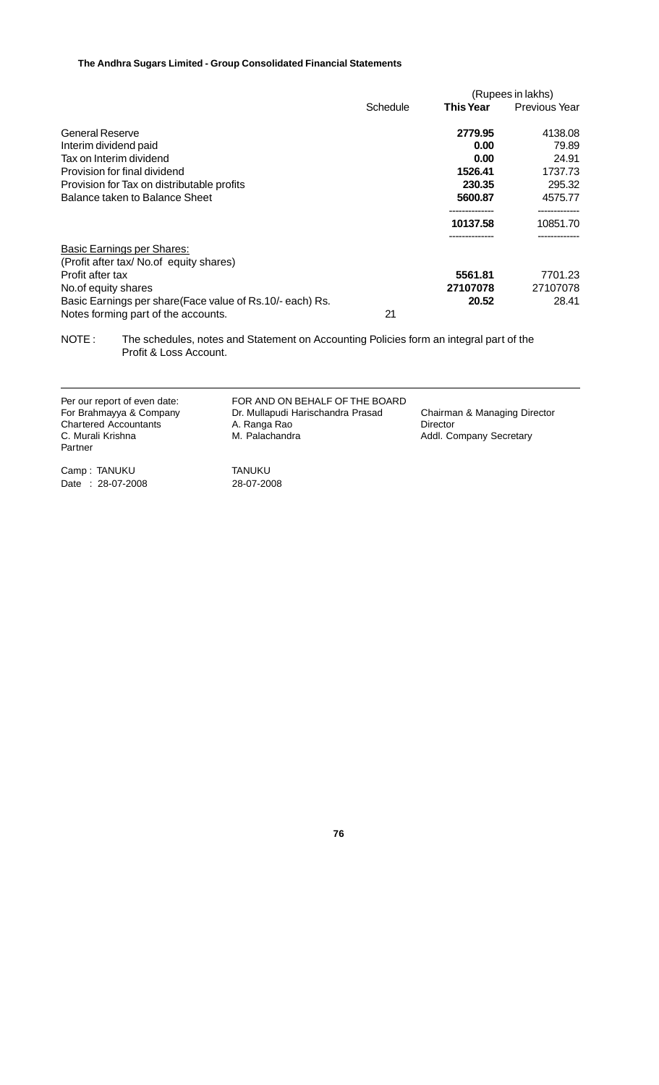|                                                            |          |                  | (Rupees in lakhs)    |
|------------------------------------------------------------|----------|------------------|----------------------|
|                                                            | Schedule | <b>This Year</b> | <b>Previous Year</b> |
| General Reserve                                            |          | 2779.95          | 4138.08              |
| Interim dividend paid                                      |          | 0.00             | 79.89                |
| Tax on Interim dividend                                    |          | 0.00             | 24.91                |
| Provision for final dividend                               |          | 1526.41          | 1737.73              |
| Provision for Tax on distributable profits                 |          | 230.35           | 295.32               |
| Balance taken to Balance Sheet                             |          | 5600.87          | 4575.77              |
|                                                            |          | 10137.58         | 10851.70             |
| <b>Basic Earnings per Shares:</b>                          |          |                  |                      |
| (Profit after tax/ No.of equity shares)                    |          |                  |                      |
| Profit after tax                                           |          | 5561.81          | 7701.23              |
| No.of equity shares                                        |          | 27107078         | 27107078             |
| Basic Earnings per share (Face value of Rs. 10/- each) Rs. |          | 20.52            | 28.41                |
| Notes forming part of the accounts.                        | 21       |                  |                      |

NOTE : The schedules, notes and Statement on Accounting Policies form an integral part of the Profit & Loss Account.

| Per our report of even date:<br>For Brahmayya & Company<br><b>Chartered Accountants</b><br>C. Murali Krishna<br>Partner | FOR AND ON BEHALF OF THE BOARD<br>Dr. Mullapudi Harischandra Prasad<br>A. Ranga Rao<br>M. Palachandra | Chairman & Managing Director<br>Director<br>Addl. Company Secretary |
|-------------------------------------------------------------------------------------------------------------------------|-------------------------------------------------------------------------------------------------------|---------------------------------------------------------------------|
|                                                                                                                         |                                                                                                       |                                                                     |

Camp : TANUKU TANUKU Date : 28-07-2008 28-07-2008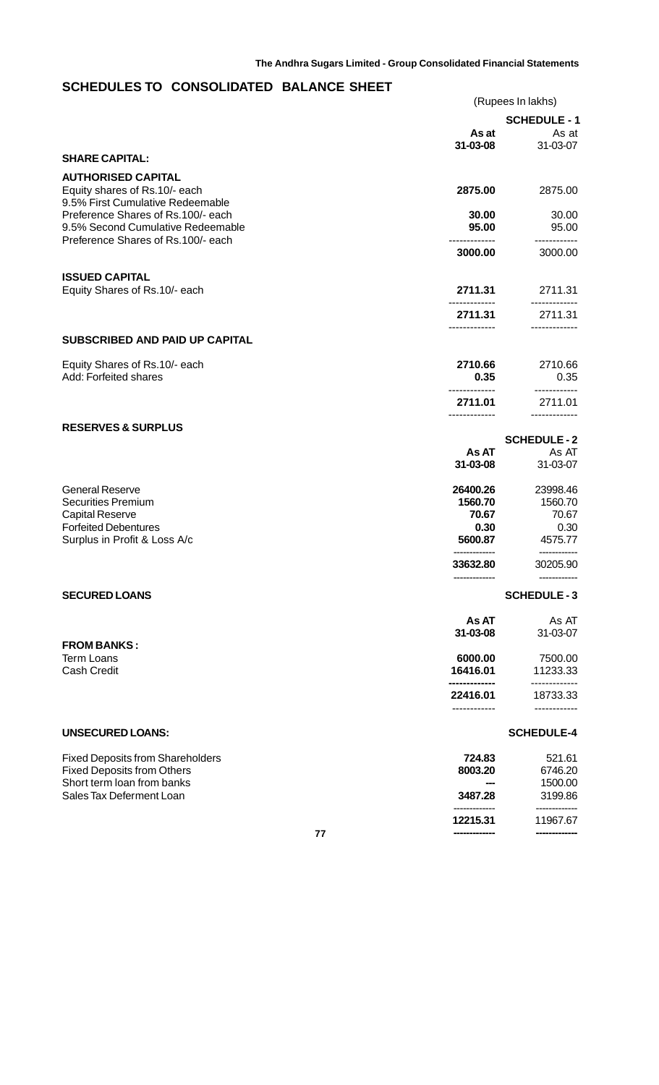# **SCHEDULES TO CONSOLIDATED BALANCE SHEET**

|                                                                                                               |                   | (Rupees In lakhs)          |
|---------------------------------------------------------------------------------------------------------------|-------------------|----------------------------|
|                                                                                                               |                   | <b>SCHEDULE - 1</b>        |
|                                                                                                               | As at<br>31-03-08 | As at<br>31-03-07          |
| <b>SHARE CAPITAL:</b>                                                                                         |                   |                            |
| <b>AUTHORISED CAPITAL</b><br>Equity shares of Rs.10/- each<br>9.5% First Cumulative Redeemable                | 2875.00           | 2875.00                    |
| Preference Shares of Rs.100/- each<br>9.5% Second Cumulative Redeemable<br>Preference Shares of Rs.100/- each | 30.00<br>95.00    | 30.00<br>95.00             |
|                                                                                                               | 3000.00           | 3000.00                    |
| <b>ISSUED CAPITAL</b><br>Equity Shares of Rs.10/- each                                                        | 2711.31           | 2711.31                    |
|                                                                                                               | 2711.31           | 2711.31                    |
| <b>SUBSCRIBED AND PAID UP CAPITAL</b>                                                                         |                   |                            |
| Equity Shares of Rs.10/- each<br>Add: Forfeited shares                                                        | 2710.66<br>0.35   | 2710.66<br>0.35            |
|                                                                                                               | 2711.01           | 2711.01                    |
| <b>RESERVES &amp; SURPLUS</b>                                                                                 |                   |                            |
|                                                                                                               | As AT             | <b>SCHEDULE-2</b><br>As AT |
|                                                                                                               | 31-03-08          | 31-03-07                   |
| <b>General Reserve</b>                                                                                        | 26400.26          | 23998.46                   |
| <b>Securities Premium</b>                                                                                     | 1560.70           | 1560.70                    |
| <b>Capital Reserve</b><br><b>Forfeited Debentures</b>                                                         | 70.67<br>0.30     | 70.67<br>0.30              |
| Surplus in Profit & Loss A/c                                                                                  | 5600.87           | 4575.77                    |
|                                                                                                               | 33632.80          | 30205.90                   |
| <b>SECURED LOANS</b>                                                                                          |                   | <b>SCHEDULE-3</b>          |
|                                                                                                               | As AT             | As AT                      |
| <b>FROM BANKS:</b>                                                                                            | 31-03-08          | 31-03-07                   |
| <b>Term Loans</b>                                                                                             | 6000.00           | 7500.00                    |
| <b>Cash Credit</b>                                                                                            | 16416.01          | 11233.33                   |
|                                                                                                               | 22416.01          | 18733.33                   |
| <b>UNSECURED LOANS:</b>                                                                                       |                   | <b>SCHEDULE-4</b>          |
| <b>Fixed Deposits from Shareholders</b>                                                                       | 724.83            | 521.61                     |
| <b>Fixed Deposits from Others</b>                                                                             | 8003.20           | 6746.20                    |
| Short term loan from banks<br>Sales Tax Deferment Loan                                                        | 3487.28           | 1500.00<br>3199.86         |
|                                                                                                               |                   | -----------                |

**12215.31** 11967.67 **------------- -------------**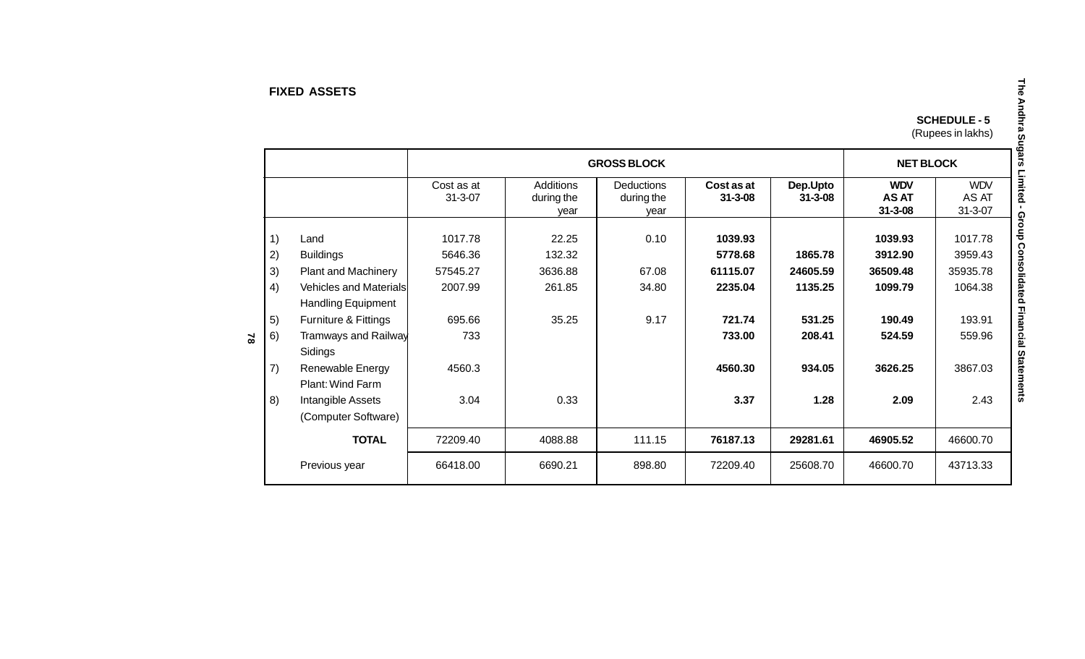#### **FIXED ASSETS**

| <b>SCHEDULE - 5</b> |
|---------------------|
| (Rupees in lakhs)   |

|           |    |                               |                             |                         | <b>GROSS BLOCK</b>       |                             |                           | <b>NET BLOCK</b>                            |                                      |
|-----------|----|-------------------------------|-----------------------------|-------------------------|--------------------------|-----------------------------|---------------------------|---------------------------------------------|--------------------------------------|
|           |    |                               | Cost as at<br>$31 - 3 - 07$ | Additions<br>during the | Deductions<br>during the | Cost as at<br>$31 - 3 - 08$ | Dep.Upto<br>$31 - 3 - 08$ | <b>WDV</b><br><b>AS AT</b><br>$31 - 3 - 08$ | <b>WDV</b><br>AS AT<br>$31 - 3 - 07$ |
|           |    |                               |                             | year                    | vear                     |                             |                           |                                             |                                      |
|           | 1) | Land                          | 1017.78                     | 22.25                   | 0.10                     | 1039.93                     |                           | 1039.93                                     | 1017.78                              |
|           | 2) | <b>Buildings</b>              | 5646.36                     | 132.32                  |                          | 5778.68                     | 1865.78                   | 3912.90                                     | 3959.43                              |
|           | 3) | <b>Plant and Machinery</b>    | 57545.27                    | 3636.88                 | 67.08                    | 61115.07                    | 24605.59                  | 36509.48                                    | 35935.78                             |
|           | 4) | <b>Vehicles and Materials</b> | 2007.99                     | 261.85                  | 34.80                    | 2235.04                     | 1135.25                   | 1099.79                                     | 1064.38                              |
|           |    | <b>Handling Equipment</b>     |                             |                         |                          |                             |                           |                                             |                                      |
|           | 5) | Furniture & Fittings          | 695.66                      | 35.25                   | 9.17                     | 721.74                      | 531.25                    | 190.49                                      | 193.91                               |
| $\approx$ | 6) | Tramways and Railway          | 733                         |                         |                          | 733.00                      | 208.41                    | 524.59                                      | 559.96                               |
|           |    | Sidings                       |                             |                         |                          |                             |                           |                                             |                                      |
|           | 7) | Renewable Energy              | 4560.3                      |                         |                          | 4560.30                     | 934.05                    | 3626.25                                     | 3867.03                              |
|           |    | Plant: Wind Farm              |                             |                         |                          |                             |                           |                                             |                                      |
|           | 8) | Intangible Assets             | 3.04                        | 0.33                    |                          | 3.37                        | 1.28                      | 2.09                                        | 2.43                                 |
|           |    | (Computer Software)           |                             |                         |                          |                             |                           |                                             |                                      |
|           |    | <b>TOTAL</b>                  | 72209.40                    | 4088.88                 | 111.15                   | 76187.13                    | 29281.61                  | 46905.52                                    | 46600.70                             |
|           |    | Previous year                 | 66418.00                    | 6690.21                 | 898.80                   | 72209.40                    | 25608.70                  | 46600.70                                    | 43713.33                             |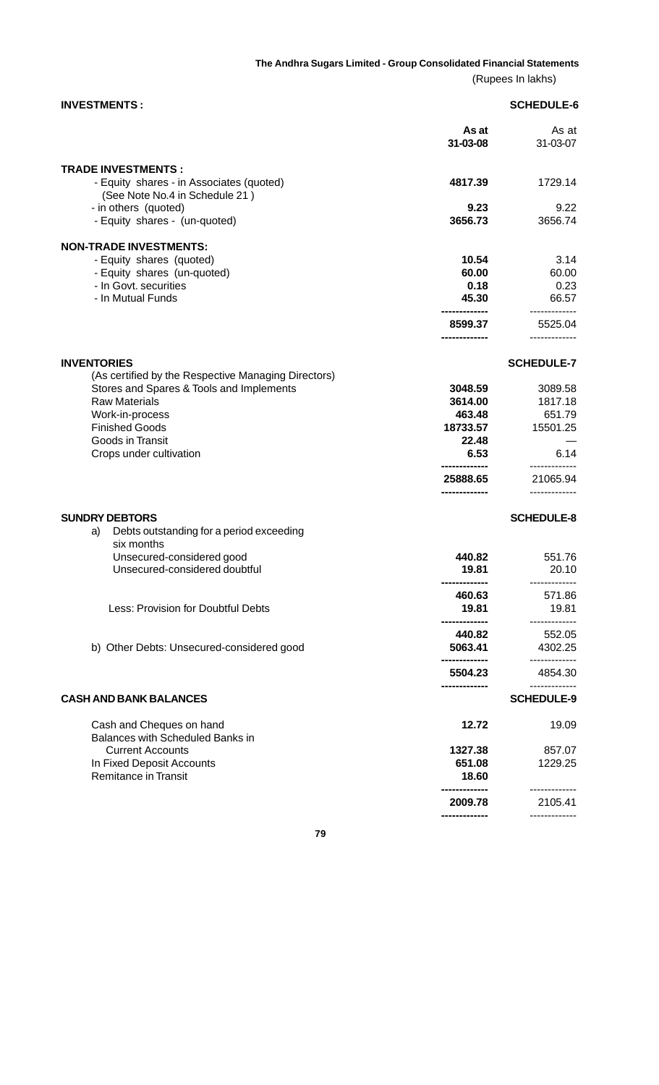(Rupees In lakhs)

| <b>INVESTMENTS:</b>                                                                                                                                         |                                                           | <b>SCHEDULE-6</b>                                |
|-------------------------------------------------------------------------------------------------------------------------------------------------------------|-----------------------------------------------------------|--------------------------------------------------|
|                                                                                                                                                             | As at<br>31-03-08                                         | As at<br>31-03-07                                |
| <b>TRADE INVESTMENTS:</b><br>- Equity shares - in Associates (quoted)<br>(See Note No.4 in Schedule 21)                                                     | 4817.39                                                   | 1729.14                                          |
| - in others (quoted)<br>- Equity shares - (un-quoted)                                                                                                       | 9.23<br>3656.73                                           | 9.22<br>3656.74                                  |
| <b>NON-TRADE INVESTMENTS:</b><br>- Equity shares (quoted)<br>- Equity shares (un-quoted)<br>- In Govt. securities<br>- In Mutual Funds                      | 10.54<br>60.00<br>0.18<br>45.30                           | 3.14<br>60.00<br>0.23<br>66.57<br>-------------  |
|                                                                                                                                                             | 8599.37<br>------------                                   | 5525.04<br>.                                     |
| <b>INVENTORIES</b><br>(As certified by the Respective Managing Directors)                                                                                   |                                                           | <b>SCHEDULE-7</b>                                |
| Stores and Spares & Tools and Implements<br><b>Raw Materials</b><br>Work-in-process<br><b>Finished Goods</b><br>Goods in Transit<br>Crops under cultivation | 3048.59<br>3614.00<br>463.48<br>18733.57<br>22.48<br>6.53 | 3089.58<br>1817.18<br>651.79<br>15501.25<br>6.14 |
|                                                                                                                                                             | 25888.65<br>                                              | 21065.94<br>-------------                        |
| <b>SUNDRY DEBTORS</b><br>Debts outstanding for a period exceeding<br>a)<br>six months                                                                       |                                                           | <b>SCHEDULE-8</b>                                |
| Unsecured-considered good<br>Unsecured-considered doubtful                                                                                                  | 440.82<br>19.81                                           | 551.76<br>20.10<br>-------------                 |
| Less: Provision for Doubtful Debts                                                                                                                          | ------------<br>460.63<br>19.81<br>                       | 571.86<br>19.81<br>-----------                   |
| b) Other Debts: Unsecured-considered good                                                                                                                   | 440.82<br>5063.41                                         | 552.05<br>4302.25<br>.                           |
|                                                                                                                                                             | 5504.23                                                   | 4854.30<br>-------------                         |
| <b>CASH AND BANK BALANCES</b>                                                                                                                               |                                                           | <b>SCHEDULE-9</b>                                |
| Cash and Cheques on hand<br><b>Balances with Scheduled Banks in</b><br><b>Current Accounts</b><br>In Fixed Deposit Accounts<br><b>Remitance in Transit</b>  | 12.72<br>1327.38<br>651.08<br>18.60                       | 19.09<br>857.07<br>1229.25                       |
|                                                                                                                                                             | <br>2009.78                                               | -------------<br>2105.41                         |
|                                                                                                                                                             |                                                           |                                                  |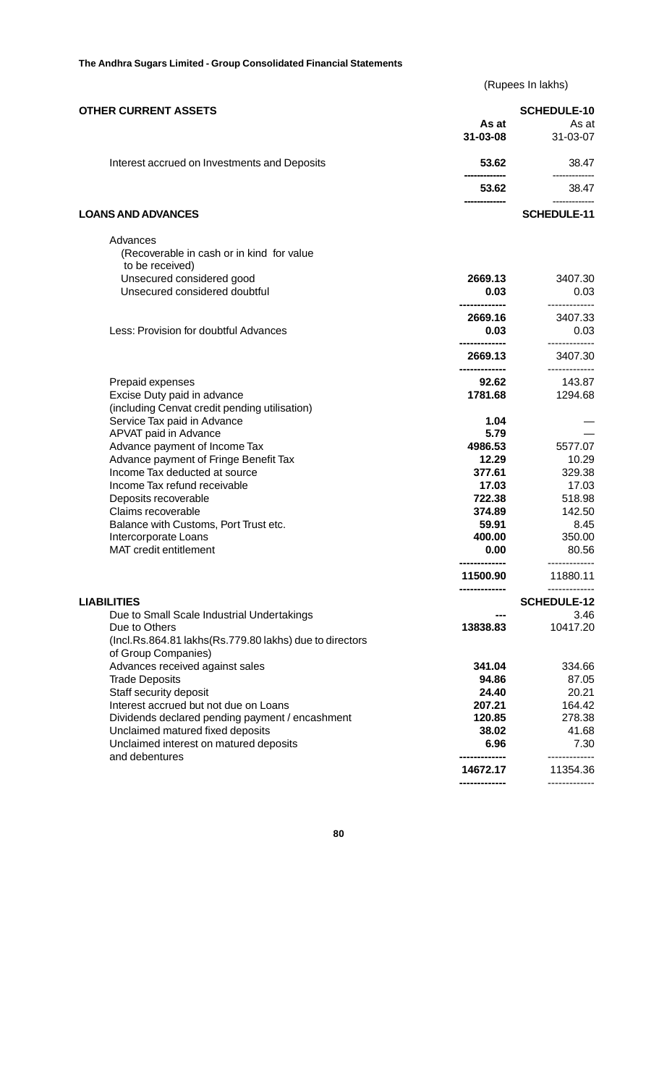(Rupees In lakhs)

| <b>OTHER CURRENT ASSETS</b>                                                                     | As at<br>31-03-08 | <b>SCHEDULE-10</b><br>As at<br>31-03-07 |
|-------------------------------------------------------------------------------------------------|-------------------|-----------------------------------------|
| Interest accrued on Investments and Deposits                                                    | 53.62             | 38.47                                   |
|                                                                                                 | 53.62             | 38.47                                   |
| <b>LOANS AND ADVANCES</b>                                                                       |                   | <b>SCHEDULE-11</b>                      |
| Advances<br>(Recoverable in cash or in kind for value<br>to be received)                        |                   |                                         |
| Unsecured considered good                                                                       | 2669.13           | 3407.30                                 |
| Unsecured considered doubtful                                                                   | 0.03              | 0.03                                    |
|                                                                                                 | 2669.16           | 3407.33                                 |
| Less: Provision for doubtful Advances                                                           | 0.03              | 0.03<br>-------------                   |
|                                                                                                 | 2669.13           | 3407.30<br>----------                   |
| Prepaid expenses                                                                                | 92.62             | 143.87                                  |
| Excise Duty paid in advance                                                                     | 1781.68           | 1294.68                                 |
| (including Cenvat credit pending utilisation)                                                   |                   |                                         |
| Service Tax paid in Advance                                                                     | 1.04              |                                         |
| APVAT paid in Advance                                                                           | 5.79              |                                         |
| Advance payment of Income Tax                                                                   | 4986.53           | 5577.07                                 |
| Advance payment of Fringe Benefit Tax                                                           | 12.29             | 10.29                                   |
| Income Tax deducted at source                                                                   | 377.61            | 329.38                                  |
| Income Tax refund receivable                                                                    | 17.03             | 17.03                                   |
| Deposits recoverable                                                                            | 722.38            | 518.98                                  |
| Claims recoverable                                                                              | 374.89            | 142.50                                  |
| Balance with Customs, Port Trust etc.                                                           | 59.91             | 8.45                                    |
| Intercorporate Loans                                                                            | 400.00            | 350.00                                  |
| MAT credit entitlement                                                                          | 0.00              | 80.56                                   |
|                                                                                                 | 11500.90          | 11880.11                                |
| <b>LIABILITIES</b>                                                                              |                   | <b>SCHEDULE-12</b>                      |
| Due to Small Scale Industrial Undertakings                                                      |                   | 3.46                                    |
| Due to Others<br>(Incl.Rs.864.81 lakhs(Rs.779.80 lakhs) due to directors<br>of Group Companies) | 13838.83          | 10417.20                                |
| Advances received against sales                                                                 | 341.04            | 334.66                                  |
| <b>Trade Deposits</b>                                                                           | 94.86             | 87.05                                   |
| Staff security deposit                                                                          | 24.40             | 20.21                                   |
| Interest accrued but not due on Loans                                                           | 207.21            | 164.42                                  |
| Dividends declared pending payment / encashment                                                 | 120.85            | 278.38                                  |
| Unclaimed matured fixed deposits                                                                | 38.02             | 41.68                                   |
| Unclaimed interest on matured deposits<br>and debentures                                        | 6.96              | 7.30<br>----------                      |
|                                                                                                 | 14672.17          | 11354.36                                |
|                                                                                                 |                   | -------------                           |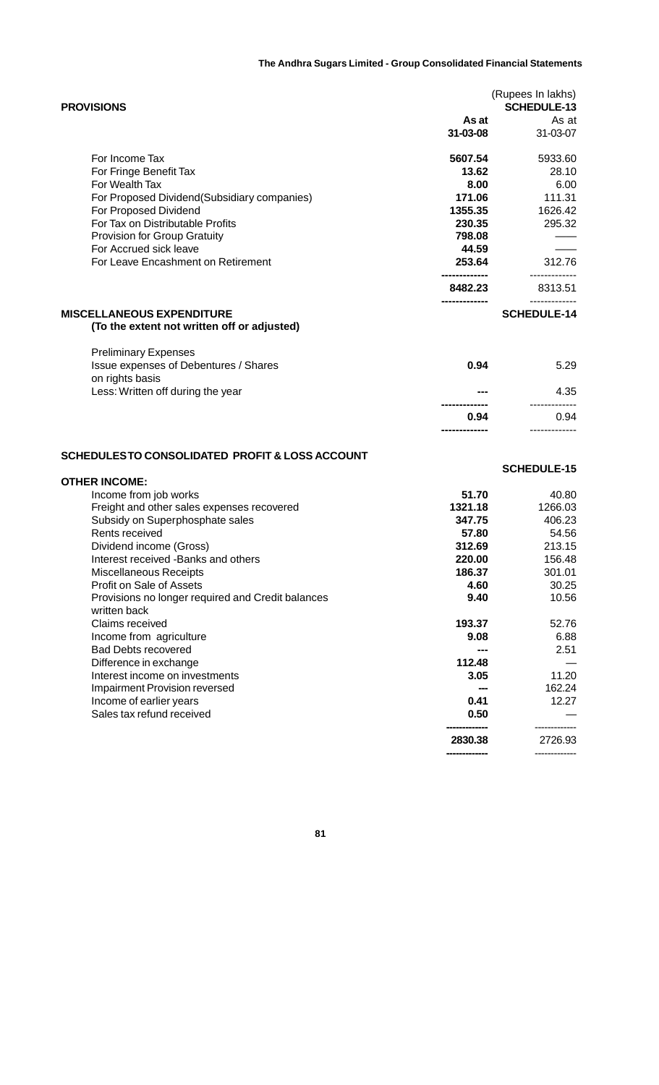| <b>PROVISIONS</b>                            | As at          | (Rupees In lakhs)<br><b>SCHEDULE-13</b><br>As at |
|----------------------------------------------|----------------|--------------------------------------------------|
|                                              | $31 - 03 - 08$ | 31-03-07                                         |
| For Income Tax                               | 5607.54        | 5933.60                                          |
| For Fringe Benefit Tax                       | 13.62          | 28.10                                            |
| For Wealth Tax                               | 8.00           | 6.00                                             |
| For Proposed Dividend (Subsidiary companies) | 171.06         | 111.31                                           |
| For Proposed Dividend                        | 1355.35        | 1626.42                                          |
| For Tax on Distributable Profits             | 230.35         | 295.32                                           |
| <b>Provision for Group Gratuity</b>          | 798.08         |                                                  |
| For Accrued sick leave                       | 44.59          |                                                  |
| For Leave Encashment on Retirement           | 253.64         | 312.76                                           |
|                                              | 8482.23        | 8313.51                                          |
| <b>MISCELLANEOUS EXPENDITURE</b>             |                | ---------<br><b>SCHEDULE-14</b>                  |
| (To the extent not written off or adjusted)  |                |                                                  |
| <b>Preliminary Expenses</b>                  |                |                                                  |
|                                              |                |                                                  |

| 5.29 | 0.94 | Issue expenses of Debentures / Shares<br>on rights basis |
|------|------|----------------------------------------------------------|
| 4.35 | ---  | Less: Written off during the year                        |
|      |      |                                                          |
| 0.94 | 0.94 |                                                          |
|      |      |                                                          |

## **SCHEDULES TO CONSOLIDATED PROFIT & LOSS ACCOUNT**

|                                                   |         | <b>SCHEDULE-15</b> |
|---------------------------------------------------|---------|--------------------|
| <b>OTHER INCOME:</b>                              |         |                    |
| Income from job works                             | 51.70   | 40.80              |
| Freight and other sales expenses recovered        | 1321.18 | 1266.03            |
| Subsidy on Superphosphate sales                   | 347.75  | 406.23             |
| Rents received                                    | 57.80   | 54.56              |
| Dividend income (Gross)                           | 312.69  | 213.15             |
| Interest received -Banks and others               | 220.00  | 156.48             |
| Miscellaneous Receipts                            | 186.37  | 301.01             |
| Profit on Sale of Assets                          | 4.60    | 30.25              |
| Provisions no longer required and Credit balances | 9.40    | 10.56              |
| written back                                      |         |                    |
| Claims received                                   | 193.37  | 52.76              |
| Income from agriculture                           | 9.08    | 6.88               |
| <b>Bad Debts recovered</b>                        |         | 2.51               |
| Difference in exchange                            | 112.48  |                    |
| Interest income on investments                    | 3.05    | 11.20              |
| <b>Impairment Provision reversed</b>              |         | 162.24             |
| Income of earlier years                           | 0.41    | 12.27              |
| Sales tax refund received                         | 0.50    |                    |
|                                                   | 2830.38 | 2726.93            |
|                                                   |         | -------------      |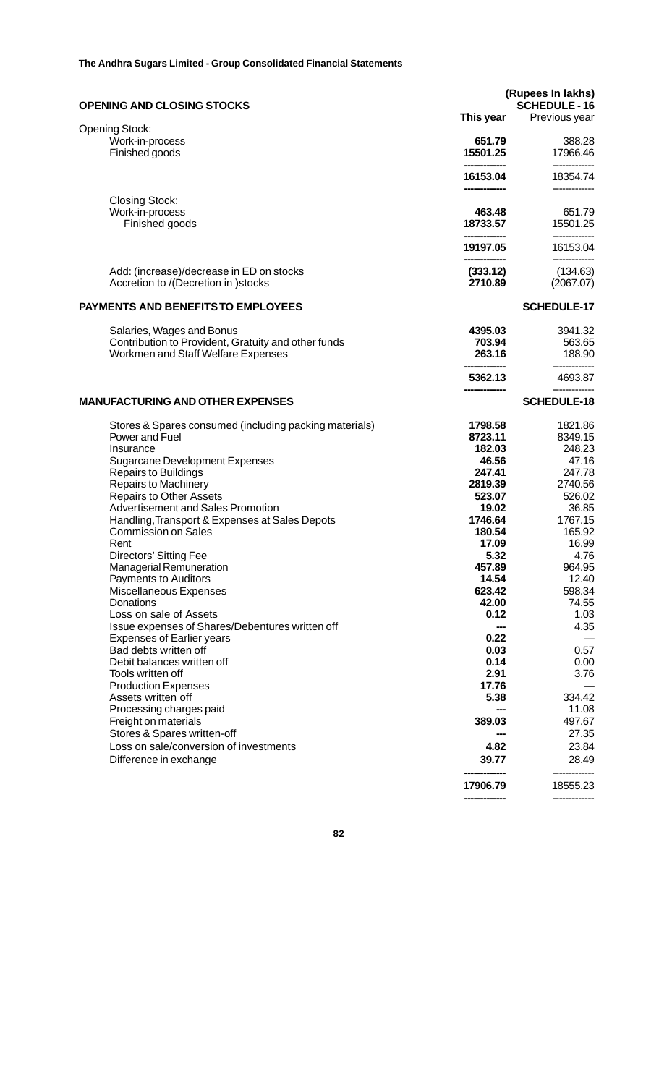| <b>OPENING AND CLOSING STOCKS</b>                                               | (Rupees In lakhs)<br><b>SCHEDULE - 16</b><br>This year<br>Previous year |                       |
|---------------------------------------------------------------------------------|-------------------------------------------------------------------------|-----------------------|
| <b>Opening Stock:</b>                                                           |                                                                         |                       |
| Work-in-process<br>Finished goods                                               | 651.79<br>15501.25                                                      | 388.28<br>17966.46    |
|                                                                                 | 16153.04                                                                | 18354.74              |
| <b>Closing Stock:</b>                                                           |                                                                         |                       |
| Work-in-process<br>Finished goods                                               | 463.48<br>18733.57                                                      | 651.79<br>15501.25    |
|                                                                                 | 19197.05                                                                | 16153.04              |
| Add: (increase)/decrease in ED on stocks<br>Accretion to /(Decretion in )stocks | (333.12)<br>2710.89                                                     | (134.63)<br>(2067.07) |
| PAYMENTS AND BENEFITS TO EMPLOYEES                                              |                                                                         | <b>SCHEDULE-17</b>    |
| Salaries, Wages and Bonus                                                       | 4395.03                                                                 | 3941.32               |
| Contribution to Provident, Gratuity and other funds                             | 703.94                                                                  | 563.65                |
| Workmen and Staff Welfare Expenses                                              | 263.16                                                                  | 188.90                |
|                                                                                 | 5362.13                                                                 | 4693.87               |
| <b>MANUFACTURING AND OTHER EXPENSES</b>                                         |                                                                         | <b>SCHEDULE-18</b>    |
| Stores & Spares consumed (including packing materials)                          | 1798.58                                                                 | 1821.86               |
| Power and Fuel                                                                  | 8723.11                                                                 | 8349.15               |
| Insurance                                                                       | 182.03                                                                  | 248.23                |
| <b>Sugarcane Development Expenses</b>                                           | 46.56                                                                   | 47.16                 |
| <b>Repairs to Buildings</b>                                                     | 247.41                                                                  | 247.78                |
| Repairs to Machinery                                                            | 2819.39                                                                 | 2740.56               |
| <b>Repairs to Other Assets</b><br>Advertisement and Sales Promotion             | 523.07<br>19.02                                                         | 526.02<br>36.85       |
| Handling, Transport & Expenses at Sales Depots                                  | 1746.64                                                                 | 1767.15               |
| <b>Commission on Sales</b>                                                      | 180.54                                                                  | 165.92                |
| Rent                                                                            | 17.09                                                                   | 16.99                 |
| Directors' Sitting Fee                                                          | 5.32                                                                    | 4.76                  |
| Managerial Remuneration                                                         | 457.89                                                                  | 964.95                |
| Payments to Auditors                                                            | 14.54                                                                   | 12.40                 |
| Miscellaneous Expenses                                                          | 623.42                                                                  | 598.34                |
| Donations                                                                       | 42.00                                                                   | 74.55                 |
| Loss on sale of Assets                                                          | 0.12                                                                    | 1.03                  |
| Issue expenses of Shares/Debentures written off                                 |                                                                         | 4.35                  |
| <b>Expenses of Earlier years</b>                                                | 0.22                                                                    |                       |
| Bad debts written off                                                           | 0.03                                                                    | 0.57                  |
| Debit balances written off<br>Tools written off                                 | 0.14<br>2.91                                                            | 0.00<br>3.76          |
| <b>Production Expenses</b>                                                      | 17.76                                                                   |                       |
| Assets written off                                                              | 5.38                                                                    | 334.42                |
| Processing charges paid                                                         |                                                                         | 11.08                 |
| Freight on materials                                                            | 389.03                                                                  | 497.67                |
| Stores & Spares written-off                                                     |                                                                         | 27.35                 |
| Loss on sale/conversion of investments                                          | 4.82                                                                    | 23.84                 |
| Difference in exchange                                                          | 39.77                                                                   | 28.49                 |
|                                                                                 | 17906.79                                                                | 18555.23              |
|                                                                                 |                                                                         |                       |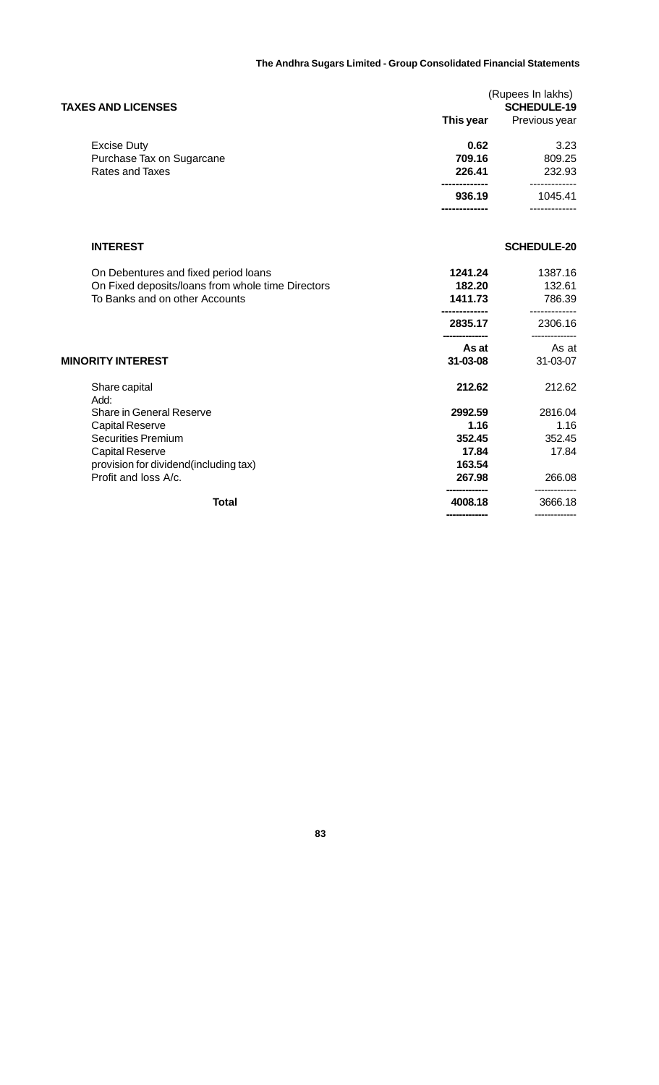| <b>TAXES AND LICENSES</b> | (Rupees In lakhs)<br><b>SCHEDULE-19</b> |               |  |
|---------------------------|-----------------------------------------|---------------|--|
|                           | This year                               | Previous year |  |
| <b>Excise Duty</b>        | 0.62                                    | 3.23          |  |
| Purchase Tax on Sugarcane | 709.16                                  | 809.25        |  |
| Rates and Taxes           | 226.41                                  | 232.93        |  |
|                           | 936.19                                  | 1045.41       |  |
|                           |                                         |               |  |

## **INTEREST SCHEDULE-20**

|                          | On Debentures and fixed period loans<br>On Fixed deposits/loans from whole time Directors<br>To Banks and on other Accounts | 1241.24<br>182.20<br>1411.73 | 1387.16<br>132.61<br>786.39 |
|--------------------------|-----------------------------------------------------------------------------------------------------------------------------|------------------------------|-----------------------------|
|                          |                                                                                                                             | 2835.17                      | 2306.16                     |
|                          |                                                                                                                             | As at                        | As at                       |
| <b>MINORITY INTEREST</b> |                                                                                                                             | $31 - 03 - 08$               | 31-03-07                    |
|                          | Share capital<br>Add:                                                                                                       | 212.62                       | 212.62                      |
|                          | Share in General Reserve                                                                                                    | 2992.59                      | 2816.04                     |
|                          | <b>Capital Reserve</b>                                                                                                      | 1.16                         | 1.16                        |
|                          | <b>Securities Premium</b>                                                                                                   | 352.45                       | 352.45                      |
|                          | <b>Capital Reserve</b>                                                                                                      | 17.84                        | 17.84                       |
|                          | provision for dividend (including tax)                                                                                      | 163.54                       |                             |
|                          | Profit and loss A/c.                                                                                                        | 267.98                       | 266.08                      |
|                          | Total                                                                                                                       | 4008.18                      | 3666.18                     |
|                          |                                                                                                                             | -------------                | -------------               |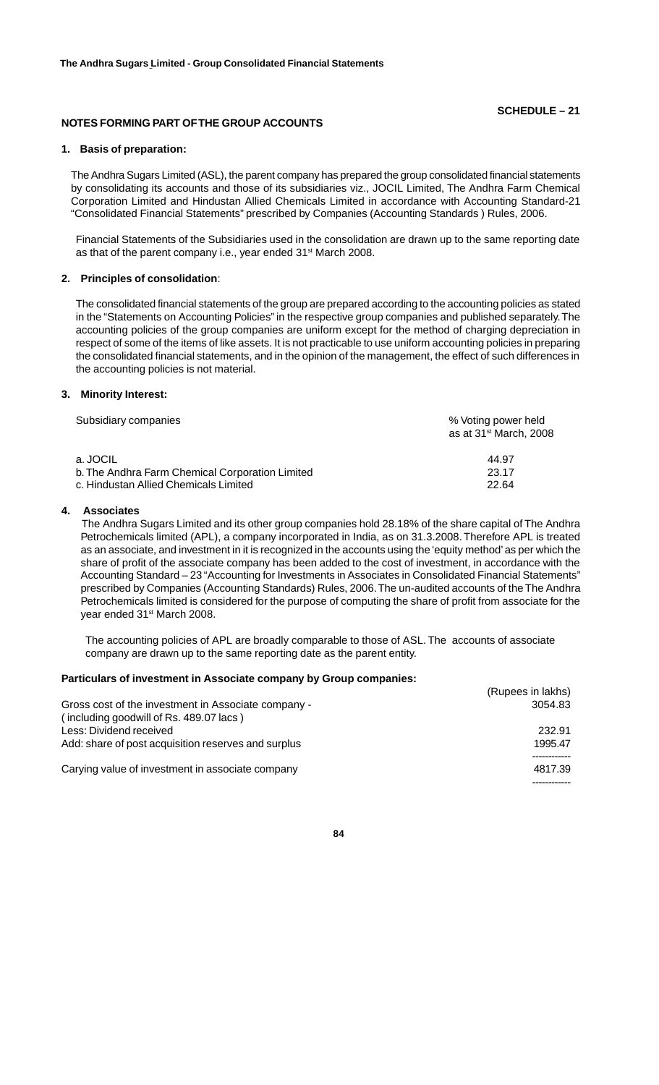## **SCHEDULE – 21**

## **NOTES FORMING PART OF THE GROUP ACCOUNTS**

#### **1. Basis of preparation:**

The Andhra Sugars Limited (ASL), the parent company has prepared the group consolidated financial statements by consolidating its accounts and those of its subsidiaries viz., JOCIL Limited, The Andhra Farm Chemical Corporation Limited and Hindustan Allied Chemicals Limited in accordance with Accounting Standard-21 "Consolidated Financial Statements" prescribed by Companies (Accounting Standards ) Rules, 2006.

Financial Statements of the Subsidiaries used in the consolidation are drawn up to the same reporting date as that of the parent company i.e., year ended 31<sup>st</sup> March 2008.

### **2. Principles of consolidation**:

The consolidated financial statements of the group are prepared according to the accounting policies as stated in the "Statements on Accounting Policies" in the respective group companies and published separately. The accounting policies of the group companies are uniform except for the method of charging depreciation in respect of some of the items of like assets. It is not practicable to use uniform accounting policies in preparing the consolidated financial statements, and in the opinion of the management, the effect of such differences in the accounting policies is not material.

#### **3. Minority Interest:**

| Subsidiary companies                            | % Voting power held<br>as at 31 <sup>st</sup> March, 2008 |  |  |
|-------------------------------------------------|-----------------------------------------------------------|--|--|
| a. JOCIL                                        | 44.97                                                     |  |  |
| b. The Andhra Farm Chemical Corporation Limited | 23.17                                                     |  |  |
| c. Hindustan Allied Chemicals Limited           | 22.64                                                     |  |  |

#### **4. Associates**

 The Andhra Sugars Limited and its other group companies hold 28.18% of the share capital of The Andhra Petrochemicals limited (APL), a company incorporated in India, as on 31.3.2008. Therefore APL is treated as an associate, and investment in it is recognized in the accounts using the 'equity method' as per which the share of profit of the associate company has been added to the cost of investment, in accordance with the Accounting Standard – 23 "Accounting for Investments in Associates in Consolidated Financial Statements" prescribed by Companies (Accounting Standards) Rules, 2006. The un-audited accounts of the The Andhra Petrochemicals limited is considered for the purpose of computing the share of profit from associate for the year ended 31<sup>st</sup> March 2008.

 The accounting policies of APL are broadly comparable to those of ASL. The accounts of associate company are drawn up to the same reporting date as the parent entity.

#### **Particulars of investment in Associate company by Group companies:**

|                                                                                                | (Rupees in lakhs) |
|------------------------------------------------------------------------------------------------|-------------------|
| Gross cost of the investment in Associate company -<br>(including goodwill of Rs. 489.07 lacs) | 3054.83           |
| Less: Dividend received                                                                        | 232.91            |
| Add: share of post acquisition reserves and surplus                                            | 1995.47           |
| Carying value of investment in associate company                                               | 4817.39           |
|                                                                                                |                   |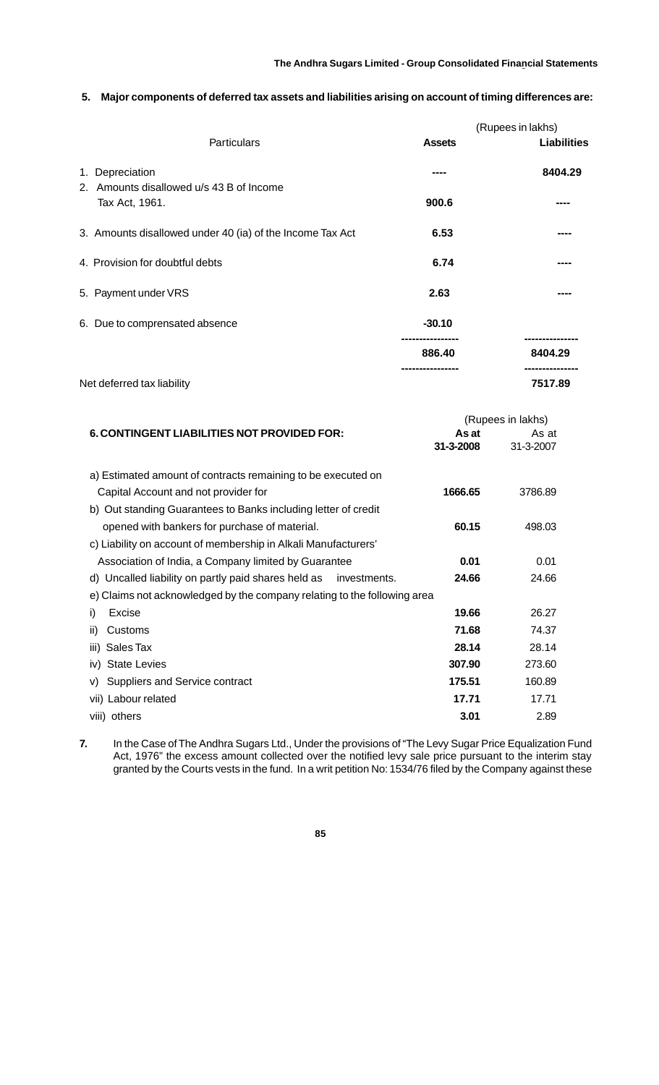## **5. Major components of deferred tax assets and liabilities arising on account of timing differences are:**

|                                                                |               | (Rupees in lakhs) |
|----------------------------------------------------------------|---------------|-------------------|
| Particulars                                                    | <b>Assets</b> | Liabilities       |
| Depreciation<br>1.<br>2. Amounts disallowed u/s 43 B of Income |               | 8404.29           |
| Tax Act, 1961.                                                 | 900.6         |                   |
| 3. Amounts disallowed under 40 (ia) of the Income Tax Act      | 6.53          |                   |
| 4. Provision for doubtful debts                                | 6.74          |                   |
| 5. Payment under VRS                                           | 2.63          |                   |
| 6. Due to comprensated absence                                 | $-30.10$      |                   |
|                                                                | 886.40        | 8404.29           |
| Net deferred tax liability                                     |               | 7517.89           |

|                                                                             | (Rupees in lakhs) |           |  |
|-----------------------------------------------------------------------------|-------------------|-----------|--|
| <b>6. CONTINGENT LIABILITIES NOT PROVIDED FOR:</b>                          | As at             | As at     |  |
|                                                                             | 31-3-2008         | 31-3-2007 |  |
| a) Estimated amount of contracts remaining to be executed on                |                   |           |  |
| Capital Account and not provider for                                        | 1666.65           | 3786.89   |  |
| b) Out standing Guarantees to Banks including letter of credit              |                   |           |  |
| opened with bankers for purchase of material.                               | 60.15             | 498.03    |  |
| c) Liability on account of membership in Alkali Manufacturers'              |                   |           |  |
| Association of India, a Company limited by Guarantee                        | 0.01              | 0.01      |  |
| d) Uncalled liability on partly paid shares held as<br>investments.         | 24.66             | 24.66     |  |
| Claims not acknowledged by the company relating to the following area<br>e) |                   |           |  |
| Excise<br>i)                                                                | 19.66             | 26.27     |  |
| Customs<br>ii)                                                              | 71.68             | 74.37     |  |
| Sales Tax<br>iii)                                                           | 28.14             | 28.14     |  |
| <b>State Levies</b><br>iv)                                                  | 307.90            | 273.60    |  |
| Suppliers and Service contract<br>V)                                        | 175.51            | 160.89    |  |
| vii) Labour related                                                         | 17.71             | 17.71     |  |
| viii) others                                                                | 3.01              | 2.89      |  |

**7.** In the Case of The Andhra Sugars Ltd., Under the provisions of "The Levy Sugar Price Equalization Fund Act, 1976" the excess amount collected over the notified levy sale price pursuant to the interim stay granted by the Courts vests in the fund. In a writ petition No: 1534/76 filed by the Company against these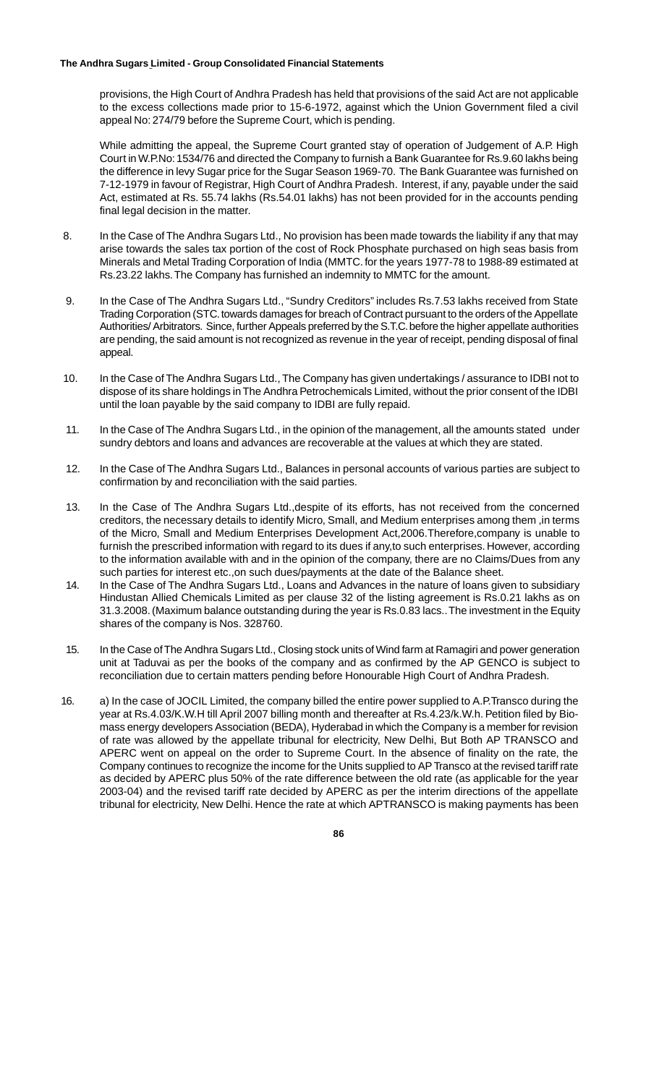provisions, the High Court of Andhra Pradesh has held that provisions of the said Act are not applicable to the excess collections made prior to 15-6-1972, against which the Union Government filed a civil appeal No: 274/79 before the Supreme Court, which is pending.

While admitting the appeal, the Supreme Court granted stay of operation of Judgement of A.P. High Court in W.P.No: 1534/76 and directed the Company to furnish a Bank Guarantee for Rs.9.60 lakhs being the difference in levy Sugar price for the Sugar Season 1969-70. The Bank Guarantee was furnished on 7-12-1979 in favour of Registrar, High Court of Andhra Pradesh. Interest, if any, payable under the said Act, estimated at Rs. 55.74 lakhs (Rs.54.01 lakhs) has not been provided for in the accounts pending final legal decision in the matter.

- 8. In the Case of The Andhra Sugars Ltd., No provision has been made towards the liability if any that may arise towards the sales tax portion of the cost of Rock Phosphate purchased on high seas basis from Minerals and Metal Trading Corporation of India (MMTC. for the years 1977-78 to 1988-89 estimated at Rs.23.22 lakhs. The Company has furnished an indemnity to MMTC for the amount.
- 9. In the Case of The Andhra Sugars Ltd., "Sundry Creditors" includes Rs.7.53 lakhs received from State Trading Corporation (STC. towards damages for breach of Contract pursuant to the orders of the Appellate Authorities/ Arbitrators. Since, further Appeals preferred by the S.T.C. before the higher appellate authorities are pending, the said amount is not recognized as revenue in the year of receipt, pending disposal of final appeal.
- 10. In the Case of The Andhra Sugars Ltd., The Company has given undertakings / assurance to IDBI not to dispose of its share holdings in The Andhra Petrochemicals Limited, without the prior consent of the IDBI until the loan payable by the said company to IDBI are fully repaid.
- 11. In the Case of The Andhra Sugars Ltd., in the opinion of the management, all the amounts stated under sundry debtors and loans and advances are recoverable at the values at which they are stated.
- 12. In the Case of The Andhra Sugars Ltd., Balances in personal accounts of various parties are subject to confirmation by and reconciliation with the said parties.
- 13. In the Case of The Andhra Sugars Ltd.,despite of its efforts, has not received from the concerned creditors, the necessary details to identify Micro, Small, and Medium enterprises among them ,in terms of the Micro, Small and Medium Enterprises Development Act,2006.Therefore,company is unable to furnish the prescribed information with regard to its dues if any,to such enterprises. However, according to the information available with and in the opinion of the company, there are no Claims/Dues from any such parties for interest etc.,on such dues/payments at the date of the Balance sheet.
- 14. In the Case of The Andhra Sugars Ltd., Loans and Advances in the nature of loans given to subsidiary Hindustan Allied Chemicals Limited as per clause 32 of the listing agreement is Rs.0.21 lakhs as on 31.3.2008. (Maximum balance outstanding during the year is Rs.0.83 lacs.. The investment in the Equity shares of the company is Nos. 328760.
- 15. In the Case of The Andhra Sugars Ltd., Closing stock units of Wind farm at Ramagiri and power generation unit at Taduvai as per the books of the company and as confirmed by the AP GENCO is subject to reconciliation due to certain matters pending before Honourable High Court of Andhra Pradesh.
- 16. a) In the case of JOCIL Limited, the company billed the entire power supplied to A.P.Transco during the year at Rs.4.03/K.W.H till April 2007 billing month and thereafter at Rs.4.23/k.W.h. Petition filed by Biomass energy developers Association (BEDA), Hyderabad in which the Company is a member for revision of rate was allowed by the appellate tribunal for electricity, New Delhi, But Both AP TRANSCO and APERC went on appeal on the order to Supreme Court. In the absence of finality on the rate, the Company continues to recognize the income for the Units supplied to AP Transco at the revised tariff rate as decided by APERC plus 50% of the rate difference between the old rate (as applicable for the year 2003-04) and the revised tariff rate decided by APERC as per the interim directions of the appellate tribunal for electricity, New Delhi. Hence the rate at which APTRANSCO is making payments has been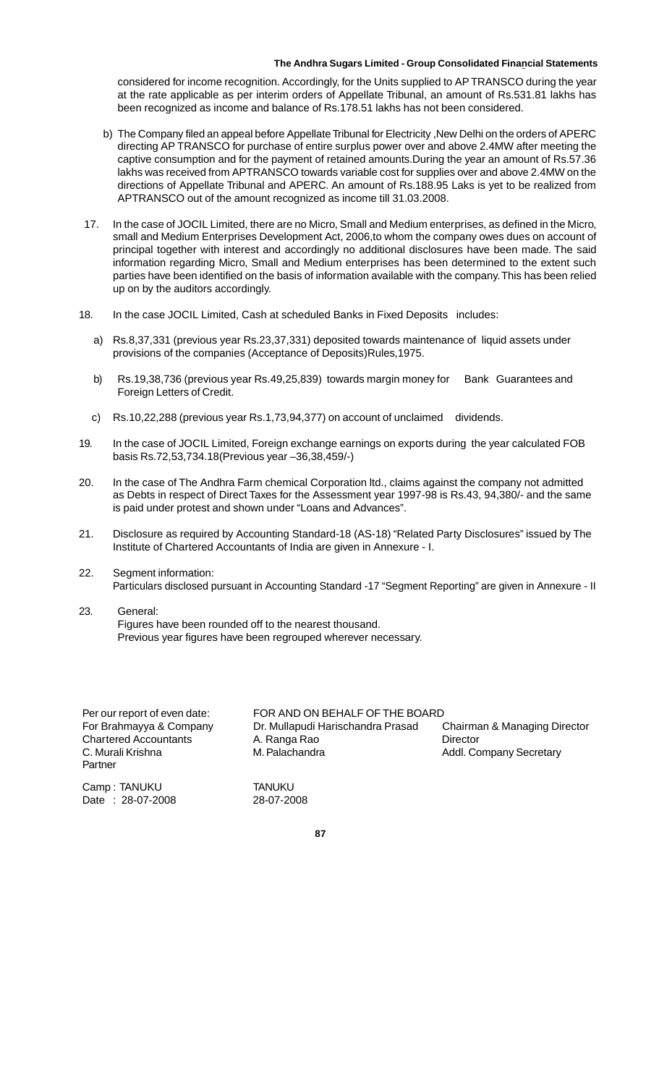considered for income recognition. Accordingly, for the Units supplied to AP TRANSCO during the year at the rate applicable as per interim orders of Appellate Tribunal, an amount of Rs.531.81 lakhs has been recognized as income and balance of Rs.178.51 lakhs has not been considered.

- b) The Company filed an appeal before Appellate Tribunal for Electricity ,New Delhi on the orders of APERC directing AP TRANSCO for purchase of entire surplus power over and above 2.4MW after meeting the captive consumption and for the payment of retained amounts.During the year an amount of Rs.57.36 lakhs was received from APTRANSCO towards variable cost for supplies over and above 2.4MW on the directions of Appellate Tribunal and APERC. An amount of Rs.188.95 Laks is yet to be realized from APTRANSCO out of the amount recognized as income till 31.03.2008.
- 17. In the case of JOCIL Limited, there are no Micro, Small and Medium enterprises, as defined in the Micro, small and Medium Enterprises Development Act, 2006,to whom the company owes dues on account of principal together with interest and accordingly no additional disclosures have been made. The said information regarding Micro, Small and Medium enterprises has been determined to the extent such parties have been identified on the basis of information available with the company. This has been relied up on by the auditors accordingly.
- 18. In the case JOCIL Limited, Cash at scheduled Banks in Fixed Deposits includes:
	- a) Rs.8,37,331 (previous year Rs.23,37,331) deposited towards maintenance of liquid assets under provisions of the companies (Acceptance of Deposits)Rules,1975.
	- b) Rs.19,38,736 (previous year Rs.49,25,839) towards margin money for Bank Guarantees and Foreign Letters of Credit.
	- c) Rs.10,22,288 (previous year Rs.1,73,94,377) on account of unclaimed dividends.
- 19. In the case of JOCIL Limited, Foreign exchange earnings on exports during the year calculated FOB basis Rs.72,53,734.18(Previous year –36,38,459/-)
- 20. In the case of The Andhra Farm chemical Corporation ltd., claims against the company not admitted as Debts in respect of Direct Taxes for the Assessment year 1997-98 is Rs.43, 94,380/- and the same is paid under protest and shown under "Loans and Advances".
- 21. Disclosure as required by Accounting Standard-18 (AS-18) "Related Party Disclosures" issued by The Institute of Chartered Accountants of India are given in Annexure - I.
- 22. Segment information: Particulars disclosed pursuant in Accounting Standard -17 "Segment Reporting" are given in Annexure - II
- 23. General:

Figures have been rounded off to the nearest thousand. Previous year figures have been regrouped wherever necessary.

| Per our report of even date: |
|------------------------------|
| For Brahmayya & Company      |
| <b>Chartered Accountants</b> |
| C. Murali Krishna            |
| Partner                      |

Camp : TANUKU TANUKU Date : 28-07-2008 28-07-2008

FOR AND ON BEHALF OF THE BOARD Dr. Mullapudi Harischandra Prasad Chairman & Managing Director A. Ranga Rao **Director** M. Palachandra **M. Palachandra M. Palachandra M. Palachandra Addl. Company Secretary**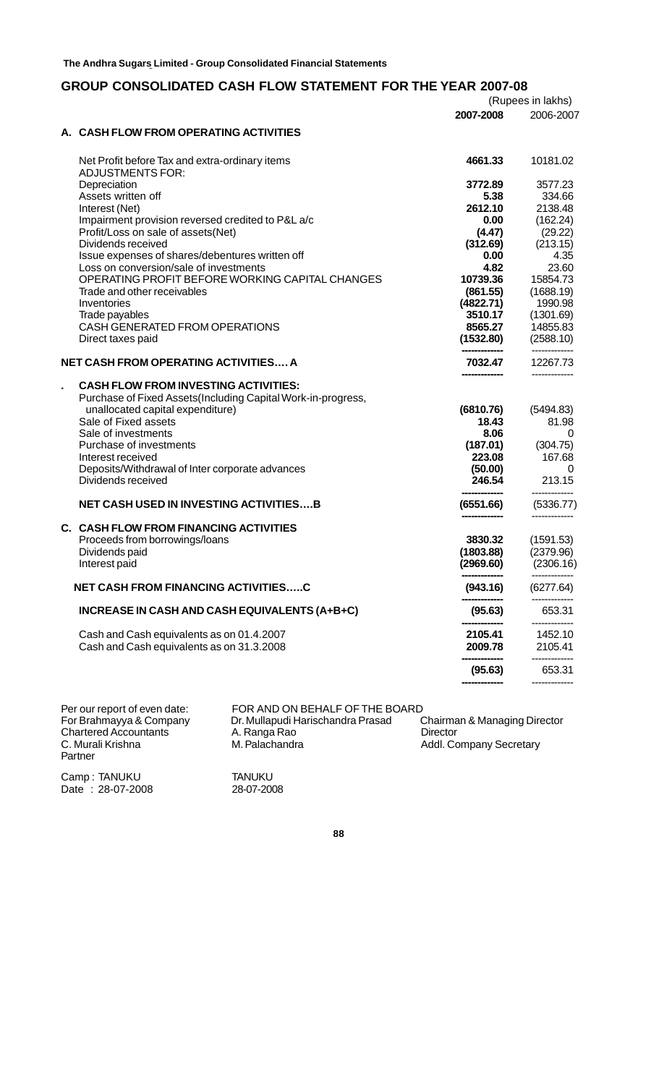## **GROUP CONSOLIDATED CASH FLOW STATEMENT FOR THE YEAR 2007-08**

|                                                                           |                    | (Rupees in lakhs)     |
|---------------------------------------------------------------------------|--------------------|-----------------------|
|                                                                           | 2007-2008          | 2006-2007             |
| A. CASH FLOW FROM OPERATING ACTIVITIES                                    |                    |                       |
| Net Profit before Tax and extra-ordinary items<br><b>ADJUSTMENTS FOR:</b> | 4661.33            | 10181.02              |
| Depreciation                                                              | 3772.89            | 3577.23               |
| Assets written off                                                        | 5.38               | 334.66                |
| Interest (Net)                                                            | 2612.10            | 2138.48               |
| Impairment provision reversed credited to P&L a/c                         | 0.00               | (162.24)              |
| Profit/Loss on sale of assets(Net)                                        | (4.47)             | (29.22)               |
| Dividends received                                                        | (312.69)           | (213.15)              |
| Issue expenses of shares/debentures written off                           | 0.00               | 4.35                  |
| Loss on conversion/sale of investments                                    | 4.82               | 23.60                 |
| OPERATING PROFIT BEFORE WORKING CAPITAL CHANGES                           | 10739.36           | 15854.73              |
| Trade and other receivables                                               | (861.55)           | (1688.19)             |
| Inventories                                                               | (4822.71)          | 1990.98               |
| Trade payables<br>CASH GENERATED FROM OPERATIONS                          | 3510.17<br>8565.27 | (1301.69)<br>14855.83 |
| Direct taxes paid                                                         | (1532.80)          | (2588.10)             |
|                                                                           |                    |                       |
| NET CASH FROM OPERATING ACTIVITIES A                                      | 7032.47            | 12267.73              |
| <b>CASH FLOW FROM INVESTING ACTIVITIES:</b>                               |                    |                       |
| Purchase of Fixed Assets (Including Capital Work-in-progress,             |                    |                       |
| unallocated capital expenditure)                                          | (6810.76)          | (5494.83)             |
| Sale of Fixed assets                                                      | 18.43              | 81.98                 |
| Sale of investments                                                       | 8.06               | 0                     |
| Purchase of investments                                                   | (187.01)           | (304.75)              |
| Interest received                                                         | 223.08             | 167.68                |
| Deposits/Withdrawal of Inter corporate advances                           | (50.00)            | 0                     |
| Dividends received                                                        | 246.54             | 213.15                |
| <b>NET CASH USED IN INVESTING ACTIVITIESB</b>                             | (6551.66)          | (5336.77)             |
|                                                                           |                    |                       |
| C. CASH FLOW FROM FINANCING ACTIVITIES                                    |                    |                       |
| Proceeds from borrowings/loans                                            | 3830.32            | (1591.53)             |
| Dividends paid                                                            | (1803.88)          | (2379.96)             |
| Interest paid                                                             | (2969.60)          | (2306.16)             |
| <b>NET CASH FROM FINANCING ACTIVITIESC</b>                                | (943.16)           | (6277.64)             |
| INCREASE IN CASH AND CASH EQUIVALENTS (A+B+C)                             | (95.63)            | 653.31                |
| Cash and Cash equivalents as on 01.4.2007                                 | 2105.41            | 1452.10               |
| Cash and Cash equivalents as on 31.3.2008                                 | 2009.78            | 2105.41               |
|                                                                           | (95.63)            | 653.31                |
|                                                                           |                    |                       |

C. Murali Krishna<br>Partner

Per our report of even date: FOR AND ON BEHALF OF THE BOARD<br>
For Brahmayya & Company Dr. Mullapudi Harischandra Prasad Chairman & Managing Director<br>
Chartered Accountants A. Ranga Rao Director For Brahmayya & Company Dr. Mullapudi Harischandra Prasad Chairman & Managing Director Chartered Accountants A. Ranga Rao Director A. Ranga Rao Director<br>
M. Palachandra Addl. Company Secretary

Camp : TANUKU TANUKU  $Date : 28-07-2008$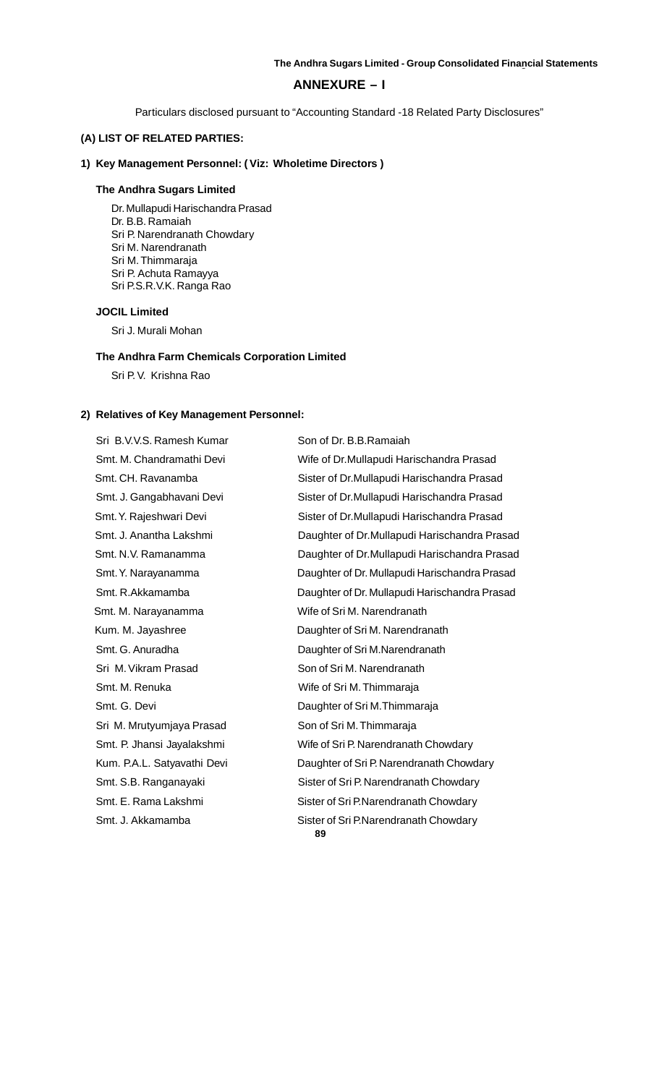## **ANNEXURE – I**

Particulars disclosed pursuant to "Accounting Standard -18 Related Party Disclosures"

## **(A) LIST OF RELATED PARTIES:**

## **1) Key Management Personnel: ( Viz: Wholetime Directors )**

## **The Andhra Sugars Limited**

Dr. Mullapudi Harischandra Prasad Dr. B.B. Ramaiah Sri P. Narendranath Chowdary Sri M. Narendranath Sri M. Thimmaraja Sri P. Achuta Ramayya Sri P.S.R.V.K. Ranga Rao

## **JOCIL Limited**

Sri J. Murali Mohan

## **The Andhra Farm Chemicals Corporation Limited**

Sri P. V. Krishna Rao

## **2) Relatives of Key Management Personnel:**

Sri B.V.V.S. Ramesh Kumar Son of Dr. B.B.Ramaiah Smt. M. Narayanamma Wife of Sri M. Narendranath Sri M. Vikram Prasad Son of Sri M. Narendranath Smt. M. Renuka Wife of Sri M. Thimmaraja Sri M. Mrutyumjaya Prasad Son of Sri M. Thimmaraja

Smt. M. Chandramathi Devi Wife of Dr.Mullapudi Harischandra Prasad Smt. CH. Ravanamba Sister of Dr.Mullapudi Harischandra Prasad Smt. J. Gangabhavani Devi Sister of Dr.Mullapudi Harischandra Prasad Smt. Y. Rajeshwari Devi Sister of Dr.Mullapudi Harischandra Prasad Smt. J. Anantha Lakshmi Daughter of Dr.Mullapudi Harischandra Prasad Smt. N.V. Ramanamma Daughter of Dr.Mullapudi Harischandra Prasad Smt. Y. Narayanamma Daughter of Dr. Mullapudi Harischandra Prasad Smt. R.Akkamamba Daughter of Dr. Mullapudi Harischandra Prasad Kum. M. Jayashree **National State Leapen Exercise Contract** Daughter of Sri M. Narendranath Smt. G. Anuradha Daughter of Sri M.Narendranath Smt. G. Devi **Daughter of Sri M.Thimmaraja** Smt. P. Jhansi Jayalakshmi Wife of Sri P. Narendranath Chowdary Kum. P.A.L. Satyavathi Devi Daughter of Sri P. Narendranath Chowdary Smt. S.B. Ranganayaki Sister of Sri P. Narendranath Chowdary Smt. E. Rama Lakshmi Sister of Sri P.Narendranath Chowdary Smt. J. Akkamamba Sister of Sri P.Narendranath Chowdary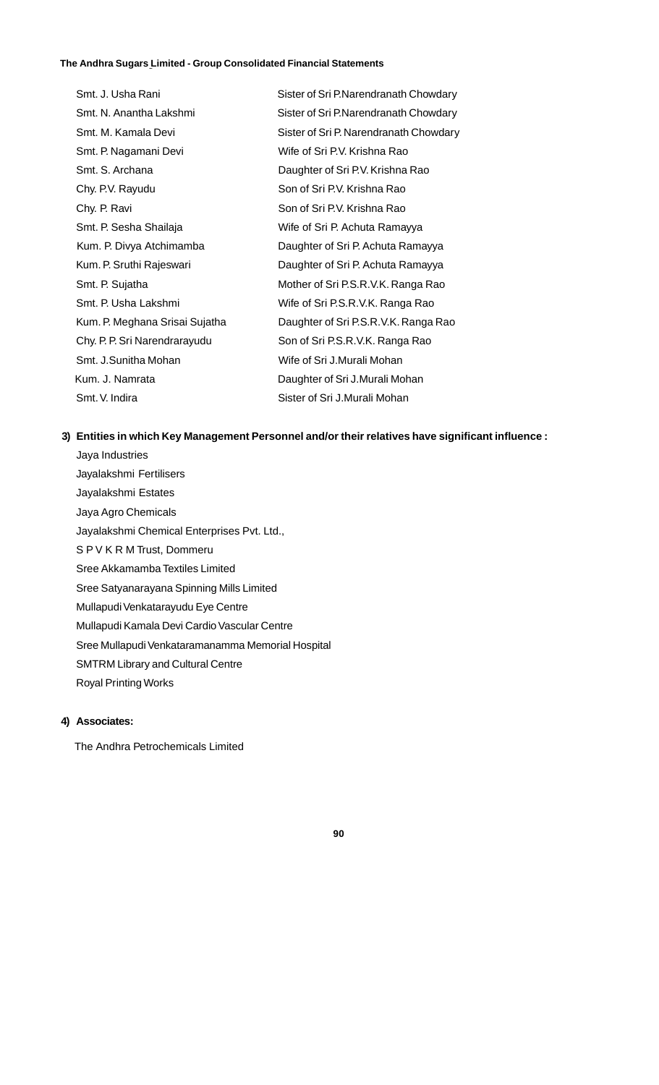| Smt. J. Usha Rani              | Sister of Sri P.Narendranath Chowdary  |
|--------------------------------|----------------------------------------|
| Smt. N. Anantha Lakshmi        | Sister of Sri P.Narendranath Chowdary  |
| Smt. M. Kamala Devi            | Sister of Sri P. Narendranath Chowdary |
| Smt. P. Nagamani Devi          | Wife of Sri P.V. Krishna Rao           |
| Smt. S. Archana                | Daughter of Sri P.V. Krishna Rao       |
| Chy. P.V. Rayudu               | Son of Sri P.V. Krishna Rao            |
| Chy. P. Ravi                   | Son of Sri P.V. Krishna Rao            |
| Smt. P. Sesha Shailaja         | Wife of Sri P. Achuta Ramayya          |
| Kum. P. Divya Atchimamba       | Daughter of Sri P. Achuta Ramayya      |
| Kum. P. Sruthi Rajeswari       | Daughter of Sri P. Achuta Ramayya      |
| Smt. P. Sujatha                | Mother of Sri P.S.R.V.K. Ranga Rao     |
| Smt. P. Usha Lakshmi           | Wife of Sri P.S.R.V.K. Ranga Rao       |
| Kum. P. Meghana Srisai Sujatha | Daughter of Sri P.S.R.V.K. Ranga Rao   |
| Chy. P. P. Sri Narendrarayudu  | Son of Sri P.S.R.V.K. Ranga Rao        |
| Smt. J.Sunitha Mohan           | Wife of Sri J.Murali Mohan             |
| Kum. J. Namrata                | Daughter of Sri J.Murali Mohan         |
| Smt. V. Indira                 | Sister of Sri J.Murali Mohan           |

## **3) Entities in which Key Management Personnel and/or their relatives have significant influence :**

Jaya Industries Jayalakshmi Fertilisers Jayalakshmi Estates Jaya Agro Chemicals Jayalakshmi Chemical Enterprises Pvt. Ltd., S P V K R M Trust, Dommeru Sree Akkamamba Textiles Limited Sree Satyanarayana Spinning Mills Limited Mullapudi Venkatarayudu Eye Centre Mullapudi Kamala Devi Cardio Vascular Centre Sree Mullapudi Venkataramanamma Memorial Hospital SMTRM Library and Cultural Centre Royal Printing Works

## **4) Associates:**

The Andhra Petrochemicals Limited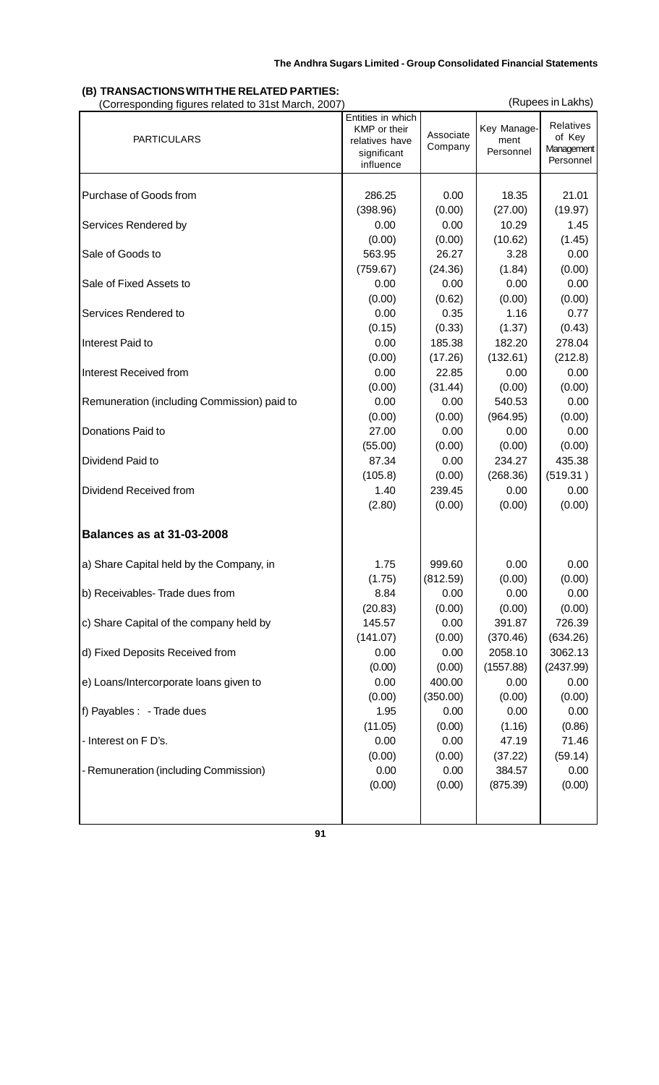#### **The Andhra Sugars Limited The Andhra Sugars Limited - Group Consolidated Financial Statements The Andhra Sugars Limited - Group Consolidated Financial Statements**

## **(B) TRANSACTIONS WITH THE RELATED PARTIES: CORRESPONDING TO A CORRESPONDING THE CORRESPONDING CORRESPONDING (Rupees in Lakhs)**<br>
(Corresponding figures related to 31st March, 2007)

| <b>PARTICULARS</b>                          | Entities in which<br>KMP or their<br>relatives have<br>significant<br>influence | Associate<br>Company | Key Manage-<br>ment<br>Personnel | Relatives<br>of Key<br>Management<br>Personnel |
|---------------------------------------------|---------------------------------------------------------------------------------|----------------------|----------------------------------|------------------------------------------------|
| Purchase of Goods from                      | 286.25                                                                          | 0.00                 | 18.35                            | 21.01                                          |
|                                             | (398.96)                                                                        | (0.00)               | (27.00)                          | (19.97)                                        |
| Services Rendered by                        | 0.00                                                                            | 0.00                 | 10.29                            | 1.45                                           |
|                                             | (0.00)                                                                          | (0.00)               | (10.62)                          | (1.45)                                         |
| Sale of Goods to                            | 563.95                                                                          | 26.27                | 3.28                             | 0.00                                           |
|                                             | (759.67)                                                                        | (24.36)              | (1.84)                           | (0.00)                                         |
| Sale of Fixed Assets to                     | 0.00                                                                            | 0.00                 | 0.00                             | 0.00                                           |
|                                             | (0.00)                                                                          | (0.62)               | (0.00)                           | (0.00)                                         |
| Services Rendered to                        | 0.00                                                                            | 0.35                 | 1.16                             | 0.77                                           |
|                                             | (0.15)                                                                          | (0.33)               | (1.37)                           | (0.43)                                         |
| Interest Paid to                            | 0.00                                                                            | 185.38               | 182.20                           | 278.04                                         |
|                                             | (0.00)                                                                          | (17.26)              | (132.61)                         | (212.8)                                        |
| Interest Received from                      | 0.00                                                                            | 22.85                | 0.00                             | 0.00                                           |
|                                             | (0.00)                                                                          | (31.44)              | (0.00)                           | (0.00)                                         |
| Remuneration (including Commission) paid to | 0.00                                                                            | 0.00                 | 540.53                           | 0.00                                           |
|                                             | (0.00)                                                                          | (0.00)               | (964.95)                         | (0.00)                                         |
| Donations Paid to                           | 27.00                                                                           | 0.00                 | 0.00                             | 0.00                                           |
|                                             | (55.00)                                                                         | (0.00)               | (0.00)                           | (0.00)                                         |
| Dividend Paid to                            | 87.34                                                                           | 0.00                 | 234.27                           | 435.38                                         |
|                                             | (105.8)                                                                         | (0.00)               | (268.36)                         | (519.31)                                       |
| Dividend Received from                      | 1.40                                                                            | 239.45               | 0.00                             | 0.00                                           |
|                                             | (2.80)                                                                          | (0.00)               | (0.00)                           | (0.00)                                         |
| <b>Balances as at 31-03-2008</b>            |                                                                                 |                      |                                  |                                                |
| a) Share Capital held by the Company, in    | 1.75                                                                            | 999.60               | 0.00                             | 0.00                                           |
|                                             | (1.75)                                                                          | (812.59)             | (0.00)                           | (0.00)                                         |
| b) Receivables-Trade dues from              | 8.84                                                                            | 0.00                 | 0.00                             | 0.00                                           |
|                                             | (20.83)                                                                         | (0.00)               | (0.00)                           | (0.00)                                         |
| c) Share Capital of the company held by     | 145.57                                                                          | 0.00                 | 391.87                           | 726.39                                         |
|                                             | (141.07)                                                                        | (0.00)               | (370.46)                         | (634.26)                                       |
| d) Fixed Deposits Received from             | 0.00                                                                            | 0.00                 | 2058.10                          | 3062.13                                        |
|                                             | (0.00)                                                                          | (0.00)               | (1557.88)                        | (2437.99)                                      |
| e) Loans/Intercorporate loans given to      | 0.00                                                                            | 400.00               | 0.00                             | 0.00                                           |
|                                             | (0.00)                                                                          | (350.00)             | (0.00)                           | (0.00)                                         |
| f) Payables : - Trade dues                  | 1.95                                                                            | 0.00                 | 0.00                             | 0.00                                           |
|                                             | (11.05)                                                                         | (0.00)               | (1.16)                           | (0.86)                                         |
| - Interest on F D's.                        | 0.00                                                                            | 0.00                 | 47.19                            | 71.46                                          |
|                                             | (0.00)                                                                          | (0.00)               | (37.22)                          | (59.14)                                        |
| - Remuneration (including Commission)       | 0.00                                                                            | 0.00                 | 384.57                           | 0.00                                           |
|                                             | (0.00)                                                                          | (0.00)               | (875.39)                         | (0.00)                                         |
|                                             |                                                                                 |                      |                                  |                                                |

**91**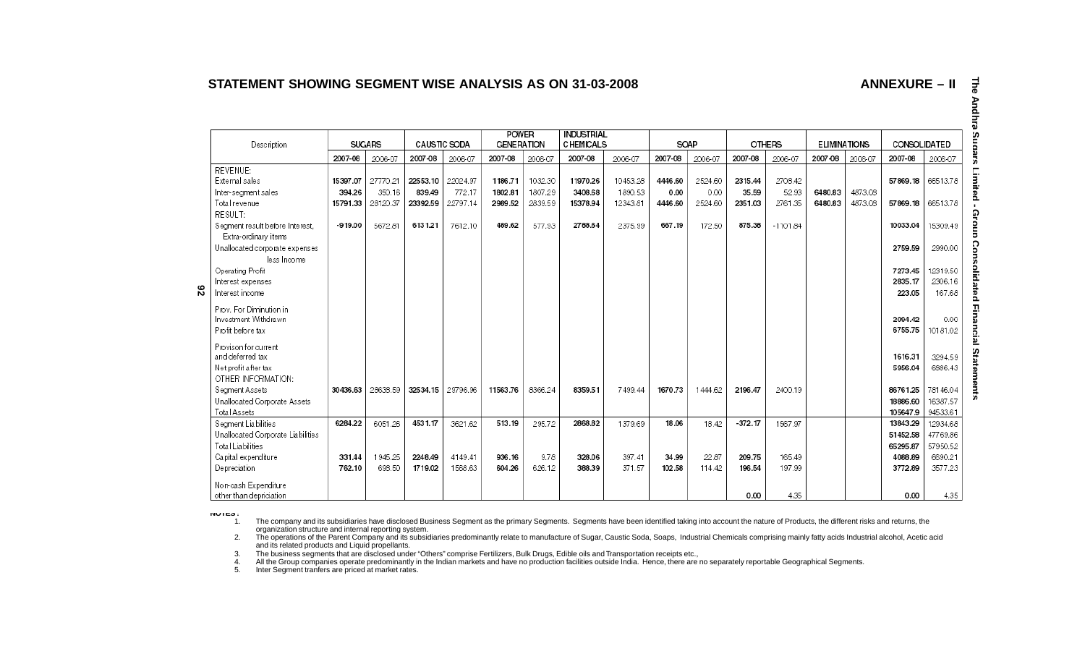## **STATEMENT SHOWING SEGMENT WISE ANALYSIS AS ON 31-03-2008**

**ANNEXURE – II**

|    | Description                                                                                                                                                                               | <b>SUGARS</b>                               |                                           | CAUSTIC SODA                              |                                           | <b>POWER</b><br><b>GENERATION</b>       |                                         | <b>INDUSTRIAL</b><br><b>CHEMICALS</b>      |                                            | SOAP                                 |                                      | <b>OTHERS</b>                         |                                           | <b>ELIMINATIONS</b> |                    | CONSOLIDATED                                |                                             |
|----|-------------------------------------------------------------------------------------------------------------------------------------------------------------------------------------------|---------------------------------------------|-------------------------------------------|-------------------------------------------|-------------------------------------------|-----------------------------------------|-----------------------------------------|--------------------------------------------|--------------------------------------------|--------------------------------------|--------------------------------------|---------------------------------------|-------------------------------------------|---------------------|--------------------|---------------------------------------------|---------------------------------------------|
|    |                                                                                                                                                                                           | 2007-08                                     | 2006-07                                   | 2007-08                                   | 2006-07                                   | 2007-08                                 | 2006-07                                 | 2007-08                                    | 2006-07                                    | 2007-08                              | 2006-07                              | 2007-08                               | 2006-07                                   | 2007-08             | 2006-07            | 2007-08                                     | 2006-07                                     |
| 82 | REVENUE:<br>External sales<br>Inter-segment sales<br>Total revenue<br>RESULT:<br>Seament result before Interest.<br>Extra-ordinary items<br>Unallocated corporate expenses<br>less Income | 15397.07<br>394.26<br>15791.33<br>$-919.00$ | 27770.21<br>350.16<br>28120.37<br>5672.81 | 22553.10<br>839.49<br>23392.59<br>6131.21 | 22024.97<br>772.17<br>22797.14<br>7612.10 | 1186.71<br>1802.81<br>2989.52<br>489.62 | 1032.30<br>1807.29<br>2839.59<br>577.93 | 11970.26<br>3408.68<br>15378.94<br>2788.64 | 10453.28<br>1890.53<br>12343.81<br>2375.99 | 4446.60<br>0.00<br>4446.60<br>667.19 | 2524.60<br>0.00<br>2524.60<br>172.50 | 2315.44<br>35.59<br>2351.03<br>875.38 | 2708.42<br>52.93<br>2761.35<br>$-1101.84$ | 6480.83<br>6480.83  | 4873.08<br>4873.08 | 57869.18<br>57869.18<br>10033.04<br>2759.59 | 66513.78<br>66513.78<br>15309.49<br>2990.00 |
|    | Operating Profit<br>Interest expenses<br>Interest income                                                                                                                                  |                                             |                                           |                                           |                                           |                                         |                                         |                                            |                                            |                                      |                                      |                                       |                                           |                     |                    | 7273.45<br>2835.17<br>223.05                | 12319.50<br>2306.16<br>167.68               |
|    | Prov. For Diminution in<br>Investment Withdrawn<br>Profit before tax                                                                                                                      |                                             |                                           |                                           |                                           |                                         |                                         |                                            |                                            |                                      |                                      |                                       |                                           |                     |                    | 2094.42<br>6755.75                          | 0.00<br>10181.02                            |
|    | Provison for current<br>and deferred tax<br>Net profit after tax<br>OTHER INFORMATION:                                                                                                    |                                             |                                           |                                           |                                           |                                         |                                         |                                            |                                            |                                      |                                      |                                       |                                           |                     |                    | 1616.31<br>5956.04                          | 3294.59<br>6886.43                          |
|    | Segment Assets<br>Unallocated Corporate Assets<br>Total Assets                                                                                                                            | 30436.63                                    | 28638.59                                  | 32534.15                                  | 29796.96                                  | 11563.76                                | 8366.24                                 | 8359.51                                    | 7499.44                                    | 1670.73                              | 1444.62                              | 2196.47                               | 2400.19                                   |                     |                    | 86761.25<br>18886.60<br>105647.9            | 78146.04<br>16387.57<br>94533.61            |
|    | Seament Liabilities<br>Unallocated Corporate Liabilities<br>Total Liabilities                                                                                                             | 6284.22                                     | 6051.26                                   | 4531.17                                   | 3621.62                                   | 513.19                                  | 295.72                                  | 2868.82                                    | 1379.69                                    | 18.06                                | 18.42                                | $-372.17$                             | 1567.97                                   |                     |                    | 13843.29<br>51452.58<br>65295.87            | 12934.68<br>47769.86<br>57950.52            |
|    | Capital expenditure<br>Depreciation                                                                                                                                                       | 331.44<br>762.10                            | 1945.25<br>698.50                         | 2248.49<br>1719.02                        | 4149.41<br>1568.63                        | 936.16<br>604.26                        | 9.78<br>626.12                          | 328.06<br>388.39                           | 397.41<br>371.57                           | 34.99<br>102.58                      | 22.87<br>114.42                      | 209.75<br>196.54                      | 165.49<br>197.99                          |                     |                    | 4088.89<br>3772.89                          | 6690.21<br>3577.23                          |
|    | Non-cash Expenditure<br>other than depriciation.                                                                                                                                          |                                             |                                           |                                           |                                           |                                         |                                         |                                            |                                            |                                      |                                      | 0.00                                  | 4.35                                      |                     |                    | 0.00                                        | 4.35                                        |

**NOTES :**

 $1.$ The company and its subsidiaries have disclosed Business Segment as the primary Segments. Segments have been identified taking into account the nature of Products, the different risks and returns, the

organization structure and internal reporting system.<br>2. The operations of the Parent Company and its subsidiaries predominantly relate to manufacture of Sugar, Caustic Soda, Soaps, Industrial Chemicals comprising mainly f and its related products and Liquid propellants.

3. The business segments that are disclosed under "Others" comprise Fertilizers, Bulk Drugs, Edible oils and Transportation receipts etc.,<br>4. All the Group companies operate predominantly in the Indian markets

5. Inter Segment tranfers are priced at market rates.

**The The Andhra Sugars Limited - Group Consolidated Financial Statements** Andhra S n  $\mathbf T$ <u>ա</u> ក្ខ er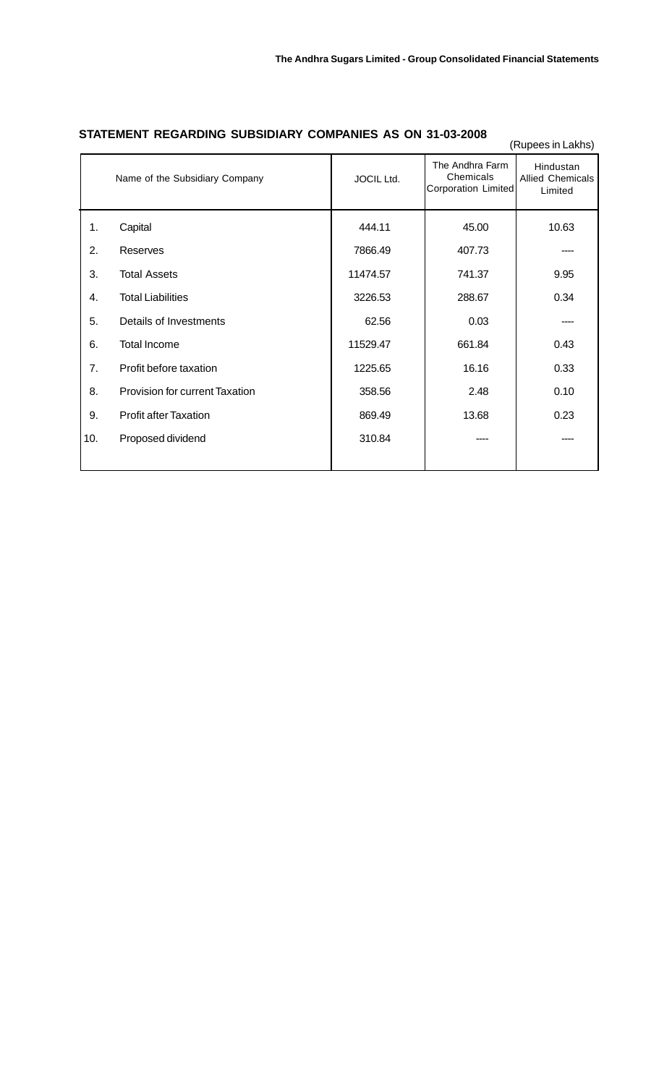|     |                                |            |                                                     | (Rupees in Lakhs)                               |
|-----|--------------------------------|------------|-----------------------------------------------------|-------------------------------------------------|
|     | Name of the Subsidiary Company | JOCIL Ltd. | The Andhra Farm<br>Chemicals<br>Corporation Limited | Hindustan<br><b>Allied Chemicals</b><br>Limited |
| 1.  | Capital                        | 444.11     | 45.00                                               | 10.63                                           |
| 2.  | Reserves                       | 7866.49    | 407.73                                              |                                                 |
| 3.  | <b>Total Assets</b>            | 11474.57   | 741.37                                              | 9.95                                            |
| 4.  | <b>Total Liabilities</b>       | 3226.53    | 288.67                                              | 0.34                                            |
| 5.  | Details of Investments         | 62.56      | 0.03                                                |                                                 |
| 6.  | <b>Total Income</b>            | 11529.47   | 661.84                                              | 0.43                                            |
| 7.  | Profit before taxation         | 1225.65    | 16.16                                               | 0.33                                            |
| 8.  | Provision for current Taxation | 358.56     | 2.48                                                | 0.10                                            |
| 9.  | <b>Profit after Taxation</b>   | 869.49     | 13.68                                               | 0.23                                            |
| 10. | Proposed dividend              | 310.84     |                                                     |                                                 |
|     |                                |            |                                                     |                                                 |

## **STATEMENT REGARDING SUBSIDIARY COMPANIES AS ON 31-03-2008**